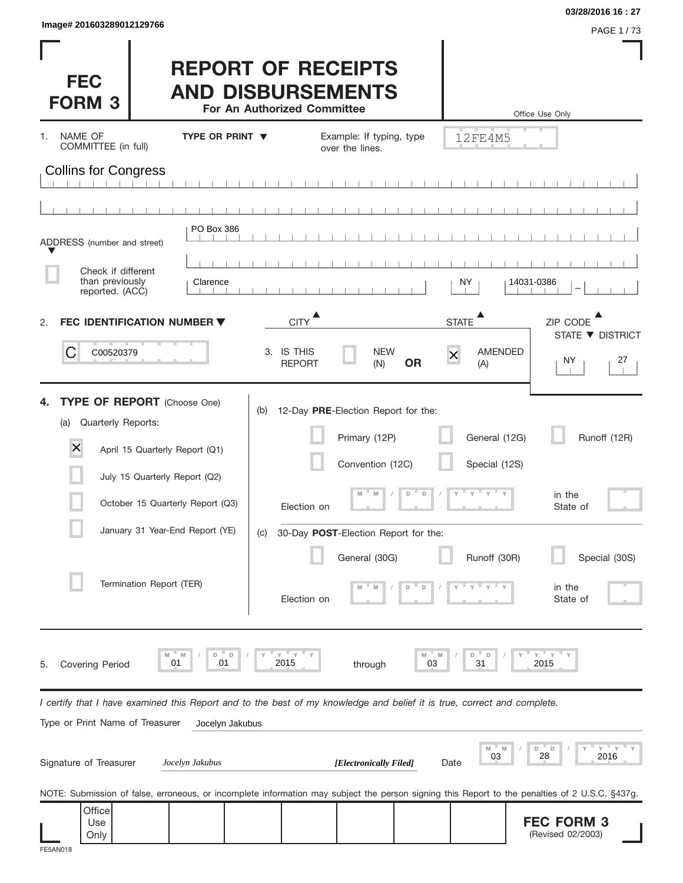**FEC FORM 3** (Revised 02/2003)

| Image# 201603289012129766                                |                                                                                                                                                                                                          |                                                                                                                                                                                         |                                                                                          | 03/28/2016 16:27<br>PAGE 1/73                                             |
|----------------------------------------------------------|----------------------------------------------------------------------------------------------------------------------------------------------------------------------------------------------------------|-----------------------------------------------------------------------------------------------------------------------------------------------------------------------------------------|------------------------------------------------------------------------------------------|---------------------------------------------------------------------------|
| <b>FEC</b><br><b>FORM 3</b>                              |                                                                                                                                                                                                          | <b>REPORT OF RECEIPTS</b><br><b>AND DISBURSEMENTS</b><br>For An Authorized Committee                                                                                                    |                                                                                          | Office Use Only                                                           |
| NAME OF<br>1.<br>COMMITTEE (in full)                     | <b>TYPE OR PRINT ▼</b>                                                                                                                                                                                   | Example: If typing, type<br>over the lines.                                                                                                                                             | 12FE4M5                                                                                  |                                                                           |
| <b>Collins for Congress</b>                              |                                                                                                                                                                                                          |                                                                                                                                                                                         |                                                                                          |                                                                           |
|                                                          |                                                                                                                                                                                                          |                                                                                                                                                                                         |                                                                                          |                                                                           |
| ADDRESS (number and street)                              | PO Box 386                                                                                                                                                                                               |                                                                                                                                                                                         |                                                                                          |                                                                           |
| Check if different<br>than previously<br>reported. (ACC) | Clarence                                                                                                                                                                                                 |                                                                                                                                                                                         | ΝY                                                                                       | 14031-0386                                                                |
| 2.                                                       | FEC IDENTIFICATION NUMBER ▼                                                                                                                                                                              | <b>CITY</b>                                                                                                                                                                             | <b>STATE</b>                                                                             | ZIP CODE                                                                  |
| C<br>C00520379                                           |                                                                                                                                                                                                          | 3. IS THIS<br><b>NEW</b><br><b>REPORT</b><br>(N)                                                                                                                                        | AMENDED<br>$\overline{\mathsf{x}}$<br><b>OR</b><br>(A)                                   | STATE ▼ DISTRICT<br>ΝY<br>27                                              |
| 4.<br>Quarterly Reports:<br>(a)<br>$\times$              | <b>TYPE OF REPORT</b> (Choose One)<br>April 15 Quarterly Report (Q1)<br>July 15 Quarterly Report (Q2)<br>October 15 Quarterly Report (Q3)<br>January 31 Year-End Report (YE)<br>Termination Report (TER) | 12-Day PRE-Election Report for the:<br>(b)<br>Primary (12P)<br>Convention (12C)<br>M<br>M<br>Election on<br>30-Day POST-Election Report for the:<br>(C)<br>General (30G)<br>Election on | General (12G)<br>Special (12S)<br>$D$ D<br><b>T</b> Y<br><b>T</b> Y<br>Runoff (30R)<br>D | Runoff (12R)<br>in the<br>State of<br>Special (30S)<br>in the<br>State of |
| Covering Period<br>5.                                    | M<br>D<br>D<br>M<br>01<br>01                                                                                                                                                                             | Y<br>2015<br>through                                                                                                                                                                    | M<br>D<br>$\Box$<br>03<br>31                                                             | " Y<br>Υ<br>2015                                                          |
| Type or Print Name of Treasurer                          | Jocelyn Jakubus                                                                                                                                                                                          | I certify that I have examined this Report and to the best of my knowledge and belief it is true, correct and complete.                                                                 |                                                                                          |                                                                           |
| Signature of Treasurer                                   | Jocelyn Jakubus                                                                                                                                                                                          | [Electronically Filed]                                                                                                                                                                  | M<br>- M<br>03<br>Date                                                                   | D<br>D<br>28<br>2016                                                      |
| Office                                                   |                                                                                                                                                                                                          | NOTE: Submission of false, erroneous, or incomplete information may subject the person signing this Report to the penalties of 2 U.S.C. §437g.                                          |                                                                                          |                                                                           |

Use Only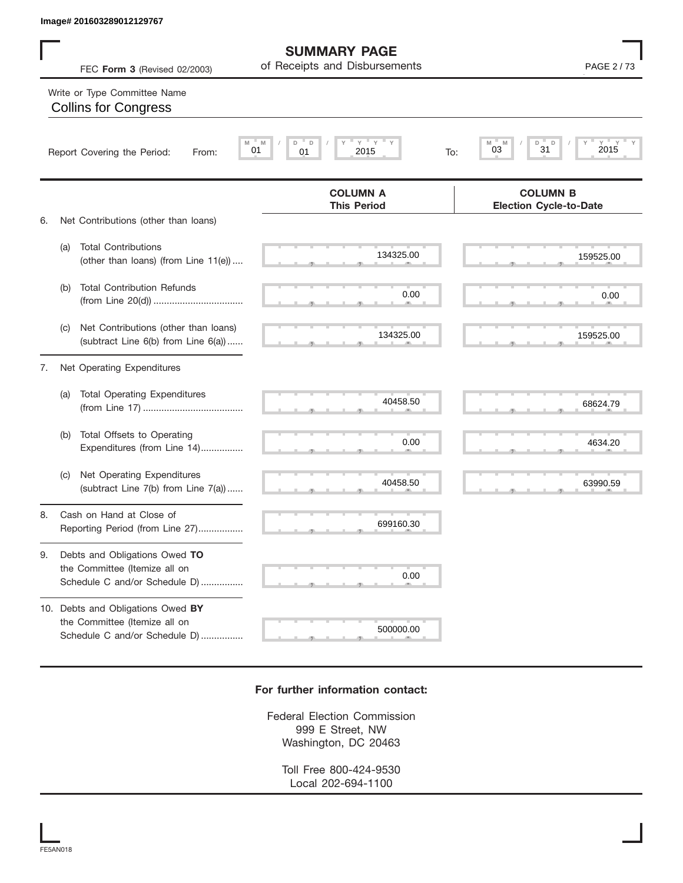|    | Image# 201603289012129767                                                                           |                                                      |                                                   |
|----|-----------------------------------------------------------------------------------------------------|------------------------------------------------------|---------------------------------------------------|
|    | FEC Form 3 (Revised 02/2003)                                                                        | <b>SUMMARY PAGE</b><br>of Receipts and Disbursements | PAGE 2/73                                         |
|    | Write or Type Committee Name<br><b>Collins for Congress</b>                                         |                                                      |                                                   |
|    | Report Covering the Period:<br>From:                                                                | $Y =$<br>Y<br>D<br>D<br>M<br>01<br>01<br>2015<br>To: | $Y = Y =$<br>D<br>M<br>M<br>D<br>31<br>2015<br>03 |
|    |                                                                                                     | <b>COLUMN A</b><br><b>This Period</b>                | <b>COLUMN B</b><br><b>Election Cycle-to-Date</b>  |
| 6. | Net Contributions (other than loans)                                                                |                                                      |                                                   |
|    | <b>Total Contributions</b><br>(a)<br>(other than loans) (from Line 11(e))                           | 134325.00                                            | 159525.00                                         |
|    | <b>Total Contribution Refunds</b><br>(b)                                                            | 0.00                                                 | 0.00                                              |
|    | Net Contributions (other than loans)<br>(C)<br>(subtract Line 6(b) from Line 6(a))                  | 134325.00                                            | 159525.00                                         |
| 7. | Net Operating Expenditures                                                                          |                                                      |                                                   |
|    | <b>Total Operating Expenditures</b><br>(a)                                                          | 40458.50                                             | 68624.79                                          |
|    | Total Offsets to Operating<br>(b)<br>Expenditures (from Line 14)                                    | 0.00                                                 | 4634.20                                           |
|    | Net Operating Expenditures<br>(C)<br>(subtract Line 7(b) from Line 7(a))                            | 40458.50                                             | 63990.59                                          |
| 8. | Cash on Hand at Close of<br>Reporting Period (from Line 27)                                         | 699160.30                                            |                                                   |
| 9. | Debts and Obligations Owed TO<br>the Committee (Itemize all on<br>Schedule C and/or Schedule D)     | 0.00                                                 |                                                   |
|    | 10. Debts and Obligations Owed BY<br>the Committee (Itemize all on<br>Schedule C and/or Schedule D) | 500000.00                                            |                                                   |

## **For further information contact:**

Federal Election Commission 999 E Street, NW Washington, DC 20463

Toll Free 800-424-9530 Local 202-694-1100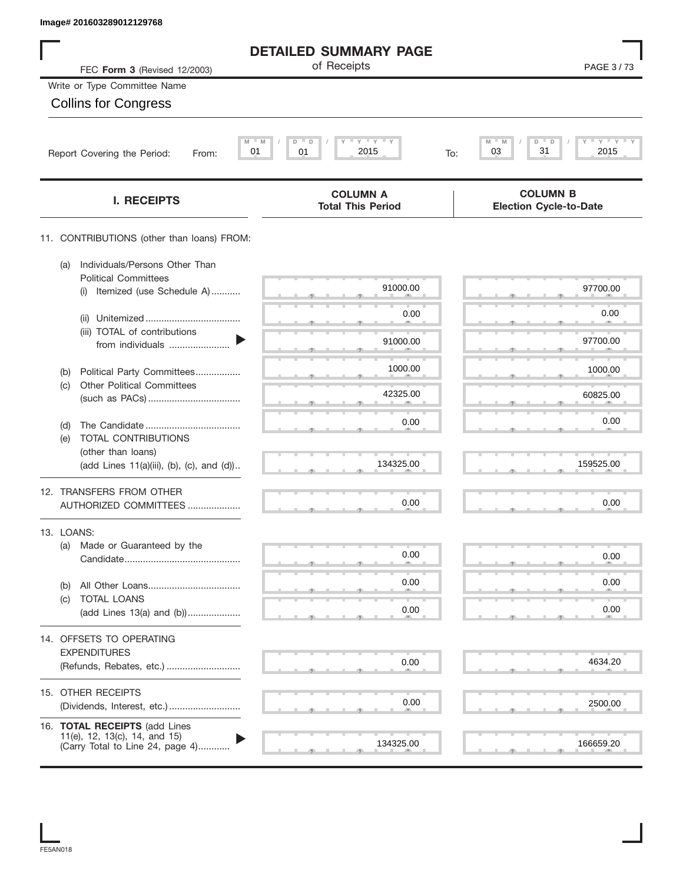| <b>DETAILED SUMMARY PAGE</b><br>of Receipts<br>FEC Form 3 (Revised 12/2003)<br>Write or Type Committee Name<br><b>Collins for Congress</b><br>$Y$ $Y$ $Y$<br>$M = M$<br>D<br>D<br>M<br>D<br>31<br>2015<br>03<br>01<br>01<br>Report Covering the Period:<br>To:<br>From: | PAGE 3/73<br>$Y = Y =$<br>2015 |
|-------------------------------------------------------------------------------------------------------------------------------------------------------------------------------------------------------------------------------------------------------------------------|--------------------------------|
|                                                                                                                                                                                                                                                                         |                                |
|                                                                                                                                                                                                                                                                         |                                |
|                                                                                                                                                                                                                                                                         |                                |
|                                                                                                                                                                                                                                                                         |                                |
|                                                                                                                                                                                                                                                                         |                                |
| <b>COLUMN B</b><br><b>COLUMN A</b><br><b>I. RECEIPTS</b><br><b>Total This Period</b><br><b>Election Cycle-to-Date</b>                                                                                                                                                   |                                |
| 11. CONTRIBUTIONS (other than loans) FROM:                                                                                                                                                                                                                              |                                |
| Individuals/Persons Other Than<br>(a)<br><b>Political Committees</b>                                                                                                                                                                                                    |                                |
| 91000.00<br>Itemized (use Schedule A)<br>(i)                                                                                                                                                                                                                            | 97700.00                       |
| 0.00<br>(ii)                                                                                                                                                                                                                                                            | 0.00                           |
| (iii) TOTAL of contributions<br>91000.00<br>from individuals                                                                                                                                                                                                            | 97700.00                       |
| 1000.00<br>Political Party Committees<br>(b)                                                                                                                                                                                                                            | 1000.00                        |
| <b>Other Political Committees</b><br>(c)<br>42325.00                                                                                                                                                                                                                    | 60825.00                       |
| 0.00                                                                                                                                                                                                                                                                    | 0.00                           |
| (d)<br>TOTAL CONTRIBUTIONS<br>(e)                                                                                                                                                                                                                                       |                                |
| (other than loans)<br>134325.00<br>(add Lines 11(a)(iii), (b), (c), and (d))                                                                                                                                                                                            | 159525.00                      |
| 12. TRANSFERS FROM OTHER                                                                                                                                                                                                                                                |                                |
| 0.00<br>AUTHORIZED COMMITTEES                                                                                                                                                                                                                                           | 0.00                           |
| 13. LOANS:                                                                                                                                                                                                                                                              |                                |
| Made or Guaranteed by the<br>(a)<br>0.00                                                                                                                                                                                                                                | 0.00                           |
| 0.00<br>(b)                                                                                                                                                                                                                                                             | 0.00                           |
| TOTAL LOANS<br>(c)<br>0.00<br>(add Lines 13(a) and (b))                                                                                                                                                                                                                 | 0.00                           |
|                                                                                                                                                                                                                                                                         |                                |
| 14. OFFSETS TO OPERATING<br><b>EXPENDITURES</b>                                                                                                                                                                                                                         |                                |
| 0.00<br>(Refunds, Rebates, etc.)                                                                                                                                                                                                                                        | 4634.20                        |
| 15. OTHER RECEIPTS<br>0.00                                                                                                                                                                                                                                              |                                |
|                                                                                                                                                                                                                                                                         | 2500.00                        |
| 16. TOTAL RECEIPTS (add Lines<br>11(e), 12, 13(c), 14, and 15)<br>134325.00<br>(Carry Total to Line 24, page 4)                                                                                                                                                         | 166659.20                      |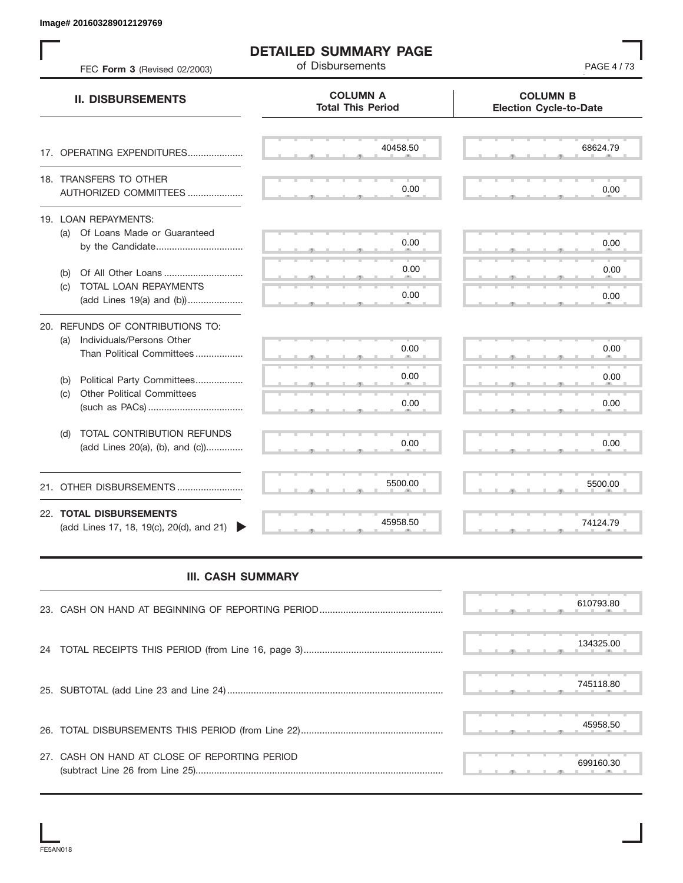| FEC Form 3 (Revised 02/2003)                                                | <b>DETAILED SUMMARY PAGE</b><br>of Disbursements | PAGE 4/73                                        |
|-----------------------------------------------------------------------------|--------------------------------------------------|--------------------------------------------------|
| <b>II. DISBURSEMENTS</b>                                                    | <b>COLUMN A</b><br><b>Total This Period</b>      | <b>COLUMN B</b><br><b>Election Cycle-to-Date</b> |
| 17. OPERATING EXPENDITURES                                                  | 40458.50                                         | 68624.79                                         |
| 18. TRANSFERS TO OTHER<br>AUTHORIZED COMMITTEES                             | 0.00                                             | 0.00                                             |
| 19. LOAN REPAYMENTS:<br>(a) Of Loans Made or Guaranteed<br>by the Candidate | 0.00                                             | 0.00                                             |
| Of All Other Loans<br>(b)                                                   | 0.00                                             | 0.00                                             |
| TOTAL LOAN REPAYMENTS<br>(c)<br>(add Lines 19(a) and (b))                   | 0.00                                             | 0.00                                             |
| 20. REFUNDS OF CONTRIBUTIONS TO:                                            |                                                  |                                                  |
| Individuals/Persons Other<br>(a)<br>Than Political Committees               | 0.00                                             | 0.00                                             |
| Political Party Committees<br>(b)                                           | 0.00                                             | 0.00                                             |
| <b>Other Political Committees</b><br>(c)                                    | 0.00                                             | 0.00                                             |
| TOTAL CONTRIBUTION REFUNDS<br>(d)<br>(add Lines 20(a), (b), and (c))        | 0.00                                             | 0.00                                             |
| 21. OTHER DISBURSEMENTS                                                     | 5500.00                                          | 5500.00                                          |
| 22. TOTAL DISBURSEMENTS<br>(add Lines 17, 18, 19(c), 20(d), and 21)         | 45958.50                                         | 74124.79                                         |
| <b>III. CASH SUMMARY</b>                                                    |                                                  |                                                  |
|                                                                             |                                                  | 610793.80                                        |
| 24                                                                          |                                                  | 134325.00                                        |
|                                                                             |                                                  | 745118.80                                        |
|                                                                             |                                                  | 45958.50                                         |
| 27. CASH ON HAND AT CLOSE OF REPORTING PERIOD                               |                                                  | 699160.30                                        |

## **III. CASH SUMMARY**

|                                               | 610793.80 |
|-----------------------------------------------|-----------|
|                                               | 134325.00 |
|                                               | 745118.80 |
|                                               | 45958.50  |
| 27. CASH ON HAND AT CLOSE OF REPORTING PERIOD | 699160.30 |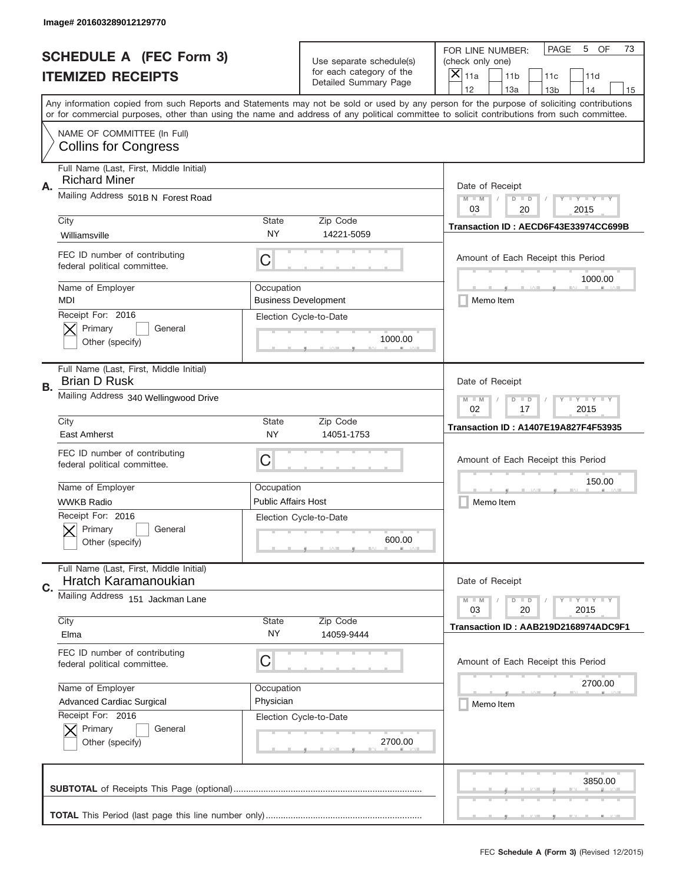|    | Image# 201603289012129770                                       |                                                           |                                                   |                                                                                                                                                                                                                                                                                                                                     |
|----|-----------------------------------------------------------------|-----------------------------------------------------------|---------------------------------------------------|-------------------------------------------------------------------------------------------------------------------------------------------------------------------------------------------------------------------------------------------------------------------------------------------------------------------------------------|
|    | <b>SCHEDULE A (FEC Form 3)</b>                                  |                                                           | Use separate schedule(s)                          | OF<br><b>PAGE</b><br>5<br>73<br>FOR LINE NUMBER:<br>(check only one)                                                                                                                                                                                                                                                                |
|    | <b>ITEMIZED RECEIPTS</b>                                        |                                                           | for each category of the<br>Detailed Summary Page | $\times$<br>11a<br>11 <sub>b</sub><br>11c<br>11d                                                                                                                                                                                                                                                                                    |
|    |                                                                 |                                                           |                                                   | 12<br>13a<br>14<br>13 <sub>b</sub><br>15<br>Any information copied from such Reports and Statements may not be sold or used by any person for the purpose of soliciting contributions<br>or for commercial purposes, other than using the name and address of any political committee to solicit contributions from such committee. |
|    | NAME OF COMMITTEE (In Full)<br><b>Collins for Congress</b>      |                                                           |                                                   |                                                                                                                                                                                                                                                                                                                                     |
| Α. | Full Name (Last, First, Middle Initial)<br><b>Richard Miner</b> |                                                           |                                                   | Date of Receipt                                                                                                                                                                                                                                                                                                                     |
|    | Mailing Address 501B N Forest Road                              | $M - M$<br><b>LYLYLY</b><br>$D$ $D$<br>03<br>20<br>2015   |                                                   |                                                                                                                                                                                                                                                                                                                                     |
|    | City<br>Williamsville                                           | State<br><b>NY</b>                                        | Zip Code<br>14221-5059                            | Transaction ID: AECD6F43E33974CC699B                                                                                                                                                                                                                                                                                                |
|    | FEC ID number of contributing<br>federal political committee.   | C                                                         |                                                   | Amount of Each Receipt this Period<br>1000.00                                                                                                                                                                                                                                                                                       |
|    | Name of Employer<br>MDI                                         | Occupation                                                | <b>Business Development</b>                       | Memo Item                                                                                                                                                                                                                                                                                                                           |
|    | Receipt For: 2016<br>Primary<br>General<br>Other (specify)      |                                                           | Election Cycle-to-Date<br>1000.00                 |                                                                                                                                                                                                                                                                                                                                     |
| В. | Full Name (Last, First, Middle Initial)<br><b>Brian D Rusk</b>  |                                                           |                                                   | Date of Receipt                                                                                                                                                                                                                                                                                                                     |
|    | Mailing Address 340 Wellingwood Drive                           | <b>LY LY LY</b><br>$M - M$<br>$D$ $D$<br>02<br>17<br>2015 |                                                   |                                                                                                                                                                                                                                                                                                                                     |
|    | City<br>East Amherst                                            | <b>State</b><br>NY                                        | Zip Code<br>14051-1753                            | <b>Transaction ID: A1407E19A827F4F53935</b>                                                                                                                                                                                                                                                                                         |
|    | FEC ID number of contributing<br>federal political committee.   | C                                                         |                                                   | Amount of Each Receipt this Period                                                                                                                                                                                                                                                                                                  |
|    | Name of Employer                                                | Occupation                                                |                                                   | 150.00                                                                                                                                                                                                                                                                                                                              |
|    | <b>WWKB Radio</b>                                               | <b>Public Affairs Host</b>                                |                                                   | Memo Item                                                                                                                                                                                                                                                                                                                           |
|    | Receipt For: 2016<br>General<br>Primary<br>Other (specify)      |                                                           | Election Cycle-to-Date<br>600.00                  |                                                                                                                                                                                                                                                                                                                                     |
| C. | Full Name (Last, First, Middle Initial)<br>Hratch Karamanoukian |                                                           |                                                   | Date of Receipt                                                                                                                                                                                                                                                                                                                     |
|    | Mailing Address 151 Jackman Lane                                |                                                           |                                                   | $\mathbf{I}$ $\mathbf{Y}$ $\mathbf{I}$ $\mathbf{Y}$ $\mathbf{I}$ $\mathbf{Y}$<br>$M - M$<br>$D$ $D$<br>2015<br>03<br>20                                                                                                                                                                                                             |
|    | City<br>Elma                                                    | State<br>NY                                               | Zip Code<br>14059-9444                            | Transaction ID: AAB219D2168974ADC9F1                                                                                                                                                                                                                                                                                                |
|    | FEC ID number of contributing<br>federal political committee.   | C                                                         |                                                   | Amount of Each Receipt this Period                                                                                                                                                                                                                                                                                                  |
|    |                                                                 | Occupation                                                |                                                   | 2700.00                                                                                                                                                                                                                                                                                                                             |
|    | Name of Employer                                                |                                                           |                                                   |                                                                                                                                                                                                                                                                                                                                     |
|    | <b>Advanced Cardiac Surgical</b>                                | Physician                                                 |                                                   | Memo Item                                                                                                                                                                                                                                                                                                                           |
|    | Receipt For: 2016<br>Primary<br>General<br>Other (specify)      |                                                           | Election Cycle-to-Date<br>2700.00                 |                                                                                                                                                                                                                                                                                                                                     |
|    |                                                                 |                                                           |                                                   | 3850.00                                                                                                                                                                                                                                                                                                                             |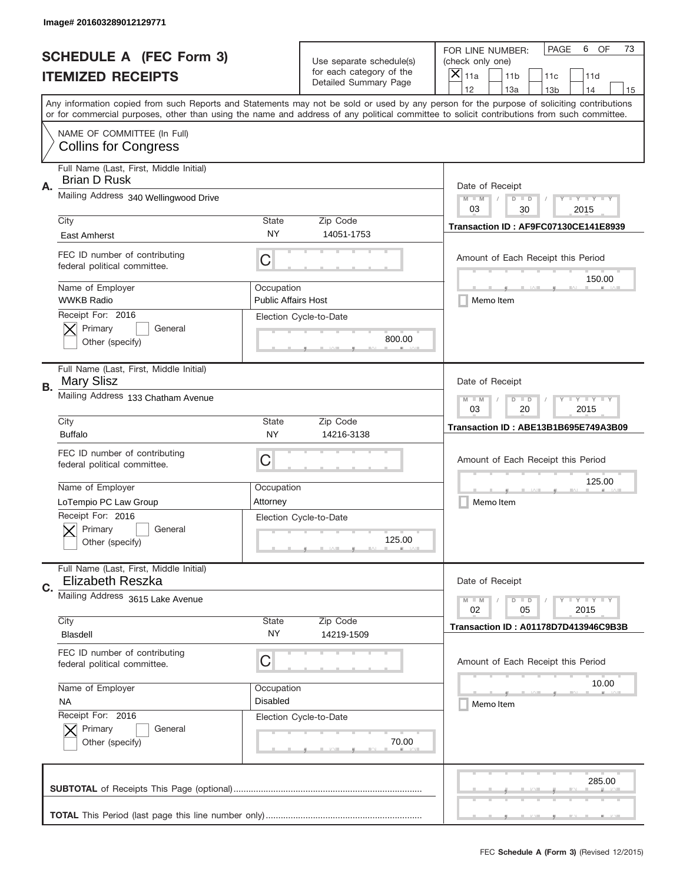|    | Image# 201603289012129771                                          |                                                           |                                                   |                                                                                                                                                                                                                                                                                                                                     |
|----|--------------------------------------------------------------------|-----------------------------------------------------------|---------------------------------------------------|-------------------------------------------------------------------------------------------------------------------------------------------------------------------------------------------------------------------------------------------------------------------------------------------------------------------------------------|
|    | <b>SCHEDULE A (FEC Form 3)</b>                                     |                                                           | Use separate schedule(s)                          | OF<br><b>PAGE</b><br>6<br>73<br>FOR LINE NUMBER:<br>(check only one)                                                                                                                                                                                                                                                                |
|    | <b>ITEMIZED RECEIPTS</b>                                           |                                                           | for each category of the<br>Detailed Summary Page | ×<br>11a<br>11 <sub>b</sub><br>11c<br>11d                                                                                                                                                                                                                                                                                           |
|    |                                                                    |                                                           |                                                   | 12<br>13a<br>14<br>13 <sub>b</sub><br>15<br>Any information copied from such Reports and Statements may not be sold or used by any person for the purpose of soliciting contributions<br>or for commercial purposes, other than using the name and address of any political committee to solicit contributions from such committee. |
|    | NAME OF COMMITTEE (In Full)<br><b>Collins for Congress</b>         |                                                           |                                                   |                                                                                                                                                                                                                                                                                                                                     |
| Α. | Full Name (Last, First, Middle Initial)<br><b>Brian D Rusk</b>     |                                                           |                                                   | Date of Receipt                                                                                                                                                                                                                                                                                                                     |
|    | Mailing Address 340 Wellingwood Drive                              | <b>LY LY LY</b><br>$M - M$<br>$D$ $D$<br>03<br>30<br>2015 |                                                   |                                                                                                                                                                                                                                                                                                                                     |
|    | City<br>East Amherst                                               | <b>State</b><br><b>NY</b>                                 | Zip Code<br>14051-1753                            | Transaction ID: AF9FC07130CE141E8939                                                                                                                                                                                                                                                                                                |
|    | FEC ID number of contributing<br>federal political committee.      | C                                                         |                                                   | Amount of Each Receipt this Period<br>150.00                                                                                                                                                                                                                                                                                        |
|    | Name of Employer<br><b>WWKB Radio</b>                              | Occupation<br><b>Public Affairs Host</b>                  |                                                   | Memo Item                                                                                                                                                                                                                                                                                                                           |
|    | Receipt For: 2016<br>Primary<br>General<br>Other (specify)         |                                                           | Election Cycle-to-Date<br>800.00                  |                                                                                                                                                                                                                                                                                                                                     |
| В. | Full Name (Last, First, Middle Initial)<br><b>Mary Slisz</b>       |                                                           |                                                   | Date of Receipt                                                                                                                                                                                                                                                                                                                     |
|    | Mailing Address 133 Chatham Avenue                                 | <b>LY LY LY</b><br>$M$ $M$<br>$D$ $D$<br>03<br>20<br>2015 |                                                   |                                                                                                                                                                                                                                                                                                                                     |
|    | City<br><b>Buffalo</b>                                             | <b>State</b><br><b>NY</b>                                 | Zip Code<br>14216-3138                            | Transaction ID: ABE13B1B695E749A3B09                                                                                                                                                                                                                                                                                                |
|    | FEC ID number of contributing<br>federal political committee.      | C                                                         |                                                   | Amount of Each Receipt this Period                                                                                                                                                                                                                                                                                                  |
|    | Name of Employer<br>LoTempio PC Law Group                          | Occupation<br>Attorney                                    |                                                   | 125.00<br>Memo Item                                                                                                                                                                                                                                                                                                                 |
|    | Receipt For: 2016<br>General<br>Primary<br>Other (specify)         |                                                           | Election Cycle-to-Date<br>125.00                  |                                                                                                                                                                                                                                                                                                                                     |
| C. | Full Name (Last, First, Middle Initial)<br><b>Elizabeth Reszka</b> |                                                           |                                                   | Date of Receipt                                                                                                                                                                                                                                                                                                                     |
|    | Mailing Address 3615 Lake Avenue                                   |                                                           |                                                   | <b>LYLYLY</b><br>$M - M$<br>$D$ $D$<br>02<br>05<br>2015                                                                                                                                                                                                                                                                             |
|    | City<br>Blasdell                                                   | State<br>NY.                                              | Zip Code<br>14219-1509                            | Transaction ID: A01178D7D413946C9B3B                                                                                                                                                                                                                                                                                                |
|    | FEC ID number of contributing<br>federal political committee.      | C                                                         |                                                   | Amount of Each Receipt this Period                                                                                                                                                                                                                                                                                                  |
|    | Name of Employer<br><b>NA</b>                                      | Occupation<br><b>Disabled</b>                             |                                                   | 10.00<br>Memo Item                                                                                                                                                                                                                                                                                                                  |
|    | Receipt For: 2016<br>Primary<br>General<br>Other (specify)         |                                                           | Election Cycle-to-Date<br>70.00                   |                                                                                                                                                                                                                                                                                                                                     |
|    |                                                                    |                                                           |                                                   | 285.00                                                                                                                                                                                                                                                                                                                              |
|    |                                                                    |                                                           |                                                   |                                                                                                                                                                                                                                                                                                                                     |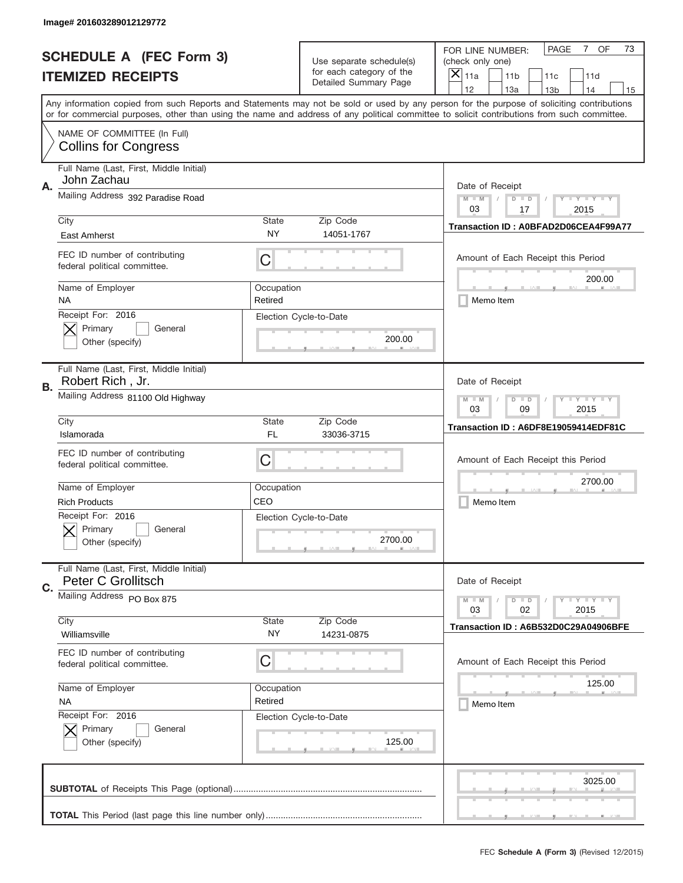|    | Image# 201603289012129772                                     |                                                           |                                                   |                                                                                                                                                                                                                                                                                                                                     |
|----|---------------------------------------------------------------|-----------------------------------------------------------|---------------------------------------------------|-------------------------------------------------------------------------------------------------------------------------------------------------------------------------------------------------------------------------------------------------------------------------------------------------------------------------------------|
|    | <b>SCHEDULE A (FEC Form 3)</b>                                |                                                           | Use separate schedule(s)                          | OF<br><b>PAGE</b><br>$7\phantom{.}$<br>73<br>FOR LINE NUMBER:<br>(check only one)                                                                                                                                                                                                                                                   |
|    | <b>ITEMIZED RECEIPTS</b>                                      |                                                           | for each category of the<br>Detailed Summary Page | $\times$<br>11a<br>11 <sub>b</sub><br>11c<br>11d                                                                                                                                                                                                                                                                                    |
|    |                                                               |                                                           |                                                   | 12<br>13a<br>14<br>13 <sub>b</sub><br>15<br>Any information copied from such Reports and Statements may not be sold or used by any person for the purpose of soliciting contributions<br>or for commercial purposes, other than using the name and address of any political committee to solicit contributions from such committee. |
|    | NAME OF COMMITTEE (In Full)<br><b>Collins for Congress</b>    |                                                           |                                                   |                                                                                                                                                                                                                                                                                                                                     |
| Α. | Full Name (Last, First, Middle Initial)<br>John Zachau        |                                                           |                                                   | Date of Receipt                                                                                                                                                                                                                                                                                                                     |
|    | Mailing Address 392 Paradise Road                             |                                                           |                                                   | $M - M$<br><b>LYLYLY</b><br>$D$ $D$<br>03<br>17<br>2015                                                                                                                                                                                                                                                                             |
|    | City<br>East Amherst                                          | State<br><b>NY</b>                                        | Zip Code<br>14051-1767                            | Transaction ID: A0BFAD2D06CEA4F99A77                                                                                                                                                                                                                                                                                                |
|    | FEC ID number of contributing<br>federal political committee. | C                                                         |                                                   | Amount of Each Receipt this Period<br>200.00                                                                                                                                                                                                                                                                                        |
|    | Name of Employer<br>NA                                        | Occupation<br>Retired                                     |                                                   | Memo Item                                                                                                                                                                                                                                                                                                                           |
|    | Receipt For: 2016<br>Primary<br>General<br>Other (specify)    |                                                           | Election Cycle-to-Date<br>200.00                  |                                                                                                                                                                                                                                                                                                                                     |
| В. | Full Name (Last, First, Middle Initial)<br>Robert Rich, Jr.   |                                                           |                                                   | Date of Receipt                                                                                                                                                                                                                                                                                                                     |
|    | Mailing Address 81100 Old Highway                             | <b>LY LY LY</b><br>$M - M$<br>$D$ $D$<br>03<br>09<br>2015 |                                                   |                                                                                                                                                                                                                                                                                                                                     |
|    | City<br>Islamorada                                            | State<br>FL                                               | Zip Code<br>33036-3715                            | Transaction ID: A6DF8E19059414EDF81C                                                                                                                                                                                                                                                                                                |
|    | FEC ID number of contributing<br>federal political committee. | C                                                         |                                                   | Amount of Each Receipt this Period                                                                                                                                                                                                                                                                                                  |
|    | Name of Employer<br><b>Rich Products</b>                      | Occupation<br>CEO                                         |                                                   | 2700.00<br>Memo Item                                                                                                                                                                                                                                                                                                                |
|    | Receipt For: 2016<br>General<br>Primary<br>Other (specify)    |                                                           | Election Cycle-to-Date<br>2700.00                 |                                                                                                                                                                                                                                                                                                                                     |
| C. | Full Name (Last, First, Middle Initial)<br>Peter C Grollitsch |                                                           |                                                   | Date of Receipt                                                                                                                                                                                                                                                                                                                     |
|    | Mailing Address PO Box 875                                    |                                                           |                                                   | <b>LYLYLY</b><br>$M - M$<br>$D$ $D$<br>03<br>02<br>2015                                                                                                                                                                                                                                                                             |
|    | City<br>Williamsville                                         | State<br>NY.                                              | Zip Code<br>14231-0875                            | Transaction ID: A6B532D0C29A04906BFE                                                                                                                                                                                                                                                                                                |
|    | FEC ID number of contributing<br>federal political committee. | C                                                         |                                                   | Amount of Each Receipt this Period                                                                                                                                                                                                                                                                                                  |
|    | Name of Employer<br><b>NA</b>                                 | Occupation<br>Retired                                     |                                                   | 125.00<br>Memo Item                                                                                                                                                                                                                                                                                                                 |
|    | Receipt For: 2016<br>Primary<br>General<br>Other (specify)    |                                                           | Election Cycle-to-Date<br>125.00                  |                                                                                                                                                                                                                                                                                                                                     |
|    |                                                               |                                                           |                                                   | 3025.00                                                                                                                                                                                                                                                                                                                             |
|    |                                                               |                                                           |                                                   |                                                                                                                                                                                                                                                                                                                                     |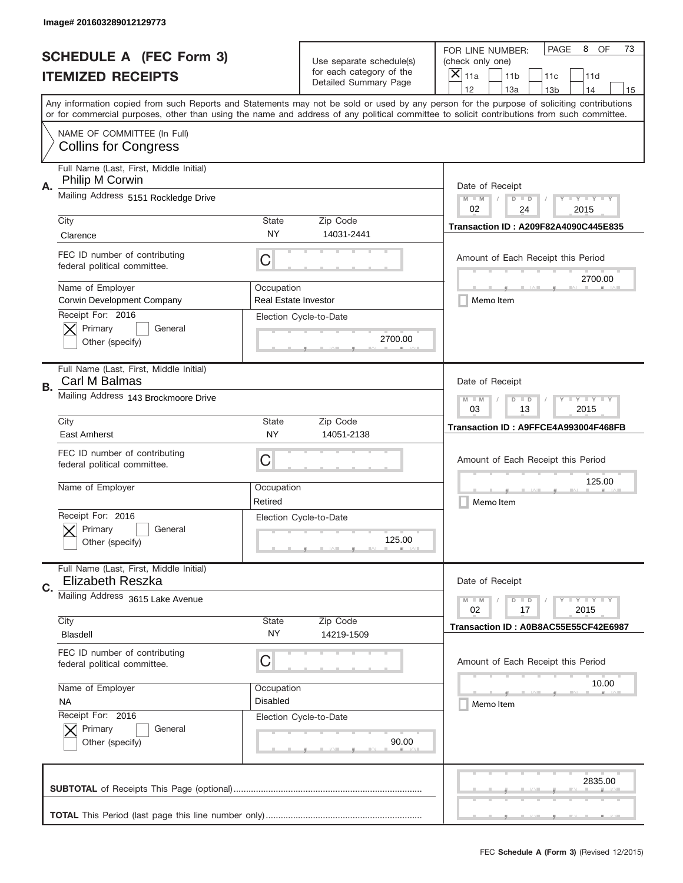|    | Image# 201603289012129773                                          |                                                                                                                       |                                                      |                                                                                                                                                                                                                                                                                                                               |
|----|--------------------------------------------------------------------|-----------------------------------------------------------------------------------------------------------------------|------------------------------------------------------|-------------------------------------------------------------------------------------------------------------------------------------------------------------------------------------------------------------------------------------------------------------------------------------------------------------------------------|
|    | <b>SCHEDULE A (FEC Form 3)</b>                                     |                                                                                                                       | Use separate schedule(s)<br>for each category of the | PAGE<br>OF<br>8<br>73<br>FOR LINE NUMBER:<br>(check only one)                                                                                                                                                                                                                                                                 |
|    | <b>ITEMIZED RECEIPTS</b>                                           |                                                                                                                       | Detailed Summary Page                                | ×<br>11a<br>11 <sub>b</sub><br>11c<br>11d<br>12                                                                                                                                                                                                                                                                               |
|    |                                                                    |                                                                                                                       |                                                      | 13a<br>14<br>13 <sub>b</sub><br>15<br>Any information copied from such Reports and Statements may not be sold or used by any person for the purpose of soliciting contributions<br>or for commercial purposes, other than using the name and address of any political committee to solicit contributions from such committee. |
|    | NAME OF COMMITTEE (In Full)<br><b>Collins for Congress</b>         |                                                                                                                       |                                                      |                                                                                                                                                                                                                                                                                                                               |
| Α. | Full Name (Last, First, Middle Initial)<br>Philip M Corwin         |                                                                                                                       |                                                      | Date of Receipt                                                                                                                                                                                                                                                                                                               |
|    | Mailing Address 5151 Rockledge Drive                               |                                                                                                                       |                                                      | $M - M$<br>$\mathbf{I}$ $\mathbf{Y}$ $\mathbf{I}$ $\mathbf{Y}$ $\mathbf{I}$ $\mathbf{Y}$<br>$D$ $D$<br>02<br>24<br>2015                                                                                                                                                                                                       |
|    | City<br>Clarence                                                   | <b>State</b><br><b>NY</b>                                                                                             | Zip Code<br>14031-2441                               | Transaction ID: A209F82A4090C445E835                                                                                                                                                                                                                                                                                          |
|    | FEC ID number of contributing<br>federal political committee.      | C                                                                                                                     |                                                      | Amount of Each Receipt this Period<br>2700.00                                                                                                                                                                                                                                                                                 |
|    | Name of Employer<br>Corwin Development Company                     | Occupation<br><b>Real Estate Investor</b>                                                                             |                                                      | Memo Item                                                                                                                                                                                                                                                                                                                     |
|    | Receipt For: 2016<br>Primary<br>General<br>Other (specify)         |                                                                                                                       | Election Cycle-to-Date<br>2700.00                    |                                                                                                                                                                                                                                                                                                                               |
| В. | Full Name (Last, First, Middle Initial)<br>Carl M Balmas           |                                                                                                                       |                                                      | Date of Receipt                                                                                                                                                                                                                                                                                                               |
|    | Mailing Address 143 Brockmoore Drive                               | $M$ M<br>$\mathbf{I}$ $\mathbf{Y}$ $\mathbf{I}$ $\mathbf{Y}$ $\mathbf{I}$ $\mathbf{Y}$<br>$D$ $D$<br>03<br>13<br>2015 |                                                      |                                                                                                                                                                                                                                                                                                                               |
|    | City<br>East Amherst                                               | State<br><b>NY</b>                                                                                                    | Zip Code<br>14051-2138                               | Transaction ID: A9FFCE4A993004F468FB                                                                                                                                                                                                                                                                                          |
|    | FEC ID number of contributing<br>federal political committee.      | C                                                                                                                     |                                                      | Amount of Each Receipt this Period                                                                                                                                                                                                                                                                                            |
|    | Name of Employer                                                   | Occupation<br>Retired                                                                                                 |                                                      | 125.00<br>Memo Item                                                                                                                                                                                                                                                                                                           |
|    |                                                                    |                                                                                                                       |                                                      |                                                                                                                                                                                                                                                                                                                               |
|    | Receipt For: 2016<br>General<br>Primary<br>Other (specify)         |                                                                                                                       | Election Cycle-to-Date<br>125.00                     |                                                                                                                                                                                                                                                                                                                               |
| C. | Full Name (Last, First, Middle Initial)<br><b>Elizabeth Reszka</b> |                                                                                                                       |                                                      | Date of Receipt                                                                                                                                                                                                                                                                                                               |
|    | Mailing Address 3615 Lake Avenue                                   |                                                                                                                       |                                                      | $D$ $D$<br><b>LYLYLY</b><br>$M - M$<br>02<br>2015<br>17                                                                                                                                                                                                                                                                       |
|    | City<br>Blasdell                                                   | <b>State</b><br>NY.                                                                                                   | Zip Code<br>14219-1509                               | Transaction ID: A0B8AC55E55CF42E6987                                                                                                                                                                                                                                                                                          |
|    | FEC ID number of contributing<br>federal political committee.      | C                                                                                                                     |                                                      | Amount of Each Receipt this Period                                                                                                                                                                                                                                                                                            |
|    | Name of Employer<br><b>NA</b>                                      | Occupation<br><b>Disabled</b>                                                                                         |                                                      | 10.00<br>Memo Item                                                                                                                                                                                                                                                                                                            |
|    | Receipt For: 2016<br>Primary<br>General<br>Other (specify)         |                                                                                                                       | Election Cycle-to-Date<br>90.00                      |                                                                                                                                                                                                                                                                                                                               |
|    |                                                                    |                                                                                                                       |                                                      | 2835.00                                                                                                                                                                                                                                                                                                                       |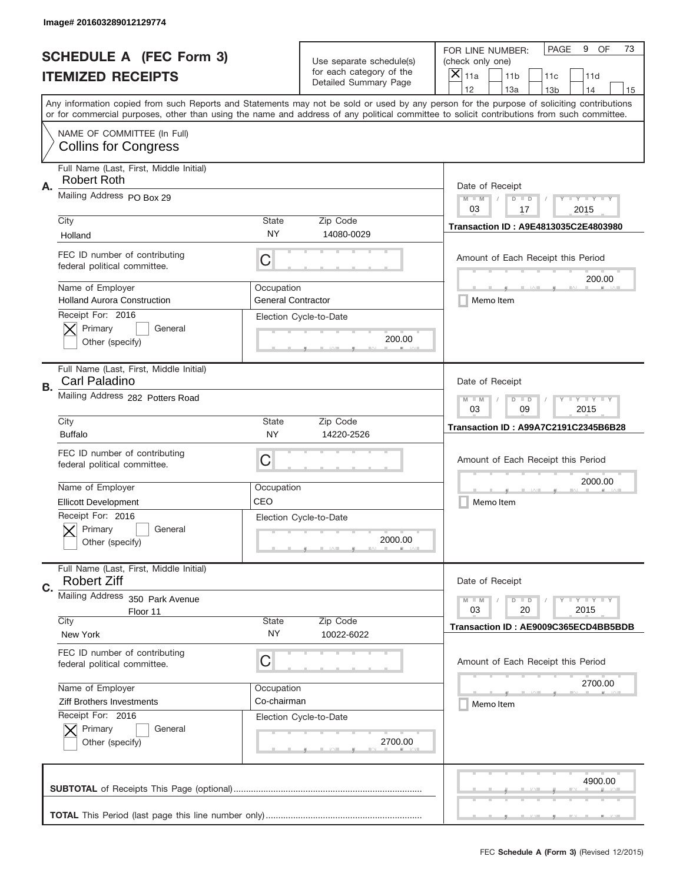|    | Image# 201603289012129774                                     |                                                                                                                       |                                                   |                                                                                                                                                                                                                                                                                                                                     |
|----|---------------------------------------------------------------|-----------------------------------------------------------------------------------------------------------------------|---------------------------------------------------|-------------------------------------------------------------------------------------------------------------------------------------------------------------------------------------------------------------------------------------------------------------------------------------------------------------------------------------|
|    | <b>SCHEDULE A (FEC Form 3)</b>                                |                                                                                                                       | Use separate schedule(s)                          | PAGE<br>OF<br>9<br>73<br>FOR LINE NUMBER:<br>(check only one)                                                                                                                                                                                                                                                                       |
|    | <b>ITEMIZED RECEIPTS</b>                                      |                                                                                                                       | for each category of the<br>Detailed Summary Page | ×<br>11a<br>11 <sub>b</sub><br>11c<br>11d                                                                                                                                                                                                                                                                                           |
|    |                                                               |                                                                                                                       |                                                   | 12<br>13a<br>14<br>13 <sub>b</sub><br>15<br>Any information copied from such Reports and Statements may not be sold or used by any person for the purpose of soliciting contributions<br>or for commercial purposes, other than using the name and address of any political committee to solicit contributions from such committee. |
|    | NAME OF COMMITTEE (In Full)<br><b>Collins for Congress</b>    |                                                                                                                       |                                                   |                                                                                                                                                                                                                                                                                                                                     |
| Α. | Full Name (Last, First, Middle Initial)<br><b>Robert Roth</b> |                                                                                                                       |                                                   | Date of Receipt                                                                                                                                                                                                                                                                                                                     |
|    | Mailing Address PO Box 29                                     |                                                                                                                       |                                                   | $M - M$<br>$\mathbf{I}$ $\mathbf{Y}$ $\mathbf{I}$ $\mathbf{Y}$ $\mathbf{I}$ $\mathbf{Y}$<br>$D$ $D$<br>03<br>17<br>2015                                                                                                                                                                                                             |
|    | City<br>Holland                                               | State<br>NY                                                                                                           | Zip Code<br>14080-0029                            | Transaction ID: A9E4813035C2E4803980                                                                                                                                                                                                                                                                                                |
|    | FEC ID number of contributing<br>federal political committee. | C                                                                                                                     |                                                   | Amount of Each Receipt this Period<br>200.00                                                                                                                                                                                                                                                                                        |
|    | Name of Employer<br><b>Holland Aurora Construction</b>        | Occupation<br><b>General Contractor</b>                                                                               |                                                   | Memo Item                                                                                                                                                                                                                                                                                                                           |
|    | Receipt For: 2016<br>Primary<br>General<br>Other (specify)    |                                                                                                                       | Election Cycle-to-Date<br>200.00                  |                                                                                                                                                                                                                                                                                                                                     |
| В. | Full Name (Last, First, Middle Initial)<br>Carl Paladino      |                                                                                                                       |                                                   | Date of Receipt                                                                                                                                                                                                                                                                                                                     |
|    | Mailing Address 282 Potters Road                              | $M$ M<br>$\mathbf{I}$ $\mathbf{Y}$ $\mathbf{I}$ $\mathbf{Y}$ $\mathbf{I}$ $\mathbf{Y}$<br>$D$ $D$<br>03<br>09<br>2015 |                                                   |                                                                                                                                                                                                                                                                                                                                     |
|    | City<br><b>Buffalo</b>                                        | State<br>NY                                                                                                           | Zip Code<br>14220-2526                            | <b>Transaction ID: A99A7C2191C2345B6B28</b>                                                                                                                                                                                                                                                                                         |
|    | FEC ID number of contributing<br>federal political committee. | C                                                                                                                     |                                                   | Amount of Each Receipt this Period                                                                                                                                                                                                                                                                                                  |
|    | Name of Employer                                              | Occupation                                                                                                            |                                                   | 2000.00                                                                                                                                                                                                                                                                                                                             |
|    | <b>Ellicott Development</b>                                   | CEO                                                                                                                   |                                                   | Memo Item                                                                                                                                                                                                                                                                                                                           |
|    | Receipt For: 2016<br>General<br>Primary<br>Other (specify)    |                                                                                                                       | Election Cycle-to-Date<br>2000.00                 |                                                                                                                                                                                                                                                                                                                                     |
| C. | Full Name (Last, First, Middle Initial)<br><b>Robert Ziff</b> |                                                                                                                       |                                                   | Date of Receipt                                                                                                                                                                                                                                                                                                                     |
|    | Mailing Address<br>350 Park Avenue                            |                                                                                                                       |                                                   | $I - Y - I - Y - I - Y$<br>$M - M$<br>$D$ $D$<br>2015                                                                                                                                                                                                                                                                               |
|    | Floor 11<br>City                                              | State                                                                                                                 | Zip Code                                          | 03<br>20                                                                                                                                                                                                                                                                                                                            |
|    | New York                                                      | NY.                                                                                                                   | 10022-6022                                        | Transaction ID: AE9009C365ECD4BB5BDB                                                                                                                                                                                                                                                                                                |
|    | FEC ID number of contributing<br>federal political committee. | C                                                                                                                     |                                                   | Amount of Each Receipt this Period                                                                                                                                                                                                                                                                                                  |
|    | Name of Employer                                              | Occupation                                                                                                            |                                                   | 2700.00                                                                                                                                                                                                                                                                                                                             |
|    | Ziff Brothers Investments                                     | Co-chairman                                                                                                           |                                                   | Memo Item                                                                                                                                                                                                                                                                                                                           |
|    | Receipt For: 2016<br>Primary<br>General<br>Other (specify)    |                                                                                                                       | Election Cycle-to-Date<br>2700.00                 |                                                                                                                                                                                                                                                                                                                                     |
|    |                                                               |                                                                                                                       |                                                   | 4900.00                                                                                                                                                                                                                                                                                                                             |
|    |                                                               |                                                                                                                       |                                                   |                                                                                                                                                                                                                                                                                                                                     |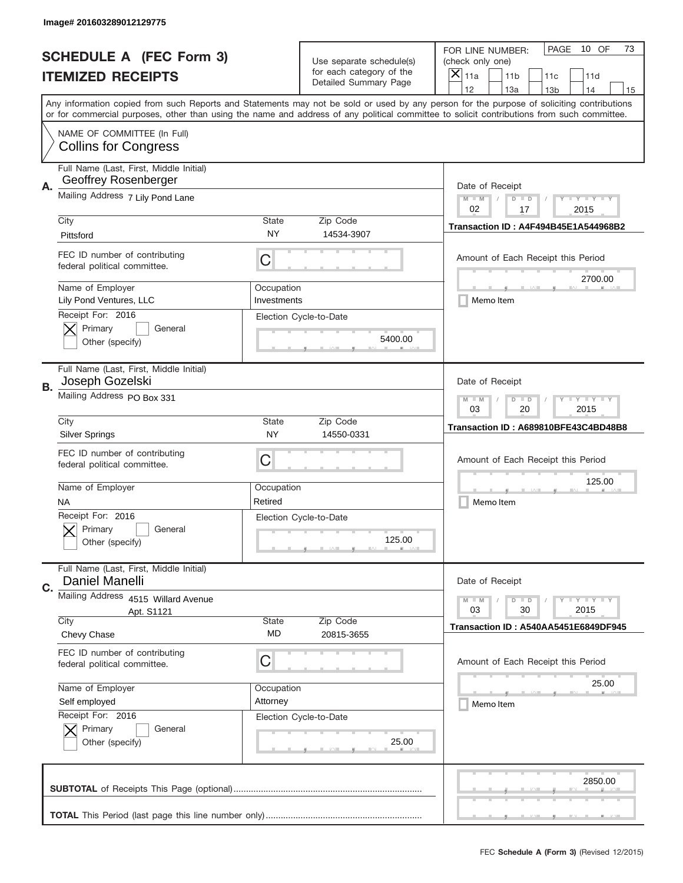|                          | Image# 201603289012129775                                       |                                                                                                                         |                                                   |                                                                                                                                                                                                                                                                                                                                     |
|--------------------------|-----------------------------------------------------------------|-------------------------------------------------------------------------------------------------------------------------|---------------------------------------------------|-------------------------------------------------------------------------------------------------------------------------------------------------------------------------------------------------------------------------------------------------------------------------------------------------------------------------------------|
|                          | <b>SCHEDULE A (FEC Form 3)</b>                                  |                                                                                                                         | Use separate schedule(s)                          | 10 OF<br>PAGE<br>73<br>FOR LINE NUMBER:<br>(check only one)                                                                                                                                                                                                                                                                         |
| <b>ITEMIZED RECEIPTS</b> |                                                                 |                                                                                                                         | for each category of the<br>Detailed Summary Page | ×<br>11a<br>11 <sub>b</sub><br>11c<br>11d                                                                                                                                                                                                                                                                                           |
|                          |                                                                 |                                                                                                                         |                                                   | 12<br>13a<br>14<br>13 <sub>b</sub><br>15<br>Any information copied from such Reports and Statements may not be sold or used by any person for the purpose of soliciting contributions<br>or for commercial purposes, other than using the name and address of any political committee to solicit contributions from such committee. |
|                          | NAME OF COMMITTEE (In Full)<br><b>Collins for Congress</b>      |                                                                                                                         |                                                   |                                                                                                                                                                                                                                                                                                                                     |
| Α.                       | Full Name (Last, First, Middle Initial)<br>Geoffrey Rosenberger |                                                                                                                         |                                                   | Date of Receipt                                                                                                                                                                                                                                                                                                                     |
|                          | Mailing Address 7 Lily Pond Lane                                |                                                                                                                         |                                                   | $M - M$<br>$\mathbf{I}$ $\mathbf{Y}$ $\mathbf{I}$ $\mathbf{Y}$ $\mathbf{I}$ $\mathbf{Y}$<br>$D$ $D$<br>02<br>17<br>2015                                                                                                                                                                                                             |
|                          | City<br>Pittsford                                               | State<br>NY                                                                                                             | Zip Code<br>14534-3907                            | Transaction ID: A4F494B45E1A544968B2                                                                                                                                                                                                                                                                                                |
|                          | FEC ID number of contributing<br>federal political committee.   | C                                                                                                                       |                                                   | Amount of Each Receipt this Period<br>2700.00                                                                                                                                                                                                                                                                                       |
|                          | Name of Employer<br>Lily Pond Ventures, LLC                     | Occupation<br>Investments                                                                                               |                                                   | Memo Item                                                                                                                                                                                                                                                                                                                           |
|                          | Receipt For: 2016<br>Primary<br>General<br>Other (specify)      |                                                                                                                         | Election Cycle-to-Date<br>5400.00                 |                                                                                                                                                                                                                                                                                                                                     |
| В.                       | Full Name (Last, First, Middle Initial)<br>Joseph Gozelski      |                                                                                                                         |                                                   | Date of Receipt                                                                                                                                                                                                                                                                                                                     |
|                          | Mailing Address PO Box 331                                      | $M - M$<br>$\mathbf{I}$ $\mathbf{Y}$ $\mathbf{I}$ $\mathbf{Y}$ $\mathbf{I}$ $\mathbf{Y}$<br>$D$ $D$<br>03<br>20<br>2015 |                                                   |                                                                                                                                                                                                                                                                                                                                     |
|                          | City<br><b>Silver Springs</b>                                   | <b>State</b><br><b>NY</b>                                                                                               | Zip Code<br>14550-0331                            | Transaction ID: A689810BFE43C4BD48B8                                                                                                                                                                                                                                                                                                |
|                          | FEC ID number of contributing<br>federal political committee.   | C                                                                                                                       |                                                   | Amount of Each Receipt this Period                                                                                                                                                                                                                                                                                                  |
|                          | Name of Employer<br>NA                                          | Occupation<br>Retired                                                                                                   |                                                   | 125.00<br>Memo Item                                                                                                                                                                                                                                                                                                                 |
|                          | Receipt For: 2016<br>General<br>Primary<br>Other (specify)      |                                                                                                                         | Election Cycle-to-Date<br>125.00                  |                                                                                                                                                                                                                                                                                                                                     |
| C.                       | Full Name (Last, First, Middle Initial)<br>Daniel Manelli       |                                                                                                                         |                                                   | Date of Receipt                                                                                                                                                                                                                                                                                                                     |
|                          | Mailing Address 4515 Willard Avenue<br>Apt. S1121               |                                                                                                                         |                                                   | $I - Y - I - Y - I - Y$<br>$M - M$<br>$D$ $D$<br>03<br>2015<br>30                                                                                                                                                                                                                                                                   |
|                          | City<br>Chevy Chase                                             | State<br>MD                                                                                                             | Zip Code<br>20815-3655                            | Transaction ID: A540AA5451E6849DF945                                                                                                                                                                                                                                                                                                |
|                          | FEC ID number of contributing<br>federal political committee.   | С                                                                                                                       |                                                   | Amount of Each Receipt this Period                                                                                                                                                                                                                                                                                                  |
|                          | Name of Employer                                                | Occupation                                                                                                              |                                                   | 25.00                                                                                                                                                                                                                                                                                                                               |
|                          | Self employed<br>Receipt For: 2016                              | Attorney                                                                                                                | Election Cycle-to-Date                            | Memo Item                                                                                                                                                                                                                                                                                                                           |
|                          | Primary<br>General<br>Other (specify)                           |                                                                                                                         | 25.00                                             |                                                                                                                                                                                                                                                                                                                                     |
|                          |                                                                 |                                                                                                                         |                                                   | 2850.00                                                                                                                                                                                                                                                                                                                             |
|                          |                                                                 |                                                                                                                         |                                                   |                                                                                                                                                                                                                                                                                                                                     |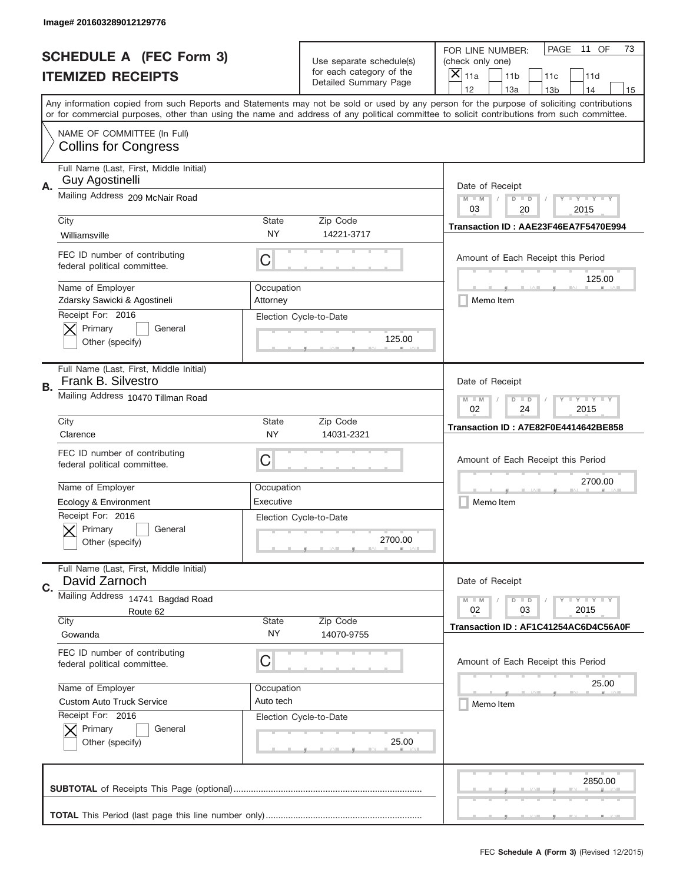|    | Image# 201603289012129776                                     |                                                                                                                       |                                                      |                                                                                                                                                                                                                                                                                                                                     |
|----|---------------------------------------------------------------|-----------------------------------------------------------------------------------------------------------------------|------------------------------------------------------|-------------------------------------------------------------------------------------------------------------------------------------------------------------------------------------------------------------------------------------------------------------------------------------------------------------------------------------|
|    | <b>SCHEDULE A (FEC Form 3)</b>                                |                                                                                                                       | Use separate schedule(s)<br>for each category of the | PAGE<br>11 OF<br>73<br>FOR LINE NUMBER:<br>(check only one)                                                                                                                                                                                                                                                                         |
|    | <b>ITEMIZED RECEIPTS</b>                                      |                                                                                                                       | Detailed Summary Page                                | ×<br>11a<br>11 <sub>b</sub><br>11c<br>11d                                                                                                                                                                                                                                                                                           |
|    |                                                               |                                                                                                                       |                                                      | 12<br>13a<br>14<br>13 <sub>b</sub><br>15<br>Any information copied from such Reports and Statements may not be sold or used by any person for the purpose of soliciting contributions<br>or for commercial purposes, other than using the name and address of any political committee to solicit contributions from such committee. |
|    | NAME OF COMMITTEE (In Full)<br><b>Collins for Congress</b>    |                                                                                                                       |                                                      |                                                                                                                                                                                                                                                                                                                                     |
|    | Full Name (Last, First, Middle Initial)<br>Guy Agostinelli    |                                                                                                                       |                                                      |                                                                                                                                                                                                                                                                                                                                     |
| Α. | Mailing Address 209 McNair Road                               |                                                                                                                       |                                                      | Date of Receipt<br>$M - M$<br>$\mathbf{I}$ $\mathbf{Y}$ $\mathbf{I}$ $\mathbf{Y}$ $\mathbf{I}$ $\mathbf{Y}$<br>$D$ $D$<br>03<br>20<br>2015                                                                                                                                                                                          |
|    | City<br>Williamsville                                         | State<br>ΝY                                                                                                           | Zip Code<br>14221-3717                               | Transaction ID: AAE23F46EA7F5470E994                                                                                                                                                                                                                                                                                                |
|    | FEC ID number of contributing<br>federal political committee. | C                                                                                                                     |                                                      | Amount of Each Receipt this Period                                                                                                                                                                                                                                                                                                  |
|    | Name of Employer<br>Zdarsky Sawicki & Agostineli              | Occupation<br>Attorney                                                                                                |                                                      | 125.00<br>Memo Item                                                                                                                                                                                                                                                                                                                 |
|    | Receipt For: 2016<br>Primary<br>General<br>Other (specify)    |                                                                                                                       | Election Cycle-to-Date<br>125.00                     |                                                                                                                                                                                                                                                                                                                                     |
| В. | Full Name (Last, First, Middle Initial)<br>Frank B. Silvestro |                                                                                                                       |                                                      | Date of Receipt                                                                                                                                                                                                                                                                                                                     |
|    | Mailing Address 10470 Tillman Road                            | $M$ M<br>$\mathbf{I}$ $\mathbf{Y}$ $\mathbf{I}$ $\mathbf{Y}$ $\mathbf{I}$ $\mathbf{Y}$<br>$D$ $D$<br>02<br>24<br>2015 |                                                      |                                                                                                                                                                                                                                                                                                                                     |
|    | City<br>Clarence                                              | State<br>NY                                                                                                           | Zip Code<br>14031-2321                               | Transaction ID: A7E82F0E4414642BE858                                                                                                                                                                                                                                                                                                |
|    | FEC ID number of contributing<br>federal political committee. | C                                                                                                                     |                                                      | Amount of Each Receipt this Period                                                                                                                                                                                                                                                                                                  |
|    | Name of Employer                                              | Occupation                                                                                                            |                                                      | 2700.00                                                                                                                                                                                                                                                                                                                             |
|    | Ecology & Environment                                         | Executive                                                                                                             |                                                      | Memo Item                                                                                                                                                                                                                                                                                                                           |
|    | Receipt For: 2016<br>General<br>Primary<br>Other (specify)    |                                                                                                                       | Election Cycle-to-Date<br>2700.00                    |                                                                                                                                                                                                                                                                                                                                     |
| C. | Full Name (Last, First, Middle Initial)<br>David Zarnoch      |                                                                                                                       |                                                      | Date of Receipt                                                                                                                                                                                                                                                                                                                     |
|    | Mailing Address 14741 Bagdad Road                             |                                                                                                                       |                                                      | $I - Y - I - Y - I - Y$<br>$M - M$<br>$D$ $D$                                                                                                                                                                                                                                                                                       |
|    | Route 62<br>City                                              | <b>State</b>                                                                                                          | Zip Code                                             | 02<br>2015<br>03                                                                                                                                                                                                                                                                                                                    |
|    | Gowanda                                                       | NY.                                                                                                                   | 14070-9755                                           | Transaction ID: AF1C41254AC6D4C56A0F                                                                                                                                                                                                                                                                                                |
|    | FEC ID number of contributing                                 | C                                                                                                                     |                                                      | Amount of Each Receipt this Period                                                                                                                                                                                                                                                                                                  |
|    | federal political committee.                                  |                                                                                                                       |                                                      |                                                                                                                                                                                                                                                                                                                                     |
|    | Name of Employer                                              | Occupation                                                                                                            |                                                      | 25.00                                                                                                                                                                                                                                                                                                                               |
|    | <b>Custom Auto Truck Service</b>                              | Auto tech                                                                                                             |                                                      | Memo Item                                                                                                                                                                                                                                                                                                                           |
|    | Receipt For: 2016<br>Primary<br>General<br>Other (specify)    |                                                                                                                       | Election Cycle-to-Date<br>25.00                      |                                                                                                                                                                                                                                                                                                                                     |
|    |                                                               |                                                                                                                       |                                                      | 2850.00                                                                                                                                                                                                                                                                                                                             |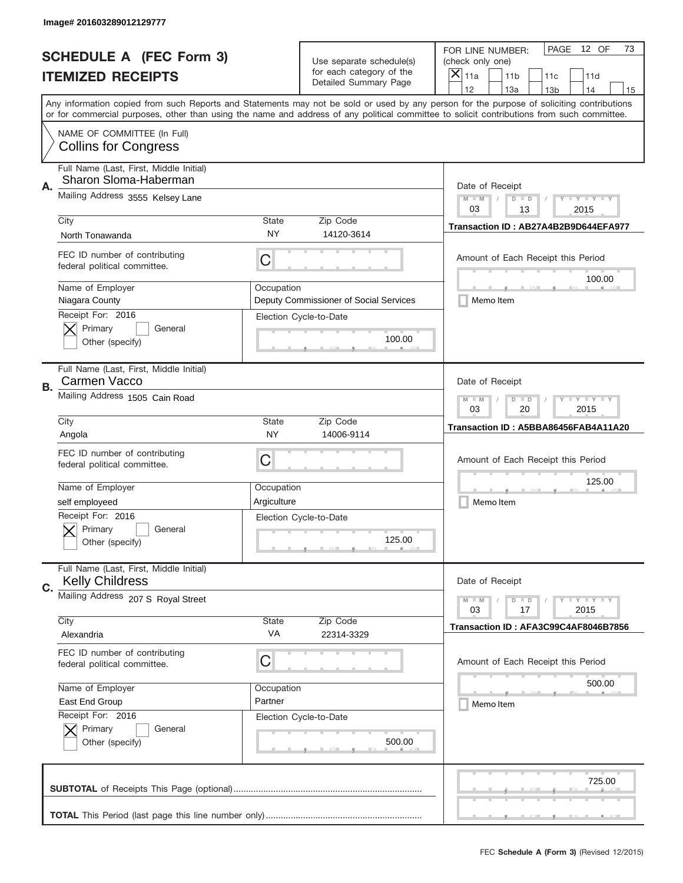|    | Image# 201603289012129777                                         |                                                                                                   |                                                      |                                                                                                                                                                                                                                                                                                                                     |
|----|-------------------------------------------------------------------|---------------------------------------------------------------------------------------------------|------------------------------------------------------|-------------------------------------------------------------------------------------------------------------------------------------------------------------------------------------------------------------------------------------------------------------------------------------------------------------------------------------|
|    | <b>SCHEDULE A (FEC Form 3)</b>                                    |                                                                                                   | Use separate schedule(s)<br>for each category of the | 12 OF<br>PAGE<br>73<br>FOR LINE NUMBER:<br>(check only one)                                                                                                                                                                                                                                                                         |
|    | <b>ITEMIZED RECEIPTS</b>                                          |                                                                                                   | Detailed Summary Page                                | $\times$<br>11a<br>11 <sub>b</sub><br>11c<br>11d                                                                                                                                                                                                                                                                                    |
|    |                                                                   |                                                                                                   |                                                      | 12<br>13a<br>14<br>13 <sub>b</sub><br>15<br>Any information copied from such Reports and Statements may not be sold or used by any person for the purpose of soliciting contributions<br>or for commercial purposes, other than using the name and address of any political committee to solicit contributions from such committee. |
|    | NAME OF COMMITTEE (In Full)<br><b>Collins for Congress</b>        |                                                                                                   |                                                      |                                                                                                                                                                                                                                                                                                                                     |
| А. | Full Name (Last, First, Middle Initial)<br>Sharon Sloma-Haberman  |                                                                                                   |                                                      | Date of Receipt                                                                                                                                                                                                                                                                                                                     |
|    | Mailing Address 3555 Kelsey Lane                                  |                                                                                                   |                                                      | $M - M$<br>$I - Y - I - Y - I - Y$<br>$D$ $D$<br>03<br>13<br>2015                                                                                                                                                                                                                                                                   |
|    | City<br>North Tonawanda                                           | State<br><b>NY</b>                                                                                | Zip Code<br>14120-3614                               | Transaction ID: AB27A4B2B9D644EFA977                                                                                                                                                                                                                                                                                                |
|    | FEC ID number of contributing<br>federal political committee.     | C                                                                                                 |                                                      | Amount of Each Receipt this Period<br>100.00                                                                                                                                                                                                                                                                                        |
|    | Name of Employer<br>Niagara County                                | Occupation                                                                                        | Deputy Commissioner of Social Services               | Memo Item                                                                                                                                                                                                                                                                                                                           |
|    | Receipt For: 2016<br>Primary<br>General<br>Other (specify)        |                                                                                                   | Election Cycle-to-Date<br>100.00                     |                                                                                                                                                                                                                                                                                                                                     |
| В. | Full Name (Last, First, Middle Initial)<br>Carmen Vacco           |                                                                                                   |                                                      | Date of Receipt                                                                                                                                                                                                                                                                                                                     |
|    | Mailing Address 1505 Cain Road                                    | $M$ M<br>$\Box$ $\Upsilon$ $\Box$ $\Upsilon$ $\Upsilon$ $\Upsilon$<br>$D$ $D$<br>03<br>20<br>2015 |                                                      |                                                                                                                                                                                                                                                                                                                                     |
|    | City<br>Angola                                                    | State<br><b>NY</b>                                                                                | Zip Code<br>14006-9114                               | Transaction ID: A5BBA86456FAB4A11A20                                                                                                                                                                                                                                                                                                |
|    | FEC ID number of contributing                                     |                                                                                                   |                                                      |                                                                                                                                                                                                                                                                                                                                     |
|    | federal political committee.                                      | C                                                                                                 |                                                      | Amount of Each Receipt this Period                                                                                                                                                                                                                                                                                                  |
|    | Name of Employer                                                  | Occupation                                                                                        |                                                      | 125.00                                                                                                                                                                                                                                                                                                                              |
|    | self employeed                                                    | Argiculture                                                                                       |                                                      | Memo Item                                                                                                                                                                                                                                                                                                                           |
|    | Receipt For: 2016<br>Primary<br>General<br>Other (specify)        |                                                                                                   | Election Cycle-to-Date<br>125.00                     |                                                                                                                                                                                                                                                                                                                                     |
| C. | Full Name (Last, First, Middle Initial)<br><b>Kelly Childress</b> |                                                                                                   |                                                      | Date of Receipt                                                                                                                                                                                                                                                                                                                     |
|    | Mailing Address 207 S Royal Street                                |                                                                                                   |                                                      | <b>LYLYLY</b><br>$M - M$<br>$D$ $D$<br>03<br>17<br>2015                                                                                                                                                                                                                                                                             |
|    | City<br>Alexandria                                                | State<br>VA                                                                                       | Zip Code<br>22314-3329                               | Transaction ID: AFA3C99C4AF8046B7856                                                                                                                                                                                                                                                                                                |
|    | FEC ID number of contributing<br>federal political committee.     | C                                                                                                 |                                                      | Amount of Each Receipt this Period                                                                                                                                                                                                                                                                                                  |
|    | Name of Employer                                                  | Occupation                                                                                        |                                                      | 500.00                                                                                                                                                                                                                                                                                                                              |
|    | East End Group                                                    | Partner                                                                                           |                                                      | Memo Item                                                                                                                                                                                                                                                                                                                           |
|    | Receipt For: 2016<br>Primary<br>General<br>Other (specify)        |                                                                                                   | Election Cycle-to-Date<br>500.00                     |                                                                                                                                                                                                                                                                                                                                     |
|    |                                                                   |                                                                                                   |                                                      | 725.00                                                                                                                                                                                                                                                                                                                              |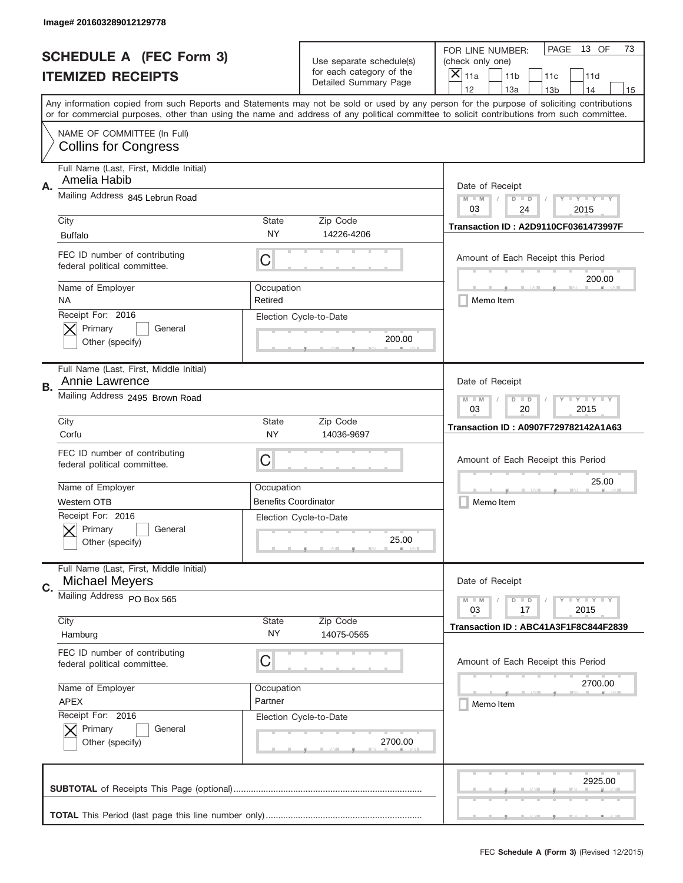|    | Image# 201603289012129778                                        |                                                       |                                                   |                                                                                                                                                                                       |
|----|------------------------------------------------------------------|-------------------------------------------------------|---------------------------------------------------|---------------------------------------------------------------------------------------------------------------------------------------------------------------------------------------|
|    | <b>SCHEDULE A (FEC Form 3)</b>                                   |                                                       | Use separate schedule(s)                          | PAGE<br>13 OF<br>73<br>FOR LINE NUMBER:<br>(check only one)                                                                                                                           |
|    | <b>ITEMIZED RECEIPTS</b>                                         |                                                       | for each category of the<br>Detailed Summary Page | ×<br>11a<br>11 <sub>b</sub><br>11c<br>11d                                                                                                                                             |
|    |                                                                  |                                                       |                                                   | 12<br>13a<br>14<br>13 <sub>b</sub><br>15<br>Any information copied from such Reports and Statements may not be sold or used by any person for the purpose of soliciting contributions |
|    |                                                                  |                                                       |                                                   | or for commercial purposes, other than using the name and address of any political committee to solicit contributions from such committee.                                            |
|    | NAME OF COMMITTEE (In Full)<br><b>Collins for Congress</b>       |                                                       |                                                   |                                                                                                                                                                                       |
| Α. | Full Name (Last, First, Middle Initial)<br>Amelia Habib          |                                                       |                                                   | Date of Receipt                                                                                                                                                                       |
|    | Mailing Address 845 Lebrun Road                                  |                                                       |                                                   | $M - M$<br>$\mathbf{I}$ $\mathbf{Y}$ $\mathbf{I}$ $\mathbf{Y}$ $\mathbf{I}$ $\mathbf{Y}$<br>$D$ $D$<br>03<br>24<br>2015                                                               |
|    | City<br><b>Buffalo</b>                                           | State<br>ΝY                                           | Zip Code<br>14226-4206                            | <b>Transaction ID: A2D9110CF0361473997F</b>                                                                                                                                           |
|    | FEC ID number of contributing<br>federal political committee.    | C                                                     |                                                   | Amount of Each Receipt this Period<br>200.00                                                                                                                                          |
|    | Name of Employer<br>ΝA                                           | Occupation<br>Retired                                 |                                                   | Memo Item                                                                                                                                                                             |
|    | Receipt For: 2016<br>Primary<br>General<br>Other (specify)       |                                                       | Election Cycle-to-Date<br>200.00                  |                                                                                                                                                                                       |
| В. | Full Name (Last, First, Middle Initial)<br>Annie Lawrence        |                                                       |                                                   | Date of Receipt                                                                                                                                                                       |
|    | Mailing Address 2495 Brown Road                                  | $M$ M<br><b>LYLYLY</b><br>$D$ $D$<br>03<br>20<br>2015 |                                                   |                                                                                                                                                                                       |
|    | City<br>Corfu                                                    | State<br>NY.                                          | Zip Code<br>14036-9697                            | Transaction ID: A0907F729782142A1A63                                                                                                                                                  |
|    | FEC ID number of contributing<br>federal political committee.    | C                                                     |                                                   | Amount of Each Receipt this Period                                                                                                                                                    |
|    |                                                                  |                                                       |                                                   |                                                                                                                                                                                       |
|    | Name of Employer                                                 | Occupation                                            |                                                   | 25.00                                                                                                                                                                                 |
|    | Western OTB                                                      | <b>Benefits Coordinator</b>                           |                                                   | Memo Item                                                                                                                                                                             |
|    | Receipt For: 2016<br>General<br>Primary<br>Other (specify)       |                                                       | Election Cycle-to-Date<br>25.00                   |                                                                                                                                                                                       |
| C. | Full Name (Last, First, Middle Initial)<br><b>Michael Meyers</b> |                                                       |                                                   | Date of Receipt                                                                                                                                                                       |
|    | Mailing Address PO Box 565                                       |                                                       |                                                   | <b>LYLYLY</b><br>$M - M$<br>$D$ $D$<br>03<br>2015<br>17                                                                                                                               |
|    | City<br>Hamburg                                                  | State<br>NY.                                          | Zip Code<br>14075-0565                            | Transaction ID: ABC41A3F1F8C844F2839                                                                                                                                                  |
|    | FEC ID number of contributing<br>federal political committee.    | C                                                     |                                                   | Amount of Each Receipt this Period                                                                                                                                                    |
|    | Name of Employer                                                 | Occupation                                            |                                                   | 2700.00                                                                                                                                                                               |
|    | <b>APEX</b>                                                      | Partner                                               |                                                   | Memo Item                                                                                                                                                                             |
|    | Receipt For: 2016<br>Primary<br>General<br>Other (specify)       |                                                       | Election Cycle-to-Date<br>2700.00                 |                                                                                                                                                                                       |
|    |                                                                  |                                                       |                                                   | 2925.00                                                                                                                                                                               |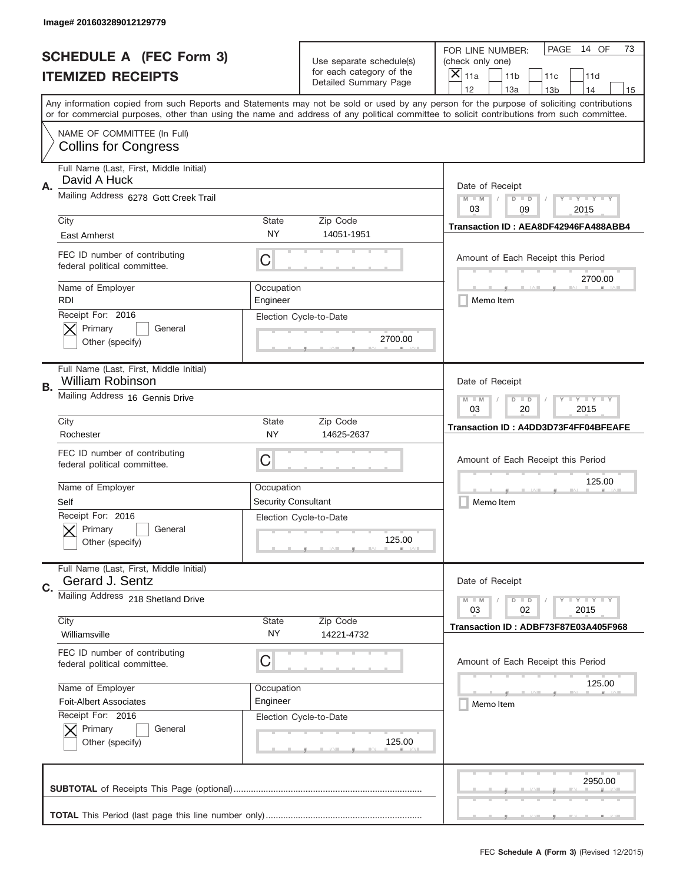|    | Image# 201603289012129779                                          |                                                       |                                                      |                                                                                                                                                                                                                                                                                                                                     |
|----|--------------------------------------------------------------------|-------------------------------------------------------|------------------------------------------------------|-------------------------------------------------------------------------------------------------------------------------------------------------------------------------------------------------------------------------------------------------------------------------------------------------------------------------------------|
|    | <b>SCHEDULE A (FEC Form 3)</b>                                     |                                                       | Use separate schedule(s)<br>for each category of the | PAGE<br>14 OF<br>73<br>FOR LINE NUMBER:<br>(check only one)                                                                                                                                                                                                                                                                         |
|    | <b>ITEMIZED RECEIPTS</b>                                           |                                                       | Detailed Summary Page                                | ×<br>11a<br>11 <sub>b</sub><br>11c<br>11d                                                                                                                                                                                                                                                                                           |
|    |                                                                    |                                                       |                                                      | 12<br>13a<br>14<br>13 <sub>b</sub><br>15<br>Any information copied from such Reports and Statements may not be sold or used by any person for the purpose of soliciting contributions<br>or for commercial purposes, other than using the name and address of any political committee to solicit contributions from such committee. |
|    | NAME OF COMMITTEE (In Full)<br><b>Collins for Congress</b>         |                                                       |                                                      |                                                                                                                                                                                                                                                                                                                                     |
| Α. | Full Name (Last, First, Middle Initial)<br>David A Huck            |                                                       |                                                      | Date of Receipt                                                                                                                                                                                                                                                                                                                     |
|    | Mailing Address 6278 Gott Creek Trail                              |                                                       |                                                      | $M - M$<br>$\mathbf{I}$ $\mathbf{Y}$ $\mathbf{I}$ $\mathbf{Y}$ $\mathbf{I}$ $\mathbf{Y}$<br>$D$ $D$<br>03<br>09<br>2015                                                                                                                                                                                                             |
|    | City<br>East Amherst                                               | State<br><b>NY</b>                                    | Zip Code<br>14051-1951                               | Transaction ID: AEA8DF42946FA488ABB4                                                                                                                                                                                                                                                                                                |
|    | FEC ID number of contributing<br>federal political committee.      | C                                                     |                                                      | Amount of Each Receipt this Period<br>2700.00                                                                                                                                                                                                                                                                                       |
|    | Name of Employer<br><b>RDI</b>                                     | Occupation<br>Engineer                                |                                                      | Memo Item                                                                                                                                                                                                                                                                                                                           |
|    | Receipt For: 2016<br>Primary<br>General<br>Other (specify)         |                                                       | Election Cycle-to-Date<br>2700.00                    |                                                                                                                                                                                                                                                                                                                                     |
| В. | Full Name (Last, First, Middle Initial)<br><b>William Robinson</b> |                                                       |                                                      | Date of Receipt                                                                                                                                                                                                                                                                                                                     |
|    | Mailing Address 16 Gennis Drive                                    | $M$ M<br><b>LYLYLY</b><br>$D$ $D$<br>03<br>20<br>2015 |                                                      |                                                                                                                                                                                                                                                                                                                                     |
|    | City<br>Rochester                                                  | State<br><b>NY</b>                                    | Zip Code<br>14625-2637                               | Transaction ID: A4DD3D73F4FF04BFEAFE                                                                                                                                                                                                                                                                                                |
|    | FEC ID number of contributing<br>federal political committee.      | C                                                     |                                                      | Amount of Each Receipt this Period                                                                                                                                                                                                                                                                                                  |
|    | Name of Employer<br>Self                                           | Occupation<br><b>Security Consultant</b>              |                                                      | 125.00<br>Memo Item                                                                                                                                                                                                                                                                                                                 |
|    | Receipt For: 2016<br>General<br>Primary<br>Other (specify)         |                                                       | Election Cycle-to-Date<br>125.00                     |                                                                                                                                                                                                                                                                                                                                     |
| C. | Full Name (Last, First, Middle Initial)<br>Gerard J. Sentz         |                                                       |                                                      | Date of Receipt                                                                                                                                                                                                                                                                                                                     |
|    | Mailing Address 218 Shetland Drive                                 |                                                       |                                                      | $D$ $D$<br><b>LYLYLY</b><br>$M - M$<br>2015<br>03<br>02                                                                                                                                                                                                                                                                             |
|    | City<br>Williamsville                                              | <b>State</b><br>NY.                                   | Zip Code<br>14221-4732                               | Transaction ID: ADBF73F87E03A405F968                                                                                                                                                                                                                                                                                                |
|    | FEC ID number of contributing<br>federal political committee.      | C                                                     |                                                      | Amount of Each Receipt this Period                                                                                                                                                                                                                                                                                                  |
|    | Name of Employer                                                   | Occupation                                            |                                                      | 125.00                                                                                                                                                                                                                                                                                                                              |
|    | <b>Foit-Albert Associates</b><br>Receipt For: 2016                 | Engineer                                              |                                                      | Memo Item                                                                                                                                                                                                                                                                                                                           |
|    | Primary<br>General<br>Other (specify)                              |                                                       | Election Cycle-to-Date<br>125.00                     |                                                                                                                                                                                                                                                                                                                                     |
|    |                                                                    |                                                       |                                                      | 2950.00                                                                                                                                                                                                                                                                                                                             |
|    |                                                                    |                                                       |                                                      |                                                                                                                                                                                                                                                                                                                                     |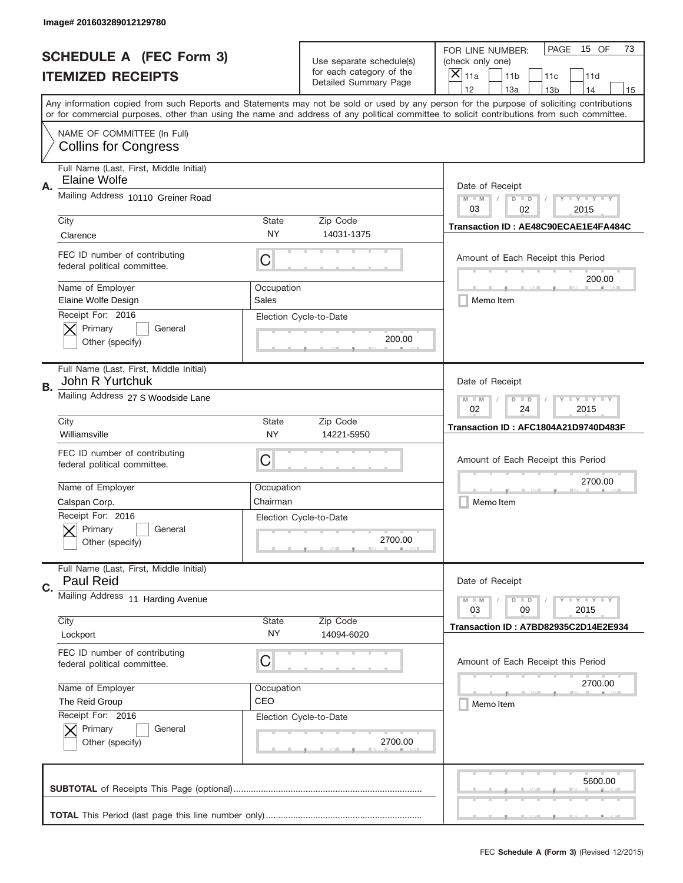|    | Image# 201603289012129780                                     |                                                                                                                       |                                                   |                                                                                                                                                                                                                                                                                                                                     |
|----|---------------------------------------------------------------|-----------------------------------------------------------------------------------------------------------------------|---------------------------------------------------|-------------------------------------------------------------------------------------------------------------------------------------------------------------------------------------------------------------------------------------------------------------------------------------------------------------------------------------|
|    | <b>SCHEDULE A (FEC Form 3)</b>                                |                                                                                                                       | Use separate schedule(s)                          | PAGE<br>15 OF<br>73<br>FOR LINE NUMBER:<br>(check only one)                                                                                                                                                                                                                                                                         |
|    | <b>ITEMIZED RECEIPTS</b>                                      |                                                                                                                       | for each category of the<br>Detailed Summary Page | ×<br>11a<br>11 <sub>b</sub><br>11c<br>11d                                                                                                                                                                                                                                                                                           |
|    |                                                               |                                                                                                                       |                                                   | 12<br>13a<br>14<br>13 <sub>b</sub><br>15<br>Any information copied from such Reports and Statements may not be sold or used by any person for the purpose of soliciting contributions<br>or for commercial purposes, other than using the name and address of any political committee to solicit contributions from such committee. |
|    | NAME OF COMMITTEE (In Full)<br><b>Collins for Congress</b>    |                                                                                                                       |                                                   |                                                                                                                                                                                                                                                                                                                                     |
| Α. | Full Name (Last, First, Middle Initial)<br>Elaine Wolfe       |                                                                                                                       |                                                   | Date of Receipt                                                                                                                                                                                                                                                                                                                     |
|    | Mailing Address 10110 Greiner Road                            |                                                                                                                       |                                                   | $M - M$<br>$\mathbf{I}$ $\mathbf{Y}$ $\mathbf{I}$ $\mathbf{Y}$ $\mathbf{I}$ $\mathbf{Y}$<br>$D$ $D$<br>03<br>02<br>2015                                                                                                                                                                                                             |
|    | City<br>Clarence                                              | State<br><b>NY</b>                                                                                                    | Zip Code<br>14031-1375                            | Transaction ID: AE48C90ECAE1E4FA484C                                                                                                                                                                                                                                                                                                |
|    | FEC ID number of contributing<br>federal political committee. | C                                                                                                                     |                                                   | Amount of Each Receipt this Period<br>200.00                                                                                                                                                                                                                                                                                        |
|    | Name of Employer<br>Elaine Wolfe Design                       | Occupation<br>Sales                                                                                                   |                                                   | Memo Item                                                                                                                                                                                                                                                                                                                           |
|    | Receipt For: 2016<br>Primary<br>General<br>Other (specify)    |                                                                                                                       | Election Cycle-to-Date<br>200.00                  |                                                                                                                                                                                                                                                                                                                                     |
| В. | Full Name (Last, First, Middle Initial)<br>John R Yurtchuk    |                                                                                                                       |                                                   | Date of Receipt                                                                                                                                                                                                                                                                                                                     |
|    | Mailing Address 27 S Woodside Lane                            | $M$ M<br>$\mathbf{I}$ $\mathbf{Y}$ $\mathbf{I}$ $\mathbf{Y}$ $\mathbf{I}$ $\mathbf{Y}$<br>$D$ $D$<br>02<br>24<br>2015 |                                                   |                                                                                                                                                                                                                                                                                                                                     |
|    | City<br>Williamsville                                         | State<br><b>NY</b>                                                                                                    | Zip Code<br>14221-5950                            | Transaction ID: AFC1804A21D9740D483F                                                                                                                                                                                                                                                                                                |
|    | FEC ID number of contributing<br>federal political committee. | C                                                                                                                     |                                                   | Amount of Each Receipt this Period                                                                                                                                                                                                                                                                                                  |
|    | Name of Employer                                              | Occupation                                                                                                            |                                                   | 2700.00                                                                                                                                                                                                                                                                                                                             |
|    | Calspan Corp.                                                 | Chairman                                                                                                              |                                                   | Memo Item                                                                                                                                                                                                                                                                                                                           |
|    | Receipt For: 2016<br>General<br>Primary<br>Other (specify)    |                                                                                                                       | Election Cycle-to-Date<br>2700.00                 |                                                                                                                                                                                                                                                                                                                                     |
| C. | Full Name (Last, First, Middle Initial)<br>Paul Reid          |                                                                                                                       |                                                   | Date of Receipt                                                                                                                                                                                                                                                                                                                     |
|    | Mailing Address 11 Harding Avenue<br>City                     | <b>State</b>                                                                                                          | Zip Code                                          | $\mathbf{I}$ $\mathbf{Y}$ $\mathbf{I}$ $\mathbf{Y}$ $\mathbf{I}$ $\mathbf{Y}$<br>$M - M$<br>$D$ $D$<br>09<br>2015<br>03                                                                                                                                                                                                             |
|    | Lockport                                                      | NY.                                                                                                                   | 14094-6020                                        | Transaction ID: A7BD82935C2D14E2E934                                                                                                                                                                                                                                                                                                |
|    | FEC ID number of contributing<br>federal political committee. | C                                                                                                                     |                                                   | Amount of Each Receipt this Period                                                                                                                                                                                                                                                                                                  |
|    | Name of Employer                                              | Occupation                                                                                                            |                                                   | 2700.00                                                                                                                                                                                                                                                                                                                             |
|    | The Reid Group<br>Receipt For: 2016                           | CEO                                                                                                                   | Election Cycle-to-Date                            | Memo Item                                                                                                                                                                                                                                                                                                                           |
|    | Primary<br>General<br>Other (specify)                         |                                                                                                                       | 2700.00                                           |                                                                                                                                                                                                                                                                                                                                     |
|    |                                                               |                                                                                                                       |                                                   | 5600.00                                                                                                                                                                                                                                                                                                                             |
|    |                                                               |                                                                                                                       |                                                   |                                                                                                                                                                                                                                                                                                                                     |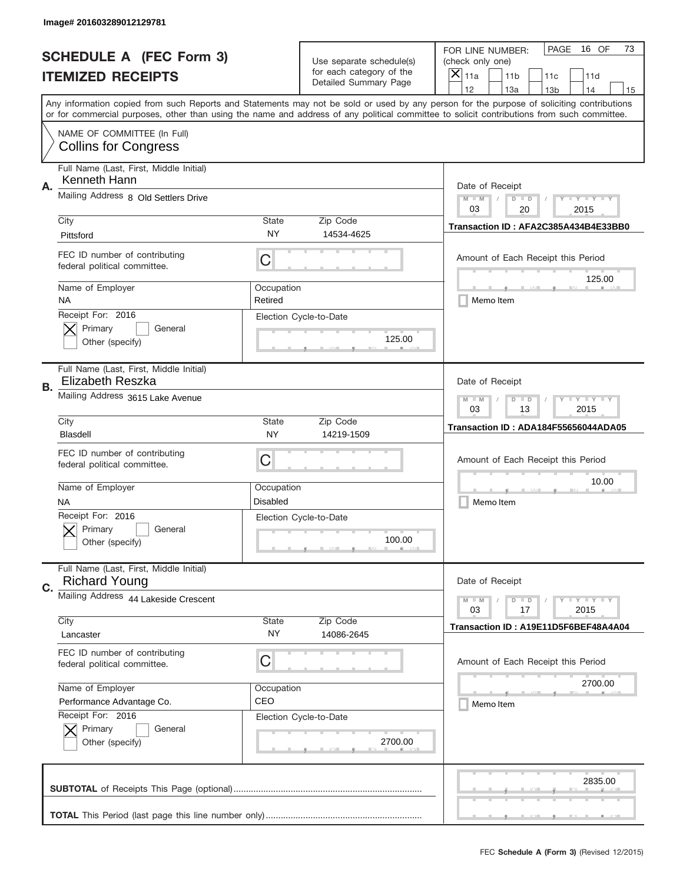|    | Image# 201603289012129781                                       |                                                       |                                                      |                                                                                                                                                                                                                                                                                                                                     |
|----|-----------------------------------------------------------------|-------------------------------------------------------|------------------------------------------------------|-------------------------------------------------------------------------------------------------------------------------------------------------------------------------------------------------------------------------------------------------------------------------------------------------------------------------------------|
|    | <b>SCHEDULE A (FEC Form 3)</b>                                  |                                                       | Use separate schedule(s)<br>for each category of the | PAGE<br>16 OF<br>73<br>FOR LINE NUMBER:<br>(check only one)                                                                                                                                                                                                                                                                         |
|    | <b>ITEMIZED RECEIPTS</b>                                        |                                                       | Detailed Summary Page                                | ×<br>11a<br>11 <sub>b</sub><br>11c<br>11d                                                                                                                                                                                                                                                                                           |
|    |                                                                 |                                                       |                                                      | 12<br>13a<br>14<br>13 <sub>b</sub><br>15<br>Any information copied from such Reports and Statements may not be sold or used by any person for the purpose of soliciting contributions<br>or for commercial purposes, other than using the name and address of any political committee to solicit contributions from such committee. |
|    |                                                                 |                                                       |                                                      |                                                                                                                                                                                                                                                                                                                                     |
|    | NAME OF COMMITTEE (In Full)<br><b>Collins for Congress</b>      |                                                       |                                                      |                                                                                                                                                                                                                                                                                                                                     |
| Α. | Full Name (Last, First, Middle Initial)<br>Kenneth Hann         |                                                       |                                                      | Date of Receipt                                                                                                                                                                                                                                                                                                                     |
|    | Mailing Address 8 Old Settlers Drive                            |                                                       |                                                      | $M - M$<br>$\mathbf{I}$ $\mathbf{Y}$ $\mathbf{I}$ $\mathbf{Y}$ $\mathbf{I}$ $\mathbf{Y}$<br>$D$ $D$<br>03<br>20<br>2015                                                                                                                                                                                                             |
|    | City<br>Pittsford                                               | State<br><b>NY</b>                                    | Zip Code<br>14534-4625                               | Transaction ID: AFA2C385A434B4E33BB0                                                                                                                                                                                                                                                                                                |
|    | FEC ID number of contributing<br>federal political committee.   | C                                                     |                                                      | Amount of Each Receipt this Period<br>125.00                                                                                                                                                                                                                                                                                        |
|    | Name of Employer<br>ΝA                                          | Occupation<br>Retired                                 |                                                      | Memo Item                                                                                                                                                                                                                                                                                                                           |
|    | Receipt For: 2016<br>Primary<br>General<br>Other (specify)      |                                                       | Election Cycle-to-Date<br>125.00                     |                                                                                                                                                                                                                                                                                                                                     |
| В. | Full Name (Last, First, Middle Initial)<br>Elizabeth Reszka     |                                                       |                                                      | Date of Receipt                                                                                                                                                                                                                                                                                                                     |
|    | Mailing Address 3615 Lake Avenue                                | $M$ M<br><b>LYLYLY</b><br>$D$ $D$<br>03<br>13<br>2015 |                                                      |                                                                                                                                                                                                                                                                                                                                     |
|    | City<br><b>Blasdell</b>                                         | State<br><b>NY</b>                                    | Zip Code<br>14219-1509                               | Transaction ID: ADA184F55656044ADA05                                                                                                                                                                                                                                                                                                |
|    | FEC ID number of contributing<br>federal political committee.   | C                                                     |                                                      | Amount of Each Receipt this Period                                                                                                                                                                                                                                                                                                  |
|    | Name of Employer<br><b>NA</b>                                   | Occupation<br><b>Disabled</b>                         |                                                      | 10.00<br>Memo Item                                                                                                                                                                                                                                                                                                                  |
|    | Receipt For: 2016<br>General<br>Primary<br>Other (specify)      |                                                       | Election Cycle-to-Date<br>100.00                     |                                                                                                                                                                                                                                                                                                                                     |
| C. | Full Name (Last, First, Middle Initial)<br><b>Richard Young</b> |                                                       |                                                      | Date of Receipt                                                                                                                                                                                                                                                                                                                     |
|    | Mailing Address 44 Lakeside Crescent                            |                                                       |                                                      | <b>LYLYLY</b><br>$M - M$<br>$D$ $D$<br>2015<br>03<br>17                                                                                                                                                                                                                                                                             |
|    | City<br>Lancaster                                               | <b>State</b><br>NY.                                   | Zip Code<br>14086-2645                               | Transaction ID: A19E11D5F6BEF48A4A04                                                                                                                                                                                                                                                                                                |
|    | FEC ID number of contributing<br>federal political committee.   | C                                                     |                                                      | Amount of Each Receipt this Period                                                                                                                                                                                                                                                                                                  |
|    | Name of Employer                                                | Occupation                                            |                                                      | 2700.00                                                                                                                                                                                                                                                                                                                             |
|    | Performance Advantage Co.<br>Receipt For: 2016                  | CEO                                                   |                                                      | Memo Item                                                                                                                                                                                                                                                                                                                           |
|    |                                                                 |                                                       | Election Cycle-to-Date                               |                                                                                                                                                                                                                                                                                                                                     |
|    | Primary<br>General<br>Other (specify)                           |                                                       | 2700.00                                              |                                                                                                                                                                                                                                                                                                                                     |
|    |                                                                 |                                                       |                                                      | 2835.00                                                                                                                                                                                                                                                                                                                             |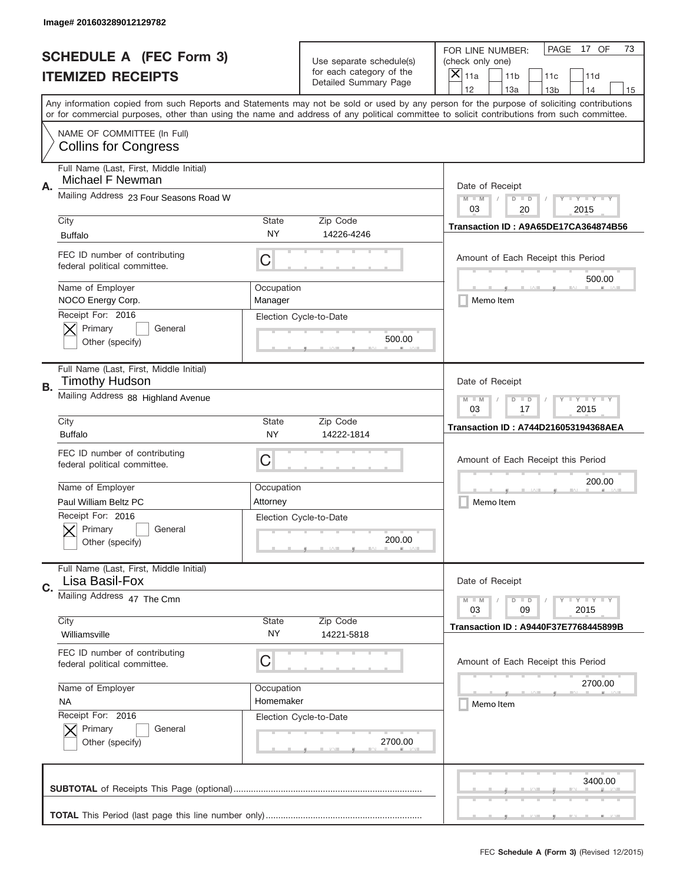|           | Image# 201603289012129782                                        |                                                         |                                                   |                                                                                                                                                                                                                                                                                                                                     |
|-----------|------------------------------------------------------------------|---------------------------------------------------------|---------------------------------------------------|-------------------------------------------------------------------------------------------------------------------------------------------------------------------------------------------------------------------------------------------------------------------------------------------------------------------------------------|
|           | <b>SCHEDULE A (FEC Form 3)</b>                                   |                                                         | Use separate schedule(s)                          | PAGE<br>17 OF<br>73<br>FOR LINE NUMBER:<br>(check only one)                                                                                                                                                                                                                                                                         |
|           | <b>ITEMIZED RECEIPTS</b>                                         |                                                         | for each category of the<br>Detailed Summary Page | ×<br>11a<br>11 <sub>b</sub><br>11c<br>11d                                                                                                                                                                                                                                                                                           |
|           |                                                                  |                                                         |                                                   | 12<br>13a<br>14<br>13 <sub>b</sub><br>15<br>Any information copied from such Reports and Statements may not be sold or used by any person for the purpose of soliciting contributions<br>or for commercial purposes, other than using the name and address of any political committee to solicit contributions from such committee. |
|           | NAME OF COMMITTEE (In Full)<br><b>Collins for Congress</b>       |                                                         |                                                   |                                                                                                                                                                                                                                                                                                                                     |
| Α.        | Full Name (Last, First, Middle Initial)<br>Michael F Newman      |                                                         |                                                   | Date of Receipt                                                                                                                                                                                                                                                                                                                     |
|           | Mailing Address 23 Four Seasons Road W                           |                                                         |                                                   | $M - M$<br>$\mathbf{I}$ $\mathbf{Y}$ $\mathbf{I}$ $\mathbf{Y}$ $\mathbf{I}$ $\mathbf{Y}$<br>$D$ $D$<br>03<br>20<br>2015                                                                                                                                                                                                             |
|           | City<br><b>Buffalo</b>                                           | State<br>NY                                             | Zip Code<br>14226-4246                            | Transaction ID: A9A65DE17CA364874B56                                                                                                                                                                                                                                                                                                |
|           | FEC ID number of contributing<br>federal political committee.    | C                                                       |                                                   | Amount of Each Receipt this Period<br>500.00                                                                                                                                                                                                                                                                                        |
|           | Name of Employer<br>NOCO Energy Corp.                            | Occupation<br>Manager                                   |                                                   | Memo Item                                                                                                                                                                                                                                                                                                                           |
|           | Receipt For: 2016<br>Primary<br>General<br>Other (specify)       |                                                         | Election Cycle-to-Date<br>500.00                  |                                                                                                                                                                                                                                                                                                                                     |
| <b>B.</b> | Full Name (Last, First, Middle Initial)<br><b>Timothy Hudson</b> |                                                         |                                                   | Date of Receipt                                                                                                                                                                                                                                                                                                                     |
|           | Mailing Address 88 Highland Avenue                               | $M - M$<br><b>LYLYLY</b><br>$D$ $D$<br>03<br>17<br>2015 |                                                   |                                                                                                                                                                                                                                                                                                                                     |
|           | City<br><b>Buffalo</b>                                           | State<br>NY                                             | Zip Code<br>14222-1814                            | <b>Transaction ID: A744D216053194368AEA</b>                                                                                                                                                                                                                                                                                         |
|           | FEC ID number of contributing<br>federal political committee.    | C                                                       |                                                   | Amount of Each Receipt this Period                                                                                                                                                                                                                                                                                                  |
|           | Name of Employer                                                 | Occupation                                              |                                                   | 200.00                                                                                                                                                                                                                                                                                                                              |
|           | Paul William Beltz PC                                            | Attorney                                                |                                                   | Memo Item                                                                                                                                                                                                                                                                                                                           |
|           | Receipt For: 2016<br>Primary<br>General<br>Other (specify)       |                                                         | Election Cycle-to-Date<br>200.00                  |                                                                                                                                                                                                                                                                                                                                     |
| C.        | Full Name (Last, First, Middle Initial)<br>Lisa Basil-Fox        |                                                         |                                                   | Date of Receipt                                                                                                                                                                                                                                                                                                                     |
|           | Mailing Address 47 The Cmn                                       |                                                         |                                                   | <b>LYLYLY</b><br>$M - M$<br>$D$ $D$<br>2015<br>03<br>09                                                                                                                                                                                                                                                                             |
|           | City<br>Williamsville                                            | State<br>ΝY                                             | Zip Code<br>14221-5818                            | <b>Transaction ID: A9440F37E7768445899B</b>                                                                                                                                                                                                                                                                                         |
|           | FEC ID number of contributing<br>federal political committee.    | С                                                       |                                                   | Amount of Each Receipt this Period                                                                                                                                                                                                                                                                                                  |
|           | Name of Employer                                                 | Occupation                                              |                                                   | 2700.00                                                                                                                                                                                                                                                                                                                             |
|           | <b>NA</b><br>Receipt For: 2016                                   | Homemaker                                               |                                                   | Memo Item                                                                                                                                                                                                                                                                                                                           |
|           | Primary<br>General<br>Other (specify)                            |                                                         | Election Cycle-to-Date<br>2700.00                 |                                                                                                                                                                                                                                                                                                                                     |
|           |                                                                  |                                                         |                                                   | 3400.00                                                                                                                                                                                                                                                                                                                             |
|           |                                                                  |                                                         |                                                   |                                                                                                                                                                                                                                                                                                                                     |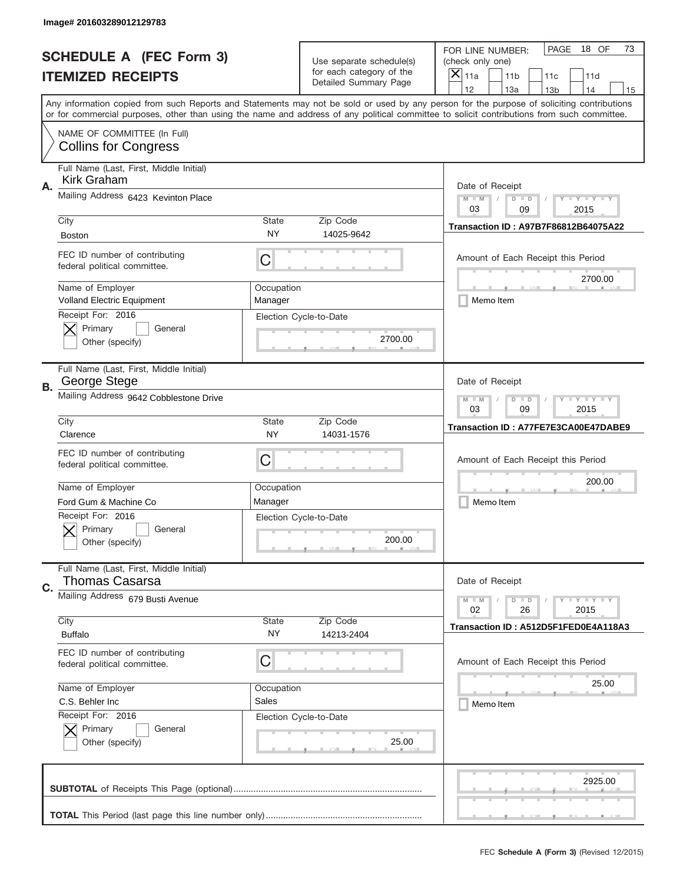|    | Image# 201603289012129783                                        |                                                                                                                       |                                                   |                                                                                                                                                                                                                                                                                                                                     |
|----|------------------------------------------------------------------|-----------------------------------------------------------------------------------------------------------------------|---------------------------------------------------|-------------------------------------------------------------------------------------------------------------------------------------------------------------------------------------------------------------------------------------------------------------------------------------------------------------------------------------|
|    | <b>SCHEDULE A (FEC Form 3)</b>                                   |                                                                                                                       | Use separate schedule(s)                          | PAGE<br>18 OF<br>73<br>FOR LINE NUMBER:<br>(check only one)                                                                                                                                                                                                                                                                         |
|    | <b>ITEMIZED RECEIPTS</b>                                         |                                                                                                                       | for each category of the<br>Detailed Summary Page | ×<br>11a<br>11 <sub>b</sub><br>11c<br>11d                                                                                                                                                                                                                                                                                           |
|    |                                                                  |                                                                                                                       |                                                   | 12<br>13a<br>14<br>13 <sub>b</sub><br>15<br>Any information copied from such Reports and Statements may not be sold or used by any person for the purpose of soliciting contributions<br>or for commercial purposes, other than using the name and address of any political committee to solicit contributions from such committee. |
|    | NAME OF COMMITTEE (In Full)<br><b>Collins for Congress</b>       |                                                                                                                       |                                                   |                                                                                                                                                                                                                                                                                                                                     |
| Α. | Full Name (Last, First, Middle Initial)<br>Kirk Graham           |                                                                                                                       |                                                   | Date of Receipt                                                                                                                                                                                                                                                                                                                     |
|    | Mailing Address 6423 Kevinton Place                              |                                                                                                                       |                                                   | $M - M$<br>$\mathbf{I}$ $\mathbf{Y}$ $\mathbf{I}$ $\mathbf{Y}$ $\mathbf{I}$ $\mathbf{Y}$<br>$D$ $D$<br>03<br>09<br>2015                                                                                                                                                                                                             |
|    | City<br><b>Boston</b>                                            | State<br>ΝY                                                                                                           | Zip Code<br>14025-9642                            | Transaction ID: A97B7F86812B64075A22                                                                                                                                                                                                                                                                                                |
|    | FEC ID number of contributing<br>federal political committee.    | C                                                                                                                     |                                                   | Amount of Each Receipt this Period<br>2700.00                                                                                                                                                                                                                                                                                       |
|    | Name of Employer<br><b>Volland Electric Equipment</b>            | Occupation<br>Manager                                                                                                 |                                                   | Memo Item                                                                                                                                                                                                                                                                                                                           |
|    | Receipt For: 2016<br>Primary<br>General<br>Other (specify)       |                                                                                                                       | Election Cycle-to-Date<br>2700.00                 |                                                                                                                                                                                                                                                                                                                                     |
| В. | Full Name (Last, First, Middle Initial)<br>George Stege          |                                                                                                                       |                                                   | Date of Receipt                                                                                                                                                                                                                                                                                                                     |
|    | Mailing Address 9642 Cobblestone Drive                           | $M$ M<br>$\mathbf{I}$ $\mathbf{Y}$ $\mathbf{I}$ $\mathbf{Y}$ $\mathbf{I}$ $\mathbf{Y}$<br>$D$ $D$<br>03<br>09<br>2015 |                                                   |                                                                                                                                                                                                                                                                                                                                     |
|    | City<br>Clarence                                                 | State<br><b>NY</b>                                                                                                    | Zip Code<br>14031-1576                            | Transaction ID: A77FE7E3CA00E47DABE9                                                                                                                                                                                                                                                                                                |
|    | FEC ID number of contributing<br>federal political committee.    | C                                                                                                                     |                                                   | Amount of Each Receipt this Period                                                                                                                                                                                                                                                                                                  |
|    | Name of Employer                                                 | Occupation                                                                                                            |                                                   | 200.00                                                                                                                                                                                                                                                                                                                              |
|    | Ford Gum & Machine Co.<br>Receipt For: 2016                      | Manager                                                                                                               |                                                   | Memo Item                                                                                                                                                                                                                                                                                                                           |
|    | General<br>Primary<br>Other (specify)                            |                                                                                                                       | Election Cycle-to-Date<br>200.00                  |                                                                                                                                                                                                                                                                                                                                     |
| C. | Full Name (Last, First, Middle Initial)<br><b>Thomas Casarsa</b> |                                                                                                                       |                                                   | Date of Receipt                                                                                                                                                                                                                                                                                                                     |
|    | Mailing Address 679 Busti Avenue<br>City                         | State                                                                                                                 | Zip Code                                          | <b>LYLYLY</b><br>$M - M$<br>$D$ $D$<br>02<br>2015<br>26                                                                                                                                                                                                                                                                             |
|    | <b>Buffalo</b>                                                   | NY.                                                                                                                   | 14213-2404                                        | Transaction ID: A512D5F1FED0E4A118A3                                                                                                                                                                                                                                                                                                |
|    | FEC ID number of contributing<br>federal political committee.    | C                                                                                                                     |                                                   | Amount of Each Receipt this Period                                                                                                                                                                                                                                                                                                  |
|    | Name of Employer                                                 | Occupation                                                                                                            |                                                   | 25.00                                                                                                                                                                                                                                                                                                                               |
|    | C.S. Behler Inc<br>Receipt For: 2016                             | Sales                                                                                                                 |                                                   | Memo Item                                                                                                                                                                                                                                                                                                                           |
|    | Primary<br>General<br>Other (specify)                            |                                                                                                                       | Election Cycle-to-Date<br>25.00                   |                                                                                                                                                                                                                                                                                                                                     |
|    |                                                                  |                                                                                                                       |                                                   | 2925.00                                                                                                                                                                                                                                                                                                                             |
|    |                                                                  |                                                                                                                       |                                                   |                                                                                                                                                                                                                                                                                                                                     |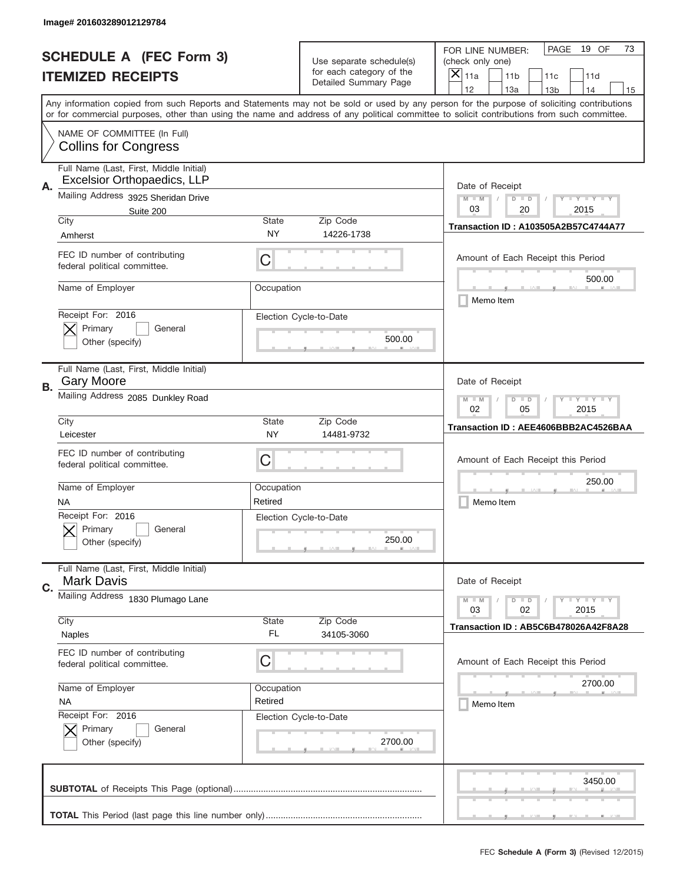|           | Image# 201603289012129784                                                     |                                                                                                                         |                                                   |                                                                                                                                                                                                                                                                                         |
|-----------|-------------------------------------------------------------------------------|-------------------------------------------------------------------------------------------------------------------------|---------------------------------------------------|-----------------------------------------------------------------------------------------------------------------------------------------------------------------------------------------------------------------------------------------------------------------------------------------|
|           | <b>SCHEDULE A (FEC Form 3)</b>                                                | Use separate schedule(s)                                                                                                |                                                   | PAGE<br>19 OF<br>73<br>FOR LINE NUMBER:<br>(check only one)                                                                                                                                                                                                                             |
|           | <b>ITEMIZED RECEIPTS</b>                                                      |                                                                                                                         | for each category of the<br>Detailed Summary Page | ×<br>11a<br>11 <sub>b</sub><br>11c<br>11d<br>12<br>13a<br>14<br>13 <sub>b</sub><br>15                                                                                                                                                                                                   |
|           |                                                                               |                                                                                                                         |                                                   | Any information copied from such Reports and Statements may not be sold or used by any person for the purpose of soliciting contributions<br>or for commercial purposes, other than using the name and address of any political committee to solicit contributions from such committee. |
|           | NAME OF COMMITTEE (In Full)<br><b>Collins for Congress</b>                    |                                                                                                                         |                                                   |                                                                                                                                                                                                                                                                                         |
| А.        | Full Name (Last, First, Middle Initial)<br><b>Excelsior Orthopaedics, LLP</b> |                                                                                                                         |                                                   | Date of Receipt                                                                                                                                                                                                                                                                         |
|           | Mailing Address 3925 Sheridan Drive<br>Suite 200                              |                                                                                                                         |                                                   | $M - M$<br>$\mathbf{I}$ $\mathbf{Y}$ $\mathbf{I}$ $\mathbf{Y}$ $\mathbf{I}$ $\mathbf{Y}$<br>$D$ $D$<br>03<br>20<br>2015                                                                                                                                                                 |
|           | City<br>Amherst                                                               | State<br>NY                                                                                                             | Zip Code<br>14226-1738                            | <b>Transaction ID: A103505A2B57C4744A77</b>                                                                                                                                                                                                                                             |
|           | FEC ID number of contributing<br>federal political committee.                 | C                                                                                                                       |                                                   | Amount of Each Receipt this Period<br>500.00                                                                                                                                                                                                                                            |
|           | Name of Employer                                                              | Occupation                                                                                                              |                                                   | Memo Item                                                                                                                                                                                                                                                                               |
|           | Receipt For: 2016<br>Primary<br>General<br>Other (specify)                    |                                                                                                                         | Election Cycle-to-Date<br>500.00                  |                                                                                                                                                                                                                                                                                         |
| <b>B.</b> | Full Name (Last, First, Middle Initial)<br><b>Gary Moore</b>                  |                                                                                                                         |                                                   | Date of Receipt                                                                                                                                                                                                                                                                         |
|           | Mailing Address 2085 Dunkley Road                                             | $M - M$<br>$\mathbf{I}$ $\mathbf{Y}$ $\mathbf{I}$ $\mathbf{Y}$ $\mathbf{I}$ $\mathbf{Y}$<br>$D$ $D$<br>02<br>05<br>2015 |                                                   |                                                                                                                                                                                                                                                                                         |
|           | City<br>Leicester                                                             | State<br>NY                                                                                                             | Zip Code<br>14481-9732                            | Transaction ID: AEE4606BBB2AC4526BAA                                                                                                                                                                                                                                                    |
|           | FEC ID number of contributing<br>federal political committee.                 | C                                                                                                                       |                                                   | Amount of Each Receipt this Period                                                                                                                                                                                                                                                      |
|           | Name of Employer<br>NA                                                        | Occupation<br>Retired                                                                                                   |                                                   | 250.00<br>Memo Item                                                                                                                                                                                                                                                                     |
|           | Receipt For: 2016<br>General<br>Primary<br>Other (specify)                    |                                                                                                                         | Election Cycle-to-Date<br>250.00                  |                                                                                                                                                                                                                                                                                         |
| C.        | Full Name (Last, First, Middle Initial)<br><b>Mark Davis</b>                  |                                                                                                                         |                                                   | Date of Receipt                                                                                                                                                                                                                                                                         |
|           | Mailing Address 1830 Plumago Lane                                             |                                                                                                                         |                                                   | <b>LYLYLY</b><br>$M - M$<br>$D$ $D$<br>03<br>2015<br>02                                                                                                                                                                                                                                 |
|           | City<br>Naples                                                                | State<br>FL                                                                                                             | Zip Code<br>34105-3060                            | Transaction ID: AB5C6B478026A42F8A28                                                                                                                                                                                                                                                    |
|           | FEC ID number of contributing<br>federal political committee.                 | С                                                                                                                       |                                                   | Amount of Each Receipt this Period                                                                                                                                                                                                                                                      |
|           | Name of Employer<br><b>NA</b>                                                 | Occupation<br>Retired                                                                                                   |                                                   | 2700.00<br>Memo Item                                                                                                                                                                                                                                                                    |
|           | Receipt For: 2016<br>Primary<br>General<br>Other (specify)                    |                                                                                                                         | Election Cycle-to-Date<br>2700.00                 |                                                                                                                                                                                                                                                                                         |
|           |                                                                               |                                                                                                                         |                                                   | 3450.00                                                                                                                                                                                                                                                                                 |
|           |                                                                               |                                                                                                                         |                                                   |                                                                                                                                                                                                                                                                                         |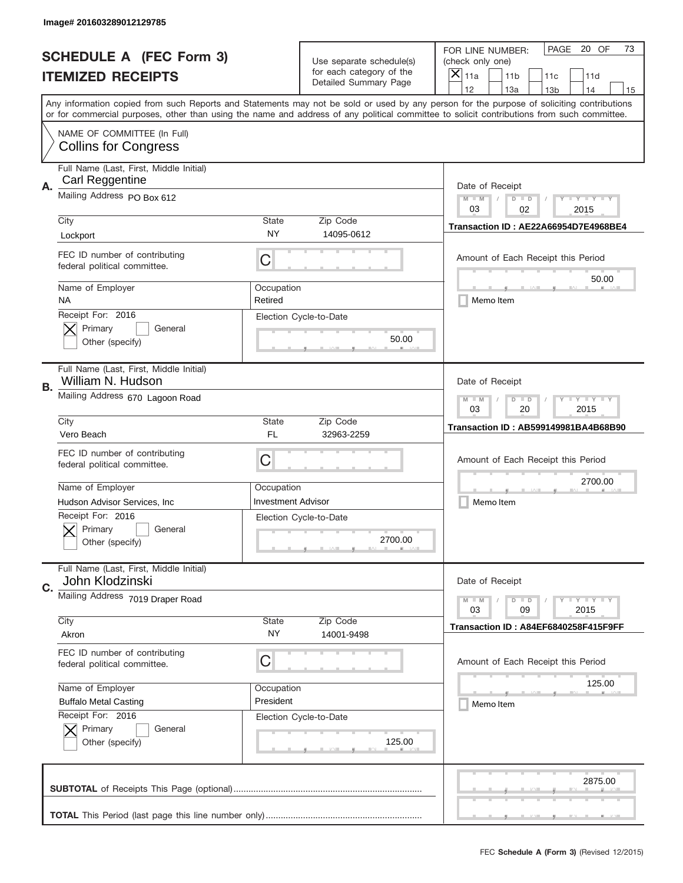|           | Image# 201603289012129785                                     |                                                           |                                                   |                                                                                                                                                                                                                                                                                                                                     |
|-----------|---------------------------------------------------------------|-----------------------------------------------------------|---------------------------------------------------|-------------------------------------------------------------------------------------------------------------------------------------------------------------------------------------------------------------------------------------------------------------------------------------------------------------------------------------|
|           | <b>SCHEDULE A (FEC Form 3)</b>                                |                                                           | Use separate schedule(s)                          | PAGE<br>20 OF<br>73<br>FOR LINE NUMBER:<br>(check only one)                                                                                                                                                                                                                                                                         |
|           | <b>ITEMIZED RECEIPTS</b>                                      |                                                           | for each category of the<br>Detailed Summary Page | $\times$<br>11a<br>11 <sub>b</sub><br>11c<br>11d                                                                                                                                                                                                                                                                                    |
|           |                                                               |                                                           |                                                   | 12<br>13a<br>14<br>13 <sub>b</sub><br>15<br>Any information copied from such Reports and Statements may not be sold or used by any person for the purpose of soliciting contributions<br>or for commercial purposes, other than using the name and address of any political committee to solicit contributions from such committee. |
|           | NAME OF COMMITTEE (In Full)<br><b>Collins for Congress</b>    |                                                           |                                                   |                                                                                                                                                                                                                                                                                                                                     |
| Α.        | Full Name (Last, First, Middle Initial)<br>Carl Reggentine    |                                                           |                                                   | Date of Receipt                                                                                                                                                                                                                                                                                                                     |
|           | Mailing Address PO Box 612                                    |                                                           |                                                   | $M$ $M$<br>Y TY TY TY<br>$D$ $D$<br>03<br>02<br>2015                                                                                                                                                                                                                                                                                |
|           | City<br>Lockport                                              | State<br>NY                                               | Zip Code<br>14095-0612                            | Transaction ID: AE22A66954D7E4968BE4                                                                                                                                                                                                                                                                                                |
|           | FEC ID number of contributing<br>federal political committee. | C                                                         |                                                   | Amount of Each Receipt this Period<br>50.00                                                                                                                                                                                                                                                                                         |
|           | Name of Employer<br><b>NA</b>                                 | Occupation<br>Retired                                     |                                                   | Memo Item                                                                                                                                                                                                                                                                                                                           |
|           | Receipt For: 2016<br>Primary<br>General<br>Other (specify)    |                                                           | Election Cycle-to-Date<br>50.00                   |                                                                                                                                                                                                                                                                                                                                     |
| <b>B.</b> | Full Name (Last, First, Middle Initial)<br>William N. Hudson  |                                                           |                                                   | Date of Receipt                                                                                                                                                                                                                                                                                                                     |
|           | Mailing Address 670 Lagoon Road                               | $M - M$<br><b>LY LY LY</b><br>$D$ $D$<br>03<br>20<br>2015 |                                                   |                                                                                                                                                                                                                                                                                                                                     |
|           | City<br>Vero Beach                                            | State<br>FL                                               | Zip Code<br>32963-2259                            | Transaction ID: AB599149981BA4B68B90                                                                                                                                                                                                                                                                                                |
|           | FEC ID number of contributing<br>federal political committee. | C                                                         |                                                   | Amount of Each Receipt this Period                                                                                                                                                                                                                                                                                                  |
|           | Name of Employer                                              | Occupation                                                |                                                   | 2700.00                                                                                                                                                                                                                                                                                                                             |
|           | Hudson Advisor Services, Inc.                                 | <b>Investment Advisor</b>                                 |                                                   | Memo Item                                                                                                                                                                                                                                                                                                                           |
|           | Receipt For: 2016<br>General<br>Primary<br>Other (specify)    |                                                           | Election Cycle-to-Date<br>2700.00                 |                                                                                                                                                                                                                                                                                                                                     |
| C.        | Full Name (Last, First, Middle Initial)<br>John Klodzinski    |                                                           |                                                   | Date of Receipt                                                                                                                                                                                                                                                                                                                     |
|           | Mailing Address 7019 Draper Road                              |                                                           |                                                   | $D$ $D$<br>$\mathbf{I}$ $\mathbf{Y}$ $\mathbf{I}$ $\mathbf{Y}$ $\mathbf{I}$ $\mathbf{Y}$<br>$M - M$<br>03<br>09<br>2015                                                                                                                                                                                                             |
|           | City                                                          | <b>State</b><br>ΝY                                        | Zip Code                                          | Transaction ID: A84EF6840258F415F9FF                                                                                                                                                                                                                                                                                                |
|           | Akron                                                         |                                                           | 14001-9498                                        |                                                                                                                                                                                                                                                                                                                                     |
|           | FEC ID number of contributing<br>federal political committee. | C                                                         |                                                   | Amount of Each Receipt this Period                                                                                                                                                                                                                                                                                                  |
|           | Name of Employer                                              | Occupation                                                |                                                   | 125.00                                                                                                                                                                                                                                                                                                                              |
|           | <b>Buffalo Metal Casting</b>                                  | President                                                 |                                                   | Memo Item                                                                                                                                                                                                                                                                                                                           |
|           | Receipt For: 2016<br>Primary<br>General<br>Other (specify)    |                                                           | Election Cycle-to-Date<br>125.00                  |                                                                                                                                                                                                                                                                                                                                     |
|           |                                                               |                                                           |                                                   | 2875.00                                                                                                                                                                                                                                                                                                                             |
|           |                                                               |                                                           |                                                   |                                                                                                                                                                                                                                                                                                                                     |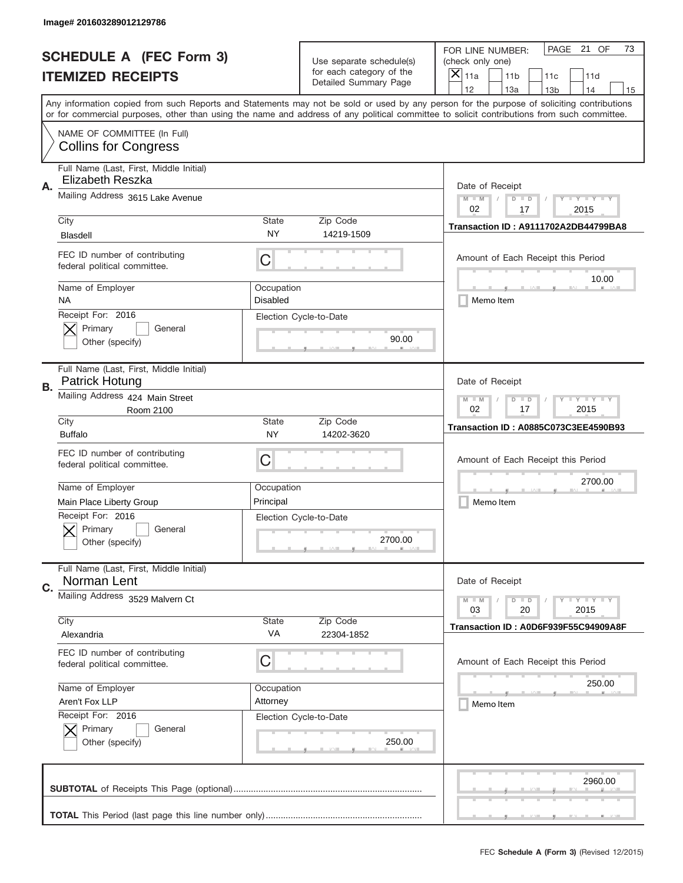|           | Image# 201603289012129786                                     |                                                         |                                                   |                                                                                                                                                                                                                                                                                                                                     |
|-----------|---------------------------------------------------------------|---------------------------------------------------------|---------------------------------------------------|-------------------------------------------------------------------------------------------------------------------------------------------------------------------------------------------------------------------------------------------------------------------------------------------------------------------------------------|
|           | <b>SCHEDULE A (FEC Form 3)</b>                                |                                                         | Use separate schedule(s)                          | PAGE 21 OF<br>73<br>FOR LINE NUMBER:<br>(check only one)                                                                                                                                                                                                                                                                            |
|           | <b>ITEMIZED RECEIPTS</b>                                      |                                                         | for each category of the<br>Detailed Summary Page | ×<br>11a<br>11 <sub>b</sub><br>11c<br>11d                                                                                                                                                                                                                                                                                           |
|           |                                                               |                                                         |                                                   | 12<br>13a<br>14<br>13 <sub>b</sub><br>15<br>Any information copied from such Reports and Statements may not be sold or used by any person for the purpose of soliciting contributions<br>or for commercial purposes, other than using the name and address of any political committee to solicit contributions from such committee. |
|           | NAME OF COMMITTEE (In Full)<br><b>Collins for Congress</b>    |                                                         |                                                   |                                                                                                                                                                                                                                                                                                                                     |
| Α.        | Full Name (Last, First, Middle Initial)<br>Elizabeth Reszka   |                                                         |                                                   | Date of Receipt                                                                                                                                                                                                                                                                                                                     |
|           | Mailing Address 3615 Lake Avenue                              |                                                         |                                                   | $M - M$<br><b>LYLYLY</b><br>$D$ $D$<br>02<br>17<br>2015                                                                                                                                                                                                                                                                             |
|           | City<br><b>Blasdell</b>                                       | State<br>NY                                             | Zip Code<br>14219-1509                            | Transaction ID: A9111702A2DB44799BA8                                                                                                                                                                                                                                                                                                |
|           | FEC ID number of contributing<br>federal political committee. | C                                                       |                                                   | Amount of Each Receipt this Period<br>10.00                                                                                                                                                                                                                                                                                         |
|           | Name of Employer<br><b>NA</b>                                 | Occupation<br><b>Disabled</b>                           |                                                   | Memo Item                                                                                                                                                                                                                                                                                                                           |
|           | Receipt For: 2016<br>Primary<br>General<br>Other (specify)    |                                                         | Election Cycle-to-Date<br>90.00                   |                                                                                                                                                                                                                                                                                                                                     |
| <b>B.</b> | Full Name (Last, First, Middle Initial)<br>Patrick Hotung     |                                                         |                                                   | Date of Receipt                                                                                                                                                                                                                                                                                                                     |
|           | Mailing Address 424 Main Street<br>Room 2100                  | $M - M$<br>$D$ $D$<br><b>LYLYLY</b><br>02<br>17<br>2015 |                                                   |                                                                                                                                                                                                                                                                                                                                     |
|           | City<br><b>Buffalo</b>                                        | State<br>NY                                             | Zip Code<br>14202-3620                            | <b>Transaction ID: A0885C073C3EE4590B93</b>                                                                                                                                                                                                                                                                                         |
|           | FEC ID number of contributing<br>federal political committee. | C                                                       |                                                   | Amount of Each Receipt this Period                                                                                                                                                                                                                                                                                                  |
|           | Name of Employer                                              | Occupation                                              |                                                   | 2700.00                                                                                                                                                                                                                                                                                                                             |
|           | Main Place Liberty Group                                      | Principal                                               |                                                   | Memo Item                                                                                                                                                                                                                                                                                                                           |
|           | Receipt For: 2016                                             |                                                         | Election Cycle-to-Date                            |                                                                                                                                                                                                                                                                                                                                     |
|           | General<br>Primary<br>Other (specify)                         |                                                         | 2700.00                                           |                                                                                                                                                                                                                                                                                                                                     |
| C.        | Full Name (Last, First, Middle Initial)<br>Norman Lent        |                                                         |                                                   | Date of Receipt                                                                                                                                                                                                                                                                                                                     |
|           | Mailing Address 3529 Malvern Ct                               |                                                         |                                                   | <b>LYLYLY</b><br>$M - M$<br>$D$ $D$<br>2015<br>03<br>20                                                                                                                                                                                                                                                                             |
|           | City<br>Alexandria                                            | State<br>VA                                             | Zip Code<br>22304-1852                            | Transaction ID: A0D6F939F55C94909A8F                                                                                                                                                                                                                                                                                                |
|           | FEC ID number of contributing<br>federal political committee. | С                                                       |                                                   | Amount of Each Receipt this Period                                                                                                                                                                                                                                                                                                  |
|           | Name of Employer                                              | Occupation                                              |                                                   | 250.00                                                                                                                                                                                                                                                                                                                              |
|           | Aren't Fox LLP                                                | Attorney                                                |                                                   | Memo Item                                                                                                                                                                                                                                                                                                                           |
|           | Receipt For: 2016<br>Primary<br>General<br>Other (specify)    |                                                         | Election Cycle-to-Date<br>250.00                  |                                                                                                                                                                                                                                                                                                                                     |
|           |                                                               |                                                         |                                                   | 2960.00                                                                                                                                                                                                                                                                                                                             |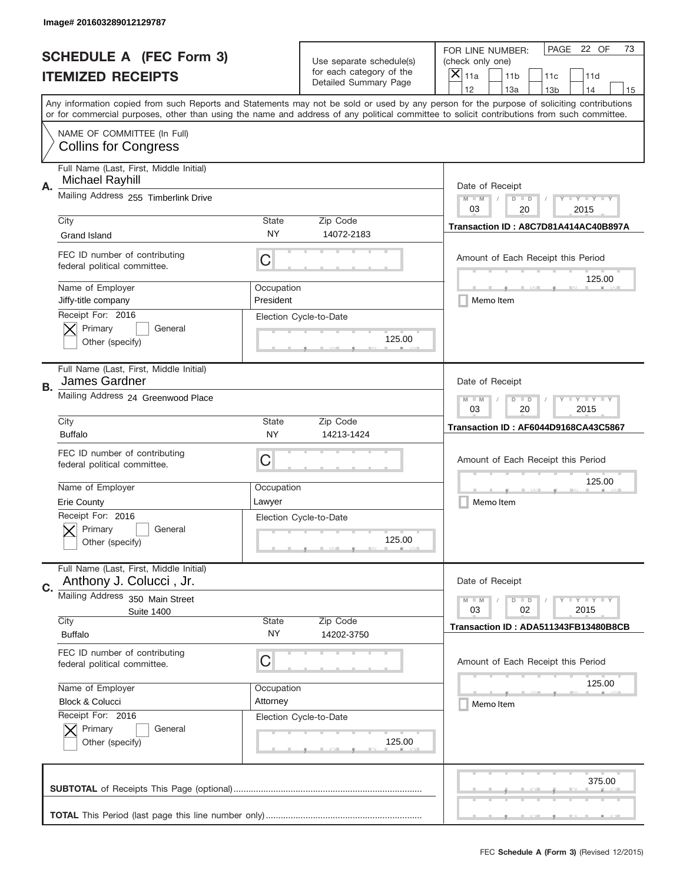|    | Image# 201603289012129787                                          |                                                           |                                                      |                                                                                                                                                                                                                                                                                                                                     |
|----|--------------------------------------------------------------------|-----------------------------------------------------------|------------------------------------------------------|-------------------------------------------------------------------------------------------------------------------------------------------------------------------------------------------------------------------------------------------------------------------------------------------------------------------------------------|
|    | <b>SCHEDULE A (FEC Form 3)</b>                                     |                                                           | Use separate schedule(s)<br>for each category of the | PAGE 22 OF<br>73<br>FOR LINE NUMBER:<br>(check only one)                                                                                                                                                                                                                                                                            |
|    | <b>ITEMIZED RECEIPTS</b>                                           |                                                           | Detailed Summary Page                                | $\times$<br>11a<br>11 <sub>b</sub><br>11c<br>11d                                                                                                                                                                                                                                                                                    |
|    |                                                                    |                                                           |                                                      | 12<br>13a<br>14<br>13 <sub>b</sub><br>15<br>Any information copied from such Reports and Statements may not be sold or used by any person for the purpose of soliciting contributions<br>or for commercial purposes, other than using the name and address of any political committee to solicit contributions from such committee. |
|    | NAME OF COMMITTEE (In Full)<br><b>Collins for Congress</b>         |                                                           |                                                      |                                                                                                                                                                                                                                                                                                                                     |
| А. | Full Name (Last, First, Middle Initial)<br>Michael Rayhill         |                                                           |                                                      | Date of Receipt                                                                                                                                                                                                                                                                                                                     |
|    | Mailing Address 255 Timberlink Drive                               |                                                           |                                                      | $M - M$<br><b>LY LY LY</b><br>$D$ $D$<br>03<br>20<br>2015                                                                                                                                                                                                                                                                           |
|    | City<br><b>Grand Island</b>                                        | State<br><b>NY</b>                                        | Zip Code<br>14072-2183                               | Transaction ID: A8C7D81A414AC40B897A                                                                                                                                                                                                                                                                                                |
|    | FEC ID number of contributing<br>federal political committee.      | C                                                         |                                                      | Amount of Each Receipt this Period<br>125.00                                                                                                                                                                                                                                                                                        |
|    | Name of Employer<br>Jiffy-title company                            | Occupation<br>President                                   |                                                      | Memo Item                                                                                                                                                                                                                                                                                                                           |
|    | Receipt For: 2016<br>Primary<br>General<br>Other (specify)         |                                                           | Election Cycle-to-Date<br>125.00                     |                                                                                                                                                                                                                                                                                                                                     |
| В. | Full Name (Last, First, Middle Initial)<br>James Gardner           |                                                           |                                                      | Date of Receipt                                                                                                                                                                                                                                                                                                                     |
|    | Mailing Address 24 Greenwood Place                                 | <b>LY LY LY</b><br>$M - M$<br>$D$ $D$<br>03<br>2015<br>20 |                                                      |                                                                                                                                                                                                                                                                                                                                     |
|    | City<br><b>Buffalo</b>                                             | State<br>NY                                               | Zip Code<br>14213-1424                               | Transaction ID: AF6044D9168CA43C5867                                                                                                                                                                                                                                                                                                |
|    | FEC ID number of contributing<br>federal political committee.      | C                                                         |                                                      | Amount of Each Receipt this Period                                                                                                                                                                                                                                                                                                  |
|    | Name of Employer<br><b>Erie County</b>                             | Occupation<br>Lawyer                                      |                                                      | 125.00<br>Memo Item                                                                                                                                                                                                                                                                                                                 |
|    | Receipt For: 2016<br>General<br>Primary<br>Other (specify)         |                                                           | Election Cycle-to-Date<br>125.00                     |                                                                                                                                                                                                                                                                                                                                     |
| C. | Full Name (Last, First, Middle Initial)<br>Anthony J. Colucci, Jr. |                                                           |                                                      | Date of Receipt                                                                                                                                                                                                                                                                                                                     |
|    | Mailing Address<br>350 Main Street<br><b>Suite 1400</b><br>City    |                                                           | Zip Code                                             | $\mathbf{I}$ $\mathbf{Y}$ $\mathbf{I}$ $\mathbf{Y}$ $\mathbf{I}$ $\mathbf{Y}$<br>$M - M$<br>$D$ $D$<br>03<br>02<br>2015                                                                                                                                                                                                             |
|    | <b>Buffalo</b>                                                     | State<br>NY                                               | 14202-3750                                           | Transaction ID: ADA511343FB13480B8CB                                                                                                                                                                                                                                                                                                |
|    | FEC ID number of contributing<br>federal political committee.      | C                                                         |                                                      | Amount of Each Receipt this Period                                                                                                                                                                                                                                                                                                  |
|    | Name of Employer<br>Block & Colucci                                | Occupation<br>Attorney                                    |                                                      | 125.00<br>Memo Item                                                                                                                                                                                                                                                                                                                 |
|    | Receipt For: 2016<br>Primary<br>General<br>Other (specify)         |                                                           | Election Cycle-to-Date<br>125.00                     |                                                                                                                                                                                                                                                                                                                                     |
|    |                                                                    |                                                           |                                                      | 375.00                                                                                                                                                                                                                                                                                                                              |
|    |                                                                    |                                                           |                                                      |                                                                                                                                                                                                                                                                                                                                     |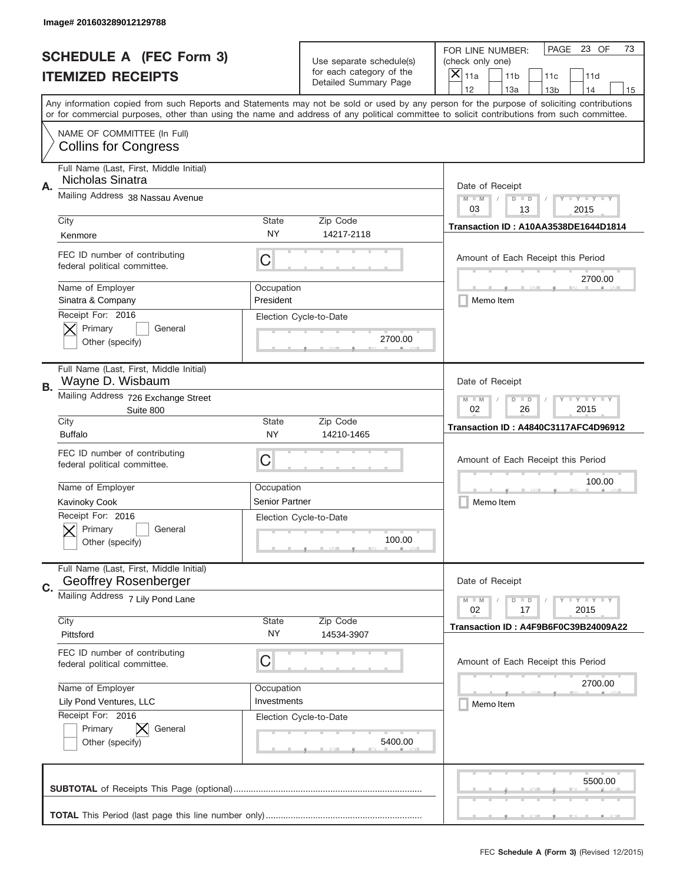|    | Image# 201603289012129788                                              |                                                                                                                         |                                                      |                                                                                                                                                                                                                                                                                                                                     |
|----|------------------------------------------------------------------------|-------------------------------------------------------------------------------------------------------------------------|------------------------------------------------------|-------------------------------------------------------------------------------------------------------------------------------------------------------------------------------------------------------------------------------------------------------------------------------------------------------------------------------------|
|    | <b>SCHEDULE A (FEC Form 3)</b>                                         |                                                                                                                         | Use separate schedule(s)<br>for each category of the | PAGE 23 OF<br>73<br>FOR LINE NUMBER:<br>(check only one)                                                                                                                                                                                                                                                                            |
|    | <b>ITEMIZED RECEIPTS</b>                                               |                                                                                                                         | Detailed Summary Page                                | ×<br>11a<br>11 <sub>b</sub><br>11c<br>11d                                                                                                                                                                                                                                                                                           |
|    |                                                                        |                                                                                                                         |                                                      | 12<br>13a<br>14<br>13 <sub>b</sub><br>15<br>Any information copied from such Reports and Statements may not be sold or used by any person for the purpose of soliciting contributions<br>or for commercial purposes, other than using the name and address of any political committee to solicit contributions from such committee. |
|    | NAME OF COMMITTEE (In Full)<br><b>Collins for Congress</b>             |                                                                                                                         |                                                      |                                                                                                                                                                                                                                                                                                                                     |
| Α. | Full Name (Last, First, Middle Initial)<br>Nicholas Sinatra            |                                                                                                                         |                                                      | Date of Receipt                                                                                                                                                                                                                                                                                                                     |
|    | Mailing Address 38 Nassau Avenue                                       |                                                                                                                         |                                                      | $M - M$<br>$\mathbf{I}$ $\mathbf{Y}$ $\mathbf{I}$ $\mathbf{Y}$ $\mathbf{I}$ $\mathbf{Y}$<br>$D$ $D$<br>03<br>13<br>2015                                                                                                                                                                                                             |
|    | City<br>Kenmore                                                        | State<br>NY                                                                                                             | Zip Code<br>14217-2118                               | <b>Transaction ID: A10AA3538DE1644D1814</b>                                                                                                                                                                                                                                                                                         |
|    | FEC ID number of contributing<br>federal political committee.          | C                                                                                                                       |                                                      | Amount of Each Receipt this Period<br>2700.00                                                                                                                                                                                                                                                                                       |
|    | Name of Employer<br>Sinatra & Company                                  | Occupation<br>President                                                                                                 |                                                      | Memo Item                                                                                                                                                                                                                                                                                                                           |
|    | Receipt For: 2016<br>Primary<br>General<br>Other (specify)             |                                                                                                                         | Election Cycle-to-Date<br>2700.00                    |                                                                                                                                                                                                                                                                                                                                     |
| В. | Full Name (Last, First, Middle Initial)<br>Wayne D. Wisbaum            |                                                                                                                         |                                                      | Date of Receipt                                                                                                                                                                                                                                                                                                                     |
|    | Mailing Address 726 Exchange Street<br>Suite 800                       | $M - M$<br>$\mathbf{I}$ $\mathbf{Y}$ $\mathbf{I}$ $\mathbf{Y}$ $\mathbf{I}$ $\mathbf{Y}$<br>$D$ $D$<br>02<br>26<br>2015 |                                                      |                                                                                                                                                                                                                                                                                                                                     |
|    | City<br><b>Buffalo</b>                                                 | State<br>NY.                                                                                                            | Zip Code<br>14210-1465                               | Transaction ID: A4840C3117AFC4D96912                                                                                                                                                                                                                                                                                                |
|    | FEC ID number of contributing<br>federal political committee.          | C                                                                                                                       |                                                      | Amount of Each Receipt this Period                                                                                                                                                                                                                                                                                                  |
|    | Name of Employer                                                       | Occupation                                                                                                              |                                                      | 100.00                                                                                                                                                                                                                                                                                                                              |
|    | Kavinoky Cook<br>Receipt For: 2016                                     | <b>Senior Partner</b>                                                                                                   |                                                      | Memo Item                                                                                                                                                                                                                                                                                                                           |
|    | General<br>Primary<br>Other (specify)                                  |                                                                                                                         | Election Cycle-to-Date<br>100.00                     |                                                                                                                                                                                                                                                                                                                                     |
| C. | Full Name (Last, First, Middle Initial)<br><b>Geoffrey Rosenberger</b> |                                                                                                                         |                                                      | Date of Receipt                                                                                                                                                                                                                                                                                                                     |
|    | Mailing Address 7 Lily Pond Lane<br>City                               | State                                                                                                                   | Zip Code                                             | $\mathbf{I}$ $\mathbf{Y}$ $\mathbf{I}$ $\mathbf{Y}$ $\mathbf{I}$ $\mathbf{Y}$<br>$M - M$<br>$D$ $D$<br>02<br>2015<br>17                                                                                                                                                                                                             |
|    | Pittsford                                                              | NY.                                                                                                                     | 14534-3907                                           | Transaction ID: A4F9B6F0C39B24009A22                                                                                                                                                                                                                                                                                                |
|    | FEC ID number of contributing<br>federal political committee.          | C                                                                                                                       |                                                      | Amount of Each Receipt this Period                                                                                                                                                                                                                                                                                                  |
|    | Name of Employer                                                       | Occupation                                                                                                              |                                                      | 2700.00                                                                                                                                                                                                                                                                                                                             |
|    | Lily Pond Ventures, LLC                                                | Investments                                                                                                             |                                                      | Memo Item                                                                                                                                                                                                                                                                                                                           |
|    | Receipt For: 2016<br>Primary<br>IХ<br>General<br>Other (specify)       |                                                                                                                         | Election Cycle-to-Date<br>5400.00                    |                                                                                                                                                                                                                                                                                                                                     |
|    |                                                                        |                                                                                                                         |                                                      |                                                                                                                                                                                                                                                                                                                                     |
|    |                                                                        |                                                                                                                         |                                                      | 5500.00                                                                                                                                                                                                                                                                                                                             |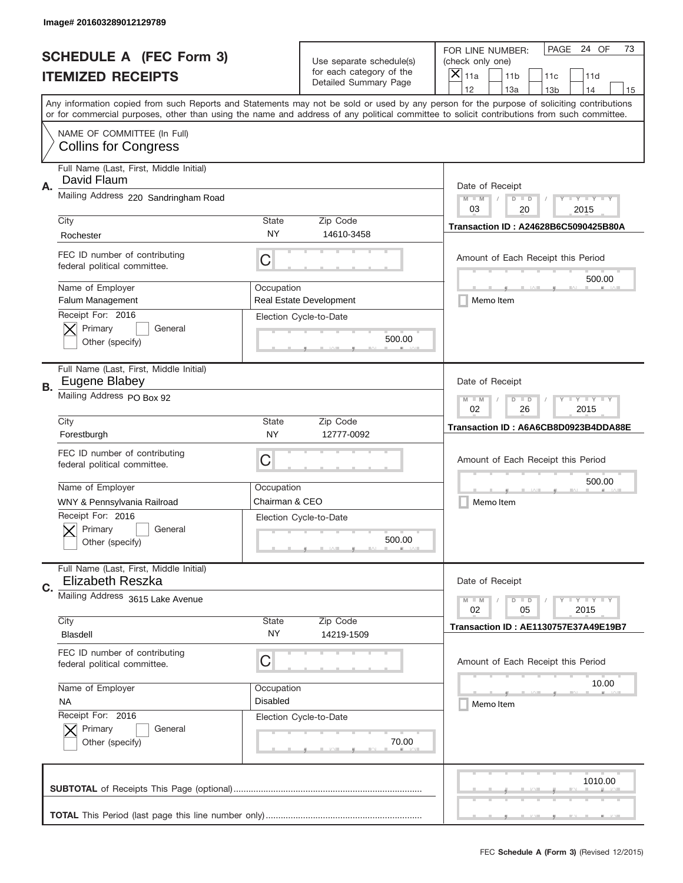|    | Image# 201603289012129789                                          |                                                                                                                         |                                                      |                                                                                                                                                                                                                                                                                                                               |
|----|--------------------------------------------------------------------|-------------------------------------------------------------------------------------------------------------------------|------------------------------------------------------|-------------------------------------------------------------------------------------------------------------------------------------------------------------------------------------------------------------------------------------------------------------------------------------------------------------------------------|
|    | <b>SCHEDULE A (FEC Form 3)</b>                                     |                                                                                                                         | Use separate schedule(s)<br>for each category of the | PAGE 24 OF<br>73<br>FOR LINE NUMBER:<br>(check only one)                                                                                                                                                                                                                                                                      |
|    | <b>ITEMIZED RECEIPTS</b>                                           |                                                                                                                         | Detailed Summary Page                                | ×<br>11a<br>11 <sub>b</sub><br>11c<br>11d<br>12                                                                                                                                                                                                                                                                               |
|    |                                                                    |                                                                                                                         |                                                      | 13a<br>14<br>13 <sub>b</sub><br>15<br>Any information copied from such Reports and Statements may not be sold or used by any person for the purpose of soliciting contributions<br>or for commercial purposes, other than using the name and address of any political committee to solicit contributions from such committee. |
|    | NAME OF COMMITTEE (In Full)<br><b>Collins for Congress</b>         |                                                                                                                         |                                                      |                                                                                                                                                                                                                                                                                                                               |
| Α. | Full Name (Last, First, Middle Initial)<br>David Flaum             |                                                                                                                         |                                                      | Date of Receipt                                                                                                                                                                                                                                                                                                               |
|    | Mailing Address 220 Sandringham Road                               |                                                                                                                         |                                                      | $M - M$<br>$\mathbf{I}$ $\mathbf{Y}$ $\mathbf{I}$ $\mathbf{Y}$ $\mathbf{I}$ $\mathbf{Y}$<br>$D$ $D$<br>03<br>20<br>2015                                                                                                                                                                                                       |
|    | City<br>Rochester                                                  | <b>State</b><br>NY                                                                                                      | Zip Code<br>14610-3458                               | Transaction ID: A24628B6C5090425B80A                                                                                                                                                                                                                                                                                          |
|    | FEC ID number of contributing<br>federal political committee.      | C                                                                                                                       |                                                      | Amount of Each Receipt this Period<br>500.00                                                                                                                                                                                                                                                                                  |
|    | Name of Employer<br>Falum Management                               | Occupation                                                                                                              | Real Estate Development                              | Memo Item                                                                                                                                                                                                                                                                                                                     |
|    | Receipt For: 2016<br>Primary<br>General<br>Other (specify)         |                                                                                                                         | Election Cycle-to-Date<br>500.00                     |                                                                                                                                                                                                                                                                                                                               |
| В. | Full Name (Last, First, Middle Initial)<br>Eugene Blabey           |                                                                                                                         |                                                      | Date of Receipt                                                                                                                                                                                                                                                                                                               |
|    | Mailing Address PO Box 92                                          | $M - M$<br>$\mathbf{I}$ $\mathbf{Y}$ $\mathbf{I}$ $\mathbf{Y}$ $\mathbf{I}$ $\mathbf{Y}$<br>$D$ $D$<br>02<br>26<br>2015 |                                                      |                                                                                                                                                                                                                                                                                                                               |
|    | City<br>Forestburgh                                                | State<br><b>NY</b>                                                                                                      | Zip Code<br>12777-0092                               | Transaction ID: A6A6CB8D0923B4DDA88E                                                                                                                                                                                                                                                                                          |
|    | FEC ID number of contributing<br>federal political committee.      | C                                                                                                                       |                                                      | Amount of Each Receipt this Period                                                                                                                                                                                                                                                                                            |
|    | Name of Employer                                                   | Occupation                                                                                                              |                                                      | 500.00                                                                                                                                                                                                                                                                                                                        |
|    | WNY & Pennsylvania Railroad                                        | Chairman & CEO                                                                                                          |                                                      | Memo Item                                                                                                                                                                                                                                                                                                                     |
|    | Receipt For: 2016<br>General<br>Primary<br>Other (specify)         |                                                                                                                         | Election Cycle-to-Date<br>500.00                     |                                                                                                                                                                                                                                                                                                                               |
| C. | Full Name (Last, First, Middle Initial)<br><b>Elizabeth Reszka</b> |                                                                                                                         |                                                      | Date of Receipt                                                                                                                                                                                                                                                                                                               |
|    | Mailing Address 3615 Lake Avenue                                   |                                                                                                                         |                                                      | <b>LYLYLY</b><br>$M - M$<br>$D$ $D$<br>02<br>2015<br>05                                                                                                                                                                                                                                                                       |
|    | City<br>Blasdell                                                   | <b>State</b><br>NY.                                                                                                     | Zip Code<br>14219-1509                               | Transaction ID: AE1130757E37A49E19B7                                                                                                                                                                                                                                                                                          |
|    | FEC ID number of contributing<br>federal political committee.      | C                                                                                                                       |                                                      | Amount of Each Receipt this Period                                                                                                                                                                                                                                                                                            |
|    | Name of Employer                                                   | Occupation                                                                                                              |                                                      | 10.00                                                                                                                                                                                                                                                                                                                         |
|    | <b>NA</b>                                                          | <b>Disabled</b>                                                                                                         |                                                      | Memo Item                                                                                                                                                                                                                                                                                                                     |
|    | Receipt For: 2016<br>Primary<br>General<br>Other (specify)         |                                                                                                                         | Election Cycle-to-Date<br>70.00                      |                                                                                                                                                                                                                                                                                                                               |
|    |                                                                    |                                                                                                                         |                                                      | 1010.00                                                                                                                                                                                                                                                                                                                       |
|    |                                                                    |                                                                                                                         |                                                      |                                                                                                                                                                                                                                                                                                                               |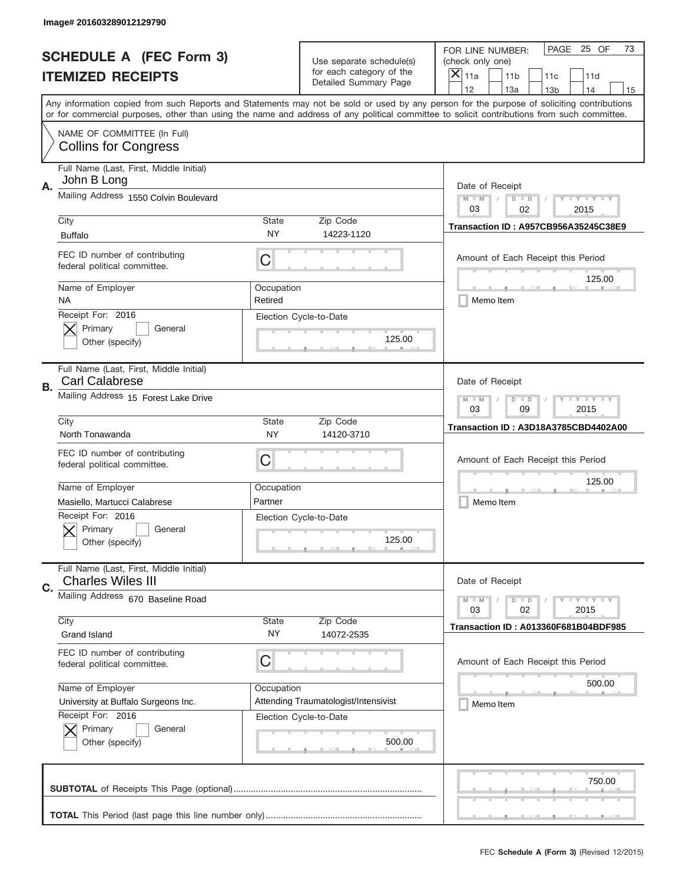|    | Image# 201603289012129790                                           |                                                         |                                                   |                                                                                                                                                                                                                                                                                                                                     |
|----|---------------------------------------------------------------------|---------------------------------------------------------|---------------------------------------------------|-------------------------------------------------------------------------------------------------------------------------------------------------------------------------------------------------------------------------------------------------------------------------------------------------------------------------------------|
|    | <b>SCHEDULE A (FEC Form 3)</b>                                      |                                                         | Use separate schedule(s)                          | PAGE 25 OF<br>73<br>FOR LINE NUMBER:<br>(check only one)                                                                                                                                                                                                                                                                            |
|    | <b>ITEMIZED RECEIPTS</b>                                            |                                                         | for each category of the<br>Detailed Summary Page | ×<br>11a<br>11 <sub>b</sub><br>11c<br>11d                                                                                                                                                                                                                                                                                           |
|    |                                                                     |                                                         |                                                   | 12<br>13a<br>14<br>13 <sub>b</sub><br>15<br>Any information copied from such Reports and Statements may not be sold or used by any person for the purpose of soliciting contributions<br>or for commercial purposes, other than using the name and address of any political committee to solicit contributions from such committee. |
|    | NAME OF COMMITTEE (In Full)<br><b>Collins for Congress</b>          |                                                         |                                                   |                                                                                                                                                                                                                                                                                                                                     |
| А. | Full Name (Last, First, Middle Initial)<br>John B Long              |                                                         |                                                   | Date of Receipt                                                                                                                                                                                                                                                                                                                     |
|    | Mailing Address 1550 Colvin Boulevard                               |                                                         |                                                   | $M - M$<br>$\mathbf{I}$ $\mathbf{Y}$ $\mathbf{I}$ $\mathbf{Y}$ $\mathbf{I}$ $\mathbf{Y}$<br>$D$ $D$<br>03<br>02<br>2015                                                                                                                                                                                                             |
|    | City<br><b>Buffalo</b>                                              | State<br>NY                                             | Zip Code<br>14223-1120                            | Transaction ID: A957CB956A35245C38E9                                                                                                                                                                                                                                                                                                |
|    | FEC ID number of contributing<br>federal political committee.       | C                                                       |                                                   | Amount of Each Receipt this Period<br>125.00                                                                                                                                                                                                                                                                                        |
|    | Name of Employer<br>ΝA                                              | Occupation<br>Retired                                   |                                                   | Memo Item                                                                                                                                                                                                                                                                                                                           |
|    | Receipt For: 2016<br>Primary<br>General<br>Other (specify)          |                                                         | Election Cycle-to-Date<br>125.00                  |                                                                                                                                                                                                                                                                                                                                     |
| В. | Full Name (Last, First, Middle Initial)<br><b>Carl Calabrese</b>    |                                                         |                                                   | Date of Receipt                                                                                                                                                                                                                                                                                                                     |
|    | Mailing Address 15 Forest Lake Drive                                | $M - M$<br><b>LYLYLY</b><br>$D$ $D$<br>03<br>09<br>2015 |                                                   |                                                                                                                                                                                                                                                                                                                                     |
|    | City<br>North Tonawanda                                             | State<br>NY.                                            | Zip Code<br>14120-3710                            | Transaction ID: A3D18A3785CBD4402A00                                                                                                                                                                                                                                                                                                |
|    | FEC ID number of contributing<br>federal political committee.       | C                                                       |                                                   | Amount of Each Receipt this Period                                                                                                                                                                                                                                                                                                  |
|    | Name of Employer                                                    | Occupation                                              |                                                   | 125.00                                                                                                                                                                                                                                                                                                                              |
|    | Masiello, Martucci Calabrese                                        | Partner                                                 |                                                   | Memo Item                                                                                                                                                                                                                                                                                                                           |
|    | Receipt For: 2016<br>General<br>Primary<br>Other (specify)          |                                                         | Election Cycle-to-Date<br>125.00                  |                                                                                                                                                                                                                                                                                                                                     |
| C. | Full Name (Last, First, Middle Initial)<br><b>Charles Wiles III</b> |                                                         |                                                   | Date of Receipt                                                                                                                                                                                                                                                                                                                     |
|    | Mailing Address 670 Baseline Road                                   |                                                         |                                                   | $I - Y - I - Y - I - Y$<br>$M - M$<br>$D$ $D$<br>2015<br>03<br>02                                                                                                                                                                                                                                                                   |
|    | City<br>Grand Island                                                | <b>State</b><br>NY.                                     | Zip Code<br>14072-2535                            | <b>Transaction ID: A013360F681B04BDF985</b>                                                                                                                                                                                                                                                                                         |
|    | FEC ID number of contributing<br>federal political committee.       | C                                                       |                                                   | Amount of Each Receipt this Period                                                                                                                                                                                                                                                                                                  |
|    | Name of Employer                                                    | Occupation                                              |                                                   | 500.00                                                                                                                                                                                                                                                                                                                              |
|    | University at Buffalo Surgeons Inc.<br>Receipt For: 2016            |                                                         | Attending Traumatologist/Intensivist              | Memo Item                                                                                                                                                                                                                                                                                                                           |
|    | Primary<br>General<br>Other (specify)                               |                                                         | Election Cycle-to-Date<br>500.00                  |                                                                                                                                                                                                                                                                                                                                     |
|    |                                                                     |                                                         |                                                   | 750.00                                                                                                                                                                                                                                                                                                                              |
|    |                                                                     |                                                         |                                                   |                                                                                                                                                                                                                                                                                                                                     |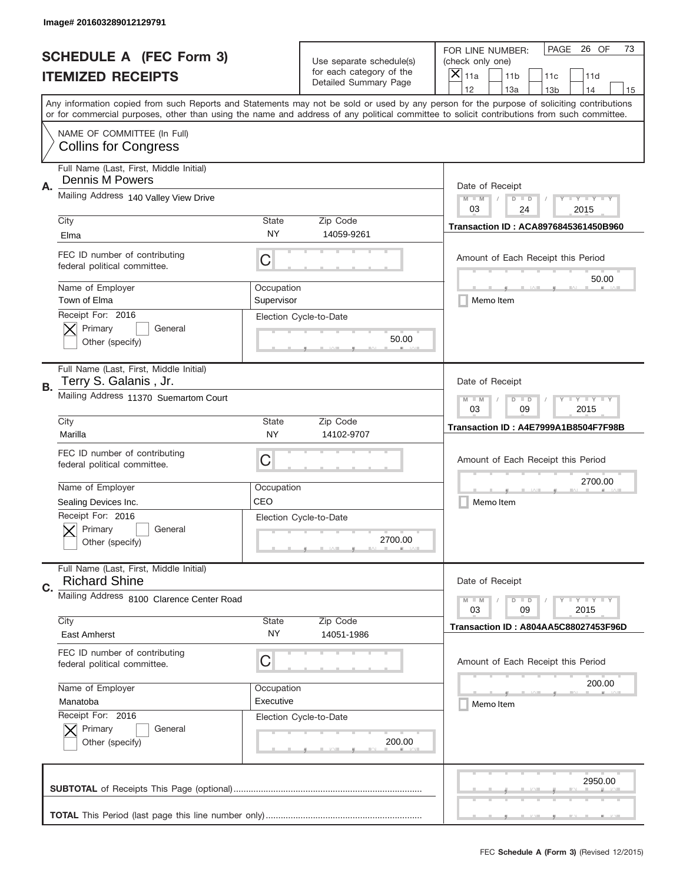|    | Image# 201603289012129791                                         |                                                         |                                                   |                                                                                                                                                                                                                                                                                                                                     |
|----|-------------------------------------------------------------------|---------------------------------------------------------|---------------------------------------------------|-------------------------------------------------------------------------------------------------------------------------------------------------------------------------------------------------------------------------------------------------------------------------------------------------------------------------------------|
|    | <b>SCHEDULE A (FEC Form 3)</b>                                    |                                                         | Use separate schedule(s)                          | PAGE<br>26 OF<br>73<br>FOR LINE NUMBER:<br>(check only one)                                                                                                                                                                                                                                                                         |
|    | <b>ITEMIZED RECEIPTS</b>                                          |                                                         | for each category of the<br>Detailed Summary Page | $\times$<br>11a<br>11 <sub>b</sub><br>11c<br>11d                                                                                                                                                                                                                                                                                    |
|    |                                                                   |                                                         |                                                   | 12<br>13a<br>14<br>13 <sub>b</sub><br>15<br>Any information copied from such Reports and Statements may not be sold or used by any person for the purpose of soliciting contributions<br>or for commercial purposes, other than using the name and address of any political committee to solicit contributions from such committee. |
|    | NAME OF COMMITTEE (In Full)<br><b>Collins for Congress</b>        |                                                         |                                                   |                                                                                                                                                                                                                                                                                                                                     |
| Α. | Full Name (Last, First, Middle Initial)<br><b>Dennis M Powers</b> |                                                         |                                                   | Date of Receipt                                                                                                                                                                                                                                                                                                                     |
|    | Mailing Address 140 Valley View Drive                             |                                                         |                                                   | $M$ $M$<br>Y TY TY TY<br>$D$ $D$<br>03<br>24<br>2015                                                                                                                                                                                                                                                                                |
|    | City<br>Elma                                                      | <b>State</b><br>NY                                      | Zip Code<br>14059-9261                            | <b>Transaction ID: ACA8976845361450B960</b>                                                                                                                                                                                                                                                                                         |
|    | FEC ID number of contributing<br>federal political committee.     | C                                                       |                                                   | Amount of Each Receipt this Period<br>50.00                                                                                                                                                                                                                                                                                         |
|    | Name of Employer<br>Town of Elma                                  | Occupation<br>Supervisor                                |                                                   | Memo Item                                                                                                                                                                                                                                                                                                                           |
|    | Receipt For: 2016<br>Primary<br>General<br>Other (specify)        |                                                         | Election Cycle-to-Date<br>50.00                   |                                                                                                                                                                                                                                                                                                                                     |
| В. | Full Name (Last, First, Middle Initial)<br>Terry S. Galanis, Jr.  |                                                         |                                                   | Date of Receipt                                                                                                                                                                                                                                                                                                                     |
|    | Mailing Address 11370 Suemartom Court                             | <b>LYLYLY</b><br>$M - M$<br>$D$ $D$<br>03<br>09<br>2015 |                                                   |                                                                                                                                                                                                                                                                                                                                     |
|    | City<br>Marilla                                                   | <b>State</b><br><b>NY</b>                               | Zip Code<br>14102-9707                            | Transaction ID: A4E7999A1B8504F7F98B                                                                                                                                                                                                                                                                                                |
|    | FEC ID number of contributing<br>federal political committee.     | C                                                       |                                                   | Amount of Each Receipt this Period                                                                                                                                                                                                                                                                                                  |
|    | Name of Employer                                                  | Occupation                                              |                                                   | 2700.00                                                                                                                                                                                                                                                                                                                             |
|    | Sealing Devices Inc.                                              | CEO                                                     |                                                   | Memo Item                                                                                                                                                                                                                                                                                                                           |
|    | Receipt For: 2016<br>General<br>Primary<br>Other (specify)        |                                                         | Election Cycle-to-Date<br>2700.00                 |                                                                                                                                                                                                                                                                                                                                     |
| C. | Full Name (Last, First, Middle Initial)<br><b>Richard Shine</b>   |                                                         |                                                   | Date of Receipt                                                                                                                                                                                                                                                                                                                     |
|    | Mailing Address 8100 Clarence Center Road                         |                                                         |                                                   | $I - Y - I - Y - I - Y$<br>$M - M$<br>$D$ $D$<br>03<br>09<br>2015                                                                                                                                                                                                                                                                   |
|    | City<br><b>East Amherst</b>                                       | <b>State</b><br>NY                                      | Zip Code<br>14051-1986                            | Transaction ID: A804AA5C88027453F96D                                                                                                                                                                                                                                                                                                |
|    | FEC ID number of contributing<br>federal political committee.     | C                                                       |                                                   | Amount of Each Receipt this Period                                                                                                                                                                                                                                                                                                  |
|    | Name of Employer                                                  | Occupation                                              |                                                   | 200.00                                                                                                                                                                                                                                                                                                                              |
|    | Manatoba                                                          | Executive                                               |                                                   | Memo Item                                                                                                                                                                                                                                                                                                                           |
|    | Receipt For: 2016<br>Primary<br>General<br>Other (specify)        |                                                         | Election Cycle-to-Date<br>200.00                  |                                                                                                                                                                                                                                                                                                                                     |
|    |                                                                   |                                                         |                                                   | 2950.00                                                                                                                                                                                                                                                                                                                             |
|    |                                                                   |                                                         |                                                   |                                                                                                                                                                                                                                                                                                                                     |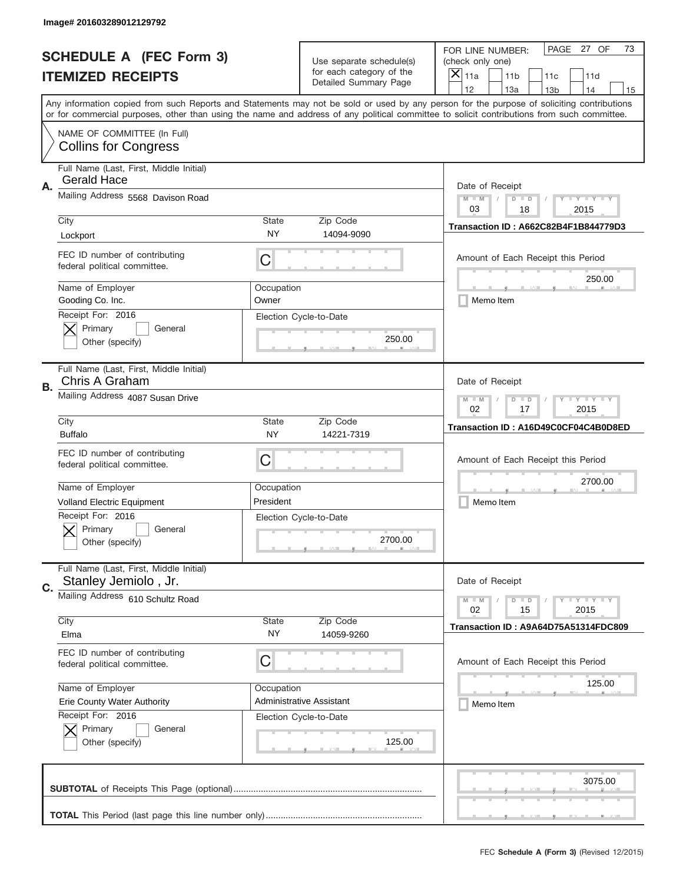|    | Image# 201603289012129792                                       |                                                       |                                                   |                                                                                                                                                                                                                                                                                                                                     |
|----|-----------------------------------------------------------------|-------------------------------------------------------|---------------------------------------------------|-------------------------------------------------------------------------------------------------------------------------------------------------------------------------------------------------------------------------------------------------------------------------------------------------------------------------------------|
|    | <b>SCHEDULE A (FEC Form 3)</b>                                  |                                                       | Use separate schedule(s)                          | PAGE 27 OF<br>73<br>FOR LINE NUMBER:<br>(check only one)                                                                                                                                                                                                                                                                            |
|    | <b>ITEMIZED RECEIPTS</b>                                        |                                                       | for each category of the<br>Detailed Summary Page | ×<br>11a<br>11 <sub>b</sub><br>11c<br>11d                                                                                                                                                                                                                                                                                           |
|    |                                                                 |                                                       |                                                   | 12<br>13a<br>14<br>13 <sub>b</sub><br>15<br>Any information copied from such Reports and Statements may not be sold or used by any person for the purpose of soliciting contributions<br>or for commercial purposes, other than using the name and address of any political committee to solicit contributions from such committee. |
|    | NAME OF COMMITTEE (In Full)<br><b>Collins for Congress</b>      |                                                       |                                                   |                                                                                                                                                                                                                                                                                                                                     |
| Α. | Full Name (Last, First, Middle Initial)<br><b>Gerald Hace</b>   |                                                       |                                                   | Date of Receipt                                                                                                                                                                                                                                                                                                                     |
|    | Mailing Address 5568 Davison Road                               |                                                       |                                                   | $M - M$<br>$\mathbf{I}$ $\mathbf{Y}$ $\mathbf{I}$ $\mathbf{Y}$ $\mathbf{I}$ $\mathbf{Y}$<br>$D$ $D$<br>03<br>18<br>2015                                                                                                                                                                                                             |
|    | City<br>Lockport                                                | State<br><b>NY</b>                                    | Zip Code<br>14094-9090                            | Transaction ID: A662C82B4F1B844779D3                                                                                                                                                                                                                                                                                                |
|    | FEC ID number of contributing<br>federal political committee.   | C                                                     |                                                   | Amount of Each Receipt this Period<br>250.00                                                                                                                                                                                                                                                                                        |
|    | Name of Employer<br>Gooding Co. Inc.                            | Occupation<br>Owner                                   |                                                   | Memo Item                                                                                                                                                                                                                                                                                                                           |
|    | Receipt For: 2016<br>Primary<br>General<br>Other (specify)      |                                                       | Election Cycle-to-Date<br>250.00                  |                                                                                                                                                                                                                                                                                                                                     |
| В. | Full Name (Last, First, Middle Initial)<br>Chris A Graham       |                                                       |                                                   | Date of Receipt                                                                                                                                                                                                                                                                                                                     |
|    | Mailing Address 4087 Susan Drive                                | $M$ M<br><b>LYLYLY</b><br>$D$ $D$<br>02<br>17<br>2015 |                                                   |                                                                                                                                                                                                                                                                                                                                     |
|    | City<br><b>Buffalo</b>                                          | State<br><b>NY</b>                                    | Zip Code<br>14221-7319                            | Transaction ID: A16D49C0CF04C4B0D8ED                                                                                                                                                                                                                                                                                                |
|    | FEC ID number of contributing<br>federal political committee.   | C                                                     |                                                   | Amount of Each Receipt this Period                                                                                                                                                                                                                                                                                                  |
|    | Name of Employer                                                | Occupation                                            |                                                   | 2700.00                                                                                                                                                                                                                                                                                                                             |
|    | <b>Volland Electric Equipment</b>                               | President                                             |                                                   | Memo Item                                                                                                                                                                                                                                                                                                                           |
|    | Receipt For: 2016<br>General<br>Primary<br>Other (specify)      |                                                       | Election Cycle-to-Date<br>2700.00                 |                                                                                                                                                                                                                                                                                                                                     |
| C. | Full Name (Last, First, Middle Initial)<br>Stanley Jemiolo, Jr. |                                                       |                                                   | Date of Receipt                                                                                                                                                                                                                                                                                                                     |
|    | Mailing Address 610 Schultz Road                                |                                                       |                                                   | $\mathbf{I}$ $\mathbf{Y}$ $\mathbf{I}$ $\mathbf{Y}$ $\mathbf{I}$ $\mathbf{Y}$<br>$M - M$<br>$D$ $D$<br>02<br>2015<br>15                                                                                                                                                                                                             |
|    | City<br>Elma                                                    | <b>State</b><br>NY.                                   | Zip Code<br>14059-9260                            | Transaction ID: A9A64D75A51314FDC809                                                                                                                                                                                                                                                                                                |
|    | FEC ID number of contributing<br>federal political committee.   | C                                                     |                                                   | Amount of Each Receipt this Period                                                                                                                                                                                                                                                                                                  |
|    | Name of Employer                                                | Occupation                                            |                                                   | 125.00                                                                                                                                                                                                                                                                                                                              |
|    | <b>Erie County Water Authority</b><br>Receipt For: 2016         |                                                       | <b>Administrative Assistant</b>                   | Memo Item                                                                                                                                                                                                                                                                                                                           |
|    | Primary<br>General<br>Other (specify)                           |                                                       | Election Cycle-to-Date<br>125.00                  |                                                                                                                                                                                                                                                                                                                                     |
|    |                                                                 |                                                       |                                                   | 3075.00                                                                                                                                                                                                                                                                                                                             |
|    |                                                                 |                                                       |                                                   |                                                                                                                                                                                                                                                                                                                                     |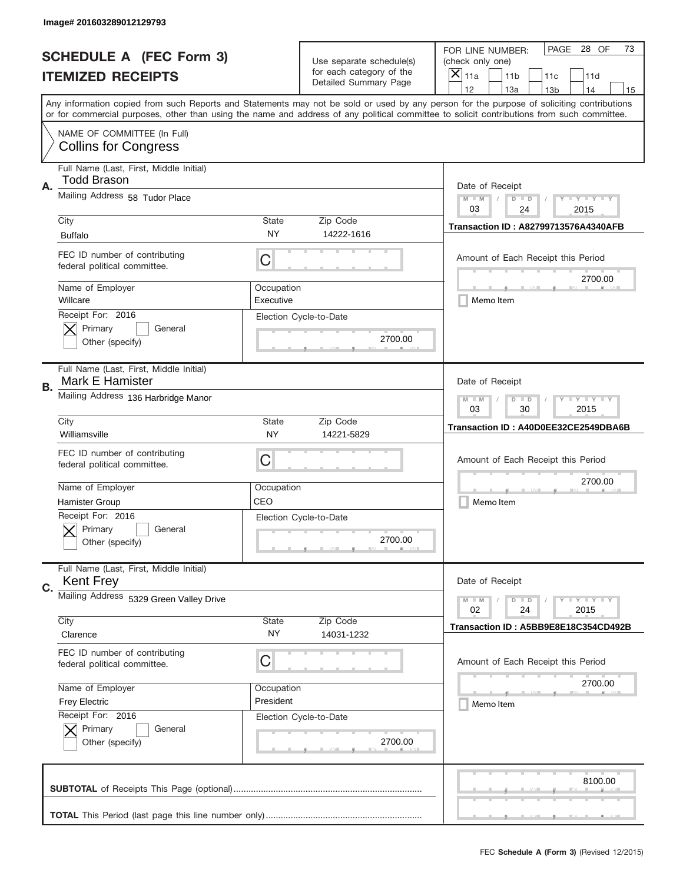|    | Image# 201603289012129793                                     |                                                       |                                                   |                                                                                                                                                                                       |
|----|---------------------------------------------------------------|-------------------------------------------------------|---------------------------------------------------|---------------------------------------------------------------------------------------------------------------------------------------------------------------------------------------|
|    | <b>SCHEDULE A (FEC Form 3)</b>                                |                                                       | Use separate schedule(s)                          | PAGE 28 OF<br>73<br>FOR LINE NUMBER:<br>(check only one)                                                                                                                              |
|    | <b>ITEMIZED RECEIPTS</b>                                      |                                                       | for each category of the<br>Detailed Summary Page | ×<br>11a<br>11 <sub>b</sub><br>11c<br>11d                                                                                                                                             |
|    |                                                               |                                                       |                                                   | 12<br>13a<br>14<br>13 <sub>b</sub><br>15<br>Any information copied from such Reports and Statements may not be sold or used by any person for the purpose of soliciting contributions |
|    |                                                               |                                                       |                                                   | or for commercial purposes, other than using the name and address of any political committee to solicit contributions from such committee.                                            |
|    | NAME OF COMMITTEE (In Full)<br><b>Collins for Congress</b>    |                                                       |                                                   |                                                                                                                                                                                       |
| Α. | Full Name (Last, First, Middle Initial)<br>Todd Brason        |                                                       |                                                   | Date of Receipt                                                                                                                                                                       |
|    | Mailing Address 58 Tudor Place                                |                                                       |                                                   | $M - M$<br>$\mathbf{I}$ $\mathbf{Y}$ $\mathbf{I}$ $\mathbf{Y}$ $\mathbf{I}$ $\mathbf{Y}$<br>$D$ $D$<br>03<br>24<br>2015                                                               |
|    | City                                                          | State                                                 | Zip Code                                          | <b>Transaction ID: A82799713576A4340AFB</b>                                                                                                                                           |
|    | <b>Buffalo</b>                                                | NY                                                    | 14222-1616                                        |                                                                                                                                                                                       |
|    | FEC ID number of contributing<br>federal political committee. | C                                                     |                                                   | Amount of Each Receipt this Period<br>2700.00                                                                                                                                         |
|    | Name of Employer<br>Willcare                                  | Occupation<br>Executive                               |                                                   | Memo Item                                                                                                                                                                             |
|    | Receipt For: 2016<br>Primary<br>General<br>Other (specify)    |                                                       | Election Cycle-to-Date<br>2700.00                 |                                                                                                                                                                                       |
| В. | Full Name (Last, First, Middle Initial)<br>Mark E Hamister    |                                                       |                                                   | Date of Receipt                                                                                                                                                                       |
|    | Mailing Address 136 Harbridge Manor                           | $M$ M<br><b>LYLYLY</b><br>$D$ $D$<br>03<br>30<br>2015 |                                                   |                                                                                                                                                                                       |
|    | City<br>Williamsville                                         | State<br><b>NY</b>                                    | Zip Code<br>14221-5829                            | Transaction ID: A40D0EE32CE2549DBA6B                                                                                                                                                  |
|    | FEC ID number of contributing<br>federal political committee. | C                                                     |                                                   | Amount of Each Receipt this Period                                                                                                                                                    |
|    | Name of Employer                                              | Occupation                                            |                                                   | 2700.00                                                                                                                                                                               |
|    |                                                               |                                                       |                                                   |                                                                                                                                                                                       |
|    | <b>Hamister Group</b>                                         | CEO                                                   |                                                   | Memo Item                                                                                                                                                                             |
|    | Receipt For: 2016<br>General<br>Primary<br>Other (specify)    |                                                       | Election Cycle-to-Date<br>2700.00                 |                                                                                                                                                                                       |
| C. | Full Name (Last, First, Middle Initial)<br><b>Kent Frey</b>   |                                                       |                                                   | Date of Receipt                                                                                                                                                                       |
|    | Mailing Address 5329 Green Valley Drive                       |                                                       |                                                   | $\mathbf{I}$ $\mathbf{Y}$ $\mathbf{I}$ $\mathbf{Y}$ $\mathbf{I}$ $\mathbf{Y}$<br>$M - M$<br>$D$ $D$<br>02<br>2015<br>24                                                               |
|    | City<br>Clarence                                              | State<br>NY.                                          | Zip Code<br>14031-1232                            | Transaction ID: A5BB9E8E18C354CD492B                                                                                                                                                  |
|    | FEC ID number of contributing<br>federal political committee. | C                                                     |                                                   | Amount of Each Receipt this Period                                                                                                                                                    |
|    | Name of Employer                                              | Occupation                                            |                                                   | 2700.00                                                                                                                                                                               |
|    | <b>Frey Electric</b>                                          | President                                             |                                                   | Memo Item                                                                                                                                                                             |
|    | Receipt For: 2016<br>Primary<br>General<br>Other (specify)    |                                                       | Election Cycle-to-Date<br>2700.00                 |                                                                                                                                                                                       |
|    |                                                               |                                                       |                                                   | 8100.00                                                                                                                                                                               |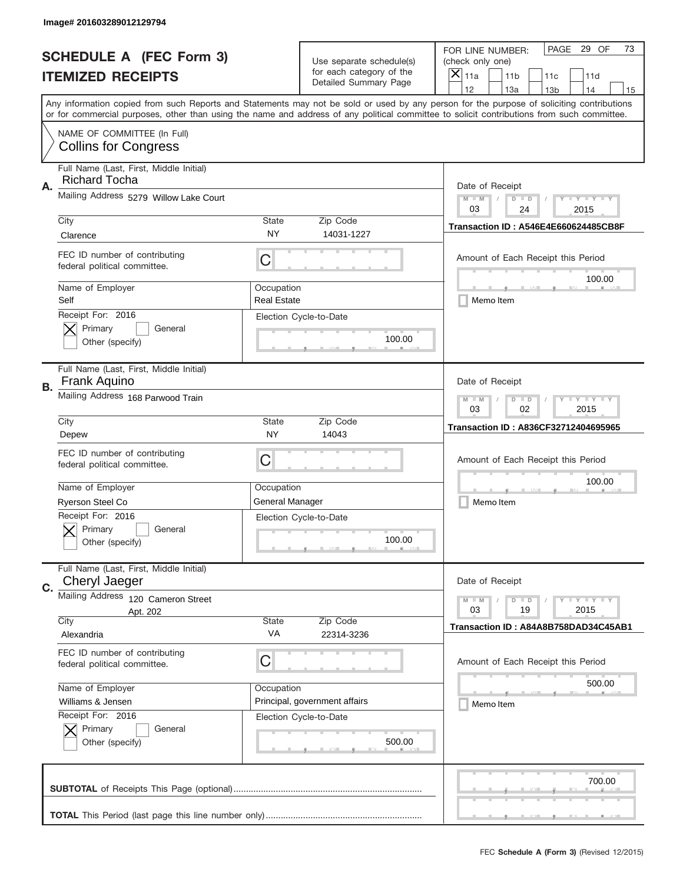|    | Image# 201603289012129794                                       |                                                           |                                                   |                                                                                                                                                                                                                                                                                                                                     |
|----|-----------------------------------------------------------------|-----------------------------------------------------------|---------------------------------------------------|-------------------------------------------------------------------------------------------------------------------------------------------------------------------------------------------------------------------------------------------------------------------------------------------------------------------------------------|
|    | <b>SCHEDULE A (FEC Form 3)</b>                                  |                                                           | Use separate schedule(s)                          | PAGE 29 OF<br>73<br>FOR LINE NUMBER:<br>(check only one)                                                                                                                                                                                                                                                                            |
|    | <b>ITEMIZED RECEIPTS</b>                                        |                                                           | for each category of the<br>Detailed Summary Page | $\times$<br>11a<br>11 <sub>b</sub><br>11c<br>11d                                                                                                                                                                                                                                                                                    |
|    |                                                                 |                                                           |                                                   | 12<br>13a<br>14<br>13 <sub>b</sub><br>15<br>Any information copied from such Reports and Statements may not be sold or used by any person for the purpose of soliciting contributions<br>or for commercial purposes, other than using the name and address of any political committee to solicit contributions from such committee. |
|    | NAME OF COMMITTEE (In Full)<br><b>Collins for Congress</b>      |                                                           |                                                   |                                                                                                                                                                                                                                                                                                                                     |
| Α. | Full Name (Last, First, Middle Initial)<br><b>Richard Tocha</b> |                                                           |                                                   | Date of Receipt                                                                                                                                                                                                                                                                                                                     |
|    | Mailing Address 5279 Willow Lake Court                          |                                                           |                                                   | $M - M$<br><b>LY LY LY</b><br>$D$ $D$<br>03<br>24<br>2015                                                                                                                                                                                                                                                                           |
|    | City<br>Clarence                                                | State<br><b>NY</b>                                        | Zip Code<br>14031-1227                            | <b>Transaction ID: A546E4E660624485CB8F</b>                                                                                                                                                                                                                                                                                         |
|    | FEC ID number of contributing<br>federal political committee.   | C                                                         |                                                   | Amount of Each Receipt this Period<br>100.00                                                                                                                                                                                                                                                                                        |
|    | Name of Employer<br>Self                                        | Occupation<br><b>Real Estate</b>                          |                                                   | Memo Item                                                                                                                                                                                                                                                                                                                           |
|    | Receipt For: 2016<br>Primary<br>General<br>Other (specify)      |                                                           | Election Cycle-to-Date<br>100.00                  |                                                                                                                                                                                                                                                                                                                                     |
| В. | Full Name (Last, First, Middle Initial)<br>Frank Aquino         |                                                           |                                                   | Date of Receipt                                                                                                                                                                                                                                                                                                                     |
|    | Mailing Address 168 Parwood Train                               | <b>LY LY LY</b><br>$M - M$<br>$D$ $D$<br>03<br>02<br>2015 |                                                   |                                                                                                                                                                                                                                                                                                                                     |
|    | City<br>Depew                                                   | State<br>NY                                               | Zip Code<br>14043                                 | Transaction ID: A836CF32712404695965                                                                                                                                                                                                                                                                                                |
|    | FEC ID number of contributing<br>federal political committee.   | C                                                         |                                                   | Amount of Each Receipt this Period                                                                                                                                                                                                                                                                                                  |
|    | Name of Employer<br>Ryerson Steel Co                            | Occupation<br>General Manager                             |                                                   | 100.00<br>Memo Item                                                                                                                                                                                                                                                                                                                 |
|    | Receipt For: 2016<br>General<br>Primary<br>Other (specify)      |                                                           | Election Cycle-to-Date<br>100.00                  |                                                                                                                                                                                                                                                                                                                                     |
| C. | Full Name (Last, First, Middle Initial)<br>Cheryl Jaeger        |                                                           |                                                   | Date of Receipt                                                                                                                                                                                                                                                                                                                     |
|    | Mailing Address 120 Cameron Street<br>Apt. 202                  |                                                           |                                                   | $I - Y - I - Y - I - Y$<br>$M - M$<br>$D$ $D$<br>03<br>19<br>2015                                                                                                                                                                                                                                                                   |
|    | City<br>Alexandria                                              | State<br>VA                                               | Zip Code<br>22314-3236                            | Transaction ID: A84A8B758DAD34C45AB1                                                                                                                                                                                                                                                                                                |
|    | FEC ID number of contributing<br>federal political committee.   | C                                                         |                                                   | Amount of Each Receipt this Period                                                                                                                                                                                                                                                                                                  |
|    | Name of Employer<br>Williams & Jensen                           | Occupation                                                | Principal, government affairs                     | 500.00<br>Memo Item                                                                                                                                                                                                                                                                                                                 |
|    | Receipt For: 2016<br>Primary<br>General<br>Other (specify)      |                                                           | Election Cycle-to-Date<br>500.00                  |                                                                                                                                                                                                                                                                                                                                     |
|    |                                                                 |                                                           |                                                   |                                                                                                                                                                                                                                                                                                                                     |
|    |                                                                 |                                                           |                                                   | 700.00                                                                                                                                                                                                                                                                                                                              |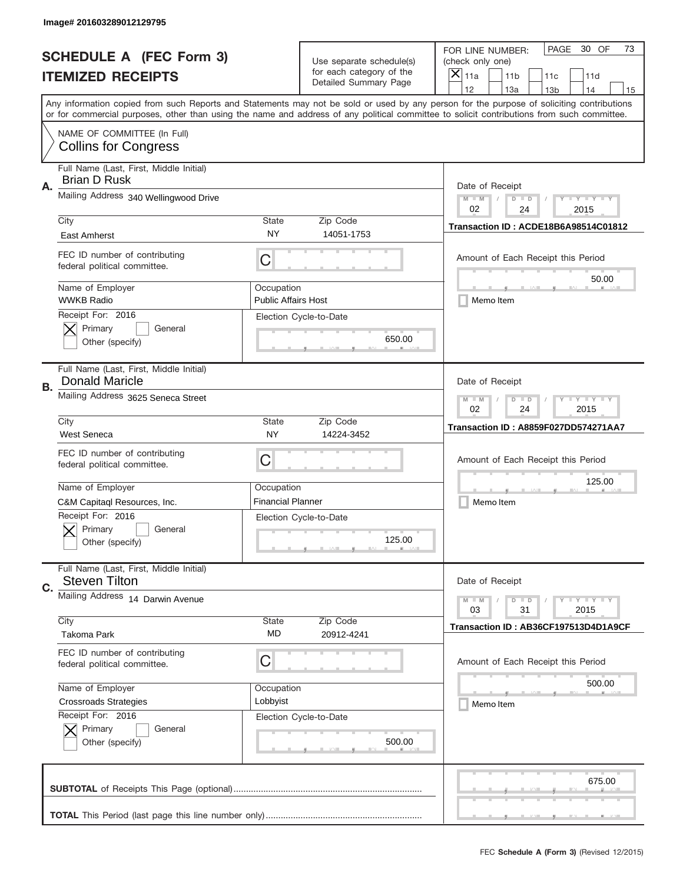|    | Image# 201603289012129795                                        |                                                           |                                                      |                                                                                                                                                                                                                                                                                                                                     |
|----|------------------------------------------------------------------|-----------------------------------------------------------|------------------------------------------------------|-------------------------------------------------------------------------------------------------------------------------------------------------------------------------------------------------------------------------------------------------------------------------------------------------------------------------------------|
|    | <b>SCHEDULE A (FEC Form 3)</b>                                   |                                                           | Use separate schedule(s)<br>for each category of the | 30 OF<br>PAGE<br>73<br>FOR LINE NUMBER:<br>(check only one)                                                                                                                                                                                                                                                                         |
|    | <b>ITEMIZED RECEIPTS</b>                                         |                                                           | Detailed Summary Page                                | $\times$<br>11a<br>11 <sub>b</sub><br>11c<br>11d                                                                                                                                                                                                                                                                                    |
|    |                                                                  |                                                           |                                                      | 12<br>13a<br>14<br>13 <sub>b</sub><br>15<br>Any information copied from such Reports and Statements may not be sold or used by any person for the purpose of soliciting contributions<br>or for commercial purposes, other than using the name and address of any political committee to solicit contributions from such committee. |
|    | NAME OF COMMITTEE (In Full)<br><b>Collins for Congress</b>       |                                                           |                                                      |                                                                                                                                                                                                                                                                                                                                     |
| Α. | Full Name (Last, First, Middle Initial)<br><b>Brian D Rusk</b>   |                                                           |                                                      | Date of Receipt                                                                                                                                                                                                                                                                                                                     |
|    | Mailing Address 340 Wellingwood Drive                            |                                                           |                                                      | <b>LY LY LY</b><br>$M - M$<br>$D$ $D$<br>02<br>24<br>2015                                                                                                                                                                                                                                                                           |
|    | City<br>East Amherst                                             | State<br><b>NY</b>                                        | Zip Code<br>14051-1753                               | Transaction ID: ACDE18B6A98514C01812                                                                                                                                                                                                                                                                                                |
|    | FEC ID number of contributing<br>federal political committee.    | C                                                         |                                                      | Amount of Each Receipt this Period                                                                                                                                                                                                                                                                                                  |
|    | Name of Employer<br><b>WWKB Radio</b>                            | Occupation<br><b>Public Affairs Host</b>                  |                                                      | 50.00<br>Memo Item                                                                                                                                                                                                                                                                                                                  |
|    | Receipt For: 2016<br>Primary<br>General<br>Other (specify)       |                                                           | Election Cycle-to-Date<br>650.00                     |                                                                                                                                                                                                                                                                                                                                     |
| В. | Full Name (Last, First, Middle Initial)<br><b>Donald Maricle</b> |                                                           |                                                      | Date of Receipt                                                                                                                                                                                                                                                                                                                     |
|    | Mailing Address 3625 Seneca Street                               | $M - M$<br><b>LY LY LY</b><br>$D$ $D$<br>02<br>24<br>2015 |                                                      |                                                                                                                                                                                                                                                                                                                                     |
|    | City<br><b>West Seneca</b>                                       | State<br>NY                                               | Zip Code<br>14224-3452                               | Transaction ID: A8859F027DD574271AA7                                                                                                                                                                                                                                                                                                |
|    | FEC ID number of contributing<br>federal political committee.    | C                                                         |                                                      | Amount of Each Receipt this Period                                                                                                                                                                                                                                                                                                  |
|    | Name of Employer                                                 | Occupation                                                |                                                      | 125.00                                                                                                                                                                                                                                                                                                                              |
|    | C&M Capitagl Resources, Inc.                                     | <b>Financial Planner</b>                                  |                                                      | Memo Item                                                                                                                                                                                                                                                                                                                           |
|    | Receipt For: 2016                                                |                                                           | Election Cycle-to-Date                               |                                                                                                                                                                                                                                                                                                                                     |
|    | General<br>Primary<br>Other (specify)                            |                                                           | 125.00                                               |                                                                                                                                                                                                                                                                                                                                     |
| C. | Full Name (Last, First, Middle Initial)<br><b>Steven Tilton</b>  |                                                           |                                                      | Date of Receipt                                                                                                                                                                                                                                                                                                                     |
|    | Mailing Address 14 Darwin Avenue                                 |                                                           |                                                      | $\mathbf{I}$ $\mathbf{Y}$ $\mathbf{I}$ $\mathbf{Y}$ $\mathbf{I}$ $\mathbf{Y}$<br>$M - M$<br>$D$ $D$<br>2015<br>03<br>31                                                                                                                                                                                                             |
|    | City<br><b>Takoma Park</b>                                       | State<br>MD                                               | Zip Code<br>20912-4241                               | Transaction ID: AB36CF197513D4D1A9CF                                                                                                                                                                                                                                                                                                |
|    | FEC ID number of contributing<br>federal political committee.    | C                                                         |                                                      | Amount of Each Receipt this Period                                                                                                                                                                                                                                                                                                  |
|    | Name of Employer                                                 | Occupation                                                |                                                      | 500.00                                                                                                                                                                                                                                                                                                                              |
|    | <b>Crossroads Strategies</b>                                     | Lobbyist                                                  |                                                      | Memo Item                                                                                                                                                                                                                                                                                                                           |
|    | Receipt For: 2016<br>Primary<br>General<br>Other (specify)       |                                                           | Election Cycle-to-Date<br>500.00                     |                                                                                                                                                                                                                                                                                                                                     |
|    |                                                                  |                                                           |                                                      | 675.00                                                                                                                                                                                                                                                                                                                              |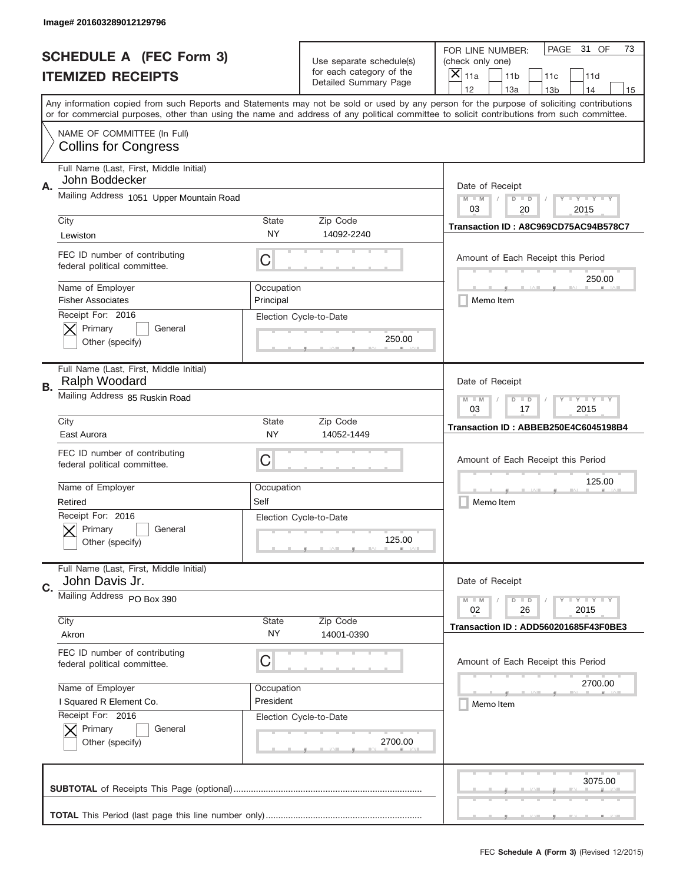|    | Image# 201603289012129796                                     |                                                       |                                                   |                                                                                                                                                                                                                                                                                                                                     |
|----|---------------------------------------------------------------|-------------------------------------------------------|---------------------------------------------------|-------------------------------------------------------------------------------------------------------------------------------------------------------------------------------------------------------------------------------------------------------------------------------------------------------------------------------------|
|    | <b>SCHEDULE A (FEC Form 3)</b>                                |                                                       | Use separate schedule(s)                          | PAGE<br>31 OF<br>73<br>FOR LINE NUMBER:<br>(check only one)                                                                                                                                                                                                                                                                         |
|    | <b>ITEMIZED RECEIPTS</b>                                      |                                                       | for each category of the<br>Detailed Summary Page | ×<br>11a<br>11 <sub>b</sub><br>11c<br>11d                                                                                                                                                                                                                                                                                           |
|    |                                                               |                                                       |                                                   | 12<br>13a<br>14<br>13 <sub>b</sub><br>15<br>Any information copied from such Reports and Statements may not be sold or used by any person for the purpose of soliciting contributions<br>or for commercial purposes, other than using the name and address of any political committee to solicit contributions from such committee. |
|    | NAME OF COMMITTEE (In Full)<br><b>Collins for Congress</b>    |                                                       |                                                   |                                                                                                                                                                                                                                                                                                                                     |
| Α. | Full Name (Last, First, Middle Initial)<br>John Boddecker     |                                                       |                                                   | Date of Receipt                                                                                                                                                                                                                                                                                                                     |
|    | Mailing Address 1051 Upper Mountain Road                      |                                                       |                                                   | $M - M$<br>$\mathbf{I}$ $\mathbf{Y}$ $\mathbf{I}$ $\mathbf{Y}$ $\mathbf{I}$ $\mathbf{Y}$<br>$D$ $D$<br>03<br>20<br>2015                                                                                                                                                                                                             |
|    | City<br>Lewiston                                              | State<br><b>NY</b>                                    | Zip Code<br>14092-2240                            | Transaction ID: A8C969CD75AC94B578C7                                                                                                                                                                                                                                                                                                |
|    | FEC ID number of contributing<br>federal political committee. | C                                                     |                                                   | Amount of Each Receipt this Period<br>250.00                                                                                                                                                                                                                                                                                        |
|    | Name of Employer<br><b>Fisher Associates</b>                  | Occupation<br>Principal                               |                                                   | Memo Item                                                                                                                                                                                                                                                                                                                           |
|    | Receipt For: 2016<br>Primary<br>General<br>Other (specify)    |                                                       | Election Cycle-to-Date<br>250.00                  |                                                                                                                                                                                                                                                                                                                                     |
| В. | Full Name (Last, First, Middle Initial)<br>Ralph Woodard      |                                                       |                                                   | Date of Receipt                                                                                                                                                                                                                                                                                                                     |
|    | Mailing Address 85 Ruskin Road                                | $M$ M<br><b>LYLYLY</b><br>$D$ $D$<br>03<br>17<br>2015 |                                                   |                                                                                                                                                                                                                                                                                                                                     |
|    | City<br>East Aurora                                           | State<br>NY.                                          | Zip Code<br>14052-1449                            | Transaction ID: ABBEB250E4C6045198B4                                                                                                                                                                                                                                                                                                |
|    | FEC ID number of contributing<br>federal political committee. | C                                                     |                                                   | Amount of Each Receipt this Period                                                                                                                                                                                                                                                                                                  |
|    | Name of Employer<br>Retired                                   | Occupation<br>Self                                    |                                                   | 125.00<br>Memo Item                                                                                                                                                                                                                                                                                                                 |
|    | Receipt For: 2016<br>General<br>Primary<br>Other (specify)    |                                                       | Election Cycle-to-Date<br>125.00                  |                                                                                                                                                                                                                                                                                                                                     |
| C. | Full Name (Last, First, Middle Initial)<br>John Davis Jr.     |                                                       |                                                   | Date of Receipt                                                                                                                                                                                                                                                                                                                     |
|    | Mailing Address PO Box 390                                    |                                                       |                                                   | <b>LYLYLY</b><br>$M - M$<br>$D$ $D$<br>02<br>2015<br>26                                                                                                                                                                                                                                                                             |
|    | City<br>Akron                                                 | <b>State</b><br>NY.                                   | Zip Code<br>14001-0390                            | Transaction ID: ADD560201685F43F0BE3                                                                                                                                                                                                                                                                                                |
|    | FEC ID number of contributing<br>federal political committee. | C                                                     |                                                   | Amount of Each Receipt this Period                                                                                                                                                                                                                                                                                                  |
|    | Name of Employer                                              | Occupation                                            |                                                   | 2700.00                                                                                                                                                                                                                                                                                                                             |
|    | I Squared R Element Co.<br>Receipt For: 2016                  | President                                             | Election Cycle-to-Date                            | Memo Item                                                                                                                                                                                                                                                                                                                           |
|    | Primary<br>General<br>Other (specify)                         |                                                       | 2700.00                                           |                                                                                                                                                                                                                                                                                                                                     |
|    |                                                               |                                                       |                                                   | 3075.00                                                                                                                                                                                                                                                                                                                             |
|    |                                                               |                                                       |                                                   |                                                                                                                                                                                                                                                                                                                                     |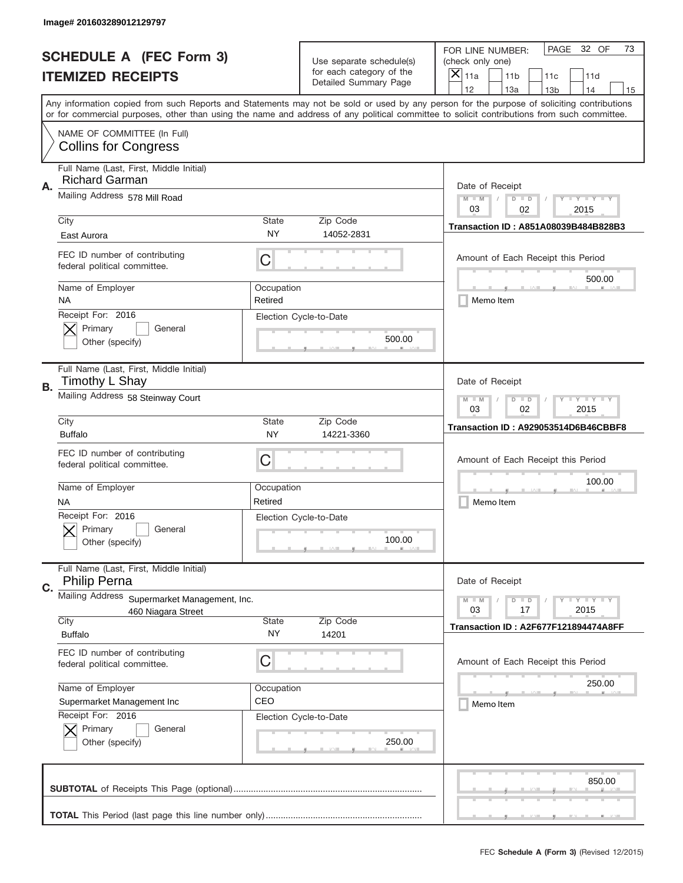|    | Image# 201603289012129797                                          |                                                       |                                                      |                                                                                                                                                                                                                                                                                                                                     |
|----|--------------------------------------------------------------------|-------------------------------------------------------|------------------------------------------------------|-------------------------------------------------------------------------------------------------------------------------------------------------------------------------------------------------------------------------------------------------------------------------------------------------------------------------------------|
|    | <b>SCHEDULE A (FEC Form 3)</b>                                     |                                                       | Use separate schedule(s)<br>for each category of the | PAGE<br>32 OF<br>73<br>FOR LINE NUMBER:<br>(check only one)                                                                                                                                                                                                                                                                         |
|    | <b>ITEMIZED RECEIPTS</b>                                           |                                                       | Detailed Summary Page                                | ×<br>11a<br>11 <sub>b</sub><br>11c<br>11d                                                                                                                                                                                                                                                                                           |
|    |                                                                    |                                                       |                                                      | 12<br>13a<br>14<br>13 <sub>b</sub><br>15<br>Any information copied from such Reports and Statements may not be sold or used by any person for the purpose of soliciting contributions<br>or for commercial purposes, other than using the name and address of any political committee to solicit contributions from such committee. |
|    | NAME OF COMMITTEE (In Full)<br><b>Collins for Congress</b>         |                                                       |                                                      |                                                                                                                                                                                                                                                                                                                                     |
| Α. | Full Name (Last, First, Middle Initial)<br><b>Richard Garman</b>   |                                                       |                                                      | Date of Receipt                                                                                                                                                                                                                                                                                                                     |
|    | Mailing Address 578 Mill Road                                      |                                                       |                                                      | $M - M$<br>$\mathbf{I}$ $\mathbf{Y}$ $\mathbf{I}$ $\mathbf{Y}$ $\mathbf{I}$ $\mathbf{Y}$<br>$D$ $D$<br>03<br>02<br>2015                                                                                                                                                                                                             |
|    | City<br>East Aurora                                                | State<br>NY                                           | Zip Code<br>14052-2831                               | Transaction ID: A851A08039B484B828B3                                                                                                                                                                                                                                                                                                |
|    | FEC ID number of contributing<br>federal political committee.      | C                                                     |                                                      | Amount of Each Receipt this Period<br>500.00                                                                                                                                                                                                                                                                                        |
|    | Name of Employer<br>ΝA                                             | Occupation<br>Retired                                 |                                                      | Memo Item                                                                                                                                                                                                                                                                                                                           |
|    | Receipt For: 2016<br>Primary<br>General<br>Other (specify)         |                                                       | Election Cycle-to-Date<br>500.00                     |                                                                                                                                                                                                                                                                                                                                     |
| В. | Full Name (Last, First, Middle Initial)<br>Timothy L Shay          |                                                       |                                                      | Date of Receipt                                                                                                                                                                                                                                                                                                                     |
|    | Mailing Address 58 Steinway Court                                  | $M$ M<br><b>LYLYLY</b><br>$D$ $D$<br>03<br>02<br>2015 |                                                      |                                                                                                                                                                                                                                                                                                                                     |
|    | City<br><b>Buffalo</b>                                             | State<br>NY.                                          | Zip Code<br>14221-3360                               | Transaction ID: A929053514D6B46CBBF8                                                                                                                                                                                                                                                                                                |
|    | FEC ID number of contributing<br>federal political committee.      | C                                                     |                                                      | Amount of Each Receipt this Period                                                                                                                                                                                                                                                                                                  |
|    | Name of Employer<br><b>NA</b>                                      | Occupation<br>Retired                                 |                                                      | 100.00<br>Memo Item                                                                                                                                                                                                                                                                                                                 |
|    | Receipt For: 2016<br>General<br>Primary<br>Other (specify)         |                                                       | Election Cycle-to-Date<br>100.00                     |                                                                                                                                                                                                                                                                                                                                     |
| C. | Full Name (Last, First, Middle Initial)<br><b>Philip Perna</b>     |                                                       |                                                      | Date of Receipt                                                                                                                                                                                                                                                                                                                     |
|    | Mailing Address Supermarket Management, Inc.<br>460 Niagara Street |                                                       |                                                      | $I - Y - I - Y - I - Y$<br>$M - M$<br>$D$ $D$<br>03<br>2015<br>17                                                                                                                                                                                                                                                                   |
|    | City<br><b>Buffalo</b>                                             | State<br>NY.                                          | Zip Code<br>14201                                    | Transaction ID: A2F677F121894474A8FF                                                                                                                                                                                                                                                                                                |
|    | FEC ID number of contributing<br>federal political committee.      | C                                                     |                                                      | Amount of Each Receipt this Period                                                                                                                                                                                                                                                                                                  |
|    | Name of Employer<br>Supermarket Management Inc                     | Occupation<br>CEO                                     |                                                      | 250.00<br>Memo Item                                                                                                                                                                                                                                                                                                                 |
|    | Receipt For: 2016<br>Primary<br>General<br>Other (specify)         |                                                       | Election Cycle-to-Date<br>250.00                     |                                                                                                                                                                                                                                                                                                                                     |
|    |                                                                    |                                                       |                                                      | 850.00                                                                                                                                                                                                                                                                                                                              |
|    |                                                                    |                                                       |                                                      |                                                                                                                                                                                                                                                                                                                                     |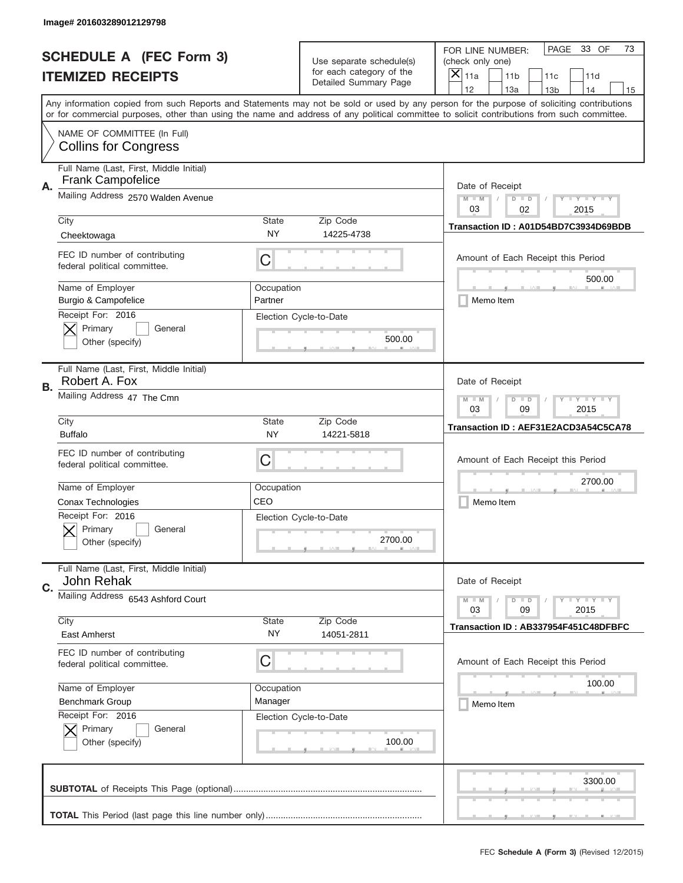|    | Image# 201603289012129798                                     |                                                       |                                                   |                                                                                                                                                                                       |
|----|---------------------------------------------------------------|-------------------------------------------------------|---------------------------------------------------|---------------------------------------------------------------------------------------------------------------------------------------------------------------------------------------|
|    | <b>SCHEDULE A (FEC Form 3)</b>                                |                                                       | Use separate schedule(s)                          | PAGE<br>33 OF<br>73<br>FOR LINE NUMBER:<br>(check only one)                                                                                                                           |
|    | <b>ITEMIZED RECEIPTS</b>                                      |                                                       | for each category of the<br>Detailed Summary Page | ×<br>11a<br>11 <sub>b</sub><br>11c<br>11d                                                                                                                                             |
|    |                                                               |                                                       |                                                   | 12<br>13a<br>14<br>13 <sub>b</sub><br>15<br>Any information copied from such Reports and Statements may not be sold or used by any person for the purpose of soliciting contributions |
|    |                                                               |                                                       |                                                   | or for commercial purposes, other than using the name and address of any political committee to solicit contributions from such committee.                                            |
|    | NAME OF COMMITTEE (In Full)<br><b>Collins for Congress</b>    |                                                       |                                                   |                                                                                                                                                                                       |
| Α. | Full Name (Last, First, Middle Initial)<br>Frank Campofelice  |                                                       |                                                   | Date of Receipt                                                                                                                                                                       |
|    | Mailing Address 2570 Walden Avenue                            |                                                       |                                                   | $M - M$<br>$\mathbf{I}$ $\mathbf{Y}$ $\mathbf{I}$ $\mathbf{Y}$ $\mathbf{I}$ $\mathbf{Y}$<br>$D$ $D$<br>03<br>02<br>2015                                                               |
|    | City                                                          | State                                                 | Zip Code                                          | Transaction ID: A01D54BD7C3934D69BDB                                                                                                                                                  |
|    | Cheektowaga                                                   | <b>NY</b>                                             | 14225-4738                                        |                                                                                                                                                                                       |
|    | FEC ID number of contributing<br>federal political committee. | C                                                     |                                                   | Amount of Each Receipt this Period                                                                                                                                                    |
|    | Name of Employer                                              | Occupation                                            |                                                   | 500.00                                                                                                                                                                                |
|    | Burgio & Campofelice                                          | Partner                                               |                                                   | Memo Item                                                                                                                                                                             |
|    | Receipt For: 2016<br>Primary<br>General<br>Other (specify)    |                                                       | Election Cycle-to-Date<br>500.00                  |                                                                                                                                                                                       |
| В. | Full Name (Last, First, Middle Initial)<br>Robert A. Fox      |                                                       |                                                   | Date of Receipt                                                                                                                                                                       |
|    | Mailing Address 47 The Cmn                                    | $M$ M<br><b>LYLYLY</b><br>$D$ $D$<br>03<br>09<br>2015 |                                                   |                                                                                                                                                                                       |
|    | City<br><b>Buffalo</b>                                        | State<br><b>NY</b>                                    | Zip Code<br>14221-5818                            | Transaction ID: AEF31E2ACD3A54C5CA78                                                                                                                                                  |
|    | FEC ID number of contributing<br>federal political committee. | C                                                     |                                                   | Amount of Each Receipt this Period                                                                                                                                                    |
|    | Name of Employer                                              | Occupation                                            |                                                   | 2700.00                                                                                                                                                                               |
|    | Conax Technologies                                            | CEO                                                   |                                                   | Memo Item                                                                                                                                                                             |
|    | Receipt For: 2016<br>General<br>Primary<br>Other (specify)    |                                                       | Election Cycle-to-Date<br>2700.00                 |                                                                                                                                                                                       |
| C. | Full Name (Last, First, Middle Initial)<br>John Rehak         |                                                       |                                                   | Date of Receipt                                                                                                                                                                       |
|    | Mailing Address 6543 Ashford Court                            |                                                       |                                                   | $\mathbf{I}$ $\mathbf{Y}$ $\mathbf{I}$ $\mathbf{Y}$ $\mathbf{I}$ $\mathbf{Y}$<br>$M - M$<br>$D$ $D$                                                                                   |
|    | City                                                          | <b>State</b>                                          | Zip Code                                          | 09<br>2015<br>03                                                                                                                                                                      |
|    | East Amherst                                                  | NY.                                                   | 14051-2811                                        | Transaction ID: AB337954F451C48DFBFC                                                                                                                                                  |
|    | FEC ID number of contributing<br>federal political committee. | C                                                     |                                                   | Amount of Each Receipt this Period                                                                                                                                                    |
|    | Name of Employer                                              | Occupation                                            |                                                   | 100.00                                                                                                                                                                                |
|    | <b>Benchmark Group</b>                                        | Manager                                               |                                                   | Memo Item                                                                                                                                                                             |
|    | Receipt For: 2016<br>Primary<br>General<br>Other (specify)    |                                                       | Election Cycle-to-Date<br>100.00                  |                                                                                                                                                                                       |
|    |                                                               |                                                       |                                                   | 3300.00                                                                                                                                                                               |
|    |                                                               |                                                       |                                                   |                                                                                                                                                                                       |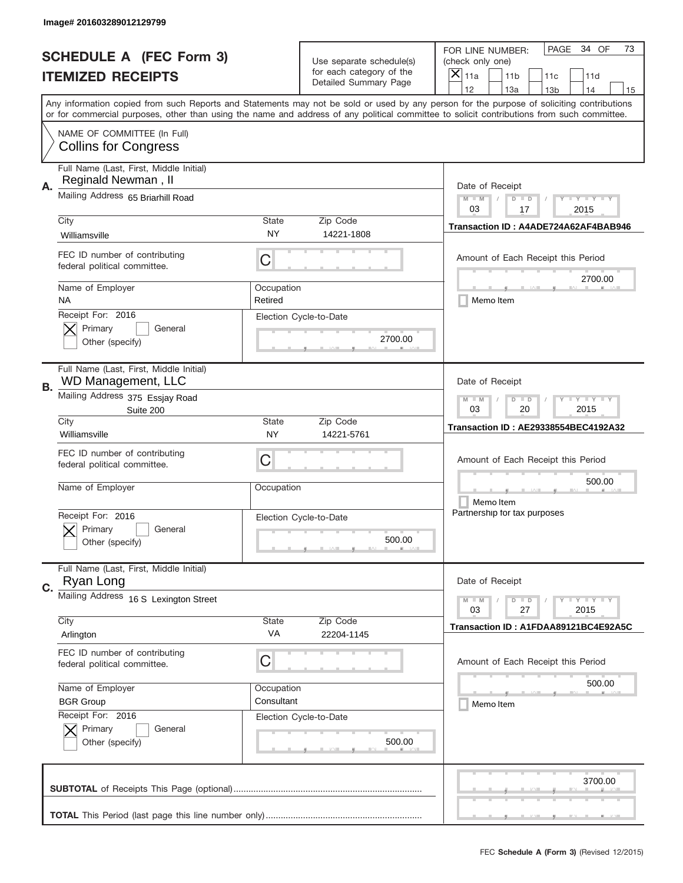|    | Image# 201603289012129799                                            |                                                           |                                                   |                                                                                                                                                                                                                                                                                                                                     |
|----|----------------------------------------------------------------------|-----------------------------------------------------------|---------------------------------------------------|-------------------------------------------------------------------------------------------------------------------------------------------------------------------------------------------------------------------------------------------------------------------------------------------------------------------------------------|
|    | <b>SCHEDULE A (FEC Form 3)</b>                                       |                                                           | Use separate schedule(s)                          | PAGE<br>34 OF<br>73<br>FOR LINE NUMBER:<br>(check only one)                                                                                                                                                                                                                                                                         |
|    | <b>ITEMIZED RECEIPTS</b>                                             |                                                           | for each category of the<br>Detailed Summary Page | $\times$<br>11a<br>11 <sub>b</sub><br>11c<br>11d                                                                                                                                                                                                                                                                                    |
|    |                                                                      |                                                           |                                                   | 12<br>13a<br>14<br>13 <sub>b</sub><br>15<br>Any information copied from such Reports and Statements may not be sold or used by any person for the purpose of soliciting contributions<br>or for commercial purposes, other than using the name and address of any political committee to solicit contributions from such committee. |
|    | NAME OF COMMITTEE (In Full)<br><b>Collins for Congress</b>           |                                                           |                                                   |                                                                                                                                                                                                                                                                                                                                     |
| Α. | Full Name (Last, First, Middle Initial)<br>Reginald Newman, II       |                                                           |                                                   | Date of Receipt                                                                                                                                                                                                                                                                                                                     |
|    | Mailing Address 65 Briarhill Road                                    |                                                           |                                                   | $M$ $M$<br>Y TY TY TY<br>$D$ $D$<br>03<br>17<br>2015                                                                                                                                                                                                                                                                                |
|    | City<br>Williamsville                                                | <b>State</b><br>NY                                        | Zip Code<br>14221-1808                            | Transaction ID: A4ADE724A62AF4BAB946                                                                                                                                                                                                                                                                                                |
|    | FEC ID number of contributing<br>federal political committee.        | C                                                         |                                                   | Amount of Each Receipt this Period<br>2700.00                                                                                                                                                                                                                                                                                       |
|    | Name of Employer<br><b>NA</b>                                        | Occupation<br>Retired                                     |                                                   | Memo Item                                                                                                                                                                                                                                                                                                                           |
|    | Receipt For: 2016<br>Primary<br>General<br>Other (specify)           |                                                           | Election Cycle-to-Date<br>2700.00                 |                                                                                                                                                                                                                                                                                                                                     |
| В. | Full Name (Last, First, Middle Initial)<br><b>WD Management, LLC</b> | Date of Receipt                                           |                                                   |                                                                                                                                                                                                                                                                                                                                     |
|    | Mailing Address 375 Essjay Road<br>Suite 200                         | <b>LY LY LY</b><br>$M - M$<br>$D$ $D$<br>03<br>20<br>2015 |                                                   |                                                                                                                                                                                                                                                                                                                                     |
|    | City<br>Williamsville                                                | <b>State</b><br>NY                                        | Zip Code<br>14221-5761                            | <b>Transaction ID: AE29338554BEC4192A32</b>                                                                                                                                                                                                                                                                                         |
|    | FEC ID number of contributing<br>federal political committee.        | C                                                         |                                                   | Amount of Each Receipt this Period                                                                                                                                                                                                                                                                                                  |
|    | Name of Employer                                                     | Occupation                                                |                                                   | 500.00<br>Memo Item                                                                                                                                                                                                                                                                                                                 |
|    | Receipt For: 2016<br>General<br>Primary<br>Other (specify)           |                                                           | Election Cycle-to-Date<br>500.00                  | Partnership for tax purposes                                                                                                                                                                                                                                                                                                        |
| C. | Full Name (Last, First, Middle Initial)<br>Ryan Long                 |                                                           |                                                   | Date of Receipt                                                                                                                                                                                                                                                                                                                     |
|    | Mailing Address 16 S Lexington Street                                |                                                           |                                                   | <b>LYLYLY</b><br>$M - M$<br>$D$ $D$<br>03<br>27<br>2015                                                                                                                                                                                                                                                                             |
|    | City<br>Arlington                                                    | <b>State</b><br>VA                                        | Zip Code<br>22204-1145                            | Transaction ID: A1FDAA89121BC4E92A5C                                                                                                                                                                                                                                                                                                |
|    | FEC ID number of contributing<br>federal political committee.        | C                                                         |                                                   | Amount of Each Receipt this Period                                                                                                                                                                                                                                                                                                  |
|    | Name of Employer                                                     | Occupation                                                |                                                   | 500.00                                                                                                                                                                                                                                                                                                                              |
|    | <b>BGR Group</b><br>Receipt For: 2016                                | Consultant                                                | Election Cycle-to-Date                            | Memo Item                                                                                                                                                                                                                                                                                                                           |
|    | Primary<br>General<br>Other (specify)                                |                                                           | 500.00                                            |                                                                                                                                                                                                                                                                                                                                     |
|    |                                                                      |                                                           |                                                   | 3700.00                                                                                                                                                                                                                                                                                                                             |
|    |                                                                      |                                                           |                                                   |                                                                                                                                                                                                                                                                                                                                     |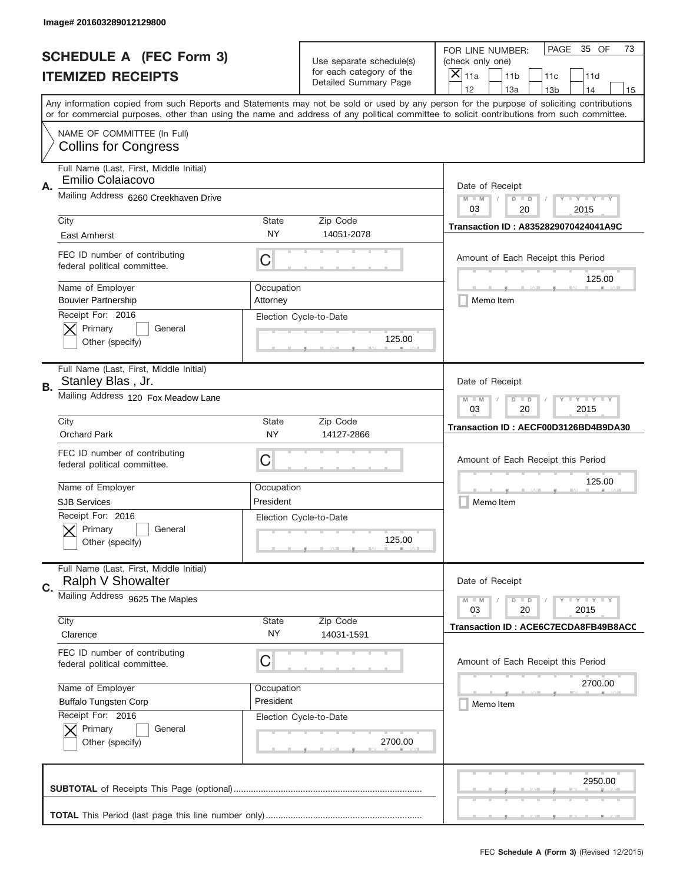|                                | Image# 201603289012129800                                     |                        |                                                   |                                                                                                                                                                                                                                                                                                                                     |  |
|--------------------------------|---------------------------------------------------------------|------------------------|---------------------------------------------------|-------------------------------------------------------------------------------------------------------------------------------------------------------------------------------------------------------------------------------------------------------------------------------------------------------------------------------------|--|
| <b>SCHEDULE A (FEC Form 3)</b> |                                                               |                        | Use separate schedule(s)                          | PAGE<br>35 OF<br>73<br>FOR LINE NUMBER:<br>(check only one)                                                                                                                                                                                                                                                                         |  |
|                                | <b>ITEMIZED RECEIPTS</b>                                      |                        | for each category of the<br>Detailed Summary Page | ×<br>11a<br>11 <sub>b</sub><br>11c<br>11d                                                                                                                                                                                                                                                                                           |  |
|                                |                                                               |                        |                                                   | 12<br>13a<br>14<br>13 <sub>b</sub><br>15<br>Any information copied from such Reports and Statements may not be sold or used by any person for the purpose of soliciting contributions<br>or for commercial purposes, other than using the name and address of any political committee to solicit contributions from such committee. |  |
|                                | NAME OF COMMITTEE (In Full)<br><b>Collins for Congress</b>    |                        |                                                   |                                                                                                                                                                                                                                                                                                                                     |  |
| Α.                             | Full Name (Last, First, Middle Initial)<br>Emilio Colaiacovo  |                        |                                                   | Date of Receipt                                                                                                                                                                                                                                                                                                                     |  |
|                                | Mailing Address 6260 Creekhaven Drive                         |                        |                                                   | $M - M$<br>$\mathbf{I}$ $\mathbf{Y}$ $\mathbf{I}$ $\mathbf{Y}$ $\mathbf{I}$ $\mathbf{Y}$<br>$D$ $D$<br>03<br>20<br>2015                                                                                                                                                                                                             |  |
|                                | City<br>East Amherst                                          | State<br>NY            | Zip Code<br>14051-2078                            | Transaction ID: A8352829070424041A9C                                                                                                                                                                                                                                                                                                |  |
|                                | FEC ID number of contributing<br>federal political committee. | C                      |                                                   | Amount of Each Receipt this Period<br>125.00                                                                                                                                                                                                                                                                                        |  |
|                                | Name of Employer<br><b>Bouvier Partnership</b>                | Occupation<br>Attorney |                                                   | Memo Item                                                                                                                                                                                                                                                                                                                           |  |
|                                | Receipt For: 2016<br>Primary<br>General<br>Other (specify)    |                        | Election Cycle-to-Date<br>125.00                  |                                                                                                                                                                                                                                                                                                                                     |  |
| В.                             | Full Name (Last, First, Middle Initial)<br>Stanley Blas, Jr.  |                        |                                                   | Date of Receipt                                                                                                                                                                                                                                                                                                                     |  |
|                                | Mailing Address 120 Fox Meadow Lane                           |                        |                                                   | $M$ M<br>$\mathbf{I}$ $\mathbf{Y}$ $\mathbf{I}$ $\mathbf{Y}$ $\mathbf{I}$ $\mathbf{Y}$<br>$D$ $D$<br>03<br>20<br>2015                                                                                                                                                                                                               |  |
|                                | City<br><b>Orchard Park</b>                                   | State<br>NY.           | Zip Code<br>14127-2866                            | Transaction ID: AECF00D3126BD4B9DA30                                                                                                                                                                                                                                                                                                |  |
|                                | FEC ID number of contributing<br>federal political committee. | C                      |                                                   | Amount of Each Receipt this Period                                                                                                                                                                                                                                                                                                  |  |
|                                | Name of Employer                                              | Occupation             |                                                   | 125.00                                                                                                                                                                                                                                                                                                                              |  |
|                                | <b>SJB Services</b>                                           | President              |                                                   | Memo Item                                                                                                                                                                                                                                                                                                                           |  |
|                                | Receipt For: 2016<br>General<br>Primary<br>Other (specify)    |                        | Election Cycle-to-Date<br>125.00                  |                                                                                                                                                                                                                                                                                                                                     |  |
| C.                             | Full Name (Last, First, Middle Initial)<br>Ralph V Showalter  |                        |                                                   | Date of Receipt                                                                                                                                                                                                                                                                                                                     |  |
|                                | Mailing Address 9625 The Maples                               |                        |                                                   | $I - Y - I - Y - I - Y$<br>$M - M$<br>$D$ $D$<br>03<br>2015<br>20                                                                                                                                                                                                                                                                   |  |
|                                |                                                               | <b>State</b>           | Zip Code                                          |                                                                                                                                                                                                                                                                                                                                     |  |
|                                | City<br>Clarence                                              | NY.                    | 14031-1591                                        | Transaction ID: ACE6C7ECDA8FB49B8ACC                                                                                                                                                                                                                                                                                                |  |
|                                | FEC ID number of contributing<br>federal political committee. | C                      |                                                   | Amount of Each Receipt this Period                                                                                                                                                                                                                                                                                                  |  |
|                                | Name of Employer                                              | Occupation             |                                                   | 2700.00                                                                                                                                                                                                                                                                                                                             |  |
|                                | <b>Buffalo Tungsten Corp</b>                                  | President              |                                                   | Memo Item                                                                                                                                                                                                                                                                                                                           |  |
|                                | Receipt For: 2016<br>Primary<br>General<br>Other (specify)    |                        | Election Cycle-to-Date<br>2700.00                 |                                                                                                                                                                                                                                                                                                                                     |  |
|                                |                                                               |                        |                                                   | 2950.00                                                                                                                                                                                                                                                                                                                             |  |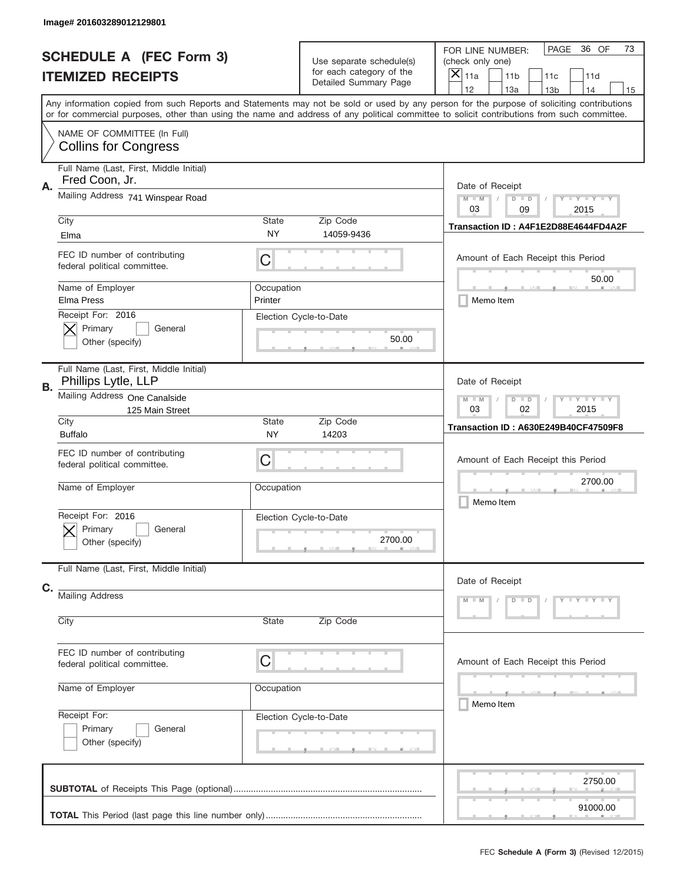|                                | Image# 201603289012129801                                      |                                                           |                                                      |                                                                                                                                                                                                                                                                                         |  |  |
|--------------------------------|----------------------------------------------------------------|-----------------------------------------------------------|------------------------------------------------------|-----------------------------------------------------------------------------------------------------------------------------------------------------------------------------------------------------------------------------------------------------------------------------------------|--|--|
| <b>SCHEDULE A (FEC Form 3)</b> |                                                                |                                                           | Use separate schedule(s)<br>for each category of the | PAGE<br>36 OF<br>73<br>FOR LINE NUMBER:<br>(check only one)<br>$\boldsymbol{\times}$<br>11a<br>11 <sub>b</sub><br>11c<br>11d                                                                                                                                                            |  |  |
| <b>ITEMIZED RECEIPTS</b>       |                                                                |                                                           | Detailed Summary Page                                | 12<br>13a<br>14<br>13 <sub>b</sub><br>15                                                                                                                                                                                                                                                |  |  |
|                                |                                                                |                                                           |                                                      | Any information copied from such Reports and Statements may not be sold or used by any person for the purpose of soliciting contributions<br>or for commercial purposes, other than using the name and address of any political committee to solicit contributions from such committee. |  |  |
|                                | NAME OF COMMITTEE (In Full)<br><b>Collins for Congress</b>     |                                                           |                                                      |                                                                                                                                                                                                                                                                                         |  |  |
| Α.                             | Full Name (Last, First, Middle Initial)<br>Fred Coon, Jr.      |                                                           |                                                      | Date of Receipt                                                                                                                                                                                                                                                                         |  |  |
|                                | Mailing Address 741 Winspear Road                              |                                                           |                                                      | $Y - Y - Y - Y$<br>$M$ $M$<br>$D$ $D$<br>03<br>09<br>2015                                                                                                                                                                                                                               |  |  |
|                                | City<br>Elma                                                   | State<br>NY                                               | Zip Code<br>14059-9436                               | Transaction ID: A4F1E2D88E4644FD4A2F                                                                                                                                                                                                                                                    |  |  |
|                                | FEC ID number of contributing<br>federal political committee.  | C                                                         |                                                      | Amount of Each Receipt this Period<br>50.00<br>Memo Item                                                                                                                                                                                                                                |  |  |
|                                | Name of Employer<br>Elma Press                                 | Occupation<br>Printer                                     |                                                      |                                                                                                                                                                                                                                                                                         |  |  |
|                                | Receipt For: 2016<br>Primary<br>General<br>Other (specify)     |                                                           | Election Cycle-to-Date<br>50.00                      |                                                                                                                                                                                                                                                                                         |  |  |
| В.                             | Full Name (Last, First, Middle Initial)<br>Phillips Lytle, LLP |                                                           |                                                      | Date of Receipt                                                                                                                                                                                                                                                                         |  |  |
|                                | Mailing Address One Canalside<br>125 Main Street               | $M - M$<br><b>LY LY LY</b><br>$D$ $D$<br>03<br>02<br>2015 |                                                      |                                                                                                                                                                                                                                                                                         |  |  |
|                                | City<br><b>Buffalo</b>                                         | <b>State</b><br>NY                                        | Zip Code<br>14203                                    | <b>Transaction ID: A630E249B40CF47509F8</b>                                                                                                                                                                                                                                             |  |  |
|                                | FEC ID number of contributing<br>federal political committee.  | C                                                         |                                                      | Amount of Each Receipt this Period                                                                                                                                                                                                                                                      |  |  |
|                                | Name of Employer                                               | Occupation                                                |                                                      | 2700.00<br>Memo Item                                                                                                                                                                                                                                                                    |  |  |
|                                | Receipt For: 2016<br>General<br>Primary<br>Other (specify)     |                                                           | Election Cycle-to-Date<br>2700.00                    |                                                                                                                                                                                                                                                                                         |  |  |
|                                | Full Name (Last, First, Middle Initial)                        |                                                           |                                                      | Date of Receipt                                                                                                                                                                                                                                                                         |  |  |
| C.                             | <b>Mailing Address</b>                                         |                                                           |                                                      | $D$ $D$<br>$Y - Y - Y - Y - Y$<br>$M - M$                                                                                                                                                                                                                                               |  |  |
|                                | City                                                           | State                                                     | Zip Code                                             |                                                                                                                                                                                                                                                                                         |  |  |
|                                | FEC ID number of contributing<br>federal political committee.  | C                                                         |                                                      | Amount of Each Receipt this Period                                                                                                                                                                                                                                                      |  |  |
|                                | Name of Employer                                               | Occupation                                                |                                                      | ____<br>Memo Item                                                                                                                                                                                                                                                                       |  |  |
|                                | Receipt For:<br>Primary<br>General<br>Other (specify)          |                                                           | Election Cycle-to-Date                               |                                                                                                                                                                                                                                                                                         |  |  |
|                                |                                                                | 2750.00                                                   |                                                      |                                                                                                                                                                                                                                                                                         |  |  |
|                                |                                                                |                                                           |                                                      | 91000.00                                                                                                                                                                                                                                                                                |  |  |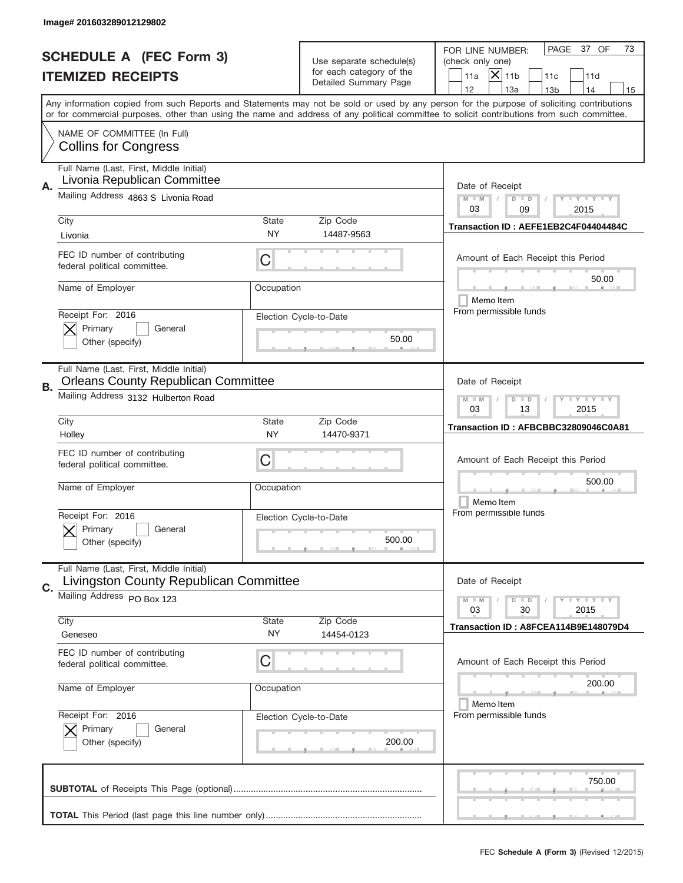|           | Image# 201603289012129802                                                                                                                                                                                              |                                       |                                                                               |                                                                                                                                                                                                                                                                                         |
|-----------|------------------------------------------------------------------------------------------------------------------------------------------------------------------------------------------------------------------------|---------------------------------------|-------------------------------------------------------------------------------|-----------------------------------------------------------------------------------------------------------------------------------------------------------------------------------------------------------------------------------------------------------------------------------------|
|           | <b>SCHEDULE A (FEC Form 3)</b><br><b>ITEMIZED RECEIPTS</b>                                                                                                                                                             |                                       | Use separate schedule(s)<br>for each category of the<br>Detailed Summary Page | PAGE<br>37 OF<br>73<br>FOR LINE NUMBER:<br>(check only one)<br>$ \boldsymbol{\times} $<br>11 <sub>b</sub><br>11a<br>11c<br>11d<br>12<br>13a<br>14<br>13 <sub>b</sub><br>15                                                                                                              |
|           | NAME OF COMMITTEE (In Full)<br><b>Collins for Congress</b>                                                                                                                                                             |                                       |                                                                               | Any information copied from such Reports and Statements may not be sold or used by any person for the purpose of soliciting contributions<br>or for commercial purposes, other than using the name and address of any political committee to solicit contributions from such committee. |
| Α.        | Full Name (Last, First, Middle Initial)<br>Livonia Republican Committee<br>Mailing Address 4863 S Livonia Road<br>City<br>Livonia<br>FEC ID number of contributing<br>federal political committee.<br>Name of Employer | <b>State</b><br>NY<br>C<br>Occupation | Zip Code<br>14487-9563                                                        | Date of Receipt<br>$M$ $M$<br><b>LEY LEY LEY</b><br>$D$ $D$<br>03<br>09<br>2015<br>Transaction ID: AEFE1EB2C4F04404484C<br>Amount of Each Receipt this Period<br>50.00<br>Memo Item                                                                                                     |
|           | Receipt For: 2016<br>Primary<br>General<br>Other (specify)                                                                                                                                                             |                                       | Election Cycle-to-Date<br>50.00                                               | From permissible funds                                                                                                                                                                                                                                                                  |
| <b>B.</b> | Full Name (Last, First, Middle Initial)<br><b>Orleans County Republican Committee</b><br>Mailing Address 3132 Hulberton Road<br>City                                                                                   | <b>State</b><br>NY                    | Zip Code<br>14470-9371                                                        | Date of Receipt<br><b>LYLYLY</b><br>$M - M$<br>$D$ $D$<br>03<br>13<br>2015<br>Transaction ID: AFBCBBC32809046C0A81                                                                                                                                                                      |
|           | Holley<br>FEC ID number of contributing<br>federal political committee.<br>Name of Employer                                                                                                                            | C<br>Occupation                       |                                                                               | Amount of Each Receipt this Period<br>500.00<br>Memo Item                                                                                                                                                                                                                               |
|           | Receipt For: 2016<br>General<br>Primary<br>Other (specify)<br>Full Name (Last, First, Middle Initial)                                                                                                                  |                                       | Election Cycle-to-Date<br>500.00                                              | From permissible funds                                                                                                                                                                                                                                                                  |
| C.        | Livingston County Republican Committee<br>Mailing Address PO Box 123                                                                                                                                                   |                                       |                                                                               | Date of Receipt<br>$I - Y - I - Y - I - Y$<br>$M - M$<br>$D$ $D$<br>03<br>2015<br>30                                                                                                                                                                                                    |
|           | City<br>Geneseo<br>FEC ID number of contributing<br>federal political committee.                                                                                                                                       | <b>State</b><br>ΝY<br>C               | Zip Code<br>14454-0123                                                        | Transaction ID: A8FCEA114B9E148079D4<br>Amount of Each Receipt this Period                                                                                                                                                                                                              |
|           | Name of Employer<br>Receipt For: 2016                                                                                                                                                                                  | Occupation                            | Election Cycle-to-Date                                                        | 200.00<br>Memo Item<br>From permissible funds                                                                                                                                                                                                                                           |
|           | Primary<br>General<br>Other (specify)                                                                                                                                                                                  |                                       | 200.00                                                                        |                                                                                                                                                                                                                                                                                         |
|           |                                                                                                                                                                                                                        |                                       |                                                                               | 750.00                                                                                                                                                                                                                                                                                  |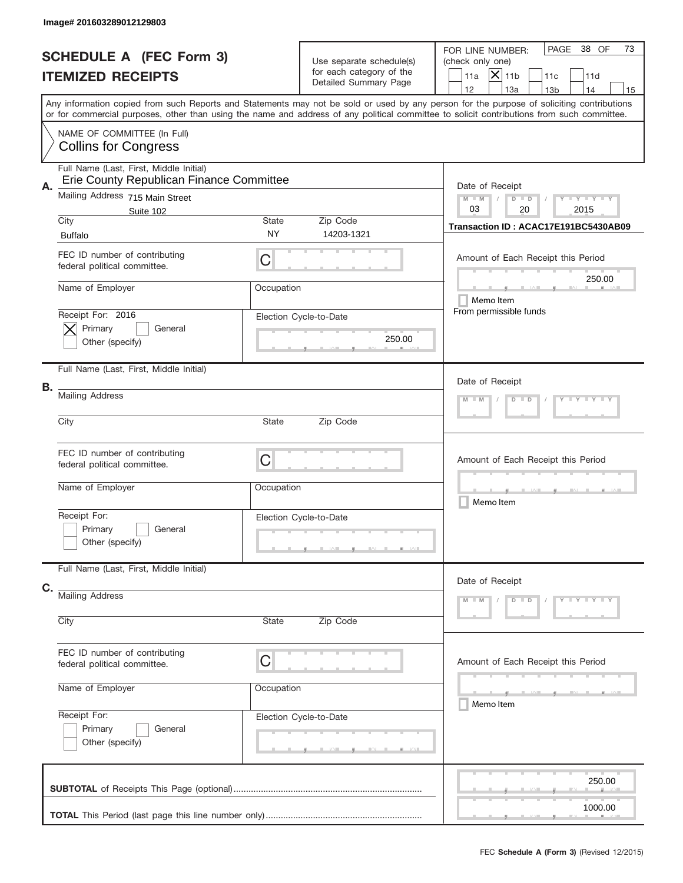|    | Image# 201603289012129803                                                           |                                       |                                                                               |                                                                                                                                                                                                                                                                                         |
|----|-------------------------------------------------------------------------------------|---------------------------------------|-------------------------------------------------------------------------------|-----------------------------------------------------------------------------------------------------------------------------------------------------------------------------------------------------------------------------------------------------------------------------------------|
|    | <b>SCHEDULE A (FEC Form 3)</b><br><b>ITEMIZED RECEIPTS</b>                          |                                       | Use separate schedule(s)<br>for each category of the<br>Detailed Summary Page | PAGE<br>38 OF<br>73<br>FOR LINE NUMBER:<br>(check only one)<br>$ \mathsf{X} _{\text{11b}}$<br>11a<br>11c<br>11d<br>12<br>13a<br>14<br>13 <sub>b</sub><br>15                                                                                                                             |
|    |                                                                                     |                                       |                                                                               | Any information copied from such Reports and Statements may not be sold or used by any person for the purpose of soliciting contributions<br>or for commercial purposes, other than using the name and address of any political committee to solicit contributions from such committee. |
|    | NAME OF COMMITTEE (In Full)<br><b>Collins for Congress</b>                          |                                       |                                                                               |                                                                                                                                                                                                                                                                                         |
| Α. | Full Name (Last, First, Middle Initial)<br>Erie County Republican Finance Committee |                                       |                                                                               | Date of Receipt                                                                                                                                                                                                                                                                         |
|    | Mailing Address 715 Main Street<br>Suite 102                                        | <b>State</b>                          |                                                                               | $Y - Y - Y - Y$<br>$M - M$<br>$D$ $D$<br>03<br>20<br>2015                                                                                                                                                                                                                               |
|    | City<br><b>Buffalo</b>                                                              | NY                                    | Zip Code<br>14203-1321                                                        | Transaction ID: ACAC17E191BC5430AB09                                                                                                                                                                                                                                                    |
|    | FEC ID number of contributing<br>federal political committee.                       | C                                     |                                                                               | Amount of Each Receipt this Period                                                                                                                                                                                                                                                      |
|    | Name of Employer                                                                    | Occupation                            |                                                                               | 250.00<br><b>ALL</b><br>Memo Item                                                                                                                                                                                                                                                       |
|    | Receipt For: 2016<br>Primary<br>General<br>Other (specify)                          |                                       | Election Cycle-to-Date<br>250.00                                              | From permissible funds                                                                                                                                                                                                                                                                  |
|    | Full Name (Last, First, Middle Initial)                                             |                                       |                                                                               | Date of Receipt                                                                                                                                                                                                                                                                         |
| В. | <b>Mailing Address</b>                                                              | $Y = Y = Y = Y$<br>$M - M$<br>$D$ $D$ |                                                                               |                                                                                                                                                                                                                                                                                         |
|    | City                                                                                | State                                 | Zip Code                                                                      |                                                                                                                                                                                                                                                                                         |
|    | FEC ID number of contributing<br>federal political committee.                       | C                                     |                                                                               | Amount of Each Receipt this Period                                                                                                                                                                                                                                                      |
|    | Name of Employer                                                                    | Occupation                            |                                                                               | Memo Item                                                                                                                                                                                                                                                                               |
|    | Receipt For:<br>Primary<br>General<br>Other (specify)                               |                                       | Election Cycle-to-Date                                                        |                                                                                                                                                                                                                                                                                         |
|    | Full Name (Last, First, Middle Initial)                                             |                                       |                                                                               | Date of Receipt                                                                                                                                                                                                                                                                         |
| C. | <b>Mailing Address</b>                                                              |                                       |                                                                               | $D$ $D$<br>$Y - Y - Y - Y$<br>$M - M$                                                                                                                                                                                                                                                   |
|    | City                                                                                | State                                 | Zip Code                                                                      |                                                                                                                                                                                                                                                                                         |
|    | FEC ID number of contributing<br>federal political committee.                       | C                                     |                                                                               | Amount of Each Receipt this Period                                                                                                                                                                                                                                                      |
|    | Name of Employer                                                                    | Occupation                            |                                                                               | ________<br>Memo Item                                                                                                                                                                                                                                                                   |
|    | Receipt For:<br>Primary<br>General<br>Other (specify)                               |                                       | Election Cycle-to-Date                                                        |                                                                                                                                                                                                                                                                                         |
|    |                                                                                     |                                       |                                                                               | 250.00                                                                                                                                                                                                                                                                                  |
|    |                                                                                     |                                       |                                                                               | 1000.00                                                                                                                                                                                                                                                                                 |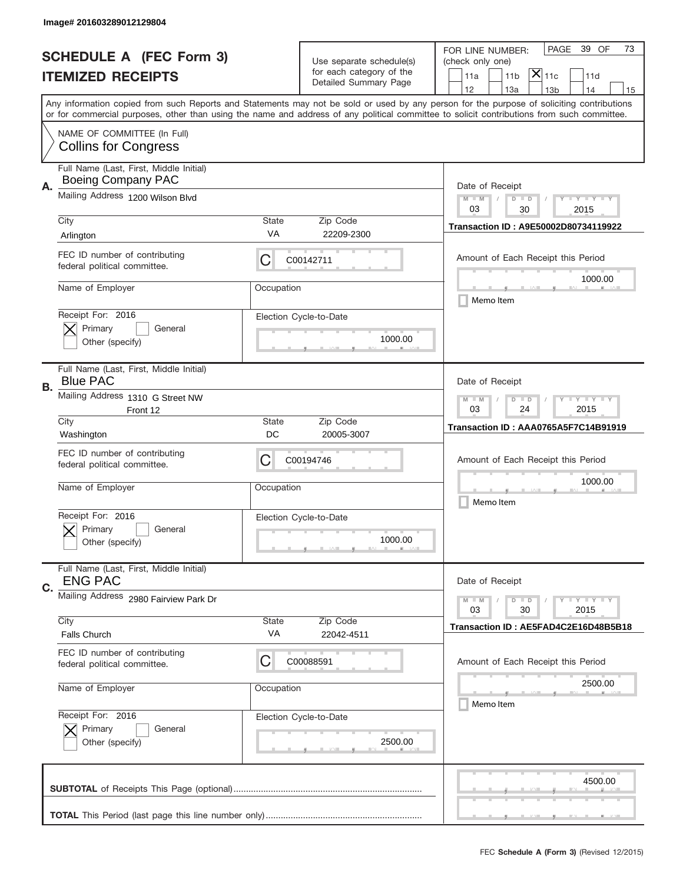|                          | Image# 201603289012129804                                            |                                                                                                                       |                                                      |                                                                                                                                                                                                                                                                                         |
|--------------------------|----------------------------------------------------------------------|-----------------------------------------------------------------------------------------------------------------------|------------------------------------------------------|-----------------------------------------------------------------------------------------------------------------------------------------------------------------------------------------------------------------------------------------------------------------------------------------|
|                          | <b>SCHEDULE A (FEC Form 3)</b>                                       |                                                                                                                       | Use separate schedule(s)<br>for each category of the | PAGE<br>39 OF<br>73<br>FOR LINE NUMBER:<br>(check only one)                                                                                                                                                                                                                             |
| <b>ITEMIZED RECEIPTS</b> |                                                                      |                                                                                                                       | Detailed Summary Page                                | $ \overline{\mathsf{X}} _{\mathsf{11c}}$<br>11a<br>11 <sub>b</sub><br>11d<br>12<br>13a<br>13 <sub>b</sub><br>14<br>15                                                                                                                                                                   |
|                          |                                                                      |                                                                                                                       |                                                      | Any information copied from such Reports and Statements may not be sold or used by any person for the purpose of soliciting contributions<br>or for commercial purposes, other than using the name and address of any political committee to solicit contributions from such committee. |
|                          | NAME OF COMMITTEE (In Full)<br><b>Collins for Congress</b>           |                                                                                                                       |                                                      |                                                                                                                                                                                                                                                                                         |
| Α.                       | Full Name (Last, First, Middle Initial)<br><b>Boeing Company PAC</b> |                                                                                                                       |                                                      | Date of Receipt                                                                                                                                                                                                                                                                         |
|                          | Mailing Address 1200 Wilson Blvd                                     |                                                                                                                       |                                                      | $M - M$<br>$\mathbf{I}$ $\mathbf{Y}$ $\mathbf{I}$ $\mathbf{Y}$ $\mathbf{I}$ $\mathbf{Y}$<br>$D$ $D$<br>03<br>30<br>2015                                                                                                                                                                 |
|                          | City<br>Arlington                                                    | State<br>VA                                                                                                           | Zip Code<br>22209-2300                               | Transaction ID: A9E50002D80734119922                                                                                                                                                                                                                                                    |
|                          | FEC ID number of contributing<br>federal political committee.        | C                                                                                                                     | C00142711                                            | Amount of Each Receipt this Period<br>1000.00                                                                                                                                                                                                                                           |
|                          | Name of Employer                                                     | Occupation                                                                                                            |                                                      | Memo Item                                                                                                                                                                                                                                                                               |
|                          | Receipt For: 2016<br>Primary<br>General<br>Other (specify)           |                                                                                                                       | Election Cycle-to-Date<br>1000.00                    |                                                                                                                                                                                                                                                                                         |
| В.                       | Full Name (Last, First, Middle Initial)<br><b>Blue PAC</b>           |                                                                                                                       |                                                      | Date of Receipt                                                                                                                                                                                                                                                                         |
|                          | Mailing Address 1310 G Street NW<br>Front 12                         | $M$ M<br>$\mathbf{I}$ $\mathbf{Y}$ $\mathbf{I}$ $\mathbf{Y}$ $\mathbf{I}$ $\mathbf{Y}$<br>$D$ $D$<br>03<br>24<br>2015 |                                                      |                                                                                                                                                                                                                                                                                         |
|                          | City<br>Washington                                                   | State<br>DC                                                                                                           | Zip Code<br>20005-3007                               | Transaction ID: AAA0765A5F7C14B91919                                                                                                                                                                                                                                                    |
|                          | FEC ID number of contributing<br>federal political committee.        | C                                                                                                                     | C00194746                                            | Amount of Each Receipt this Period                                                                                                                                                                                                                                                      |
|                          | Name of Employer                                                     | Occupation                                                                                                            |                                                      | 1000.00<br>Memo Item                                                                                                                                                                                                                                                                    |
|                          | Receipt For: 2016<br>General<br>Primary<br>Other (specify)           |                                                                                                                       | Election Cycle-to-Date<br>1000.00                    |                                                                                                                                                                                                                                                                                         |
| C.                       | Full Name (Last, First, Middle Initial)<br><b>ENG PAC</b>            |                                                                                                                       |                                                      | Date of Receipt                                                                                                                                                                                                                                                                         |
|                          | Mailing Address 2980 Fairview Park Dr                                | <b>LYLYLY</b><br>$M - M$<br>$D$ $D$<br>2015<br>03<br>30                                                               |                                                      |                                                                                                                                                                                                                                                                                         |
|                          | City<br>Falls Church                                                 | <b>State</b><br>VA                                                                                                    | Zip Code<br>22042-4511                               | Transaction ID: AE5FAD4C2E16D48B5B18                                                                                                                                                                                                                                                    |
|                          | FEC ID number of contributing<br>federal political committee.        | C                                                                                                                     | C00088591                                            | Amount of Each Receipt this Period                                                                                                                                                                                                                                                      |
|                          | Name of Employer                                                     | Occupation                                                                                                            |                                                      | 2500.00<br>Memo Item                                                                                                                                                                                                                                                                    |
|                          | Receipt For: 2016<br>Primary<br>General<br>Other (specify)           |                                                                                                                       | Election Cycle-to-Date<br>2500.00                    |                                                                                                                                                                                                                                                                                         |
|                          |                                                                      |                                                                                                                       |                                                      | 4500.00                                                                                                                                                                                                                                                                                 |
|                          |                                                                      |                                                                                                                       |                                                      |                                                                                                                                                                                                                                                                                         |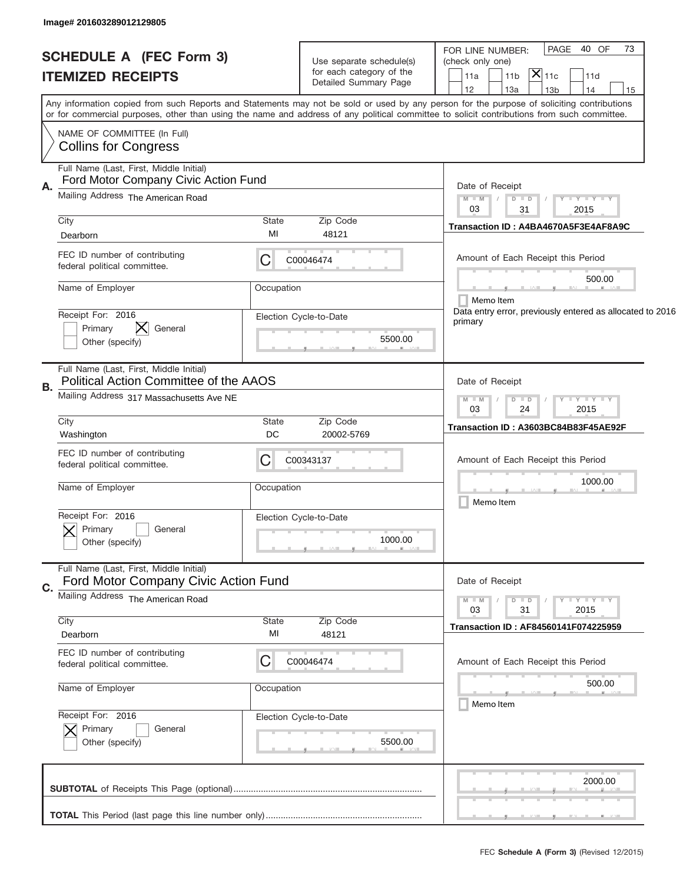| <b>SCHEDULE A (FEC Form 3)</b>                                                          |                                                           |                                                                                                                                                                                                                                                                                         |
|-----------------------------------------------------------------------------------------|-----------------------------------------------------------|-----------------------------------------------------------------------------------------------------------------------------------------------------------------------------------------------------------------------------------------------------------------------------------------|
|                                                                                         | Use separate schedule(s)                                  | PAGE 40 OF<br>73<br>FOR LINE NUMBER:<br>(check only one)                                                                                                                                                                                                                                |
|                                                                                         | for each category of the                                  | $ \mathsf{X} _{\mathsf{11c}}$                                                                                                                                                                                                                                                           |
| <b>ITEMIZED RECEIPTS</b>                                                                | Detailed Summary Page                                     | 11a<br>11 <sub>b</sub><br>11d<br>12                                                                                                                                                                                                                                                     |
|                                                                                         |                                                           | 13a<br>13 <sub>b</sub><br>14<br>15                                                                                                                                                                                                                                                      |
|                                                                                         |                                                           | Any information copied from such Reports and Statements may not be sold or used by any person for the purpose of soliciting contributions<br>or for commercial purposes, other than using the name and address of any political committee to solicit contributions from such committee. |
| NAME OF COMMITTEE (In Full)<br><b>Collins for Congress</b>                              |                                                           |                                                                                                                                                                                                                                                                                         |
|                                                                                         |                                                           |                                                                                                                                                                                                                                                                                         |
| Full Name (Last, First, Middle Initial)<br>Ford Motor Company Civic Action Fund<br>А.   |                                                           | Date of Receipt                                                                                                                                                                                                                                                                         |
| Mailing Address The American Road                                                       | $M - M$<br>$Y - Y - Y - Y$<br>$D$ $D$<br>03<br>2015<br>31 |                                                                                                                                                                                                                                                                                         |
| City                                                                                    | State<br>Zip Code                                         | Transaction ID: A4BA4670A5F3E4AF8A9C                                                                                                                                                                                                                                                    |
| Dearborn                                                                                | MI<br>48121                                               |                                                                                                                                                                                                                                                                                         |
| FEC ID number of contributing<br>federal political committee.                           | С<br>C00046474                                            | Amount of Each Receipt this Period                                                                                                                                                                                                                                                      |
| Name of Employer                                                                        | Occupation                                                | 500.00<br>Memo Item                                                                                                                                                                                                                                                                     |
| Receipt For: 2016                                                                       | Election Cycle-to-Date                                    | Data entry error, previously entered as allocated to 2016                                                                                                                                                                                                                               |
| General<br>Primary                                                                      |                                                           | primary                                                                                                                                                                                                                                                                                 |
| Other (specify)                                                                         | 5500.00                                                   |                                                                                                                                                                                                                                                                                         |
|                                                                                         |                                                           |                                                                                                                                                                                                                                                                                         |
| Full Name (Last, First, Middle Initial)<br>Political Action Committee of the AAOS<br>В. | Date of Receipt                                           |                                                                                                                                                                                                                                                                                         |
| Mailing Address 317 Massachusetts Ave NE                                                | $T - Y = T - Y = T - Y$<br>$M - M$<br>$D$ $D$             |                                                                                                                                                                                                                                                                                         |
|                                                                                         | 03<br>24<br>2015                                          |                                                                                                                                                                                                                                                                                         |
| City<br>Washington                                                                      | <b>State</b><br>Zip Code<br>DC<br>20002-5769              | Transaction ID: A3603BC84B83F45AE92F                                                                                                                                                                                                                                                    |
|                                                                                         |                                                           |                                                                                                                                                                                                                                                                                         |
| FEC ID number of contributing<br>federal political committee.                           | Amount of Each Receipt this Period                        |                                                                                                                                                                                                                                                                                         |
|                                                                                         | C                                                         |                                                                                                                                                                                                                                                                                         |
| Name of Employer                                                                        | Occupation                                                | 1000.00                                                                                                                                                                                                                                                                                 |
|                                                                                         |                                                           | Memo Item                                                                                                                                                                                                                                                                               |
| Receipt For: 2016                                                                       | Election Cycle-to-Date                                    |                                                                                                                                                                                                                                                                                         |
| Primary<br>General                                                                      |                                                           |                                                                                                                                                                                                                                                                                         |
|                                                                                         | 1000.00                                                   |                                                                                                                                                                                                                                                                                         |
| Other (specify)                                                                         |                                                           |                                                                                                                                                                                                                                                                                         |
|                                                                                         |                                                           |                                                                                                                                                                                                                                                                                         |
| Full Name (Last, First, Middle Initial)                                                 |                                                           | Date of Receipt                                                                                                                                                                                                                                                                         |
| Ford Motor Company Civic Action Fund<br>C.                                              |                                                           |                                                                                                                                                                                                                                                                                         |
| Mailing Address The American Road                                                       |                                                           | $\mathbf{I}$ $\mathbf{Y}$ $\mathbf{I}$ $\mathbf{Y}$ $\mathbf{I}$ $\mathbf{Y}$<br>$M - M$<br>$D$ $D$<br>2015<br>03<br>31                                                                                                                                                                 |
| City                                                                                    | <b>State</b><br>Zip Code                                  |                                                                                                                                                                                                                                                                                         |
| Dearborn                                                                                | MI<br>48121                                               | Transaction ID: AF84560141F074225959                                                                                                                                                                                                                                                    |
| FEC ID number of contributing                                                           |                                                           |                                                                                                                                                                                                                                                                                         |
| federal political committee.                                                            | C<br>C00046474                                            | Amount of Each Receipt this Period                                                                                                                                                                                                                                                      |
|                                                                                         |                                                           | 500.00                                                                                                                                                                                                                                                                                  |
| Name of Employer                                                                        | Occupation                                                |                                                                                                                                                                                                                                                                                         |
|                                                                                         |                                                           | Memo Item                                                                                                                                                                                                                                                                               |
| Receipt For: 2016                                                                       | Election Cycle-to-Date                                    |                                                                                                                                                                                                                                                                                         |
| Primary<br>General                                                                      |                                                           |                                                                                                                                                                                                                                                                                         |
| Other (specify)                                                                         | 5500.00                                                   |                                                                                                                                                                                                                                                                                         |
|                                                                                         |                                                           |                                                                                                                                                                                                                                                                                         |
|                                                                                         |                                                           | 2000.00                                                                                                                                                                                                                                                                                 |
|                                                                                         |                                                           |                                                                                                                                                                                                                                                                                         |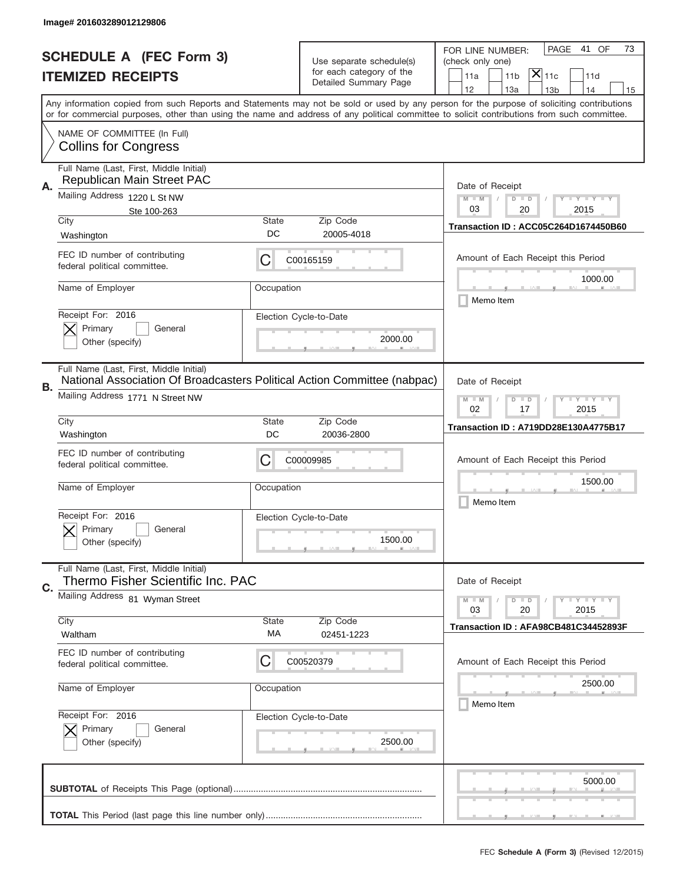|    | Image# 201603289012129806                                                                                           |                                                         |                                                   |                                                                                                                                                                                                                                                                                         |  |
|----|---------------------------------------------------------------------------------------------------------------------|---------------------------------------------------------|---------------------------------------------------|-----------------------------------------------------------------------------------------------------------------------------------------------------------------------------------------------------------------------------------------------------------------------------------------|--|
|    | <b>SCHEDULE A (FEC Form 3)</b>                                                                                      |                                                         | Use separate schedule(s)                          | PAGE<br>41 OF<br>73<br>FOR LINE NUMBER:<br>(check only one)                                                                                                                                                                                                                             |  |
|    | <b>ITEMIZED RECEIPTS</b>                                                                                            |                                                         | for each category of the<br>Detailed Summary Page | $\overline{ {\mathsf X} }_{\text{11c}}$<br>11 <sub>b</sub><br>11a<br>11d<br>12<br>13a<br>14<br>13 <sub>b</sub><br>15                                                                                                                                                                    |  |
|    |                                                                                                                     |                                                         |                                                   | Any information copied from such Reports and Statements may not be sold or used by any person for the purpose of soliciting contributions<br>or for commercial purposes, other than using the name and address of any political committee to solicit contributions from such committee. |  |
|    | NAME OF COMMITTEE (In Full)<br><b>Collins for Congress</b>                                                          |                                                         |                                                   |                                                                                                                                                                                                                                                                                         |  |
| Α. | Full Name (Last, First, Middle Initial)<br>Republican Main Street PAC                                               |                                                         |                                                   | Date of Receipt                                                                                                                                                                                                                                                                         |  |
|    | Mailing Address 1220 L St NW<br>Ste 100-263                                                                         |                                                         |                                                   | $M$ $M$<br><b>LEY LEY LEY</b><br>$D$ $D$<br>03<br>20<br>2015                                                                                                                                                                                                                            |  |
|    | City<br>Washington                                                                                                  | <b>State</b><br>DC                                      | Zip Code<br>20005-4018                            | Transaction ID: ACC05C264D1674450B60                                                                                                                                                                                                                                                    |  |
|    | FEC ID number of contributing<br>federal political committee.                                                       | С                                                       | C00165159                                         | Amount of Each Receipt this Period                                                                                                                                                                                                                                                      |  |
|    | Name of Employer                                                                                                    | Occupation                                              |                                                   | 1000.00<br>Memo Item                                                                                                                                                                                                                                                                    |  |
|    | Receipt For: 2016<br>Primary<br>General<br>Other (specify)                                                          |                                                         | Election Cycle-to-Date<br>2000.00                 |                                                                                                                                                                                                                                                                                         |  |
| В. | Full Name (Last, First, Middle Initial)<br>National Association Of Broadcasters Political Action Committee (nabpac) |                                                         |                                                   | Date of Receipt                                                                                                                                                                                                                                                                         |  |
|    | Mailing Address 1771 N Street NW                                                                                    | $M - M$<br><b>LYLYLY</b><br>$D$ $D$<br>02<br>17<br>2015 |                                                   |                                                                                                                                                                                                                                                                                         |  |
|    | City<br>Washington                                                                                                  | <b>State</b><br>DC                                      | Zip Code<br>20036-2800                            | Transaction ID: A719DD28E130A4775B17                                                                                                                                                                                                                                                    |  |
|    | FEC ID number of contributing<br>federal political committee.                                                       | C                                                       | C00009985                                         | Amount of Each Receipt this Period                                                                                                                                                                                                                                                      |  |
|    | Name of Employer                                                                                                    | Occupation                                              |                                                   | 1500.00<br>Memo Item                                                                                                                                                                                                                                                                    |  |
|    | Receipt For: 2016<br>General<br>Primary<br>Other (specify)                                                          |                                                         | Election Cycle-to-Date<br>1500.00                 |                                                                                                                                                                                                                                                                                         |  |
| C. | Full Name (Last, First, Middle Initial)<br>Thermo Fisher Scientific Inc. PAC                                        |                                                         |                                                   | Date of Receipt                                                                                                                                                                                                                                                                         |  |
|    | Mailing Address 81 Wyman Street                                                                                     |                                                         |                                                   | $I - Y - I - Y - I - Y$<br>$M - M$<br>$D$ $D$<br>03<br>20<br>2015                                                                                                                                                                                                                       |  |
|    | City<br>Waltham                                                                                                     | <b>State</b><br>МA                                      | Zip Code<br>02451-1223                            | Transaction ID: AFA98CB481C34452893F                                                                                                                                                                                                                                                    |  |
|    | FEC ID number of contributing<br>federal political committee.                                                       | C                                                       | C00520379                                         | Amount of Each Receipt this Period                                                                                                                                                                                                                                                      |  |
|    | Name of Employer                                                                                                    | Occupation                                              |                                                   | 2500.00<br>Memo Item                                                                                                                                                                                                                                                                    |  |
|    | Receipt For: 2016<br>Primary<br>General<br>Other (specify)                                                          |                                                         | Election Cycle-to-Date<br>2500.00                 |                                                                                                                                                                                                                                                                                         |  |
|    |                                                                                                                     |                                                         |                                                   | 5000.00                                                                                                                                                                                                                                                                                 |  |
|    |                                                                                                                     |                                                         |                                                   |                                                                                                                                                                                                                                                                                         |  |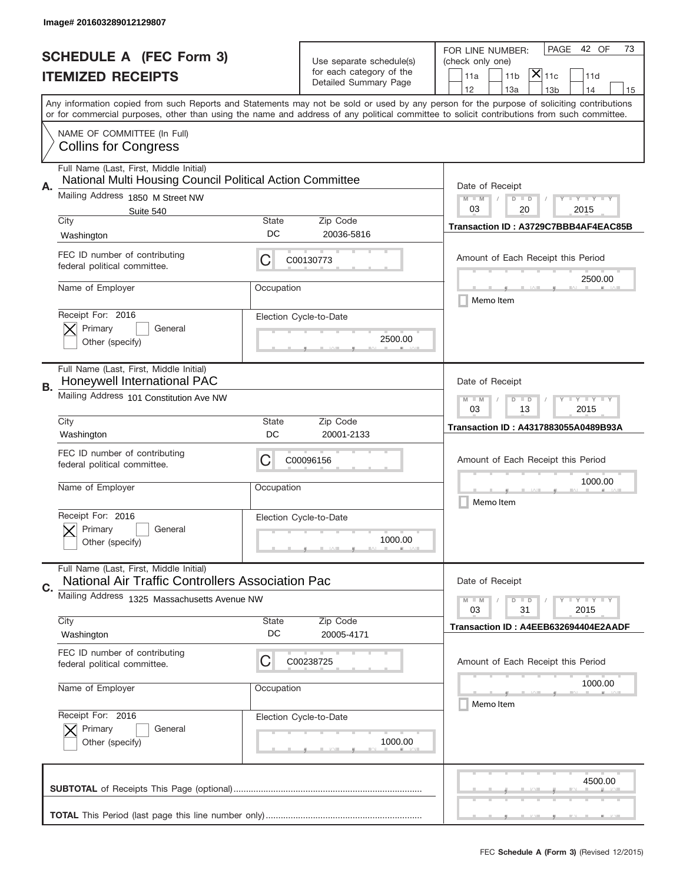|    | Image# 201603289012129807                                                                                                                 |                                                                                                                         |                                                   |                                                                                                                                            |  |  |  |
|----|-------------------------------------------------------------------------------------------------------------------------------------------|-------------------------------------------------------------------------------------------------------------------------|---------------------------------------------------|--------------------------------------------------------------------------------------------------------------------------------------------|--|--|--|
|    | <b>SCHEDULE A (FEC Form 3)</b>                                                                                                            |                                                                                                                         | Use separate schedule(s)                          | PAGE<br>42 OF<br>73<br>FOR LINE NUMBER:<br>(check only one)                                                                                |  |  |  |
|    | <b>ITEMIZED RECEIPTS</b>                                                                                                                  |                                                                                                                         | for each category of the<br>Detailed Summary Page | $\mathsf{X} _{\mathsf{11c}}$<br>11a<br>11 <sub>b</sub><br>11d                                                                              |  |  |  |
|    | Any information copied from such Reports and Statements may not be sold or used by any person for the purpose of soliciting contributions |                                                                                                                         |                                                   | 12<br>13a<br>14<br>13 <sub>b</sub><br>15                                                                                                   |  |  |  |
|    |                                                                                                                                           |                                                                                                                         |                                                   | or for commercial purposes, other than using the name and address of any political committee to solicit contributions from such committee. |  |  |  |
|    | NAME OF COMMITTEE (In Full)<br><b>Collins for Congress</b>                                                                                |                                                                                                                         |                                                   |                                                                                                                                            |  |  |  |
|    | Full Name (Last, First, Middle Initial)<br>National Multi Housing Council Political Action Committee                                      |                                                                                                                         |                                                   | Date of Receipt                                                                                                                            |  |  |  |
| Α. | Mailing Address 1850 M Street NW                                                                                                          |                                                                                                                         |                                                   |                                                                                                                                            |  |  |  |
|    | Suite 540<br>City                                                                                                                         | State                                                                                                                   | Zip Code                                          | 03<br>20<br>2015<br>Transaction ID: A3729C7BBB4AF4EAC85B                                                                                   |  |  |  |
|    | Washington                                                                                                                                | DC                                                                                                                      | 20036-5816                                        |                                                                                                                                            |  |  |  |
|    | FEC ID number of contributing<br>federal political committee.                                                                             | С                                                                                                                       | C00130773                                         | Amount of Each Receipt this Period                                                                                                         |  |  |  |
|    | Name of Employer                                                                                                                          | Occupation                                                                                                              |                                                   | 2500.00<br>Memo Item                                                                                                                       |  |  |  |
|    | Receipt For: 2016<br>Primary<br>General<br>Other (specify)                                                                                |                                                                                                                         | Election Cycle-to-Date<br>2500.00                 |                                                                                                                                            |  |  |  |
|    | Full Name (Last, First, Middle Initial)<br>Honeywell International PAC                                                                    |                                                                                                                         |                                                   | Date of Receipt                                                                                                                            |  |  |  |
| В. | Mailing Address 101 Constitution Ave NW                                                                                                   | $\mathbf{I}$ $\mathbf{Y}$ $\mathbf{I}$ $\mathbf{Y}$ $\mathbf{I}$ $\mathbf{Y}$<br>$M - M$<br>$D$ $D$<br>03<br>13<br>2015 |                                                   |                                                                                                                                            |  |  |  |
|    | City                                                                                                                                      | State                                                                                                                   | Transaction ID: A4317883055A0489B93A              |                                                                                                                                            |  |  |  |
|    | Washington                                                                                                                                | DC                                                                                                                      | 20001-2133                                        |                                                                                                                                            |  |  |  |
|    | FEC ID number of contributing<br>federal political committee.                                                                             | С                                                                                                                       | C00096156                                         | Amount of Each Receipt this Period                                                                                                         |  |  |  |
|    | Name of Employer                                                                                                                          | Occupation                                                                                                              |                                                   | 1000.00<br>Memo Item                                                                                                                       |  |  |  |
|    | Receipt For: 2016<br>Primary<br>General<br>Other (specify)                                                                                |                                                                                                                         | Election Cycle-to-Date<br>1000.00                 |                                                                                                                                            |  |  |  |
|    | Full Name (Last, First, Middle Initial)<br>National Air Traffic Controllers Association Pac                                               |                                                                                                                         |                                                   | Date of Receipt                                                                                                                            |  |  |  |
| C. | Mailing Address 1325 Massachusetts Avenue NW                                                                                              |                                                                                                                         |                                                   |                                                                                                                                            |  |  |  |
|    |                                                                                                                                           |                                                                                                                         |                                                   | <b>LYLYLY</b><br>$M - M$<br>$D$ $D$<br>2015<br>03<br>31                                                                                    |  |  |  |
|    | City<br>Washington                                                                                                                        | <b>State</b><br>DC                                                                                                      | Zip Code<br>20005-4171                            | Transaction ID: A4EEB632694404E2AADF                                                                                                       |  |  |  |
|    | FEC ID number of contributing<br>federal political committee.                                                                             | C                                                                                                                       | C00238725                                         | Amount of Each Receipt this Period                                                                                                         |  |  |  |
|    | Name of Employer                                                                                                                          | Occupation                                                                                                              |                                                   | 1000.00<br>Memo Item                                                                                                                       |  |  |  |
|    | Receipt For: 2016<br>Primary<br>General<br>Other (specify)                                                                                |                                                                                                                         | Election Cycle-to-Date<br>1000.00                 |                                                                                                                                            |  |  |  |
|    |                                                                                                                                           |                                                                                                                         |                                                   | 4500.00                                                                                                                                    |  |  |  |
|    |                                                                                                                                           |                                                                                                                         |                                                   |                                                                                                                                            |  |  |  |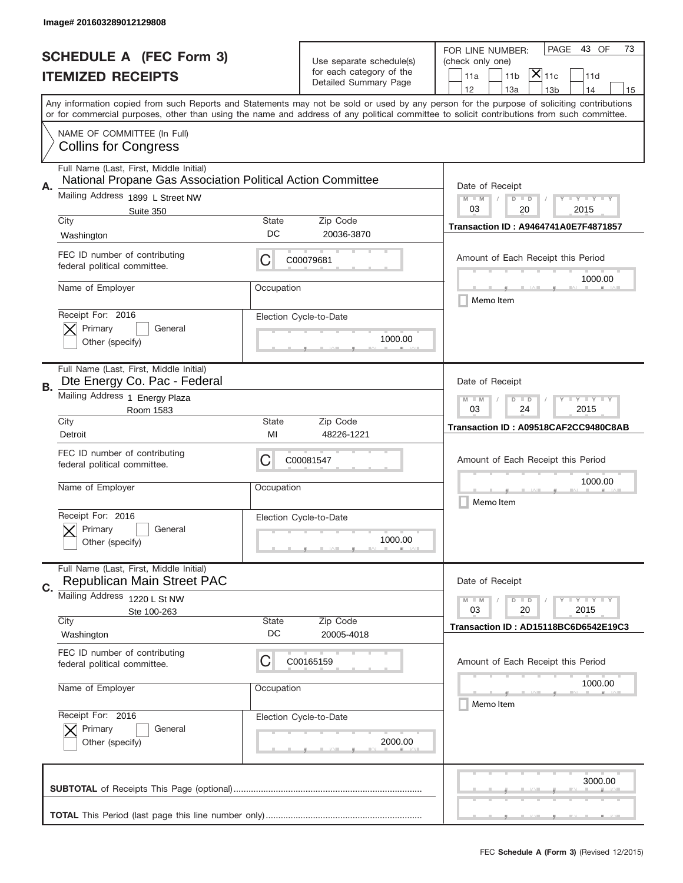|    | Image# 201603289012129808                                                                              |                                                         |                                                   |                                                                                                                                                                                                                                                                                                                                     |
|----|--------------------------------------------------------------------------------------------------------|---------------------------------------------------------|---------------------------------------------------|-------------------------------------------------------------------------------------------------------------------------------------------------------------------------------------------------------------------------------------------------------------------------------------------------------------------------------------|
|    | <b>SCHEDULE A (FEC Form 3)</b>                                                                         |                                                         | Use separate schedule(s)                          | PAGE<br>43 OF<br>73<br>FOR LINE NUMBER:<br>(check only one)                                                                                                                                                                                                                                                                         |
|    | <b>ITEMIZED RECEIPTS</b>                                                                               |                                                         | for each category of the<br>Detailed Summary Page | $ \mathsf{X} _{\mathsf{11c}}$<br>11a<br>11 <sub>b</sub><br>11d                                                                                                                                                                                                                                                                      |
|    |                                                                                                        |                                                         |                                                   | 12<br>13a<br>14<br>13 <sub>b</sub><br>15<br>Any information copied from such Reports and Statements may not be sold or used by any person for the purpose of soliciting contributions<br>or for commercial purposes, other than using the name and address of any political committee to solicit contributions from such committee. |
|    | NAME OF COMMITTEE (In Full)<br><b>Collins for Congress</b>                                             |                                                         |                                                   |                                                                                                                                                                                                                                                                                                                                     |
| Α. | Full Name (Last, First, Middle Initial)<br>National Propane Gas Association Political Action Committee |                                                         |                                                   | Date of Receipt                                                                                                                                                                                                                                                                                                                     |
|    | Mailing Address 1899 L Street NW<br>Suite 350                                                          |                                                         |                                                   | $M - M$<br><b>LEY LEY LEY</b><br>$D$ $D$<br>03<br>20<br>2015                                                                                                                                                                                                                                                                        |
|    | City<br>Washington                                                                                     | <b>State</b><br>DC                                      | Zip Code<br>20036-3870                            | <b>Transaction ID: A9464741A0E7F4871857</b>                                                                                                                                                                                                                                                                                         |
|    | FEC ID number of contributing<br>federal political committee.                                          | C                                                       | C00079681                                         | Amount of Each Receipt this Period                                                                                                                                                                                                                                                                                                  |
|    | Name of Employer                                                                                       | Occupation                                              |                                                   | 1000.00<br>Memo Item                                                                                                                                                                                                                                                                                                                |
|    | Receipt For: 2016<br>Primary<br>General<br>Other (specify)                                             |                                                         | Election Cycle-to-Date<br>1000.00                 |                                                                                                                                                                                                                                                                                                                                     |
| В. | Full Name (Last, First, Middle Initial)<br>Dte Energy Co. Pac - Federal                                |                                                         |                                                   | Date of Receipt                                                                                                                                                                                                                                                                                                                     |
|    | Mailing Address 1 Energy Plaza<br>Room 1583                                                            | <b>LYLYLY</b><br>$M - M$<br>$D$ $D$<br>03<br>24<br>2015 |                                                   |                                                                                                                                                                                                                                                                                                                                     |
|    | City<br>Detroit                                                                                        | <b>State</b><br>MI                                      | Zip Code<br>48226-1221                            | Transaction ID: A09518CAF2CC9480C8AB                                                                                                                                                                                                                                                                                                |
|    | FEC ID number of contributing<br>federal political committee.                                          | C                                                       | C00081547                                         | Amount of Each Receipt this Period                                                                                                                                                                                                                                                                                                  |
|    | Name of Employer                                                                                       | Occupation                                              |                                                   | 1000.00<br>Memo Item                                                                                                                                                                                                                                                                                                                |
|    | Receipt For: 2016<br>General<br>Primary<br>Other (specify)                                             |                                                         | Election Cycle-to-Date<br>1000.00                 |                                                                                                                                                                                                                                                                                                                                     |
| C. | Full Name (Last, First, Middle Initial)<br><b>Republican Main Street PAC</b>                           |                                                         |                                                   | Date of Receipt                                                                                                                                                                                                                                                                                                                     |
|    | Mailing Address<br>1220 L St NW<br>Ste 100-263                                                         |                                                         |                                                   | $I - Y - I - Y - I - Y$<br>$M - M$<br>$D$ $D$<br>03<br>20<br>2015                                                                                                                                                                                                                                                                   |
|    | City<br>Washington                                                                                     | <b>State</b><br>DC                                      | Zip Code<br>20005-4018                            | Transaction ID: AD15118BC6D6542E19C3                                                                                                                                                                                                                                                                                                |
|    | FEC ID number of contributing<br>federal political committee.                                          | С                                                       | C00165159                                         | Amount of Each Receipt this Period                                                                                                                                                                                                                                                                                                  |
|    | Name of Employer                                                                                       | Occupation                                              |                                                   | 1000.00<br>Memo Item                                                                                                                                                                                                                                                                                                                |
|    | Receipt For: 2016<br>Primary<br>General<br>Other (specify)                                             |                                                         | Election Cycle-to-Date<br>2000.00                 |                                                                                                                                                                                                                                                                                                                                     |
|    |                                                                                                        |                                                         |                                                   | 3000.00                                                                                                                                                                                                                                                                                                                             |
|    |                                                                                                        |                                                         |                                                   |                                                                                                                                                                                                                                                                                                                                     |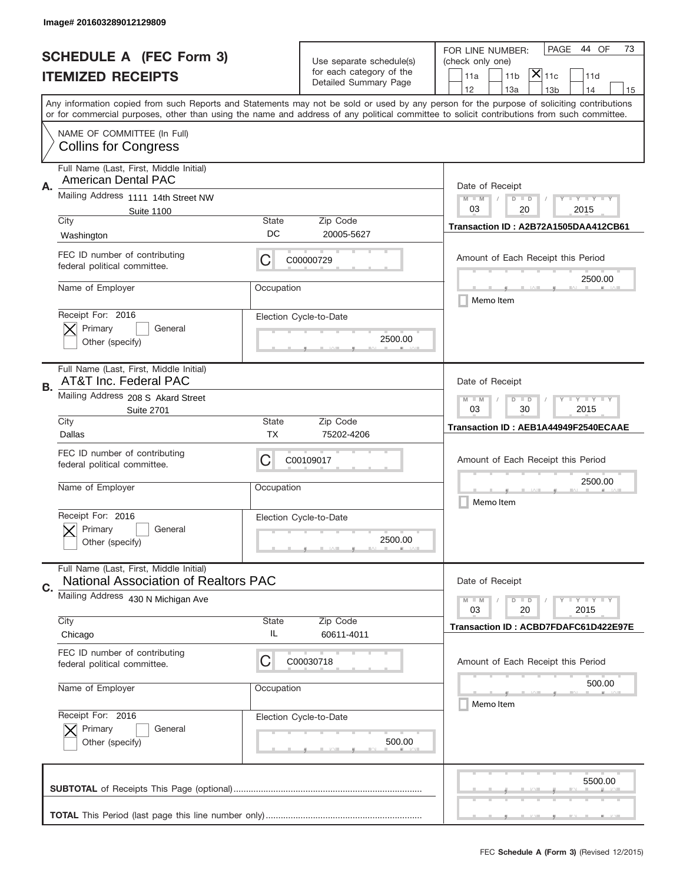|    | Image# 201603289012129809                                                              |                                                           |                                                   |                                                                                                                                                                                                                                                                                         |  |  |
|----|----------------------------------------------------------------------------------------|-----------------------------------------------------------|---------------------------------------------------|-----------------------------------------------------------------------------------------------------------------------------------------------------------------------------------------------------------------------------------------------------------------------------------------|--|--|
|    | <b>SCHEDULE A (FEC Form 3)</b>                                                         |                                                           | Use separate schedule(s)                          | PAGE<br>44 OF<br>73<br>FOR LINE NUMBER:<br>(check only one)                                                                                                                                                                                                                             |  |  |
|    | <b>ITEMIZED RECEIPTS</b>                                                               |                                                           | for each category of the<br>Detailed Summary Page | $ \mathsf{X} _{\mathsf{11c}}$<br>11 <sub>b</sub><br>11d<br>11a                                                                                                                                                                                                                          |  |  |
|    |                                                                                        |                                                           |                                                   | 12<br>13a<br>14<br>13 <sub>b</sub><br>15                                                                                                                                                                                                                                                |  |  |
|    |                                                                                        |                                                           |                                                   | Any information copied from such Reports and Statements may not be sold or used by any person for the purpose of soliciting contributions<br>or for commercial purposes, other than using the name and address of any political committee to solicit contributions from such committee. |  |  |
|    | NAME OF COMMITTEE (In Full)<br><b>Collins for Congress</b>                             |                                                           |                                                   |                                                                                                                                                                                                                                                                                         |  |  |
|    | Full Name (Last, First, Middle Initial)<br><b>American Dental PAC</b>                  |                                                           |                                                   |                                                                                                                                                                                                                                                                                         |  |  |
|    | Α.<br>Mailing Address 1111 14th Street NW<br><b>Suite 1100</b>                         |                                                           |                                                   | Date of Receipt<br>$M$ $M$<br><b>LYLYLYLY</b><br>$D$ $D$<br>03<br>20<br>2015                                                                                                                                                                                                            |  |  |
|    | City                                                                                   | State                                                     | Zip Code                                          | Transaction ID: A2B72A1505DAA412CB61                                                                                                                                                                                                                                                    |  |  |
|    | Washington                                                                             | DC                                                        | 20005-5627                                        |                                                                                                                                                                                                                                                                                         |  |  |
|    | FEC ID number of contributing<br>federal political committee.                          | C                                                         | C00000729                                         | Amount of Each Receipt this Period                                                                                                                                                                                                                                                      |  |  |
|    | Name of Employer                                                                       | Occupation                                                |                                                   | 2500.00<br>Memo Item                                                                                                                                                                                                                                                                    |  |  |
|    | Receipt For: 2016<br>Primary                                                           |                                                           | Election Cycle-to-Date                            |                                                                                                                                                                                                                                                                                         |  |  |
|    | General<br>Other (specify)                                                             |                                                           | 2500.00                                           |                                                                                                                                                                                                                                                                                         |  |  |
| В. | Full Name (Last, First, Middle Initial)<br>AT&T Inc. Federal PAC                       |                                                           |                                                   | Date of Receipt                                                                                                                                                                                                                                                                         |  |  |
|    | Mailing Address 208 S Akard Street<br><b>Suite 2701</b>                                | <b>LY LY LY</b><br>$M - M$<br>$D$ $D$<br>03<br>30<br>2015 |                                                   |                                                                                                                                                                                                                                                                                         |  |  |
|    | City<br>Dallas                                                                         | <b>State</b><br>ТX                                        | Zip Code<br>75202-4206                            | Transaction ID: AEB1A44949F2540ECAAE                                                                                                                                                                                                                                                    |  |  |
|    | FEC ID number of contributing<br>federal political committee.                          | C                                                         | C00109017                                         | Amount of Each Receipt this Period                                                                                                                                                                                                                                                      |  |  |
|    | Name of Employer                                                                       | Occupation                                                |                                                   | 2500.00                                                                                                                                                                                                                                                                                 |  |  |
|    | Receipt For: 2016                                                                      |                                                           | Election Cycle-to-Date                            | Memo Item                                                                                                                                                                                                                                                                               |  |  |
|    | General<br>Primary<br>Other (specify)                                                  |                                                           | 2500.00                                           |                                                                                                                                                                                                                                                                                         |  |  |
| C. | Full Name (Last, First, Middle Initial)<br><b>National Association of Realtors PAC</b> |                                                           |                                                   | Date of Receipt                                                                                                                                                                                                                                                                         |  |  |
|    | Mailing Address 430 N Michigan Ave                                                     |                                                           |                                                   | $I - Y - I - Y - I - Y$<br>$M - M$<br>$D$ $D$<br>03<br>20<br>2015                                                                                                                                                                                                                       |  |  |
|    | City                                                                                   | <b>State</b>                                              | Zip Code                                          | Transaction ID: ACBD7FDAFC61D422E97E                                                                                                                                                                                                                                                    |  |  |
|    | Chicago                                                                                | IL                                                        | 60611-4011                                        |                                                                                                                                                                                                                                                                                         |  |  |
|    | FEC ID number of contributing<br>federal political committee.                          | C                                                         | C00030718                                         | Amount of Each Receipt this Period                                                                                                                                                                                                                                                      |  |  |
|    | Name of Employer                                                                       | Occupation                                                |                                                   | 500.00<br>Memo Item                                                                                                                                                                                                                                                                     |  |  |
|    | Receipt For: 2016                                                                      |                                                           | Election Cycle-to-Date                            |                                                                                                                                                                                                                                                                                         |  |  |
|    | Primary<br>General<br>Other (specify)                                                  |                                                           | 500.00                                            |                                                                                                                                                                                                                                                                                         |  |  |
|    |                                                                                        |                                                           |                                                   | 5500.00                                                                                                                                                                                                                                                                                 |  |  |
|    |                                                                                        |                                                           |                                                   |                                                                                                                                                                                                                                                                                         |  |  |
|    |                                                                                        |                                                           |                                                   |                                                                                                                                                                                                                                                                                         |  |  |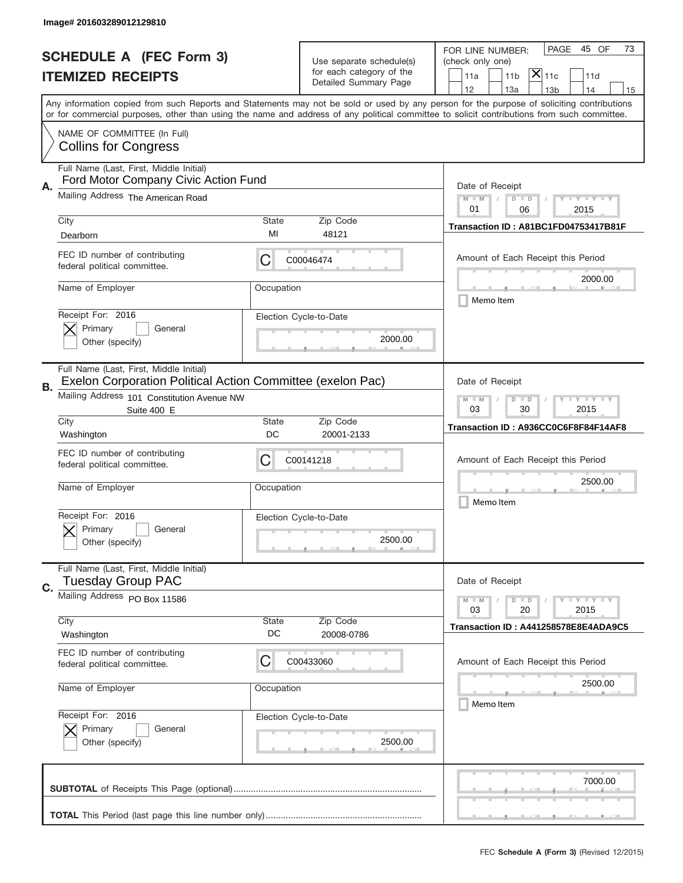|    | Image# 201603289012129810                                                                             |                                                                                                                         |                                                   |                                                                                                                                                                                                                                                                                                                  |
|----|-------------------------------------------------------------------------------------------------------|-------------------------------------------------------------------------------------------------------------------------|---------------------------------------------------|------------------------------------------------------------------------------------------------------------------------------------------------------------------------------------------------------------------------------------------------------------------------------------------------------------------|
|    | <b>SCHEDULE A (FEC Form 3)</b>                                                                        |                                                                                                                         | Use separate schedule(s)                          | PAGE<br>45 OF<br>73<br>FOR LINE NUMBER:<br>(check only one)                                                                                                                                                                                                                                                      |
|    | <b>ITEMIZED RECEIPTS</b>                                                                              |                                                                                                                         | for each category of the<br>Detailed Summary Page | $\mathsf{X} _{\mathsf{11c}}$<br>11a<br>11 <sub>b</sub><br>11d<br>12<br>13a<br>14                                                                                                                                                                                                                                 |
|    |                                                                                                       |                                                                                                                         |                                                   | 13 <sub>b</sub><br>15<br>Any information copied from such Reports and Statements may not be sold or used by any person for the purpose of soliciting contributions<br>or for commercial purposes, other than using the name and address of any political committee to solicit contributions from such committee. |
|    | NAME OF COMMITTEE (In Full)<br><b>Collins for Congress</b>                                            |                                                                                                                         |                                                   |                                                                                                                                                                                                                                                                                                                  |
| Α. | Full Name (Last, First, Middle Initial)<br>Ford Motor Company Civic Action Fund                       |                                                                                                                         |                                                   | Date of Receipt                                                                                                                                                                                                                                                                                                  |
|    | Mailing Address The American Road                                                                     |                                                                                                                         |                                                   | $M - M$<br>$-1$ $-1$ $-1$ $-1$ $-1$<br>$D$ $D$<br>01<br>06<br>2015                                                                                                                                                                                                                                               |
|    | City<br>Dearborn                                                                                      | State<br>MI                                                                                                             | Zip Code<br>48121                                 | Transaction ID: A81BC1FD04753417B81F                                                                                                                                                                                                                                                                             |
|    | FEC ID number of contributing<br>federal political committee.                                         | С                                                                                                                       | C00046474                                         | Amount of Each Receipt this Period<br>2000.00                                                                                                                                                                                                                                                                    |
|    | Name of Employer                                                                                      | Occupation                                                                                                              |                                                   | Memo Item                                                                                                                                                                                                                                                                                                        |
|    | Receipt For: 2016<br>Primary<br>General<br>Other (specify)                                            |                                                                                                                         | Election Cycle-to-Date<br>2000.00                 |                                                                                                                                                                                                                                                                                                                  |
| В. | Full Name (Last, First, Middle Initial)<br>Exelon Corporation Political Action Committee (exelon Pac) |                                                                                                                         |                                                   | Date of Receipt                                                                                                                                                                                                                                                                                                  |
|    | Mailing Address 101 Constitution Avenue NW<br>Suite 400 E                                             | $\mathbf{I}$ $\mathbf{Y}$ $\mathbf{I}$ $\mathbf{Y}$ $\mathbf{I}$ $\mathbf{Y}$<br>$M$ $M$<br>$D$ $D$<br>03<br>30<br>2015 |                                                   |                                                                                                                                                                                                                                                                                                                  |
|    | City<br>Washington                                                                                    | <b>State</b><br>DC                                                                                                      | Zip Code<br>20001-2133                            | Transaction ID: A936CC0C6F8F84F14AF8                                                                                                                                                                                                                                                                             |
|    | FEC ID number of contributing<br>federal political committee.                                         | С                                                                                                                       | C00141218                                         | Amount of Each Receipt this Period                                                                                                                                                                                                                                                                               |
|    | Name of Employer                                                                                      | Occupation                                                                                                              |                                                   | 2500.00<br>Memo Item                                                                                                                                                                                                                                                                                             |
|    | Receipt For: 2016<br>Primary<br>General<br>Other (specify)                                            |                                                                                                                         | Election Cycle-to-Date<br>2500.00                 |                                                                                                                                                                                                                                                                                                                  |
| C. | Full Name (Last, First, Middle Initial)<br><b>Tuesday Group PAC</b>                                   |                                                                                                                         |                                                   | Date of Receipt                                                                                                                                                                                                                                                                                                  |
|    | Mailing Address PO Box 11586                                                                          |                                                                                                                         |                                                   | $I - Y - I - Y - I - Y$<br>$M - M$<br>$D$ $D$<br>2015<br>03<br>20                                                                                                                                                                                                                                                |
|    | City<br>Washington                                                                                    | State<br>DC                                                                                                             | Zip Code<br>20008-0786                            | Transaction ID: A441258578E8E4ADA9C5                                                                                                                                                                                                                                                                             |
|    | FEC ID number of contributing<br>federal political committee.                                         | С                                                                                                                       | C00433060                                         | Amount of Each Receipt this Period                                                                                                                                                                                                                                                                               |
|    | Name of Employer                                                                                      | Occupation                                                                                                              |                                                   | 2500.00<br>Memo Item                                                                                                                                                                                                                                                                                             |
|    | Receipt For: 2016<br>Primary<br>General<br>Other (specify)                                            |                                                                                                                         | Election Cycle-to-Date<br>2500.00                 |                                                                                                                                                                                                                                                                                                                  |
|    |                                                                                                       |                                                                                                                         |                                                   | 7000.00                                                                                                                                                                                                                                                                                                          |
|    |                                                                                                       |                                                                                                                         |                                                   |                                                                                                                                                                                                                                                                                                                  |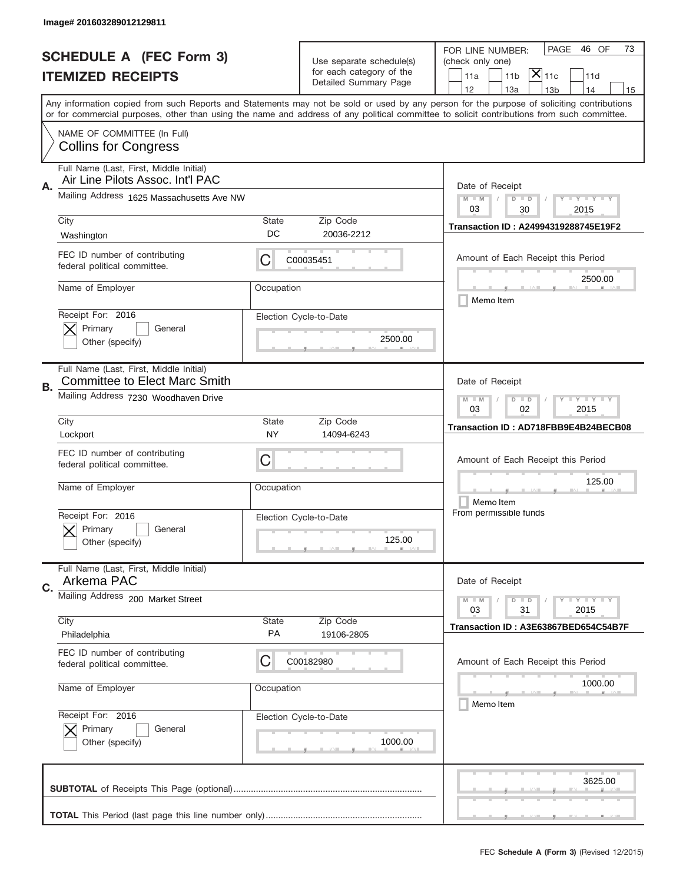|    | Image# 201603289012129811                                                       |                                                           |                                                   |                                                                                                                                                                                                                                                                                         |
|----|---------------------------------------------------------------------------------|-----------------------------------------------------------|---------------------------------------------------|-----------------------------------------------------------------------------------------------------------------------------------------------------------------------------------------------------------------------------------------------------------------------------------------|
|    | <b>SCHEDULE A (FEC Form 3)</b>                                                  |                                                           | Use separate schedule(s)                          | PAGE<br>46 OF<br>73<br>FOR LINE NUMBER:<br>(check only one)                                                                                                                                                                                                                             |
|    | <b>ITEMIZED RECEIPTS</b>                                                        |                                                           | for each category of the<br>Detailed Summary Page | $ \mathsf{\overline{X}} _{\mathsf{11c}}$<br>11 <sub>b</sub><br>11a<br>11d                                                                                                                                                                                                               |
|    |                                                                                 |                                                           |                                                   | 12<br>13a<br>13 <sub>b</sub><br>14<br>15                                                                                                                                                                                                                                                |
|    |                                                                                 |                                                           |                                                   | Any information copied from such Reports and Statements may not be sold or used by any person for the purpose of soliciting contributions<br>or for commercial purposes, other than using the name and address of any political committee to solicit contributions from such committee. |
|    | NAME OF COMMITTEE (In Full)<br><b>Collins for Congress</b>                      |                                                           |                                                   |                                                                                                                                                                                                                                                                                         |
| Α. | Full Name (Last, First, Middle Initial)<br>Air Line Pilots Assoc. Int'l PAC     |                                                           |                                                   | Date of Receipt                                                                                                                                                                                                                                                                         |
|    | Mailing Address 1625 Massachusetts Ave NW                                       |                                                           |                                                   | <b>TEY TEY TEY</b><br>$M - M$<br>$D$ $D$<br>03<br>30<br>2015                                                                                                                                                                                                                            |
|    | City<br>Washington                                                              | State<br>DC                                               | Zip Code<br>20036-2212                            | Transaction ID: A24994319288745E19F2                                                                                                                                                                                                                                                    |
|    | FEC ID number of contributing<br>federal political committee.                   | C                                                         | C00035451                                         | Amount of Each Receipt this Period                                                                                                                                                                                                                                                      |
|    | Name of Employer                                                                | Occupation                                                |                                                   | 2500.00<br>Memo Item                                                                                                                                                                                                                                                                    |
|    | Receipt For: 2016<br>Primary<br>General<br>Other (specify)                      |                                                           | Election Cycle-to-Date<br>2500.00                 |                                                                                                                                                                                                                                                                                         |
| В. | Full Name (Last, First, Middle Initial)<br><b>Committee to Elect Marc Smith</b> |                                                           |                                                   | Date of Receipt                                                                                                                                                                                                                                                                         |
|    | Mailing Address 7230 Woodhaven Drive                                            | <b>LY LY LY</b><br>$M$ $M$<br>$D$ $D$<br>03<br>02<br>2015 |                                                   |                                                                                                                                                                                                                                                                                         |
|    | City                                                                            | State                                                     | Zip Code                                          | Transaction ID: AD718FBB9E4B24BECB08                                                                                                                                                                                                                                                    |
|    |                                                                                 |                                                           |                                                   |                                                                                                                                                                                                                                                                                         |
|    | Lockport<br>FEC ID number of contributing<br>federal political committee.       | <b>NY</b><br>C                                            | 14094-6243                                        | Amount of Each Receipt this Period                                                                                                                                                                                                                                                      |
|    | Name of Employer                                                                | Occupation                                                |                                                   | 125.00<br>Memo Item                                                                                                                                                                                                                                                                     |
|    | Receipt For: 2016<br>Primary<br>General<br>Other (specify)                      |                                                           | Election Cycle-to-Date<br>125.00                  | From permissible funds                                                                                                                                                                                                                                                                  |
|    | Full Name (Last, First, Middle Initial)<br>Arkema PAC                           |                                                           |                                                   | Date of Receipt                                                                                                                                                                                                                                                                         |
| C. | Mailing Address 200 Market Street                                               |                                                           |                                                   | <b>LY LY LY</b><br>$M - M$<br>$D$ $D$<br>2015<br>03<br>31                                                                                                                                                                                                                               |
|    | City<br>Philadelphia                                                            | State<br>PA                                               | Zip Code<br>19106-2805                            | Transaction ID: A3E63867BED654C54B7F                                                                                                                                                                                                                                                    |
|    | FEC ID number of contributing<br>federal political committee.                   | C                                                         | C00182980                                         | Amount of Each Receipt this Period                                                                                                                                                                                                                                                      |
|    | Name of Employer                                                                | Occupation                                                |                                                   | 1000.00<br>Memo Item                                                                                                                                                                                                                                                                    |
|    | Receipt For: 2016<br>Primary<br>General<br>Other (specify)                      |                                                           | Election Cycle-to-Date<br>1000.00                 |                                                                                                                                                                                                                                                                                         |
|    |                                                                                 |                                                           |                                                   | 3625.00                                                                                                                                                                                                                                                                                 |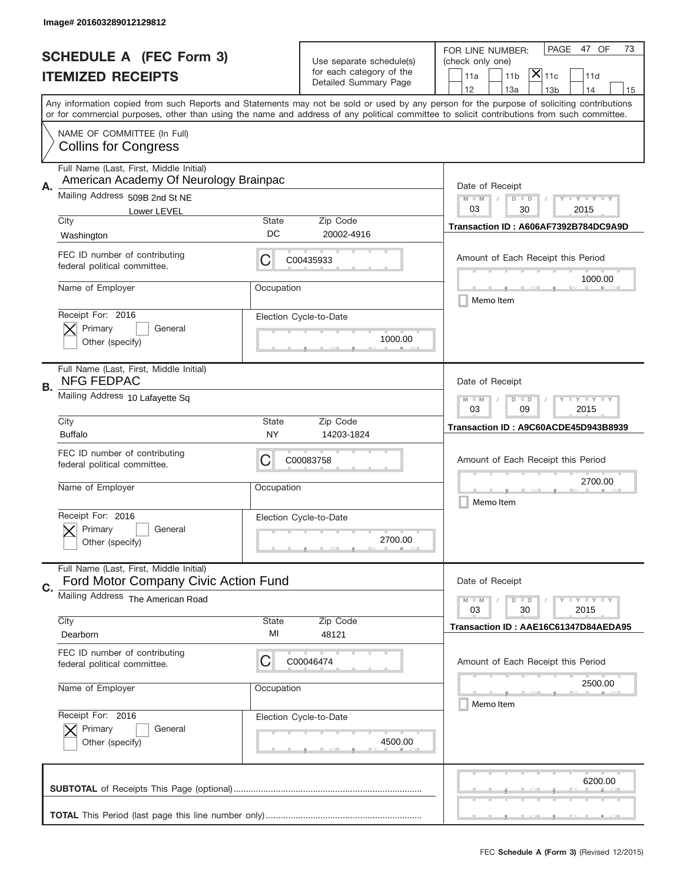|    | Image# 201603289012129812                                                         |                                                                                                                         |                                                      |                                                                                                                                                                                                                                                                                         |
|----|-----------------------------------------------------------------------------------|-------------------------------------------------------------------------------------------------------------------------|------------------------------------------------------|-----------------------------------------------------------------------------------------------------------------------------------------------------------------------------------------------------------------------------------------------------------------------------------------|
|    | <b>SCHEDULE A (FEC Form 3)</b>                                                    |                                                                                                                         | Use separate schedule(s)<br>for each category of the | PAGE<br>47 OF<br>73<br>FOR LINE NUMBER:<br>(check only one)<br>$ \overline{\mathsf{X}} _{\mathsf{11c}}$                                                                                                                                                                                 |
|    | <b>ITEMIZED RECEIPTS</b>                                                          |                                                                                                                         | Detailed Summary Page                                | 11a<br>11 <sub>b</sub><br>11d<br>12<br>13a<br>14<br>13 <sub>b</sub><br>15                                                                                                                                                                                                               |
|    |                                                                                   |                                                                                                                         |                                                      | Any information copied from such Reports and Statements may not be sold or used by any person for the purpose of soliciting contributions<br>or for commercial purposes, other than using the name and address of any political committee to solicit contributions from such committee. |
|    | NAME OF COMMITTEE (In Full)<br><b>Collins for Congress</b>                        |                                                                                                                         |                                                      |                                                                                                                                                                                                                                                                                         |
| Α. | Full Name (Last, First, Middle Initial)<br>American Academy Of Neurology Brainpac |                                                                                                                         |                                                      | Date of Receipt                                                                                                                                                                                                                                                                         |
|    | Mailing Address 509B 2nd St NE<br>Lower LEVEL                                     |                                                                                                                         |                                                      | $M - M$<br>$\mathbf{I}$ $\mathbf{Y}$ $\mathbf{I}$ $\mathbf{Y}$ $\mathbf{I}$ $\mathbf{Y}$<br>$D$ $D$<br>03<br>30<br>2015                                                                                                                                                                 |
|    | City<br>Washington                                                                | State<br>DC                                                                                                             | Zip Code<br>20002-4916                               | Transaction ID: A606AF7392B784DC9A9D                                                                                                                                                                                                                                                    |
|    | FEC ID number of contributing<br>federal political committee.                     | C                                                                                                                       | C00435933                                            | Amount of Each Receipt this Period<br>1000.00                                                                                                                                                                                                                                           |
|    | Name of Employer                                                                  | Occupation                                                                                                              |                                                      | Memo Item                                                                                                                                                                                                                                                                               |
|    | Receipt For: 2016<br>Primary<br>General<br>Other (specify)                        |                                                                                                                         | Election Cycle-to-Date<br>1000.00                    |                                                                                                                                                                                                                                                                                         |
| В. | Full Name (Last, First, Middle Initial)<br><b>NFG FEDPAC</b>                      |                                                                                                                         |                                                      | Date of Receipt                                                                                                                                                                                                                                                                         |
|    | Mailing Address 10 Lafayette Sq                                                   | $\mathbf{I}$ $\mathbf{Y}$ $\mathbf{I}$ $\mathbf{Y}$ $\mathbf{I}$ $\mathbf{Y}$<br>$M - M$<br>$D$ $D$<br>03<br>09<br>2015 |                                                      |                                                                                                                                                                                                                                                                                         |
|    | City<br><b>Buffalo</b>                                                            | State<br>NY                                                                                                             | Zip Code<br>14203-1824                               | Transaction ID: A9C60ACDE45D943B8939                                                                                                                                                                                                                                                    |
|    | FEC ID number of contributing<br>federal political committee.                     | C                                                                                                                       | C00083758                                            | Amount of Each Receipt this Period                                                                                                                                                                                                                                                      |
|    | Name of Employer                                                                  | Occupation                                                                                                              |                                                      | 2700.00<br>Memo Item                                                                                                                                                                                                                                                                    |
|    | Receipt For: 2016<br>Primary<br>General<br>Other (specify)                        |                                                                                                                         | Election Cycle-to-Date<br>2700.00                    |                                                                                                                                                                                                                                                                                         |
| C. | Full Name (Last, First, Middle Initial)<br>Ford Motor Company Civic Action Fund   |                                                                                                                         |                                                      | Date of Receipt                                                                                                                                                                                                                                                                         |
|    | Mailing Address The American Road                                                 |                                                                                                                         |                                                      | $I - Y - I - Y - I - Y$<br>$M - M$<br>$D$ $D$<br>2015<br>03<br>30                                                                                                                                                                                                                       |
|    | City<br>Dearborn                                                                  | <b>State</b><br>MI                                                                                                      | Zip Code<br>48121                                    | Transaction ID: AAE16C61347D84AEDA95                                                                                                                                                                                                                                                    |
|    | FEC ID number of contributing<br>federal political committee.                     | C                                                                                                                       | C00046474                                            | Amount of Each Receipt this Period                                                                                                                                                                                                                                                      |
|    | Name of Employer                                                                  | Occupation                                                                                                              |                                                      | 2500.00<br>Memo Item                                                                                                                                                                                                                                                                    |
|    | Receipt For: 2016<br>Primary<br>General<br>Other (specify)                        |                                                                                                                         | Election Cycle-to-Date<br>4500.00                    |                                                                                                                                                                                                                                                                                         |
|    |                                                                                   |                                                                                                                         |                                                      | 6200.00                                                                                                                                                                                                                                                                                 |
|    |                                                                                   |                                                                                                                         |                                                      |                                                                                                                                                                                                                                                                                         |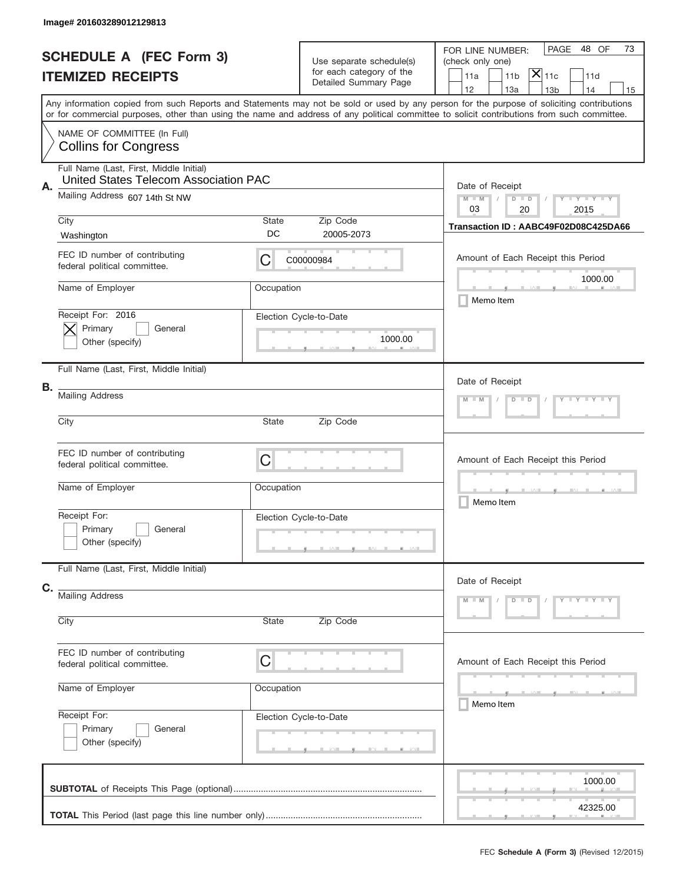|                          | Image# 201603289012129813                                                        |                                                      |                                                   |                                                                                                                                                                                                                                                                                                                                     |
|--------------------------|----------------------------------------------------------------------------------|------------------------------------------------------|---------------------------------------------------|-------------------------------------------------------------------------------------------------------------------------------------------------------------------------------------------------------------------------------------------------------------------------------------------------------------------------------------|
|                          | <b>SCHEDULE A (FEC Form 3)</b>                                                   |                                                      | Use separate schedule(s)                          | PAGE<br>48 OF<br>73<br>FOR LINE NUMBER:<br>(check only one)                                                                                                                                                                                                                                                                         |
| <b>ITEMIZED RECEIPTS</b> |                                                                                  |                                                      | for each category of the<br>Detailed Summary Page | $ \mathsf{X} _{\mathsf{11c}}$<br>11 <sub>b</sub><br>11d<br>11a                                                                                                                                                                                                                                                                      |
|                          |                                                                                  |                                                      |                                                   | 12<br>13a<br>14<br>13 <sub>b</sub><br>15<br>Any information copied from such Reports and Statements may not be sold or used by any person for the purpose of soliciting contributions<br>or for commercial purposes, other than using the name and address of any political committee to solicit contributions from such committee. |
|                          | NAME OF COMMITTEE (In Full)<br><b>Collins for Congress</b>                       |                                                      |                                                   |                                                                                                                                                                                                                                                                                                                                     |
| Α.                       | Full Name (Last, First, Middle Initial)<br>United States Telecom Association PAC |                                                      |                                                   | Date of Receipt                                                                                                                                                                                                                                                                                                                     |
|                          | Mailing Address 607 14th St NW                                                   | Y TY TY TY<br>$M - M$<br>$D$ $D$<br>03<br>20<br>2015 |                                                   |                                                                                                                                                                                                                                                                                                                                     |
|                          | City<br>Washington                                                               | State<br>DC                                          | Zip Code<br>20005-2073                            | Transaction ID: AABC49F02D08C425DA66                                                                                                                                                                                                                                                                                                |
|                          | FEC ID number of contributing<br>federal political committee.                    | C                                                    | C00000984                                         | Amount of Each Receipt this Period<br>1000.00                                                                                                                                                                                                                                                                                       |
|                          | Name of Employer                                                                 | Occupation                                           |                                                   | Memo Item                                                                                                                                                                                                                                                                                                                           |
|                          | Receipt For: 2016<br>Primary<br>General<br>Other (specify)                       |                                                      | Election Cycle-to-Date<br>1000.00                 |                                                                                                                                                                                                                                                                                                                                     |
|                          | Full Name (Last, First, Middle Initial)                                          |                                                      |                                                   | Date of Receipt                                                                                                                                                                                                                                                                                                                     |
| В.                       | <b>Mailing Address</b>                                                           | Y TY TY TY<br>$D$ $D$                                |                                                   |                                                                                                                                                                                                                                                                                                                                     |
|                          | City                                                                             | State                                                |                                                   |                                                                                                                                                                                                                                                                                                                                     |
|                          | FEC ID number of contributing<br>federal political committee.                    | C                                                    |                                                   | Amount of Each Receipt this Period                                                                                                                                                                                                                                                                                                  |
|                          | Name of Employer                                                                 | Occupation                                           |                                                   | Memo Item                                                                                                                                                                                                                                                                                                                           |
|                          | Receipt For:<br>Primary<br>General<br>Other (specify)                            |                                                      | Election Cycle-to-Date                            |                                                                                                                                                                                                                                                                                                                                     |
| C.                       | Full Name (Last, First, Middle Initial)                                          |                                                      |                                                   | Date of Receipt                                                                                                                                                                                                                                                                                                                     |
|                          | <b>Mailing Address</b>                                                           |                                                      |                                                   | Y - Y - Y - Y<br>$M - M$<br>$D$ $D$                                                                                                                                                                                                                                                                                                 |
|                          | City                                                                             | State                                                | Zip Code                                          |                                                                                                                                                                                                                                                                                                                                     |
|                          | FEC ID number of contributing<br>federal political committee.                    | C                                                    |                                                   | Amount of Each Receipt this Period                                                                                                                                                                                                                                                                                                  |
|                          | Name of Employer                                                                 | Occupation                                           |                                                   | _______<br>Memo Item                                                                                                                                                                                                                                                                                                                |
|                          | Receipt For:<br>Primary<br>General<br>Other (specify)                            |                                                      | Election Cycle-to-Date                            |                                                                                                                                                                                                                                                                                                                                     |
|                          |                                                                                  |                                                      |                                                   | 1000.00                                                                                                                                                                                                                                                                                                                             |
|                          |                                                                                  |                                                      |                                                   | 42325.00                                                                                                                                                                                                                                                                                                                            |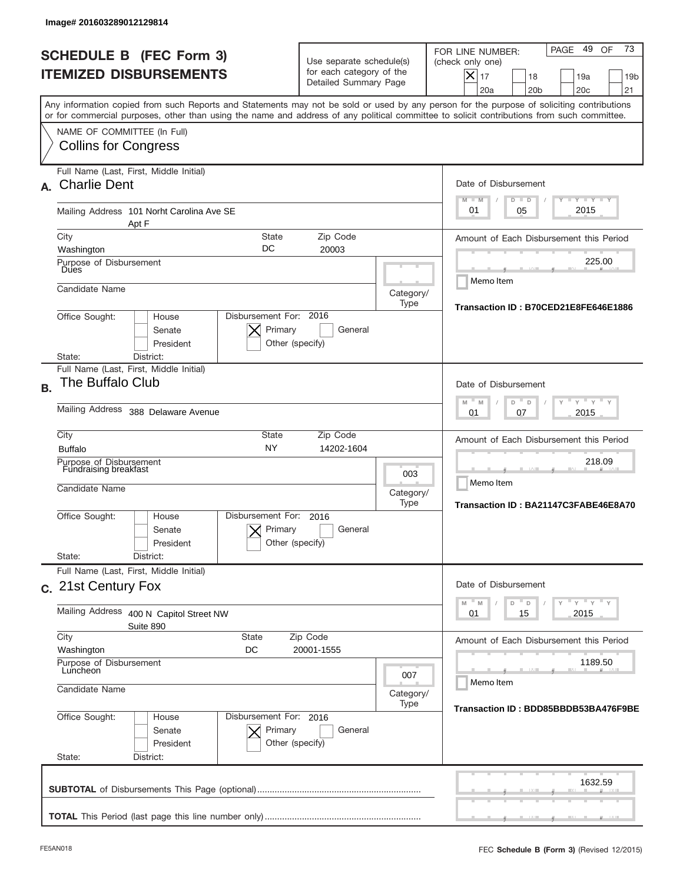|           | lmage#201603289012129814                                                                                                                                                                                                                                                                |                                                                               |                                                             |                                                                                                                                                                     |
|-----------|-----------------------------------------------------------------------------------------------------------------------------------------------------------------------------------------------------------------------------------------------------------------------------------------|-------------------------------------------------------------------------------|-------------------------------------------------------------|---------------------------------------------------------------------------------------------------------------------------------------------------------------------|
|           | <b>SCHEDULE B (FEC Form 3)</b><br><b>ITEMIZED DISBURSEMENTS</b>                                                                                                                                                                                                                         | Use separate schedule(s)<br>for each category of the<br>Detailed Summary Page |                                                             | 73<br>49<br>PAGE<br>OF<br>FOR LINE NUMBER:<br>(check only one)<br>$\times$<br>17<br>18<br>19a<br>19 <sub>b</sub><br>20a<br>20 <sub>b</sub><br>20 <sub>c</sub><br>21 |
|           | Any information copied from such Reports and Statements may not be sold or used by any person for the purpose of soliciting contributions<br>or for commercial purposes, other than using the name and address of any political committee to solicit contributions from such committee. |                                                                               |                                                             |                                                                                                                                                                     |
|           | NAME OF COMMITTEE (In Full)<br><b>Collins for Congress</b>                                                                                                                                                                                                                              |                                                                               |                                                             |                                                                                                                                                                     |
|           | Full Name (Last, First, Middle Initial)<br>A. Charlie Dent                                                                                                                                                                                                                              |                                                                               |                                                             | Date of Disbursement<br><b>LYLYLY</b><br>$M - M$<br>$D$ $D$                                                                                                         |
|           | Mailing Address 101 Norht Carolina Ave SE<br>Apt F                                                                                                                                                                                                                                      |                                                                               |                                                             | 2015<br>01<br>05                                                                                                                                                    |
|           | City<br><b>State</b>                                                                                                                                                                                                                                                                    | Zip Code                                                                      |                                                             | Amount of Each Disbursement this Period                                                                                                                             |
|           | DC<br>Washington<br>Purpose of Disbursement<br>Dues                                                                                                                                                                                                                                     | 20003                                                                         |                                                             | 225.00                                                                                                                                                              |
|           | Candidate Name                                                                                                                                                                                                                                                                          | Memo Item<br>Category/                                                        |                                                             |                                                                                                                                                                     |
|           | Disbursement For: 2016<br>Office Sought:<br>House<br>Primary<br>Senate<br>President<br>Other (specify)<br>District:<br>State:                                                                                                                                                           | Transaction ID: B70CED21E8FE646E1886                                          |                                                             |                                                                                                                                                                     |
|           | Full Name (Last, First, Middle Initial)                                                                                                                                                                                                                                                 |                                                                               |                                                             |                                                                                                                                                                     |
| <b>B.</b> | The Buffalo Club                                                                                                                                                                                                                                                                        | Date of Disbursement<br>$-M$<br>$Y = Y$<br>M<br>D<br>D                        |                                                             |                                                                                                                                                                     |
|           | Mailing Address 388 Delaware Avenue                                                                                                                                                                                                                                                     | 2015<br>01<br>07                                                              |                                                             |                                                                                                                                                                     |
|           | City<br>State<br><b>NY</b><br><b>Buffalo</b>                                                                                                                                                                                                                                            | Zip Code<br>14202-1604                                                        |                                                             | Amount of Each Disbursement this Period                                                                                                                             |
|           | Purpose of Disbursement<br>Fundraising breakfast<br>Candidate Name                                                                                                                                                                                                                      | 003<br>Category/<br>Type                                                      | 218.09<br>Memo Item<br>Transaction ID: BA21147C3FABE46E8A70 |                                                                                                                                                                     |
|           | Disbursement For:<br>Office Sought:<br>House<br>Senate<br>President<br>State:<br>District:                                                                                                                                                                                              | 2016<br>Primary<br>General<br>Other (specify)                                 |                                                             |                                                                                                                                                                     |
|           | Full Name (Last, First, Middle Initial)<br>c. 21st Century Fox                                                                                                                                                                                                                          |                                                                               |                                                             | Date of Disbursement                                                                                                                                                |
|           | Mailing Address<br>400 N Capitol Street NW<br>Suite 890                                                                                                                                                                                                                                 | $-\gamma$ $-\gamma$ $-\gamma$<br>M<br>M<br>D<br>D<br>Y<br>15<br>2015<br>01    |                                                             |                                                                                                                                                                     |
|           | City<br><b>State</b><br>Washington<br>DC                                                                                                                                                                                                                                                | Zip Code<br>20001-1555                                                        |                                                             | Amount of Each Disbursement this Period                                                                                                                             |
|           | Purpose of Disbursement<br>Luncheon<br>007                                                                                                                                                                                                                                              |                                                                               |                                                             | 1189.50<br>Memo Item                                                                                                                                                |
|           | Candidate Name                                                                                                                                                                                                                                                                          | Category/<br>Transaction ID: BDD85BBDB53BA476F9BE                             |                                                             |                                                                                                                                                                     |
|           | Office Sought:<br>House<br>Senate<br>President<br>State:<br>District:                                                                                                                                                                                                                   | Disbursement For: 2016<br>Primary<br>General<br>Other (specify)               |                                                             |                                                                                                                                                                     |
|           |                                                                                                                                                                                                                                                                                         |                                                                               |                                                             | 1632.59                                                                                                                                                             |
|           |                                                                                                                                                                                                                                                                                         |                                                                               |                                                             |                                                                                                                                                                     |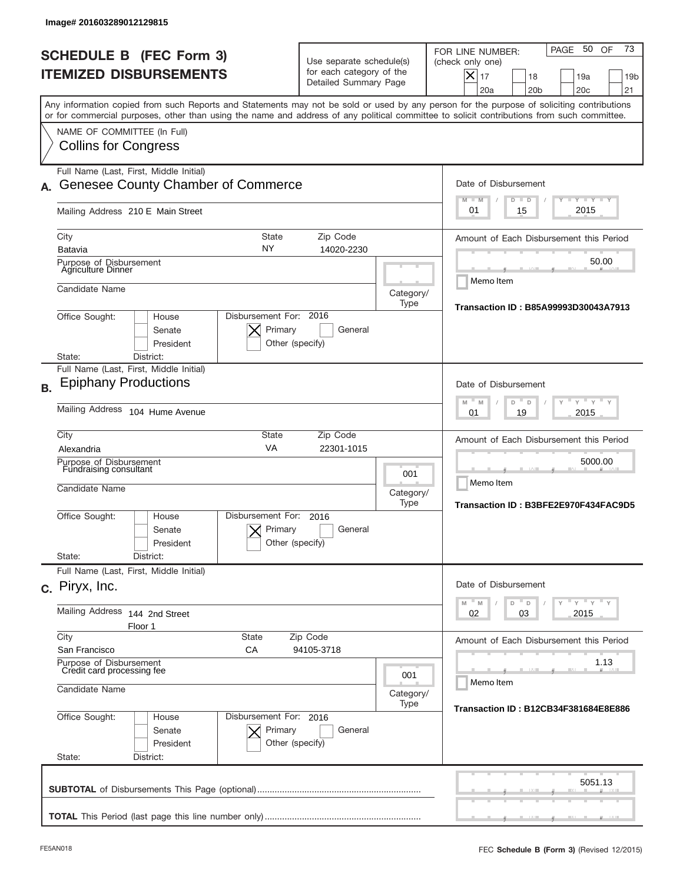| Image# 201603289012129815                                                                                                                                                                                                                                                               |                                                                               |                                         |                                                                                                                                                                     |  |  |
|-----------------------------------------------------------------------------------------------------------------------------------------------------------------------------------------------------------------------------------------------------------------------------------------|-------------------------------------------------------------------------------|-----------------------------------------|---------------------------------------------------------------------------------------------------------------------------------------------------------------------|--|--|
| <b>SCHEDULE B (FEC Form 3)</b><br><b>ITEMIZED DISBURSEMENTS</b>                                                                                                                                                                                                                         | Use separate schedule(s)<br>for each category of the<br>Detailed Summary Page |                                         | 73<br>50 OF<br>PAGE<br>FOR LINE NUMBER:<br>(check only one)<br>$ \boldsymbol{\times} $<br>17<br>18<br>19a<br>19 <sub>b</sub><br>20a<br>20 <sub>b</sub><br>20c<br>21 |  |  |
| Any information copied from such Reports and Statements may not be sold or used by any person for the purpose of soliciting contributions<br>or for commercial purposes, other than using the name and address of any political committee to solicit contributions from such committee. |                                                                               |                                         |                                                                                                                                                                     |  |  |
| NAME OF COMMITTEE (In Full)<br><b>Collins for Congress</b>                                                                                                                                                                                                                              |                                                                               |                                         |                                                                                                                                                                     |  |  |
| Full Name (Last, First, Middle Initial)<br><b>Genesee County Chamber of Commerce</b>                                                                                                                                                                                                    |                                                                               |                                         | Date of Disbursement                                                                                                                                                |  |  |
| Mailing Address 210 E Main Street                                                                                                                                                                                                                                                       |                                                                               |                                         | $T - Y$ $T - Y$<br>$M - M$<br>$D$ $D$<br>2015<br>01<br>15                                                                                                           |  |  |
| <b>State</b><br>City<br>NY<br>Batavia                                                                                                                                                                                                                                                   | Zip Code<br>14020-2230                                                        |                                         | Amount of Each Disbursement this Period                                                                                                                             |  |  |
| Purpose of Disbursement<br><b>Agriculture Dinner</b>                                                                                                                                                                                                                                    |                                                                               | 50.00<br>Memo Item                      |                                                                                                                                                                     |  |  |
| Candidate Name                                                                                                                                                                                                                                                                          |                                                                               | Category/<br>Type                       |                                                                                                                                                                     |  |  |
| Disbursement For: 2016<br>Office Sought:<br>House<br>Primary<br>Senate<br>President<br>District:<br>State:                                                                                                                                                                              | General<br>Other (specify)                                                    |                                         | Transaction ID: B85A99993D30043A7913                                                                                                                                |  |  |
| Full Name (Last, First, Middle Initial)<br><b>Epiphany Productions</b>                                                                                                                                                                                                                  |                                                                               |                                         | Date of Disbursement                                                                                                                                                |  |  |
| Mailing Address 104 Hume Avenue                                                                                                                                                                                                                                                         | $Y$ $Y$ $Y$ $Y$<br>M<br>M<br>D<br>D<br>2015<br>01<br>19                       |                                         |                                                                                                                                                                     |  |  |
| City<br><b>State</b><br>VA<br>Alexandria                                                                                                                                                                                                                                                | Zip Code<br>22301-1015                                                        | Amount of Each Disbursement this Period |                                                                                                                                                                     |  |  |
| Purpose of Disbursement<br>Fundraising consultant<br>Candidate Name                                                                                                                                                                                                                     |                                                                               | 001<br>Category/<br>Type                | 5000.00<br>Memo Item<br>Transaction ID: B3BFE2E970F434FAC9D5                                                                                                        |  |  |
| Disbursement For:<br>Office Sought:<br>House<br>Primary<br>Senate<br>President<br>State:<br>District:                                                                                                                                                                                   | 2016<br>General<br>Other (specify)                                            |                                         |                                                                                                                                                                     |  |  |
| Full Name (Last, First, Middle Initial)                                                                                                                                                                                                                                                 |                                                                               |                                         | Date of Disbursement                                                                                                                                                |  |  |
| c. Piryx, Inc.<br><b>Mailing Address</b>                                                                                                                                                                                                                                                |                                                                               |                                         | $Y = Y + Y$<br>$M$ <sup><math>=</math></sup><br>$-$ D<br>M<br>D<br>2015<br>02                                                                                       |  |  |
| 144 2nd Street<br>Floor 1<br>City<br><b>State</b>                                                                                                                                                                                                                                       | Zip Code                                                                      |                                         | 03<br>Amount of Each Disbursement this Period                                                                                                                       |  |  |
| San Francisco<br>СA<br>Purpose of Disbursement                                                                                                                                                                                                                                          | 94105-3718                                                                    |                                         | 1.13                                                                                                                                                                |  |  |
| Credit card processing fee<br>Candidate Name<br>Category/                                                                                                                                                                                                                               |                                                                               |                                         | Memo Item                                                                                                                                                           |  |  |
| Office Sought:<br>Disbursement For: 2016<br>House<br>Primary<br>Senate<br>President<br>State:<br>District:                                                                                                                                                                              | General<br>Other (specify)                                                    | Type                                    | Transaction ID: B12CB34F381684E8E886                                                                                                                                |  |  |
|                                                                                                                                                                                                                                                                                         |                                                                               |                                         | 5051.13                                                                                                                                                             |  |  |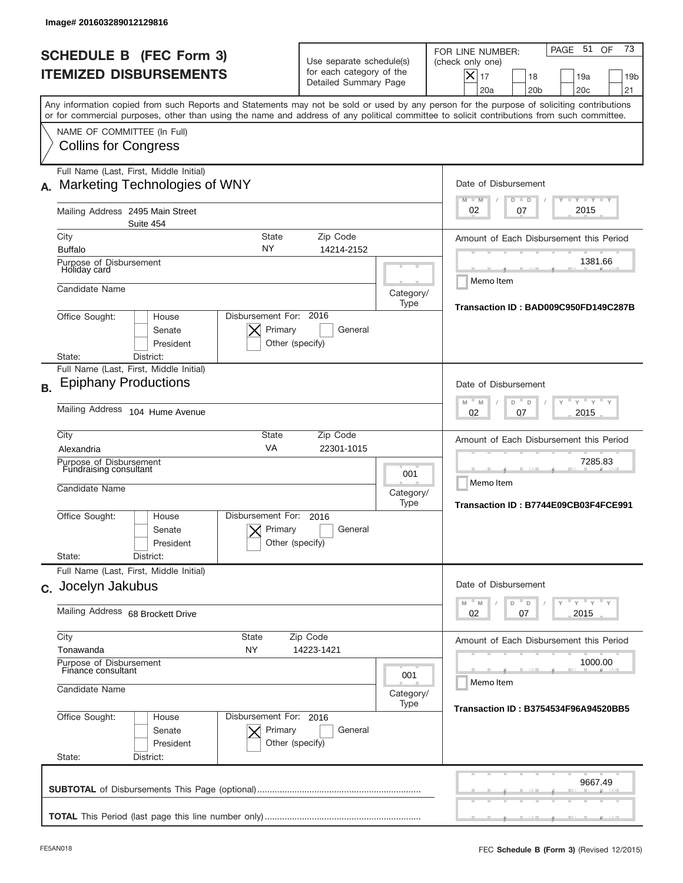| <b>SCHEDULE B (FEC Form 3)</b><br><b>ITEMIZED DISBURSEMENTS</b>                                                                                                                                                                                                                                                        | Use separate schedule(s)<br>for each category of the<br>Detailed Summary Page |                                                              | 73<br>PAGE 51<br>OF<br>FOR LINE NUMBER:<br>(check only one)<br>$ \boldsymbol{\times} $<br>17<br>18<br>19a<br>19 <sub>b</sub><br>20a<br>20 <sub>b</sub><br>20c<br>21 |  |  |
|------------------------------------------------------------------------------------------------------------------------------------------------------------------------------------------------------------------------------------------------------------------------------------------------------------------------|-------------------------------------------------------------------------------|--------------------------------------------------------------|---------------------------------------------------------------------------------------------------------------------------------------------------------------------|--|--|
| Any information copied from such Reports and Statements may not be sold or used by any person for the purpose of soliciting contributions<br>or for commercial purposes, other than using the name and address of any political committee to solicit contributions from such committee.<br>NAME OF COMMITTEE (In Full) |                                                                               |                                                              |                                                                                                                                                                     |  |  |
| <b>Collins for Congress</b>                                                                                                                                                                                                                                                                                            |                                                                               |                                                              |                                                                                                                                                                     |  |  |
| Full Name (Last, First, Middle Initial)<br>Marketing Technologies of WNY                                                                                                                                                                                                                                               |                                                                               |                                                              | Date of Disbursement<br>$T - Y$ $T - Y$<br>$M - M$<br>$D$ $D$                                                                                                       |  |  |
| Mailing Address 2495 Main Street<br>Suite 454                                                                                                                                                                                                                                                                          | 2015<br>02<br>07                                                              |                                                              |                                                                                                                                                                     |  |  |
| City<br><b>State</b><br>NY<br><b>Buffalo</b>                                                                                                                                                                                                                                                                           | Zip Code<br>14214-2152                                                        |                                                              | Amount of Each Disbursement this Period                                                                                                                             |  |  |
| Purpose of Disbursement<br>Holiday card                                                                                                                                                                                                                                                                                |                                                                               |                                                              | 1381.66<br>Memo Item                                                                                                                                                |  |  |
| Candidate Name                                                                                                                                                                                                                                                                                                         |                                                                               | Category/<br>Type                                            | Transaction ID: BAD009C950FD149C287B                                                                                                                                |  |  |
| Disbursement For: 2016<br>Office Sought:<br>House<br>Primary<br>General<br>Senate<br>President<br>Other (specify)<br>District:<br>State:                                                                                                                                                                               |                                                                               |                                                              |                                                                                                                                                                     |  |  |
| Full Name (Last, First, Middle Initial)<br><b>Epiphany Productions</b><br><b>B.</b>                                                                                                                                                                                                                                    |                                                                               |                                                              | Date of Disbursement                                                                                                                                                |  |  |
| Mailing Address 104 Hume Avenue                                                                                                                                                                                                                                                                                        | $Y$ $Y$ $Y$ $Y$<br>M<br>M<br>D<br>D<br>2015<br>02<br>07                       |                                                              |                                                                                                                                                                     |  |  |
| City<br><b>State</b><br>VA<br>Alexandria                                                                                                                                                                                                                                                                               | Zip Code<br>22301-1015                                                        |                                                              | Amount of Each Disbursement this Period                                                                                                                             |  |  |
| Purpose of Disbursement<br>Fundraising consultant<br>Candidate Name                                                                                                                                                                                                                                                    | 001<br>Category/<br>Type                                                      | 7285.83<br>Memo Item<br>Transaction ID: B7744E09CB03F4FCE991 |                                                                                                                                                                     |  |  |
| Disbursement For:<br>Office Sought:<br>House<br>Senate<br>President                                                                                                                                                                                                                                                    | 2016<br>Primary<br>General<br>Other (specify)                                 |                                                              |                                                                                                                                                                     |  |  |
| State:<br>District:<br>Full Name (Last, First, Middle Initial)                                                                                                                                                                                                                                                         |                                                                               |                                                              |                                                                                                                                                                     |  |  |
| c. Jocelyn Jakubus                                                                                                                                                                                                                                                                                                     |                                                                               |                                                              | Date of Disbursement<br>ү "ү "ү "ү<br>$M - M$<br>$-$ D<br>D<br>2015<br>02<br>07                                                                                     |  |  |
| City<br><b>State</b>                                                                                                                                                                                                                                                                                                   | Mailing Address 68 Brockett Drive<br>Zip Code                                 |                                                              |                                                                                                                                                                     |  |  |
| Tonawanda<br>NY.                                                                                                                                                                                                                                                                                                       | 14223-1421                                                                    |                                                              | Amount of Each Disbursement this Period                                                                                                                             |  |  |
| Purpose of Disbursement<br>Finance consultant<br>001<br>Candidate Name                                                                                                                                                                                                                                                 |                                                                               |                                                              | 1000.00<br>Memo Item                                                                                                                                                |  |  |
|                                                                                                                                                                                                                                                                                                                        | Category/<br>Type                                                             | <b>Transaction ID: B3754534F96A94520BB5</b>                  |                                                                                                                                                                     |  |  |
| Office Sought:<br>House<br>Senate<br>President<br>State:<br>District:                                                                                                                                                                                                                                                  | Disbursement For: 2016<br>Primary<br>General<br>Other (specify)               |                                                              |                                                                                                                                                                     |  |  |
|                                                                                                                                                                                                                                                                                                                        |                                                                               |                                                              | 9667.49                                                                                                                                                             |  |  |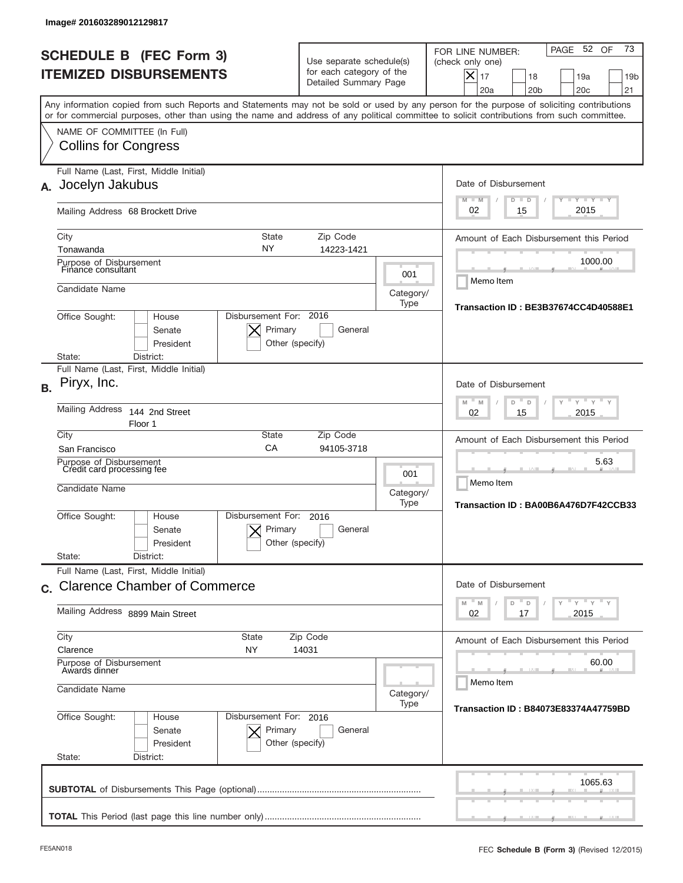|           | Image# 201603289012129817                                                                                                                                                                                                                                                               |                                                                               |                                                           |                                                                                                                                                                  |
|-----------|-----------------------------------------------------------------------------------------------------------------------------------------------------------------------------------------------------------------------------------------------------------------------------------------|-------------------------------------------------------------------------------|-----------------------------------------------------------|------------------------------------------------------------------------------------------------------------------------------------------------------------------|
|           | <b>SCHEDULE B (FEC Form 3)</b><br><b>ITEMIZED DISBURSEMENTS</b>                                                                                                                                                                                                                         | Use separate schedule(s)<br>for each category of the<br>Detailed Summary Page |                                                           | 73<br>52 OF<br>PAGE<br>FOR LINE NUMBER:<br>(check only one)<br>$\times$<br>17<br>18<br>19a<br>19 <sub>b</sub><br>20a<br>20 <sub>b</sub><br>20 <sub>c</sub><br>21 |
|           | Any information copied from such Reports and Statements may not be sold or used by any person for the purpose of soliciting contributions<br>or for commercial purposes, other than using the name and address of any political committee to solicit contributions from such committee. |                                                                               |                                                           |                                                                                                                                                                  |
|           | NAME OF COMMITTEE (In Full)<br><b>Collins for Congress</b>                                                                                                                                                                                                                              |                                                                               |                                                           |                                                                                                                                                                  |
| А.        | Full Name (Last, First, Middle Initial)<br>Jocelyn Jakubus                                                                                                                                                                                                                              |                                                                               |                                                           | Date of Disbursement<br><b>LYLYLY</b><br>$M - M$<br>$D$ $D$                                                                                                      |
|           | Mailing Address 68 Brockett Drive                                                                                                                                                                                                                                                       |                                                                               |                                                           | 2015<br>02<br>15                                                                                                                                                 |
|           | City<br><b>State</b><br>NY<br>Tonawanda<br>Purpose of Disbursement                                                                                                                                                                                                                      | Zip Code<br>14223-1421                                                        |                                                           | Amount of Each Disbursement this Period<br>1000.00                                                                                                               |
|           | Finance consultant<br>Candidate Name                                                                                                                                                                                                                                                    |                                                                               | 001<br>Category/<br>Type                                  | Memo Item                                                                                                                                                        |
|           | Disbursement For: 2016<br>Office Sought:<br>House<br>Primary<br>Senate<br>President<br>Other (specify)<br>District:<br>State:                                                                                                                                                           | Transaction ID: BE3B37674CC4D40588E1                                          |                                                           |                                                                                                                                                                  |
| <b>B.</b> | Full Name (Last, First, Middle Initial)<br>Piryx, Inc.                                                                                                                                                                                                                                  |                                                                               |                                                           | Date of Disbursement                                                                                                                                             |
|           | <b>Mailing Address</b><br>144 2nd Street<br>Floor 1                                                                                                                                                                                                                                     | $-M$<br>$Y = Y$<br>M<br>D<br>D<br>2015<br>02<br>15                            |                                                           |                                                                                                                                                                  |
|           | City<br>State<br>CA<br>San Francisco                                                                                                                                                                                                                                                    | Zip Code<br>94105-3718                                                        |                                                           | Amount of Each Disbursement this Period                                                                                                                          |
|           | Purpose of Disbursement<br>Credit card processing fee<br>Candidate Name                                                                                                                                                                                                                 | 001<br>Category/<br>Type                                                      | 5.63<br>Memo Item<br>Transaction ID: BA00B6A476D7F42CCB33 |                                                                                                                                                                  |
|           | Disbursement For:<br>Office Sought:<br>House<br>Senate<br>President                                                                                                                                                                                                                     | 2016<br>Primary<br>General<br>Other (specify)                                 |                                                           |                                                                                                                                                                  |
|           | State:<br>District:<br>Full Name (Last, First, Middle Initial)                                                                                                                                                                                                                          |                                                                               |                                                           |                                                                                                                                                                  |
|           | c. Clarence Chamber of Commerce                                                                                                                                                                                                                                                         |                                                                               |                                                           | Date of Disbursement<br>$\vdash$ $\vdash$ $\vdash$ $\vdash$ $\vdash$ $\vdash$ $\vdash$<br>M<br>M<br>D<br>D                                                       |
|           | Mailing Address 8899 Main Street                                                                                                                                                                                                                                                        | 02<br>2015<br>17                                                              |                                                           |                                                                                                                                                                  |
|           | City<br><b>State</b><br>Clarence<br>ΝY                                                                                                                                                                                                                                                  | Zip Code<br>14031                                                             |                                                           | Amount of Each Disbursement this Period                                                                                                                          |
|           | Purpose of Disbursement<br>Awards dinner<br>Candidate Name                                                                                                                                                                                                                              |                                                                               |                                                           | 60.00<br>Memo Item                                                                                                                                               |
|           | Office Sought:<br>Disbursement For: 2016<br>House<br>Senate<br>President<br>State:<br>District:                                                                                                                                                                                         | Primary<br>General<br>Other (specify)                                         | Category/<br>Type                                         | Transaction ID: B84073E83374A47759BD                                                                                                                             |
|           |                                                                                                                                                                                                                                                                                         |                                                                               |                                                           | 1065.63                                                                                                                                                          |
|           |                                                                                                                                                                                                                                                                                         |                                                                               |                                                           |                                                                                                                                                                  |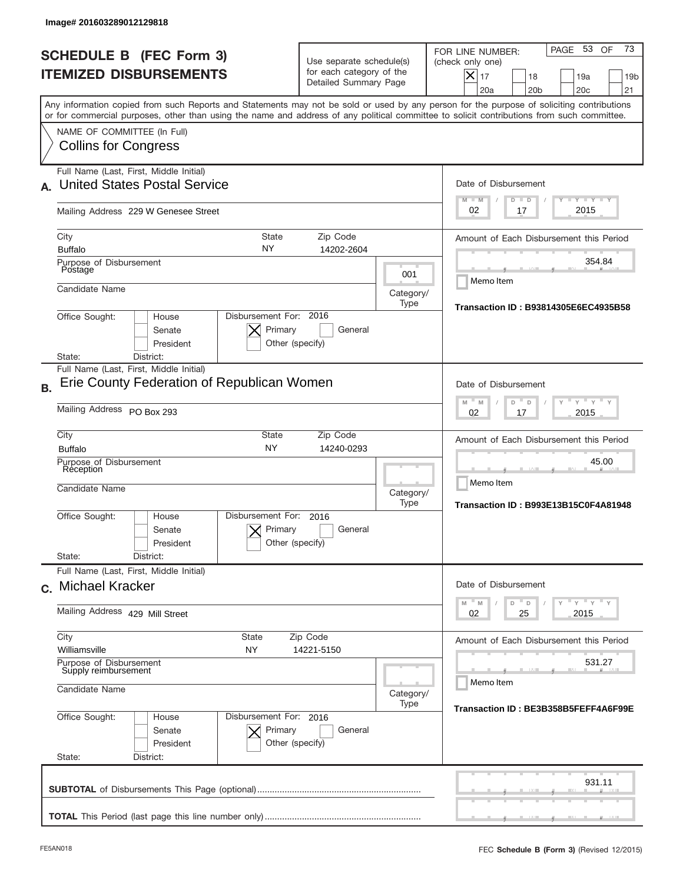|           | Image# 201603289012129818                                                                                                                                                                                                                                                               |                                                                               |                                                   |                                                                                                                                                             |
|-----------|-----------------------------------------------------------------------------------------------------------------------------------------------------------------------------------------------------------------------------------------------------------------------------------------|-------------------------------------------------------------------------------|---------------------------------------------------|-------------------------------------------------------------------------------------------------------------------------------------------------------------|
|           | <b>SCHEDULE B (FEC Form 3)</b><br><b>ITEMIZED DISBURSEMENTS</b>                                                                                                                                                                                                                         | Use separate schedule(s)<br>for each category of the<br>Detailed Summary Page |                                                   | 73<br>PAGE 53<br>OF<br>FOR LINE NUMBER:<br>(check only one)<br>$X _{17}$<br>18<br>19a<br>19 <sub>b</sub><br>20a<br>20 <sub>b</sub><br>20 <sub>c</sub><br>21 |
|           | Any information copied from such Reports and Statements may not be sold or used by any person for the purpose of soliciting contributions<br>or for commercial purposes, other than using the name and address of any political committee to solicit contributions from such committee. |                                                                               |                                                   |                                                                                                                                                             |
|           | NAME OF COMMITTEE (In Full)<br><b>Collins for Congress</b>                                                                                                                                                                                                                              |                                                                               |                                                   |                                                                                                                                                             |
|           | Full Name (Last, First, Middle Initial)<br><b>United States Postal Service</b>                                                                                                                                                                                                          |                                                                               |                                                   | Date of Disbursement<br>$I - Y - I - Y - I - Y$<br>$M - M$<br>$D$ $D$                                                                                       |
|           | Mailing Address 229 W Genesee Street                                                                                                                                                                                                                                                    |                                                                               |                                                   | 2015<br>02<br>17                                                                                                                                            |
|           | State<br>City<br>NY<br><b>Buffalo</b>                                                                                                                                                                                                                                                   | Zip Code<br>14202-2604                                                        |                                                   | Amount of Each Disbursement this Period                                                                                                                     |
|           | Purpose of Disbursement<br>Postage<br>Candidate Name                                                                                                                                                                                                                                    |                                                                               | 001<br>Category/                                  | 354.84<br>Memo Item                                                                                                                                         |
|           | Disbursement For: 2016<br>Office Sought:<br>House<br>Primary<br>Senate<br>President                                                                                                                                                                                                     | General<br>Other (specify)                                                    | Type                                              | Transaction ID: B93814305E6EC4935B58                                                                                                                        |
|           | District:<br>State:<br>Full Name (Last, First, Middle Initial)                                                                                                                                                                                                                          |                                                                               |                                                   |                                                                                                                                                             |
| <b>B.</b> | Erie County Federation of Republican Women                                                                                                                                                                                                                                              |                                                                               |                                                   | Date of Disbursement<br>$-M$<br>$Y = Y$<br>M<br>D<br>D                                                                                                      |
|           | Mailing Address PO Box 293                                                                                                                                                                                                                                                              | 2015<br>02<br>17                                                              |                                                   |                                                                                                                                                             |
|           | City<br><b>State</b><br><b>NY</b><br><b>Buffalo</b><br>Purpose of Disbursement                                                                                                                                                                                                          | Zip Code<br>14240-0293                                                        |                                                   | Amount of Each Disbursement this Period<br>45.00                                                                                                            |
|           | Reception<br>Candidate Name                                                                                                                                                                                                                                                             | Category/<br>Type                                                             | Memo Item<br>Transaction ID: B993E13B15C0F4A81948 |                                                                                                                                                             |
|           | Disbursement For:<br>Office Sought:<br>House<br>Primary<br>Senate<br>President<br>State:<br>District:                                                                                                                                                                                   | 2016<br>General<br>Other (specify)                                            |                                                   |                                                                                                                                                             |
|           | Full Name (Last, First, Middle Initial)<br>c. Michael Kracker                                                                                                                                                                                                                           |                                                                               |                                                   | Date of Disbursement                                                                                                                                        |
|           | Mailing Address 429 Mill Street                                                                                                                                                                                                                                                         | ≡ γ ≡ γ ≡ γ<br>D<br>M<br>M<br>D<br>02<br>25<br>2015                           |                                                   |                                                                                                                                                             |
|           | City<br>State<br>Williamsville<br>NY                                                                                                                                                                                                                                                    | Zip Code<br>14221-5150                                                        |                                                   | Amount of Each Disbursement this Period                                                                                                                     |
|           | Purpose of Disbursement<br>Supply reimbursement<br>Candidate Name                                                                                                                                                                                                                       | 531.27<br>Memo Item                                                           |                                                   |                                                                                                                                                             |
|           | Office Sought:<br>Disbursement For: 2016<br>House<br>Senate<br>Primary<br>President<br>State:<br>District:                                                                                                                                                                              | General<br>Other (specify)                                                    | Category/<br>Type                                 | Transaction ID: BE3B358B5FEFF4A6F99E                                                                                                                        |
|           |                                                                                                                                                                                                                                                                                         |                                                                               |                                                   | 931.11                                                                                                                                                      |
|           |                                                                                                                                                                                                                                                                                         |                                                                               |                                                   |                                                                                                                                                             |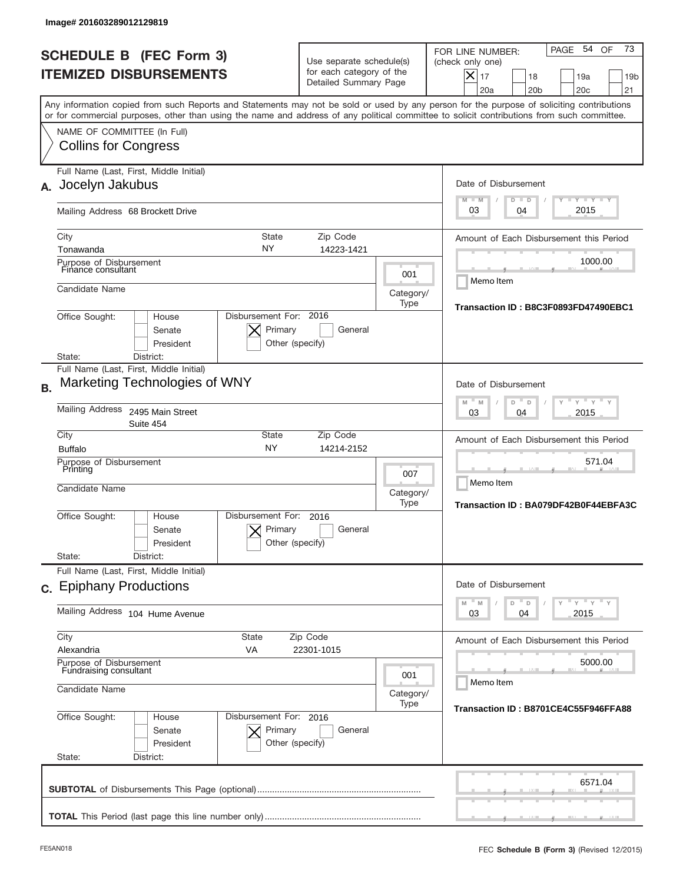|           | Image# 201603289012129819                                                                                                                                                                                                                                                               |                                                                               |                          |                                                                                                                                                             |
|-----------|-----------------------------------------------------------------------------------------------------------------------------------------------------------------------------------------------------------------------------------------------------------------------------------------|-------------------------------------------------------------------------------|--------------------------|-------------------------------------------------------------------------------------------------------------------------------------------------------------|
|           | <b>SCHEDULE B (FEC Form 3)</b><br><b>ITEMIZED DISBURSEMENTS</b>                                                                                                                                                                                                                         | Use separate schedule(s)<br>for each category of the<br>Detailed Summary Page |                          | 73<br>PAGE 54<br>OF<br>FOR LINE NUMBER:<br>(check only one)<br>$X _{17}$<br>18<br>19a<br>19 <sub>b</sub><br>20a<br>20 <sub>b</sub><br>20 <sub>c</sub><br>21 |
|           | Any information copied from such Reports and Statements may not be sold or used by any person for the purpose of soliciting contributions<br>or for commercial purposes, other than using the name and address of any political committee to solicit contributions from such committee. |                                                                               |                          |                                                                                                                                                             |
|           | NAME OF COMMITTEE (In Full)<br><b>Collins for Congress</b>                                                                                                                                                                                                                              |                                                                               |                          |                                                                                                                                                             |
| А.        | Full Name (Last, First, Middle Initial)<br>Jocelyn Jakubus                                                                                                                                                                                                                              |                                                                               |                          | Date of Disbursement<br>$I - Y - I - Y - I - Y$<br>$M - M$<br>$D$ $D$                                                                                       |
|           | Mailing Address 68 Brockett Drive                                                                                                                                                                                                                                                       |                                                                               |                          | 2015<br>03<br>04                                                                                                                                            |
|           | City<br>State<br>NY<br>Tonawanda<br>Purpose of Disbursement                                                                                                                                                                                                                             | Zip Code<br>14223-1421                                                        |                          | Amount of Each Disbursement this Period<br>1000.00                                                                                                          |
|           | Finance consultant<br>Candidate Name                                                                                                                                                                                                                                                    |                                                                               | 001<br>Category/         | Memo Item                                                                                                                                                   |
|           | Disbursement For: 2016<br>Office Sought:<br>House<br>Primary<br>Senate<br>President<br>District:<br>State:                                                                                                                                                                              | General<br>Other (specify)                                                    | Type                     | Transaction ID: B8C3F0893FD47490EBC1                                                                                                                        |
| <b>B.</b> | Full Name (Last, First, Middle Initial)<br>Marketing Technologies of WNY                                                                                                                                                                                                                |                                                                               |                          | Date of Disbursement                                                                                                                                        |
|           | <b>Mailing Address</b><br>2495 Main Street<br>Suite 454                                                                                                                                                                                                                                 | $-M$<br>$Y = Y$<br>M<br>D<br>D<br>2015<br>03<br>04                            |                          |                                                                                                                                                             |
|           | City<br><b>State</b><br><b>NY</b><br><b>Buffalo</b><br>Purpose of Disbursement<br>Printing<br>Candidate Name                                                                                                                                                                            | Zip Code<br>14214-2152                                                        | 007<br>Category/<br>Type | Amount of Each Disbursement this Period<br>571.04<br>Memo Item<br>Transaction ID: BA079DF42B0F44EBFA3C                                                      |
|           | Disbursement For:<br>Office Sought:<br>House<br>Primary<br>Senate<br>President<br>State:<br>District:                                                                                                                                                                                   | 2016<br>General<br>Other (specify)                                            |                          |                                                                                                                                                             |
|           | Full Name (Last, First, Middle Initial)<br>c. Epiphany Productions                                                                                                                                                                                                                      |                                                                               |                          | Date of Disbursement<br>≡ γ ≡ γ ≡ γ                                                                                                                         |
|           | Mailing Address 104 Hume Avenue                                                                                                                                                                                                                                                         | $\mathbb M$<br>D<br>M<br>D<br>03<br>2015<br>04                                |                          |                                                                                                                                                             |
|           | City<br>State<br>Alexandria<br>VA                                                                                                                                                                                                                                                       | Zip Code<br>22301-1015                                                        |                          | Amount of Each Disbursement this Period                                                                                                                     |
|           | Purpose of Disbursement<br>Fundraising consultant<br>Candidate Name                                                                                                                                                                                                                     | 5000.00<br>Memo Item<br>Category/                                             |                          |                                                                                                                                                             |
|           | Office Sought:<br>Disbursement For: 2016<br>House<br>Senate<br>Primary<br>President<br>State:<br>District:                                                                                                                                                                              | General<br>Other (specify)                                                    | Type                     | Transaction ID: B8701CE4C55F946FFA88                                                                                                                        |
|           |                                                                                                                                                                                                                                                                                         |                                                                               |                          | 6571.04                                                                                                                                                     |
|           |                                                                                                                                                                                                                                                                                         |                                                                               |                          |                                                                                                                                                             |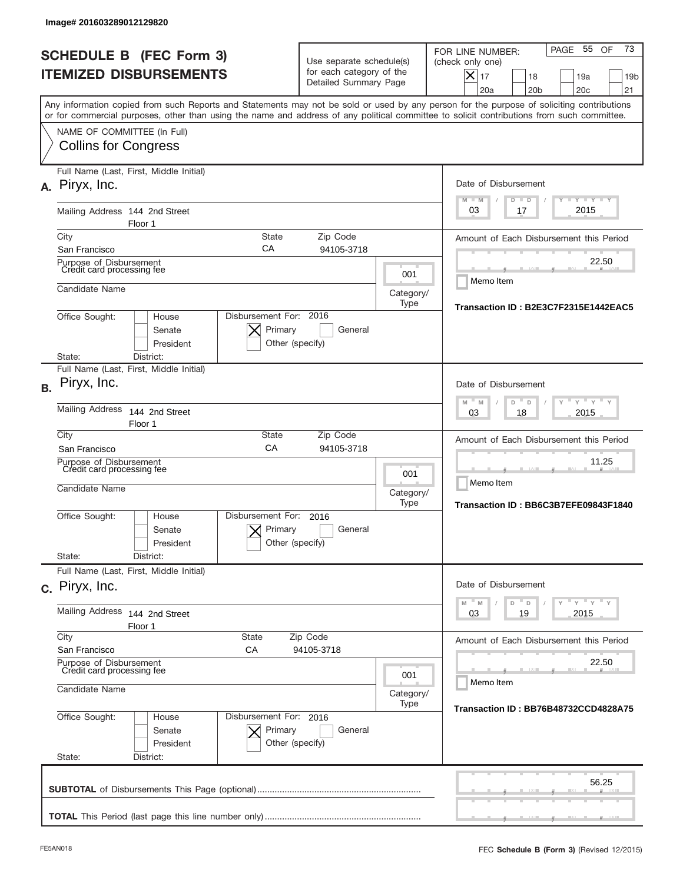|           | lmage#201603289012129820                                                |                                                                                      |                                                                               |                                         |                                                                                                                                                                                                                                                                                         |
|-----------|-------------------------------------------------------------------------|--------------------------------------------------------------------------------------|-------------------------------------------------------------------------------|-----------------------------------------|-----------------------------------------------------------------------------------------------------------------------------------------------------------------------------------------------------------------------------------------------------------------------------------------|
|           | <b>SCHEDULE B (FEC Form 3)</b><br><b>ITEMIZED DISBURSEMENTS</b>         |                                                                                      | Use separate schedule(s)<br>for each category of the<br>Detailed Summary Page |                                         | 73<br>PAGE 55<br>OF<br>FOR LINE NUMBER:<br>(check only one)<br>$\times$<br>17<br>18<br>19a<br>19 <sub>b</sub><br>20a<br>20 <sub>b</sub><br>20 <sub>c</sub><br>21                                                                                                                        |
|           |                                                                         |                                                                                      |                                                                               |                                         | Any information copied from such Reports and Statements may not be sold or used by any person for the purpose of soliciting contributions<br>or for commercial purposes, other than using the name and address of any political committee to solicit contributions from such committee. |
|           | NAME OF COMMITTEE (In Full)<br><b>Collins for Congress</b>              |                                                                                      |                                                                               |                                         |                                                                                                                                                                                                                                                                                         |
|           | Full Name (Last, First, Middle Initial)<br>A. Piryx, Inc.               |                                                                                      |                                                                               |                                         | Date of Disbursement<br>$T - Y$ $T - Y$<br>$M - M$<br>$D$ $D$                                                                                                                                                                                                                           |
|           | Mailing Address 144 2nd Street<br>Floor 1                               |                                                                                      |                                                                               |                                         | 2015<br>03<br>17                                                                                                                                                                                                                                                                        |
|           | City                                                                    | <b>State</b>                                                                         | Zip Code                                                                      |                                         | Amount of Each Disbursement this Period                                                                                                                                                                                                                                                 |
|           | San Francisco<br>Purpose of Disbursement<br>Credit card processing fee  | СA                                                                                   | 94105-3718                                                                    | 001                                     | 22.50                                                                                                                                                                                                                                                                                   |
|           | Candidate Name                                                          |                                                                                      |                                                                               | Category/<br>Type                       | Memo Item                                                                                                                                                                                                                                                                               |
|           | Office Sought:                                                          | Disbursement For: 2016<br>House<br>Primary<br>Senate<br>President<br>Other (specify) | Transaction ID: B2E3C7F2315E1442EAC5                                          |                                         |                                                                                                                                                                                                                                                                                         |
|           | State:<br>District:<br>Full Name (Last, First, Middle Initial)          |                                                                                      |                                                                               |                                         |                                                                                                                                                                                                                                                                                         |
| <b>B.</b> | Piryx, Inc.                                                             |                                                                                      |                                                                               |                                         | Date of Disbursement                                                                                                                                                                                                                                                                    |
|           | <b>Mailing Address</b><br>Floor 1                                       | 144 2nd Street                                                                       | $M - M$<br>$Y = Y$<br>D<br>D<br>2015<br>03<br>18                              |                                         |                                                                                                                                                                                                                                                                                         |
|           | City<br>San Francisco                                                   | State<br>CA                                                                          | Zip Code<br>94105-3718                                                        | Amount of Each Disbursement this Period |                                                                                                                                                                                                                                                                                         |
|           | Purpose of Disbursement<br>Credit card processing fee<br>Candidate Name |                                                                                      |                                                                               |                                         | 11.25<br>Memo Item<br>Transaction ID: BB6C3B7EFE09843F1840                                                                                                                                                                                                                              |
|           | Office Sought:                                                          | Disbursement For:<br>House<br>Primary<br>Senate<br>Other (specify)<br>President      | 2016<br>General                                                               | Type                                    |                                                                                                                                                                                                                                                                                         |
|           | State:<br>District:<br>Full Name (Last, First, Middle Initial)          |                                                                                      |                                                                               |                                         |                                                                                                                                                                                                                                                                                         |
|           | c. Piryx, Inc.                                                          |                                                                                      |                                                                               |                                         | Date of Disbursement                                                                                                                                                                                                                                                                    |
|           | Mailing Address 144 2nd Street<br>Floor 1                               |                                                                                      | ≡ γ ≡ γ ≡ γ<br>M<br>M<br>D<br>D<br>03<br>19<br>2015                           |                                         |                                                                                                                                                                                                                                                                                         |
|           | City<br>San Francisco                                                   | State<br>СA                                                                          | Zip Code<br>94105-3718                                                        |                                         | Amount of Each Disbursement this Period                                                                                                                                                                                                                                                 |
|           | Purpose of Disbursement<br>Credit card processing fee                   |                                                                                      | 001                                                                           | 22.50                                   |                                                                                                                                                                                                                                                                                         |
|           | Candidate Name<br>Category/                                             |                                                                                      |                                                                               |                                         | Memo Item                                                                                                                                                                                                                                                                               |
|           | Office Sought:<br>State:<br>District:                                   | Disbursement For: 2016<br>House<br>Primary<br>Senate<br>President<br>Other (specify) | General                                                                       | Type                                    | Transaction ID: BB76B48732CCD4828A75                                                                                                                                                                                                                                                    |
|           |                                                                         |                                                                                      |                                                                               |                                         | 56.25                                                                                                                                                                                                                                                                                   |
|           |                                                                         |                                                                                      |                                                                               |                                         |                                                                                                                                                                                                                                                                                         |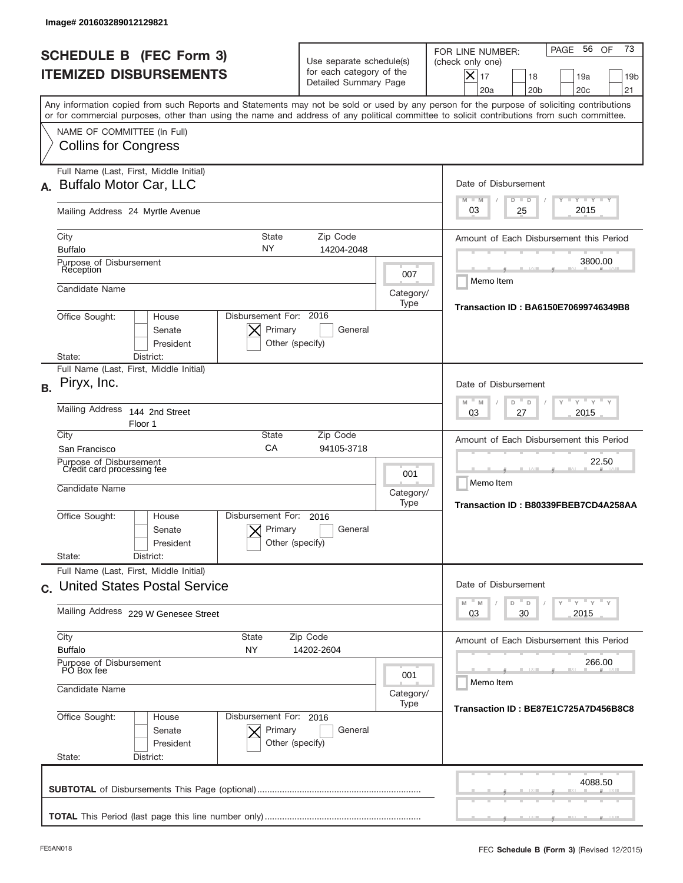| <b>SCHEDULE B (FEC Form 3)</b><br><b>ITEMIZED DISBURSEMENTS</b><br>Any information copied from such Reports and Statements may not be sold or used by any person for the purpose of soliciting contributions<br>or for commercial purposes, other than using the name and address of any political committee to solicit contributions from such committee.<br>NAME OF COMMITTEE (In Full)<br><b>Collins for Congress</b> | Use separate schedule(s)<br>for each category of the<br>Detailed Summary Page |                                                                | 73<br>56 OF<br>PAGE<br>FOR LINE NUMBER:<br>(check only one)<br>$X _{17}$<br>19a<br>18<br>19 <sub>b</sub><br>20a<br>20 <sub>b</sub><br>20 <sub>c</sub><br>21 |
|--------------------------------------------------------------------------------------------------------------------------------------------------------------------------------------------------------------------------------------------------------------------------------------------------------------------------------------------------------------------------------------------------------------------------|-------------------------------------------------------------------------------|----------------------------------------------------------------|-------------------------------------------------------------------------------------------------------------------------------------------------------------|
|                                                                                                                                                                                                                                                                                                                                                                                                                          |                                                                               |                                                                |                                                                                                                                                             |
|                                                                                                                                                                                                                                                                                                                                                                                                                          |                                                                               |                                                                |                                                                                                                                                             |
| Full Name (Last, First, Middle Initial)<br>Buffalo Motor Car, LLC<br>$\mathbf{A}_{-}$                                                                                                                                                                                                                                                                                                                                    |                                                                               |                                                                | Date of Disbursement<br>$T - Y$ $T - Y$<br>$M - M$<br>$D$ $D$                                                                                               |
| Mailing Address 24 Myrtle Avenue<br>City<br><b>State</b><br>NY<br><b>Buffalo</b><br>Purpose of Disbursement<br>Reception                                                                                                                                                                                                                                                                                                 | Zip Code<br>14204-2048                                                        | 007                                                            | 2015<br>25<br>03<br>Amount of Each Disbursement this Period<br>3800.00<br>Memo Item                                                                         |
| Candidate Name<br>Disbursement For: 2016<br>Office Sought:<br>House<br>Primary<br>Senate<br>President<br>Other (specify)<br>District:<br>State:                                                                                                                                                                                                                                                                          | Transaction ID: BA6150E70699746349B8                                          |                                                                |                                                                                                                                                             |
| Full Name (Last, First, Middle Initial)<br>Piryx, Inc.<br><b>Mailing Address</b><br>144 2nd Street<br>Floor 1                                                                                                                                                                                                                                                                                                            |                                                                               |                                                                | Date of Disbursement<br>$\cdots$ $\gamma$ $\cdots$ $\gamma$ $\cdots$<br>$-M$<br>M<br>D<br>D<br>2015<br>03<br>27                                             |
| City<br><b>State</b><br>CA<br>San Francisco<br>Purpose of Disbursement<br>Credit card processing fee<br>Candidate Name                                                                                                                                                                                                                                                                                                   | Zip Code<br>94105-3718                                                        | 001<br>Category/<br>Type                                       | Amount of Each Disbursement this Period<br>22.50<br>Memo Item<br>Transaction ID: B80339FBEB7CD4A258AA                                                       |
| Disbursement For:<br>Office Sought:<br>House<br>Senate<br>President<br>State:<br>District:                                                                                                                                                                                                                                                                                                                               | 2016<br>Primary<br>General<br>Other (specify)                                 |                                                                |                                                                                                                                                             |
| Full Name (Last, First, Middle Initial)<br>c. United States Postal Service<br>Mailing Address 229 W Genesee Street                                                                                                                                                                                                                                                                                                       |                                                                               |                                                                | Date of Disbursement<br>$\gamma$ = $\gamma$ = $\gamma$ = $\gamma$<br>$-M$<br>M<br>D<br>D<br>2015<br>03<br>30                                                |
| City<br><b>State</b><br><b>Buffalo</b><br>NY<br>Purpose of Disbursement<br>PO Box fee<br>Candidate Name                                                                                                                                                                                                                                                                                                                  | 001<br>Category/<br>Type                                                      | Amount of Each Disbursement this Period<br>266.00<br>Memo Item |                                                                                                                                                             |
| Office Sought:<br>Disbursement For: 2016<br>House<br>Senate<br>President<br>State:<br>District:                                                                                                                                                                                                                                                                                                                          | Primary<br>General<br>Other (specify)                                         |                                                                | Transaction ID: BE87E1C725A7D456B8C8                                                                                                                        |
|                                                                                                                                                                                                                                                                                                                                                                                                                          |                                                                               |                                                                | 4088.50                                                                                                                                                     |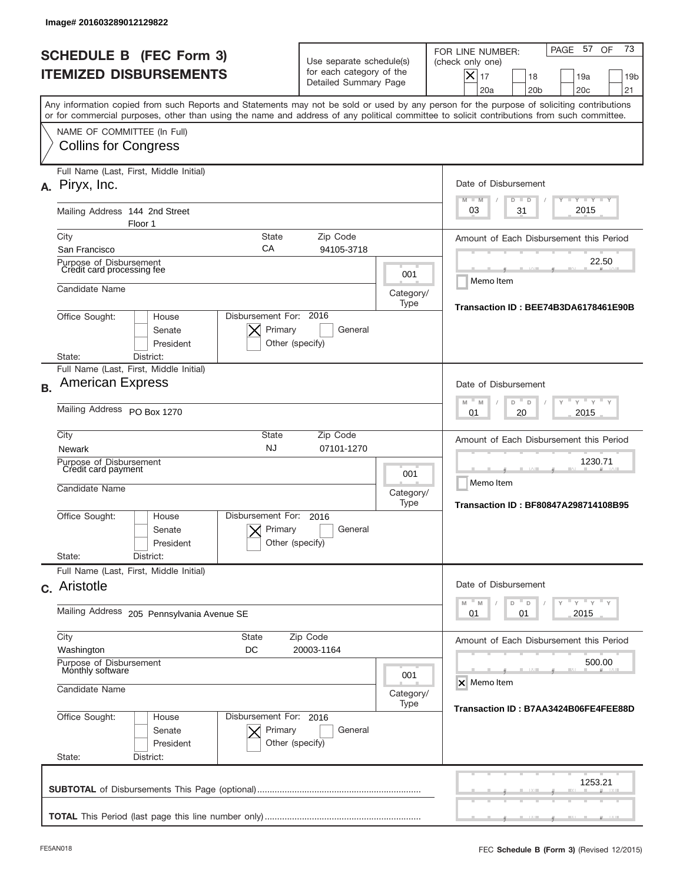|           | Image# 201603289012129822                                                                                                                                                                                                                                                               |                                                                            |                                                                               |                                                                                                                                                             |
|-----------|-----------------------------------------------------------------------------------------------------------------------------------------------------------------------------------------------------------------------------------------------------------------------------------------|----------------------------------------------------------------------------|-------------------------------------------------------------------------------|-------------------------------------------------------------------------------------------------------------------------------------------------------------|
|           | <b>SCHEDULE B (FEC Form 3)</b><br><b>ITEMIZED DISBURSEMENTS</b>                                                                                                                                                                                                                         |                                                                            | Use separate schedule(s)<br>for each category of the<br>Detailed Summary Page | 73<br>PAGE 57<br>OF<br>FOR LINE NUMBER:<br>(check only one)<br>$X _{17}$<br>18<br>19a<br>19 <sub>b</sub><br>20a<br>20 <sub>b</sub><br>20 <sub>c</sub><br>21 |
|           | Any information copied from such Reports and Statements may not be sold or used by any person for the purpose of soliciting contributions<br>or for commercial purposes, other than using the name and address of any political committee to solicit contributions from such committee. |                                                                            |                                                                               |                                                                                                                                                             |
|           | NAME OF COMMITTEE (In Full)<br><b>Collins for Congress</b>                                                                                                                                                                                                                              |                                                                            |                                                                               |                                                                                                                                                             |
|           | Full Name (Last, First, Middle Initial)<br>A. Piryx, Inc.                                                                                                                                                                                                                               |                                                                            |                                                                               | Date of Disbursement<br>$I - Y - I - Y - I - Y$<br>$M - M$<br>$D$ $D$                                                                                       |
|           | Mailing Address 144 2nd Street<br>Floor 1                                                                                                                                                                                                                                               |                                                                            |                                                                               | 2015<br>03<br>31                                                                                                                                            |
|           | City<br>СA<br>San Francisco                                                                                                                                                                                                                                                             | State<br>Zip Code                                                          | 94105-3718                                                                    | Amount of Each Disbursement this Period                                                                                                                     |
|           | Purpose of Disbursement<br>Credit card processing fee                                                                                                                                                                                                                                   | 22.50                                                                      |                                                                               |                                                                                                                                                             |
|           | Candidate Name                                                                                                                                                                                                                                                                          |                                                                            | 001<br>Category/<br>Type                                                      | Memo Item<br>Transaction ID: BEE74B3DA6178461E90B                                                                                                           |
|           | Office Sought:<br>House<br>Senate<br>President<br>District:<br>State:                                                                                                                                                                                                                   | Disbursement For: 2016<br>Primary<br>Other (specify)                       | General                                                                       |                                                                                                                                                             |
|           | Full Name (Last, First, Middle Initial)                                                                                                                                                                                                                                                 |                                                                            |                                                                               |                                                                                                                                                             |
| <b>B.</b> | <b>American Express</b><br>Mailing Address PO Box 1270                                                                                                                                                                                                                                  | Date of Disbursement<br>$-M$<br>$Y = Y$<br>M<br>D<br>D<br>2015<br>01<br>20 |                                                                               |                                                                                                                                                             |
|           | City<br><b>State</b><br><b>NJ</b><br><b>Newark</b>                                                                                                                                                                                                                                      | Zip Code                                                                   | 07101-1270                                                                    | Amount of Each Disbursement this Period                                                                                                                     |
|           | Purpose of Disbursement<br>Credit card payment<br>Candidate Name                                                                                                                                                                                                                        | 001<br>Category/<br>Type                                                   | 1230.71<br>Memo Item<br>Transaction ID: BF80847A298714108B95                  |                                                                                                                                                             |
|           | Disbursement For:<br>Office Sought:<br>House<br>Senate<br>President<br>State:<br>District:                                                                                                                                                                                              | 2016<br>Primary<br>Other (specify)                                         | General                                                                       |                                                                                                                                                             |
|           | Full Name (Last, First, Middle Initial)<br>c. Aristotle                                                                                                                                                                                                                                 |                                                                            |                                                                               | Date of Disbursement                                                                                                                                        |
|           | Mailing Address<br>205 Pennsylvania Avenue SE                                                                                                                                                                                                                                           | ≡ γ ≡ γ ≡ γ<br>M<br>$\mathbb M$<br>D<br>D<br>01<br>2015<br>01              |                                                                               |                                                                                                                                                             |
|           | City<br>State<br>DC<br>Washington                                                                                                                                                                                                                                                       | Zip Code<br>20003-1164                                                     |                                                                               | Amount of Each Disbursement this Period                                                                                                                     |
|           | Purpose of Disbursement<br>Monthly software<br>Candidate Name                                                                                                                                                                                                                           | 500.00<br>X Memo Item                                                      |                                                                               |                                                                                                                                                             |
|           | Office Sought:<br>House<br>Senate<br>President<br>State:<br>District:                                                                                                                                                                                                                   | Disbursement For: 2016<br>Primary<br>Other (specify)                       | Category/<br>Type<br>General                                                  | Transaction ID: B7AA3424B06FE4FEE88D                                                                                                                        |
|           |                                                                                                                                                                                                                                                                                         |                                                                            |                                                                               | 1253.21                                                                                                                                                     |
|           |                                                                                                                                                                                                                                                                                         |                                                                            |                                                                               |                                                                                                                                                             |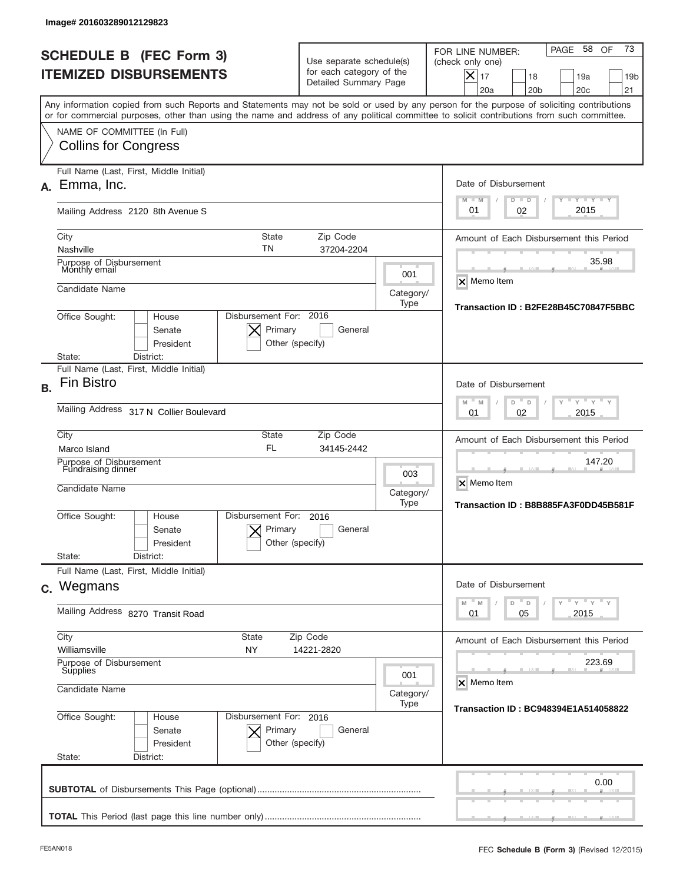|           | lmage#201603289012129823                                                                                                                                                                                                                                                                |                                                      |                                                                               |                  |                                                                                                                                                             |
|-----------|-----------------------------------------------------------------------------------------------------------------------------------------------------------------------------------------------------------------------------------------------------------------------------------------|------------------------------------------------------|-------------------------------------------------------------------------------|------------------|-------------------------------------------------------------------------------------------------------------------------------------------------------------|
|           | <b>SCHEDULE B (FEC Form 3)</b><br><b>ITEMIZED DISBURSEMENTS</b>                                                                                                                                                                                                                         |                                                      | Use separate schedule(s)<br>for each category of the<br>Detailed Summary Page |                  | 73<br>PAGE 58<br>OF<br>FOR LINE NUMBER:<br>(check only one)<br>$X _{17}$<br>18<br>19a<br>19 <sub>b</sub><br>20a<br>20 <sub>b</sub><br>20 <sub>c</sub><br>21 |
|           | Any information copied from such Reports and Statements may not be sold or used by any person for the purpose of soliciting contributions<br>or for commercial purposes, other than using the name and address of any political committee to solicit contributions from such committee. |                                                      |                                                                               |                  |                                                                                                                                                             |
|           | NAME OF COMMITTEE (In Full)<br><b>Collins for Congress</b>                                                                                                                                                                                                                              |                                                      |                                                                               |                  |                                                                                                                                                             |
| А.        | Full Name (Last, First, Middle Initial)<br>Emma, Inc.                                                                                                                                                                                                                                   |                                                      |                                                                               |                  | Date of Disbursement<br>$T - Y$ $T - Y$ $T - Y$<br>$M - M$<br>$D$ $D$                                                                                       |
|           | Mailing Address 2120 8th Avenue S                                                                                                                                                                                                                                                       |                                                      |                                                                               |                  | 2015<br>02<br>01                                                                                                                                            |
|           | City<br>Nashville                                                                                                                                                                                                                                                                       | State<br>TN                                          | Zip Code<br>37204-2204                                                        |                  | Amount of Each Disbursement this Period<br>35.98                                                                                                            |
|           | Purpose of Disbursement<br>Monthly email<br>Candidate Name                                                                                                                                                                                                                              |                                                      |                                                                               | 001<br>Category/ | <b>X</b> Memo Item                                                                                                                                          |
|           | Office Sought:<br>House<br>Senate<br>President                                                                                                                                                                                                                                          | Disbursement For: 2016<br>Primary<br>Other (specify) | General                                                                       | Type             | Transaction ID: B2FE28B45C70847F5BBC                                                                                                                        |
| <b>B.</b> | District:<br>State:<br>Full Name (Last, First, Middle Initial)<br><b>Fin Bistro</b>                                                                                                                                                                                                     |                                                      |                                                                               |                  | Date of Disbursement                                                                                                                                        |
|           | Mailing Address 317 N Collier Boulevard                                                                                                                                                                                                                                                 | $-M$<br>$Y = Y$<br>M<br>D<br>D<br>2015<br>01<br>02   |                                                                               |                  |                                                                                                                                                             |
|           | City<br>Marco Island                                                                                                                                                                                                                                                                    | State<br><b>FL</b>                                   | Zip Code<br>34145-2442                                                        |                  | Amount of Each Disbursement this Period<br>147.20                                                                                                           |
|           | Purpose of Disbursement<br>Fundraising dinner<br>Candidate Name                                                                                                                                                                                                                         |                                                      |                                                                               |                  | X Memo Item<br>Transaction ID: B8B885FA3F0DD45B581F                                                                                                         |
|           | Disbursement For:<br>Office Sought:<br>House<br>Senate<br>President                                                                                                                                                                                                                     | Primary<br>Other (specify)                           | 2016<br>General                                                               |                  |                                                                                                                                                             |
|           | State:<br>District:<br>Full Name (Last, First, Middle Initial)                                                                                                                                                                                                                          |                                                      |                                                                               |                  |                                                                                                                                                             |
|           | c. Wegmans                                                                                                                                                                                                                                                                              |                                                      |                                                                               |                  | Date of Disbursement<br>≡ γ ≡ γ ≡ γ<br>M<br>M<br>D<br>D                                                                                                     |
|           | Mailing Address 8270 Transit Road                                                                                                                                                                                                                                                       | 05<br>2015<br>01                                     |                                                                               |                  |                                                                                                                                                             |
|           | City<br>State<br>Williamsville<br>NY                                                                                                                                                                                                                                                    | Zip Code                                             | 14221-2820                                                                    |                  | Amount of Each Disbursement this Period                                                                                                                     |
|           | Purpose of Disbursement<br>Supplies<br>001<br>Candidate Name<br>Category/                                                                                                                                                                                                               |                                                      |                                                                               |                  | 223.69<br>X Memo Item                                                                                                                                       |
|           | Office Sought:<br>House<br>Senate<br>President<br>State:<br>District:                                                                                                                                                                                                                   | Disbursement For: 2016<br>Primary<br>Other (specify) | General                                                                       | Type             | Transaction ID: BC948394E1A514058822                                                                                                                        |
|           |                                                                                                                                                                                                                                                                                         |                                                      |                                                                               |                  | 0.00                                                                                                                                                        |
|           |                                                                                                                                                                                                                                                                                         |                                                      |                                                                               |                  |                                                                                                                                                             |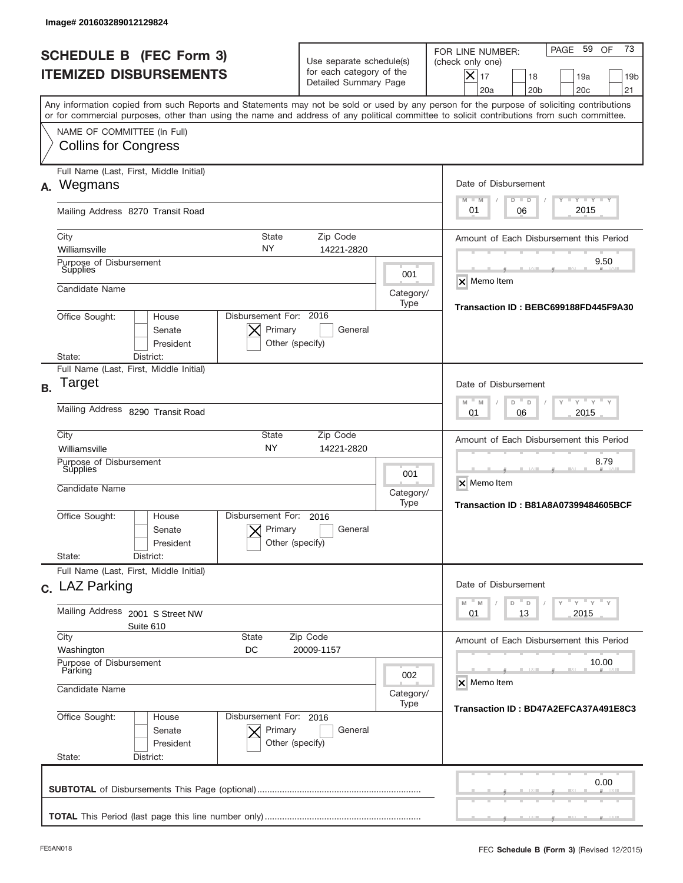|           | Image# 201603289012129824                                                                                                                                                                                                                                                               |                                                                               |                          |                                                                                                                                                           |
|-----------|-----------------------------------------------------------------------------------------------------------------------------------------------------------------------------------------------------------------------------------------------------------------------------------------|-------------------------------------------------------------------------------|--------------------------|-----------------------------------------------------------------------------------------------------------------------------------------------------------|
|           | <b>SCHEDULE B (FEC Form 3)</b><br><b>ITEMIZED DISBURSEMENTS</b>                                                                                                                                                                                                                         | Use separate schedule(s)<br>for each category of the<br>Detailed Summary Page |                          | 73<br>PAGE 59<br>OF<br>FOR LINE NUMBER:<br>(check only one)<br>X<br>17<br>18<br>19a<br>19 <sub>b</sub><br>20 <sub>c</sub><br>21<br>20a<br>20 <sub>b</sub> |
|           | Any information copied from such Reports and Statements may not be sold or used by any person for the purpose of soliciting contributions<br>or for commercial purposes, other than using the name and address of any political committee to solicit contributions from such committee. |                                                                               |                          |                                                                                                                                                           |
|           | NAME OF COMMITTEE (In Full)<br><b>Collins for Congress</b>                                                                                                                                                                                                                              |                                                                               |                          |                                                                                                                                                           |
| А.        | Full Name (Last, First, Middle Initial)<br>Wegmans                                                                                                                                                                                                                                      |                                                                               |                          | Date of Disbursement<br>$T - Y$ $T - Y$<br>$M - M$<br>$D$ $D$                                                                                             |
|           | Mailing Address 8270 Transit Road                                                                                                                                                                                                                                                       |                                                                               |                          | 2015<br>01<br>06                                                                                                                                          |
|           | City<br>State<br>NY.<br>Williamsville<br>Purpose of Disbursement                                                                                                                                                                                                                        | Zip Code<br>14221-2820                                                        |                          | Amount of Each Disbursement this Period<br>9.50                                                                                                           |
|           | <b>Supplies</b><br>Candidate Name                                                                                                                                                                                                                                                       |                                                                               | 001<br>Category/<br>Type | X Memo Item<br>Transaction ID: BEBC699188FD445F9A30                                                                                                       |
|           | Disbursement For: 2016<br>Office Sought:<br>House<br>Primary<br>Senate<br>President<br>Other (specify)<br>District:<br>State:                                                                                                                                                           |                                                                               |                          |                                                                                                                                                           |
| <b>B.</b> | Full Name (Last, First, Middle Initial)<br>Target                                                                                                                                                                                                                                       |                                                                               |                          | Date of Disbursement                                                                                                                                      |
|           | Mailing Address 8290 Transit Road                                                                                                                                                                                                                                                       | " γ " γ "<br>$-$ M<br>M<br>D<br>D<br>2015<br>01<br>06                         |                          |                                                                                                                                                           |
|           | City<br>State<br><b>NY</b><br>Williamsville<br>Purpose of Disbursement<br>Supplies<br>Candidate Name                                                                                                                                                                                    | Zip Code<br>14221-2820                                                        | 001<br>Category/         | Amount of Each Disbursement this Period<br>8.79<br>X Memo Item                                                                                            |
|           | Disbursement For:<br>Office Sought:<br>House<br>Primary<br>Senate<br>President<br>State:<br>District:                                                                                                                                                                                   | 2016<br>General<br>Other (specify)                                            | Type                     | <b>Transaction ID: B81A8A07399484605BCF</b>                                                                                                               |
|           | Full Name (Last, First, Middle Initial)<br>c. LAZ Parking                                                                                                                                                                                                                               |                                                                               |                          | Date of Disbursement                                                                                                                                      |
|           | Mailing Address 2001 S Street NW<br>Suite 610                                                                                                                                                                                                                                           | $Y$ $Y$ $Y$ $Y$ $Y$<br>$M$ $M$<br>D<br>D<br>13<br>2015<br>01                  |                          |                                                                                                                                                           |
|           | City<br><b>State</b><br>Washington<br>DC                                                                                                                                                                                                                                                | Zip Code<br>20009-1157                                                        |                          | Amount of Each Disbursement this Period                                                                                                                   |
|           | Purpose of Disbursement<br>Parking<br>Candidate Name                                                                                                                                                                                                                                    | 002<br>Category/                                                              | 10.00<br>X Memo Item     |                                                                                                                                                           |
|           | Office Sought:<br>Disbursement For: 2016<br>House<br>Senate<br>Primary<br>President<br>State:<br>District:                                                                                                                                                                              | General<br>Other (specify)                                                    | Type                     | Transaction ID: BD47A2EFCA37A491E8C3                                                                                                                      |
|           |                                                                                                                                                                                                                                                                                         |                                                                               |                          | 0.00                                                                                                                                                      |
|           |                                                                                                                                                                                                                                                                                         |                                                                               |                          |                                                                                                                                                           |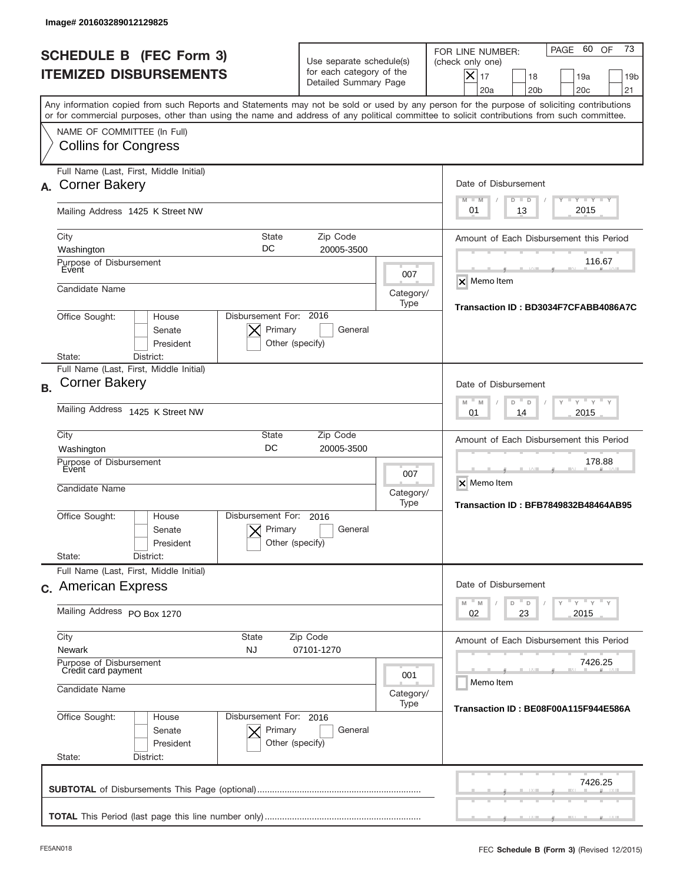|           | <b>SCHEDULE B (FEC Form 3)</b><br><b>ITEMIZED DISBURSEMENTS</b>                                 |                                                         | Use separate schedule(s)<br>for each category of the<br>Detailed Summary Page |                          | 73<br>60<br>OF<br>PAGE<br>FOR LINE NUMBER:<br>(check only one)<br>$X _{17}$<br>18<br>19a<br>19 <sub>b</sub><br>20 <sub>c</sub><br>20a<br>20 <sub>b</sub><br>21                                                                                                                          |
|-----------|-------------------------------------------------------------------------------------------------|---------------------------------------------------------|-------------------------------------------------------------------------------|--------------------------|-----------------------------------------------------------------------------------------------------------------------------------------------------------------------------------------------------------------------------------------------------------------------------------------|
|           |                                                                                                 |                                                         |                                                                               |                          | Any information copied from such Reports and Statements may not be sold or used by any person for the purpose of soliciting contributions<br>or for commercial purposes, other than using the name and address of any political committee to solicit contributions from such committee. |
|           | NAME OF COMMITTEE (In Full)<br><b>Collins for Congress</b>                                      |                                                         |                                                                               |                          |                                                                                                                                                                                                                                                                                         |
| А.        | Full Name (Last, First, Middle Initial)<br><b>Corner Bakery</b>                                 |                                                         |                                                                               |                          | Date of Disbursement<br>$\mathbf{I}$ $\mathbf{Y}$ $\mathbf{I}$ $\mathbf{Y}$ $\mathbf{I}$ $\mathbf{Y}$<br>$M - M$<br>$D$ $D$                                                                                                                                                             |
|           | Mailing Address 1425 K Street NW                                                                |                                                         |                                                                               |                          | 2015<br>13<br>01                                                                                                                                                                                                                                                                        |
|           | City<br>Washington<br>Purpose of Disbursement                                                   | State<br>DC                                             | Zip Code<br>20005-3500                                                        |                          | Amount of Each Disbursement this Period<br>116.67                                                                                                                                                                                                                                       |
|           | Event<br>Candidate Name                                                                         |                                                         |                                                                               | 007<br>Category/<br>Type | X Memo Item<br>Transaction ID: BD3034F7CFABB4086A7C                                                                                                                                                                                                                                     |
|           | Disbursement For: 2016<br>Office Sought:<br>House<br>Senate<br>President<br>State:<br>District: |                                                         |                                                                               |                          |                                                                                                                                                                                                                                                                                         |
| <b>B.</b> | Full Name (Last, First, Middle Initial)<br><b>Corner Bakery</b>                                 |                                                         |                                                                               |                          | Date of Disbursement                                                                                                                                                                                                                                                                    |
|           | Mailing Address 1425 K Street NW                                                                | $Y$ $Y$ $Y$<br>$-$ M<br>M<br>D<br>D<br>2015<br>01<br>14 |                                                                               |                          |                                                                                                                                                                                                                                                                                         |
|           | City<br>Washington<br>Purpose of Disbursement                                                   | <b>State</b><br>DC                                      | Zip Code<br>20005-3500                                                        |                          | Amount of Each Disbursement this Period<br>178.88                                                                                                                                                                                                                                       |
|           | <b>Event</b><br>Candidate Name                                                                  |                                                         |                                                                               |                          | X Memo Item<br>Category/<br><b>Transaction ID: BFB7849832B48464AB95</b>                                                                                                                                                                                                                 |
|           | Office Sought:<br>House<br>Senate<br>President                                                  | Disbursement For:<br>Primary<br>Other (specify)         | 2016<br>General                                                               |                          |                                                                                                                                                                                                                                                                                         |
|           | State:<br>District:<br>Full Name (Last, First, Middle Initial)                                  |                                                         |                                                                               |                          |                                                                                                                                                                                                                                                                                         |
|           | c. American Express                                                                             |                                                         |                                                                               |                          | Date of Disbursement<br>$\vdash$ $\vdash$ $\vdash$ $\vdash$ $\vdash$ $\vdash$ $\vdash$<br>$-M$<br>$\mathbb M$<br>D<br>D                                                                                                                                                                 |
|           | Mailing Address PO Box 1270                                                                     | 02<br>23<br>2015                                        |                                                                               |                          |                                                                                                                                                                                                                                                                                         |
|           | City<br><b>Newark</b>                                                                           | State<br><b>NJ</b>                                      | Zip Code<br>07101-1270                                                        |                          | Amount of Each Disbursement this Period                                                                                                                                                                                                                                                 |
|           | Purpose of Disbursement<br>Credit card payment<br>Candidate Name                                | 7426.25<br>Memo Item                                    |                                                                               |                          |                                                                                                                                                                                                                                                                                         |
|           | Office Sought:<br>House<br>Senate<br>President<br>State:<br>District:                           | Disbursement For: 2016<br>Primary<br>Other (specify)    | General                                                                       | Category/<br>Type        | Transaction ID: BE08F00A115F944E586A                                                                                                                                                                                                                                                    |
|           |                                                                                                 |                                                         |                                                                               |                          | 7426.25                                                                                                                                                                                                                                                                                 |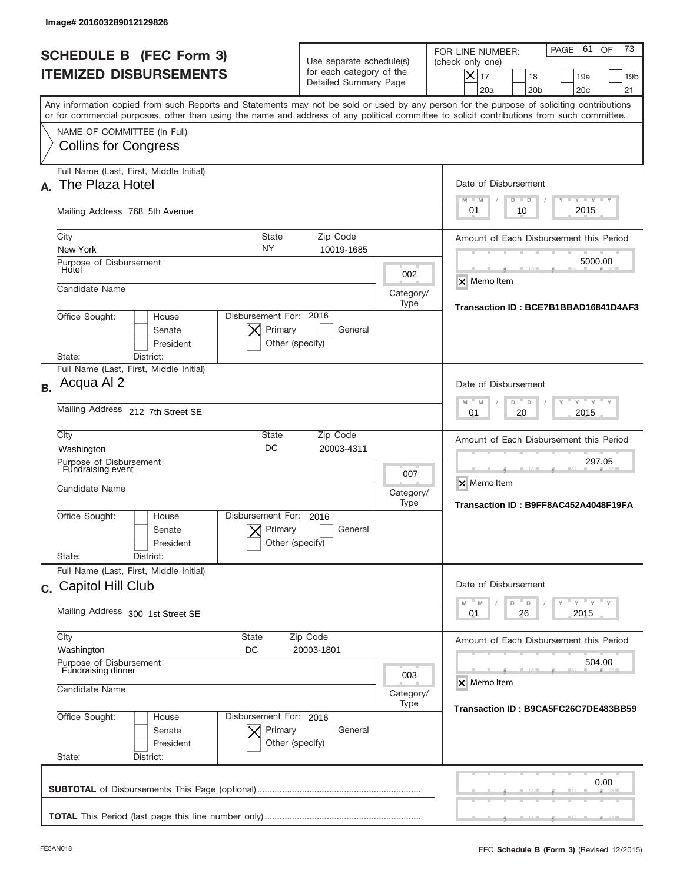|           | Image# 201603289012129826                                                                                                                                                                                                                                                               |                                                                               |                          |                                                                                                                                                             |
|-----------|-----------------------------------------------------------------------------------------------------------------------------------------------------------------------------------------------------------------------------------------------------------------------------------------|-------------------------------------------------------------------------------|--------------------------|-------------------------------------------------------------------------------------------------------------------------------------------------------------|
|           | <b>SCHEDULE B (FEC Form 3)</b><br><b>ITEMIZED DISBURSEMENTS</b>                                                                                                                                                                                                                         | Use separate schedule(s)<br>for each category of the<br>Detailed Summary Page |                          | 73<br>PAGE 61<br>OF<br>FOR LINE NUMBER:<br>(check only one)<br>$X _{17}$<br>18<br>19a<br>19 <sub>b</sub><br>20a<br>20 <sub>b</sub><br>20 <sub>c</sub><br>21 |
|           | Any information copied from such Reports and Statements may not be sold or used by any person for the purpose of soliciting contributions<br>or for commercial purposes, other than using the name and address of any political committee to solicit contributions from such committee. |                                                                               |                          |                                                                                                                                                             |
|           | NAME OF COMMITTEE (In Full)<br><b>Collins for Congress</b>                                                                                                                                                                                                                              |                                                                               |                          |                                                                                                                                                             |
|           | Full Name (Last, First, Middle Initial)<br>The Plaza Hotel                                                                                                                                                                                                                              |                                                                               |                          | Date of Disbursement<br>$I - Y - I - Y - I - Y$<br>$M - M$<br>$D$ $D$                                                                                       |
|           | Mailing Address 768 5th Avenue                                                                                                                                                                                                                                                          |                                                                               |                          | 2015<br>01<br>10                                                                                                                                            |
|           | City<br>State<br>NY<br>New York                                                                                                                                                                                                                                                         | Zip Code<br>10019-1685                                                        |                          | Amount of Each Disbursement this Period                                                                                                                     |
|           | Purpose of Disbursement<br>Hotel<br>Candidate Name                                                                                                                                                                                                                                      |                                                                               | 002                      | 5000.00<br>X Memo Item                                                                                                                                      |
|           | Office Sought:<br>House<br>Senate<br>President                                                                                                                                                                                                                                          | Disbursement For: 2016<br>Primary<br>General<br>Other (specify)               | Category/<br>Type        | Transaction ID: BCE7B1BBAD16841D4AF3                                                                                                                        |
|           | State:<br>District:<br>Full Name (Last, First, Middle Initial)                                                                                                                                                                                                                          |                                                                               |                          |                                                                                                                                                             |
| <b>B.</b> | Acqua Al 2                                                                                                                                                                                                                                                                              |                                                                               |                          | Date of Disbursement<br>$-$ M<br>$Y = Y$<br>M<br>D<br>D                                                                                                     |
|           | Mailing Address 212 7th Street SE                                                                                                                                                                                                                                                       | 2015<br>01<br>20                                                              |                          |                                                                                                                                                             |
|           | City<br><b>State</b><br>DC<br>Washington                                                                                                                                                                                                                                                | Zip Code<br>20003-4311                                                        |                          | Amount of Each Disbursement this Period<br>297.05                                                                                                           |
|           | Purpose of Disbursement<br>Fundraising event<br>Candidate Name                                                                                                                                                                                                                          |                                                                               | 007<br>Category/<br>Type | X Memo Item<br>Transaction ID: B9FF8AC452A4048F19FA                                                                                                         |
|           | Disbursement For:<br>Office Sought:<br>House<br>Senate<br>President<br>State:<br>District:                                                                                                                                                                                              | 2016<br>Primary<br>General<br>Other (specify)                                 |                          |                                                                                                                                                             |
|           | Full Name (Last, First, Middle Initial)                                                                                                                                                                                                                                                 |                                                                               |                          |                                                                                                                                                             |
|           | c. Capitol Hill Club                                                                                                                                                                                                                                                                    |                                                                               |                          | Date of Disbursement<br>≡ γ ≡ γ ≡ γ<br>$\mathbb M$<br>M<br>D<br>D                                                                                           |
|           | Mailing Address 300 1st Street SE                                                                                                                                                                                                                                                       | 26<br>2015<br>01                                                              |                          |                                                                                                                                                             |
|           | City<br>State<br>Washington<br>DC                                                                                                                                                                                                                                                       | Zip Code<br>20003-1801                                                        |                          | Amount of Each Disbursement this Period                                                                                                                     |
|           | Purpose of Disbursement<br>Fundraising dinner<br>Candidate Name                                                                                                                                                                                                                         | 504.00<br>X Memo Item                                                         |                          |                                                                                                                                                             |
|           | Office Sought:<br>House<br>Senate<br>President                                                                                                                                                                                                                                          | Disbursement For: 2016<br>Primary<br>General<br>Other (specify)               | Category/<br>Type        | Transaction ID: B9CA5FC26C7DE483BB59                                                                                                                        |
|           | State:<br>District:                                                                                                                                                                                                                                                                     |                                                                               |                          |                                                                                                                                                             |
|           |                                                                                                                                                                                                                                                                                         |                                                                               |                          | 0.00                                                                                                                                                        |
|           |                                                                                                                                                                                                                                                                                         |                                                                               |                          |                                                                                                                                                             |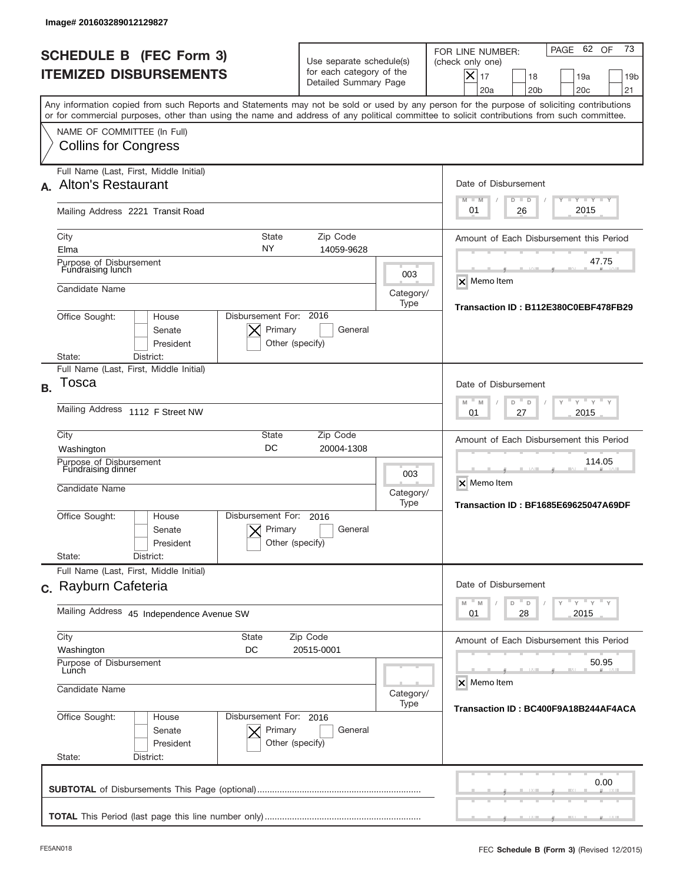|           | Image# 201603289012129827                                                                                                                                                                                                                                                               |                                                     |                                                                               |                          |                                                                                                                                                             |
|-----------|-----------------------------------------------------------------------------------------------------------------------------------------------------------------------------------------------------------------------------------------------------------------------------------------|-----------------------------------------------------|-------------------------------------------------------------------------------|--------------------------|-------------------------------------------------------------------------------------------------------------------------------------------------------------|
|           | <b>SCHEDULE B (FEC Form 3)</b><br><b>ITEMIZED DISBURSEMENTS</b>                                                                                                                                                                                                                         |                                                     | Use separate schedule(s)<br>for each category of the<br>Detailed Summary Page |                          | 73<br>62 OF<br>PAGE<br>FOR LINE NUMBER:<br>(check only one)<br>$X _{17}$<br>18<br>19a<br>19 <sub>b</sub><br>20a<br>20 <sub>b</sub><br>20 <sub>c</sub><br>21 |
|           | Any information copied from such Reports and Statements may not be sold or used by any person for the purpose of soliciting contributions<br>or for commercial purposes, other than using the name and address of any political committee to solicit contributions from such committee. |                                                     |                                                                               |                          |                                                                                                                                                             |
|           | NAME OF COMMITTEE (In Full)<br><b>Collins for Congress</b>                                                                                                                                                                                                                              |                                                     |                                                                               |                          |                                                                                                                                                             |
|           | Full Name (Last, First, Middle Initial)<br>A. Alton's Restaurant                                                                                                                                                                                                                        |                                                     |                                                                               |                          | Date of Disbursement<br>$I - Y - I - Y - I - Y$<br>$M - M$<br>$D$ $D$                                                                                       |
|           | Mailing Address 2221 Transit Road                                                                                                                                                                                                                                                       |                                                     |                                                                               |                          | 2015<br>01<br>26                                                                                                                                            |
|           | City<br>Elma<br>Purpose of Disbursement                                                                                                                                                                                                                                                 | State<br>NY                                         | Zip Code<br>14059-9628                                                        |                          | Amount of Each Disbursement this Period<br>47.75                                                                                                            |
|           | Fundraising lunch<br>Candidate Name                                                                                                                                                                                                                                                     |                                                     |                                                                               | 003<br>Category/<br>Type | <b>X</b> Memo Item                                                                                                                                          |
|           | Disbursement For: 2016<br>Office Sought:<br>House<br>Senate<br>President<br>District:<br>State:                                                                                                                                                                                         | Primary<br>Other (specify)                          | General                                                                       |                          | Transaction ID: B112E380C0EBF478FB29                                                                                                                        |
| <b>B.</b> | Full Name (Last, First, Middle Initial)<br>Tosca                                                                                                                                                                                                                                        |                                                     |                                                                               |                          | Date of Disbursement                                                                                                                                        |
|           | Mailing Address 1112 F Street NW                                                                                                                                                                                                                                                        | $-M$<br>$Y = Y$<br>M<br>D<br>D<br>2015<br>01<br>27  |                                                                               |                          |                                                                                                                                                             |
|           | City<br>Washington<br>Purpose of Disbursement<br>Fundraising dinner<br>Candidate Name                                                                                                                                                                                                   | <b>State</b><br>DC                                  | Zip Code<br>20004-1308                                                        | 003<br>Category/         | Amount of Each Disbursement this Period<br>114.05<br>X Memo Item                                                                                            |
|           | Disbursement For:<br>Office Sought:<br>House<br>Senate<br>President<br>State:<br>District:                                                                                                                                                                                              | Primary<br>Other (specify)                          | 2016<br>General                                                               | Type                     | Transaction ID: BF1685E69625047A69DF                                                                                                                        |
|           | Full Name (Last, First, Middle Initial)<br>c. Rayburn Cafeteria                                                                                                                                                                                                                         |                                                     |                                                                               |                          | Date of Disbursement                                                                                                                                        |
|           | Mailing Address 45 Independence Avenue SW                                                                                                                                                                                                                                               | ≡ γ ≡ γ ≡ γ<br>M<br>D<br>M<br>D<br>28<br>2015<br>01 |                                                                               |                          |                                                                                                                                                             |
|           | City<br>State<br>DC<br>Washington<br>Purpose of Disbursement                                                                                                                                                                                                                            |                                                     | Zip Code<br>20515-0001                                                        |                          | Amount of Each Disbursement this Period<br>50.95                                                                                                            |
|           | Lunch<br>Candidate Name                                                                                                                                                                                                                                                                 | X Memo Item<br>Category/                            |                                                                               |                          |                                                                                                                                                             |
|           | Office Sought:<br>Disbursement For: 2016<br>House<br>Senate<br>President<br>State:<br>District:                                                                                                                                                                                         | Primary<br>Other (specify)                          | General                                                                       | Type                     | Transaction ID: BC400F9A18B244AF4ACA                                                                                                                        |
|           |                                                                                                                                                                                                                                                                                         |                                                     |                                                                               |                          | 0.00                                                                                                                                                        |
|           |                                                                                                                                                                                                                                                                                         |                                                     |                                                                               |                          |                                                                                                                                                             |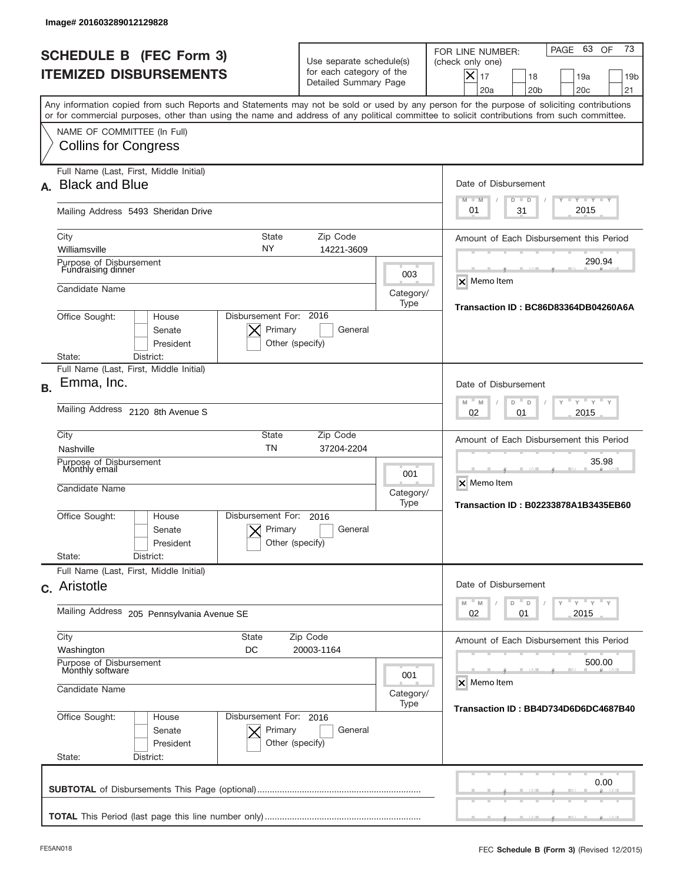| Image# 201603289012129828                                               |                                                      |                                                                               |                  |                                                                                                                                                                                                                                                                                         |  |
|-------------------------------------------------------------------------|------------------------------------------------------|-------------------------------------------------------------------------------|------------------|-----------------------------------------------------------------------------------------------------------------------------------------------------------------------------------------------------------------------------------------------------------------------------------------|--|
| <b>SCHEDULE B (FEC Form 3)</b><br><b>ITEMIZED DISBURSEMENTS</b>         |                                                      | Use separate schedule(s)<br>for each category of the<br>Detailed Summary Page |                  | 73<br>63<br>OF<br>PAGE<br>FOR LINE NUMBER:<br>(check only one)<br>$\times$<br>17<br>18<br>19a<br>19 <sub>b</sub><br>20a<br>20 <sub>b</sub><br>20 <sub>c</sub><br>21                                                                                                                     |  |
|                                                                         |                                                      |                                                                               |                  | Any information copied from such Reports and Statements may not be sold or used by any person for the purpose of soliciting contributions<br>or for commercial purposes, other than using the name and address of any political committee to solicit contributions from such committee. |  |
| NAME OF COMMITTEE (In Full)<br><b>Collins for Congress</b>              |                                                      |                                                                               |                  |                                                                                                                                                                                                                                                                                         |  |
| Full Name (Last, First, Middle Initial)<br><b>Black and Blue</b><br>А.  |                                                      |                                                                               |                  | Date of Disbursement<br><b>LYLYLY</b><br>$M - M$<br>$D$ $D$                                                                                                                                                                                                                             |  |
| Mailing Address 5493 Sheridan Drive                                     |                                                      |                                                                               |                  | 2015<br>01<br>31                                                                                                                                                                                                                                                                        |  |
| City<br>Williamsville                                                   | <b>State</b><br>NY                                   | Zip Code<br>14221-3609                                                        |                  | Amount of Each Disbursement this Period<br>290.94                                                                                                                                                                                                                                       |  |
| Purpose of Disbursement<br>Fundraising dinner<br>Candidate Name         |                                                      |                                                                               | 003<br>Category/ | <b>X</b> Memo Item                                                                                                                                                                                                                                                                      |  |
| Office Sought:<br>House<br>Senate<br>President                          | Disbursement For: 2016<br>Primary<br>Other (specify) | General                                                                       | Type             | Transaction ID: BC86D83364DB04260A6A                                                                                                                                                                                                                                                    |  |
| District:<br>State:<br>Full Name (Last, First, Middle Initial)          |                                                      |                                                                               |                  |                                                                                                                                                                                                                                                                                         |  |
| Emma, Inc.<br><b>B.</b>                                                 |                                                      |                                                                               |                  | Date of Disbursement<br>$M - M$<br>$Y = Y$<br>D<br>D                                                                                                                                                                                                                                    |  |
| Mailing Address 2120 8th Avenue S                                       |                                                      |                                                                               |                  |                                                                                                                                                                                                                                                                                         |  |
| City<br>Nashville                                                       | State<br><b>TN</b>                                   | Zip Code<br>37204-2204                                                        |                  | Amount of Each Disbursement this Period                                                                                                                                                                                                                                                 |  |
| Purpose of Disbursement<br>Monthly email<br>Candidate Name<br>Category/ |                                                      |                                                                               |                  | 35.98<br>X Memo Item<br>Transaction ID: B02233878A1B3435EB60                                                                                                                                                                                                                            |  |
| Office Sought:<br>House<br>Senate<br>President<br>State:<br>District:   | Disbursement For:<br>Primary<br>Other (specify)      | 2016<br>General                                                               | Type             |                                                                                                                                                                                                                                                                                         |  |
| Full Name (Last, First, Middle Initial)                                 |                                                      |                                                                               |                  |                                                                                                                                                                                                                                                                                         |  |
| c. Aristotle                                                            |                                                      |                                                                               |                  | Date of Disbursement<br>≡ γ ≡ γ ≡ γ<br>M<br>D<br>M<br>D<br>02<br>2015                                                                                                                                                                                                                   |  |
|                                                                         | Mailing Address 205 Pennsylvania Avenue SE           |                                                                               |                  |                                                                                                                                                                                                                                                                                         |  |
| Washington                                                              | City<br><b>State</b><br>Zip Code<br>DC<br>20003-1164 |                                                                               |                  |                                                                                                                                                                                                                                                                                         |  |
| Purpose of Disbursement<br>Monthly software<br>Candidate Name           | 001                                                  |                                                                               |                  |                                                                                                                                                                                                                                                                                         |  |
| Office Sought:<br>House                                                 | Category/<br>Type<br>Disbursement For: 2016          |                                                                               |                  |                                                                                                                                                                                                                                                                                         |  |
| Senate<br>President<br>State:<br>District:                              | Primary<br>Other (specify)                           | General                                                                       |                  |                                                                                                                                                                                                                                                                                         |  |
|                                                                         |                                                      |                                                                               |                  | 0.00                                                                                                                                                                                                                                                                                    |  |
|                                                                         |                                                      |                                                                               |                  |                                                                                                                                                                                                                                                                                         |  |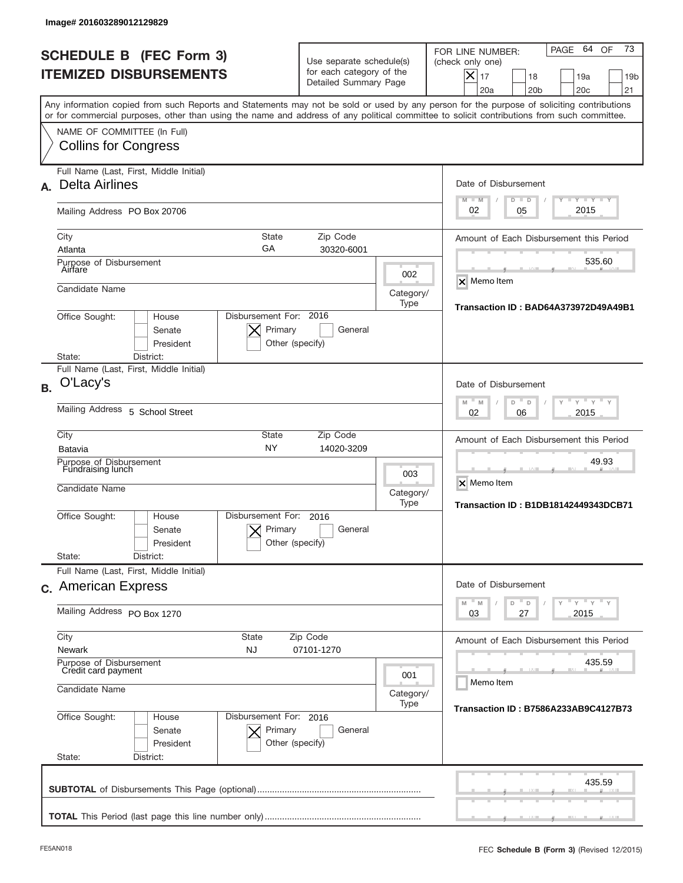|                 | Image# 201603289012129829                                                            |                              |                                                      |                                                                               |                          |                                                                                                                                                                                                                                                                                         |
|-----------------|--------------------------------------------------------------------------------------|------------------------------|------------------------------------------------------|-------------------------------------------------------------------------------|--------------------------|-----------------------------------------------------------------------------------------------------------------------------------------------------------------------------------------------------------------------------------------------------------------------------------------|
|                 | <b>SCHEDULE B (FEC Form 3)</b><br><b>ITEMIZED DISBURSEMENTS</b>                      |                              |                                                      | Use separate schedule(s)<br>for each category of the<br>Detailed Summary Page |                          | 73<br>64<br>OF<br>PAGE<br>FOR LINE NUMBER:<br>(check only one)<br>$X _{17}$<br>18<br>19a<br>19 <sub>b</sub><br>20a<br>20 <sub>b</sub><br>20 <sub>c</sub><br>21                                                                                                                          |
|                 |                                                                                      |                              |                                                      |                                                                               |                          | Any information copied from such Reports and Statements may not be sold or used by any person for the purpose of soliciting contributions<br>or for commercial purposes, other than using the name and address of any political committee to solicit contributions from such committee. |
|                 | NAME OF COMMITTEE (In Full)<br><b>Collins for Congress</b>                           |                              |                                                      |                                                                               |                          |                                                                                                                                                                                                                                                                                         |
| А.              | Full Name (Last, First, Middle Initial)<br><b>Delta Airlines</b>                     |                              |                                                      |                                                                               |                          | Date of Disbursement<br>$I - Y - I - Y - I - Y$<br>$M - M$<br>$D$ $D$                                                                                                                                                                                                                   |
|                 | Mailing Address PO Box 20706                                                         |                              |                                                      |                                                                               |                          | 2015<br>02<br>05                                                                                                                                                                                                                                                                        |
| City<br>Atlanta | Purpose of Disbursement                                                              |                              | State<br>GA                                          | Zip Code<br>30320-6001                                                        |                          | Amount of Each Disbursement this Period<br>535.60                                                                                                                                                                                                                                       |
| Airfare         | Candidate Name                                                                       |                              |                                                      |                                                                               | 002<br>Category/<br>Type | X Memo Item                                                                                                                                                                                                                                                                             |
| State:          | Office Sought:<br>District:                                                          | House<br>Senate<br>President | Disbursement For: 2016<br>Primary<br>Other (specify) | General                                                                       |                          | Transaction ID: BAD64A373972D49A49B1                                                                                                                                                                                                                                                    |
| <b>B.</b>       | Full Name (Last, First, Middle Initial)<br>O'Lacy's                                  |                              |                                                      |                                                                               |                          | Date of Disbursement                                                                                                                                                                                                                                                                    |
|                 | Mailing Address 5 School Street                                                      |                              |                                                      |                                                                               |                          | $-M$<br>$Y = Y$<br>M<br>D<br>D<br>2015<br>02<br>06                                                                                                                                                                                                                                      |
| City<br>Batavia | Purpose of Disbursement<br>Fundraising lunch<br>Candidate Name                       |                              | <b>State</b><br><b>NY</b>                            | Zip Code<br>14020-3209                                                        | 003<br>Category/         | Amount of Each Disbursement this Period<br>49.93<br>X Memo Item                                                                                                                                                                                                                         |
| State:          | Office Sought:<br>District:                                                          | House<br>Senate<br>President | Disbursement For:<br>Primary<br>Other (specify)      | 2016<br>General                                                               | Type                     | <b>Transaction ID: B1DB18142449343DCB71</b>                                                                                                                                                                                                                                             |
|                 | Full Name (Last, First, Middle Initial)<br>c. American Express                       |                              |                                                      |                                                                               |                          | Date of Disbursement<br>≡ γ ≡ γ ≡ γ<br>$-M$<br>$\mathbb M$<br>D<br>D                                                                                                                                                                                                                    |
|                 | Mailing Address PO Box 1270                                                          |                              |                                                      |                                                                               |                          | 03<br>27<br>2015                                                                                                                                                                                                                                                                        |
| City            | State<br>Zip Code<br><b>Newark</b><br><b>NJ</b><br>07101-1270                        |                              |                                                      |                                                                               |                          | Amount of Each Disbursement this Period                                                                                                                                                                                                                                                 |
|                 | Purpose of Disbursement<br>Credit card payment<br>001<br>Candidate Name<br>Category/ |                              |                                                      |                                                                               |                          | 435.59<br>Memo Item                                                                                                                                                                                                                                                                     |
| State:          | Office Sought:<br>District:                                                          | House<br>Senate<br>President | Disbursement For: 2016<br>Primary<br>Other (specify) | General                                                                       | Type                     | Transaction ID: B7586A233AB9C4127B73                                                                                                                                                                                                                                                    |
|                 |                                                                                      |                              |                                                      |                                                                               |                          | 435.59                                                                                                                                                                                                                                                                                  |
|                 |                                                                                      |                              |                                                      |                                                                               |                          |                                                                                                                                                                                                                                                                                         |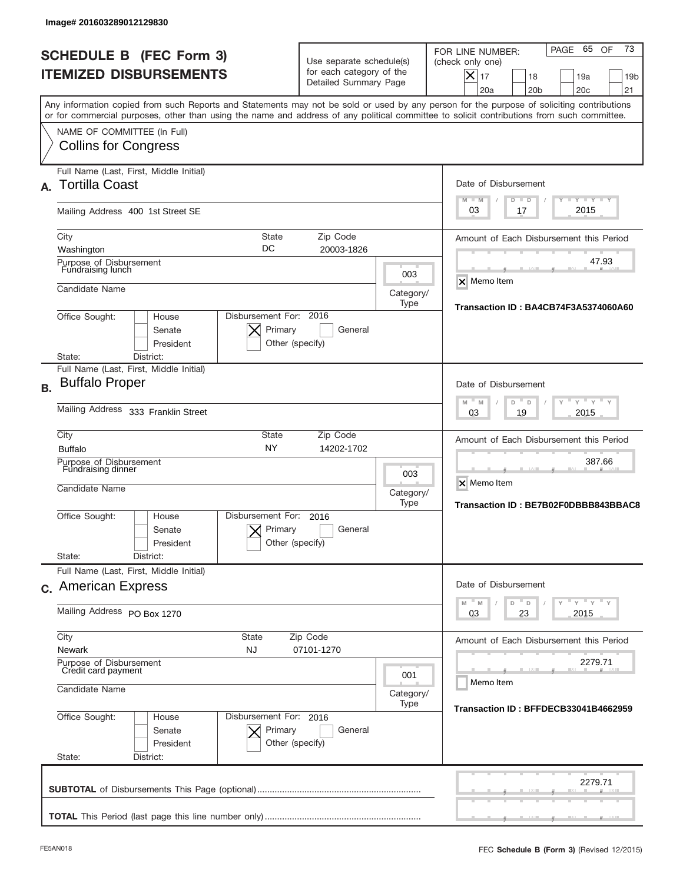|           | Image# 201603289012129830                                                                                                                                                                                                                                                               |                                                                  |                                                                               |                          |                                                                                                                                                                |
|-----------|-----------------------------------------------------------------------------------------------------------------------------------------------------------------------------------------------------------------------------------------------------------------------------------------|------------------------------------------------------------------|-------------------------------------------------------------------------------|--------------------------|----------------------------------------------------------------------------------------------------------------------------------------------------------------|
|           | <b>SCHEDULE B (FEC Form 3)</b><br><b>ITEMIZED DISBURSEMENTS</b>                                                                                                                                                                                                                         |                                                                  | Use separate schedule(s)<br>for each category of the<br>Detailed Summary Page |                          | 73<br>65<br>OF<br>PAGE<br>FOR LINE NUMBER:<br>(check only one)<br>$X _{17}$<br>19a<br>19 <sub>b</sub><br>18<br>20a<br>20 <sub>b</sub><br>20 <sub>c</sub><br>21 |
|           | Any information copied from such Reports and Statements may not be sold or used by any person for the purpose of soliciting contributions<br>or for commercial purposes, other than using the name and address of any political committee to solicit contributions from such committee. |                                                                  |                                                                               |                          |                                                                                                                                                                |
|           | NAME OF COMMITTEE (In Full)<br><b>Collins for Congress</b>                                                                                                                                                                                                                              |                                                                  |                                                                               |                          |                                                                                                                                                                |
| А.        | Full Name (Last, First, Middle Initial)<br><b>Tortilla Coast</b>                                                                                                                                                                                                                        |                                                                  |                                                                               |                          | Date of Disbursement<br>$I - Y - I - Y - I - Y$<br>$M - M$<br>$D$ $D$                                                                                          |
|           | Mailing Address 400 1st Street SE                                                                                                                                                                                                                                                       |                                                                  |                                                                               |                          | 2015<br>03<br>17                                                                                                                                               |
|           | City<br>Washington                                                                                                                                                                                                                                                                      | State<br>DC                                                      | Zip Code<br>20003-1826                                                        |                          | Amount of Each Disbursement this Period<br>47.93                                                                                                               |
|           | Purpose of Disbursement<br>Fundraising lunch<br>Candidate Name                                                                                                                                                                                                                          |                                                                  |                                                                               | 003<br>Category/         | <b>X</b> Memo Item                                                                                                                                             |
|           | Office Sought:<br>House<br>Senate<br>President<br>State:<br>District:                                                                                                                                                                                                                   | Disbursement For: 2016<br>Primary<br>Other (specify)             | General                                                                       | Type                     | Transaction ID: BA4CB74F3A5374060A60                                                                                                                           |
|           | Full Name (Last, First, Middle Initial)                                                                                                                                                                                                                                                 |                                                                  |                                                                               |                          |                                                                                                                                                                |
| <b>B.</b> | <b>Buffalo Proper</b><br>Mailing Address 333 Franklin Street                                                                                                                                                                                                                            |                                                                  |                                                                               |                          | Date of Disbursement<br>$-$ M<br>$Y = Y$<br>M<br>D<br>D<br>2015<br>03<br>19                                                                                    |
|           | City<br><b>Buffalo</b>                                                                                                                                                                                                                                                                  | <b>State</b><br><b>NY</b>                                        | Zip Code<br>14202-1702                                                        |                          | Amount of Each Disbursement this Period                                                                                                                        |
|           | Purpose of Disbursement<br>Fundraising dinner<br>Candidate Name                                                                                                                                                                                                                         |                                                                  |                                                                               | 003<br>Category/<br>Type | 387.66<br>X Memo Item<br>Transaction ID: BE7B02F0DBBB843BBAC8                                                                                                  |
|           | Disbursement For:<br>Office Sought:<br>House<br>Senate<br>President<br>State:<br>District:                                                                                                                                                                                              | 2016<br>Primary<br>Other (specify)                               | General                                                                       |                          |                                                                                                                                                                |
|           | Full Name (Last, First, Middle Initial)<br>c. American Express                                                                                                                                                                                                                          |                                                                  |                                                                               |                          | Date of Disbursement                                                                                                                                           |
|           | Mailing Address PO Box 1270                                                                                                                                                                                                                                                             | ≡ γ ≡ γ ≡ γ<br>$-M$<br>$\mathbb M$<br>D<br>D<br>03<br>23<br>2015 |                                                                               |                          |                                                                                                                                                                |
|           | City<br>State<br><b>Newark</b><br><b>NJ</b>                                                                                                                                                                                                                                             | Zip Code<br>07101-1270                                           |                                                                               |                          | Amount of Each Disbursement this Period                                                                                                                        |
|           | Purpose of Disbursement<br>Credit card payment<br>Candidate Name                                                                                                                                                                                                                        | 2279.71<br>Memo Item                                             |                                                                               |                          |                                                                                                                                                                |
|           | Office Sought:<br>House<br>Senate<br>President<br>State:<br>District:                                                                                                                                                                                                                   | Disbursement For: 2016<br>Primary<br>Other (specify)             | General                                                                       | Category/<br>Type        | Transaction ID: BFFDECB33041B4662959                                                                                                                           |
|           |                                                                                                                                                                                                                                                                                         |                                                                  |                                                                               |                          | 2279.71                                                                                                                                                        |
|           |                                                                                                                                                                                                                                                                                         |                                                                  |                                                                               |                          |                                                                                                                                                                |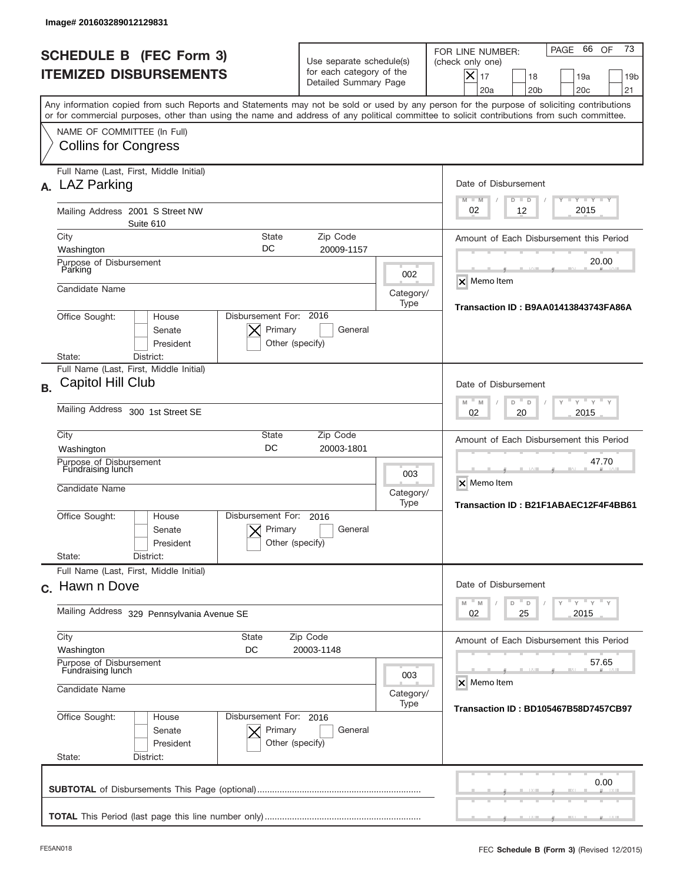| Image# 201603289012129831                                                                                                                                                                                                                                                               |                                                                               |                                                              |                                                                                                                                                                     |  |  |
|-----------------------------------------------------------------------------------------------------------------------------------------------------------------------------------------------------------------------------------------------------------------------------------------|-------------------------------------------------------------------------------|--------------------------------------------------------------|---------------------------------------------------------------------------------------------------------------------------------------------------------------------|--|--|
| <b>SCHEDULE B (FEC Form 3)</b><br><b>ITEMIZED DISBURSEMENTS</b>                                                                                                                                                                                                                         | Use separate schedule(s)<br>for each category of the<br>Detailed Summary Page |                                                              | 73<br>66<br>OF<br>PAGE<br>FOR LINE NUMBER:<br>(check only one)<br>$\times$<br>17<br>18<br>19a<br>19 <sub>b</sub><br>20a<br>20 <sub>b</sub><br>20 <sub>c</sub><br>21 |  |  |
| Any information copied from such Reports and Statements may not be sold or used by any person for the purpose of soliciting contributions<br>or for commercial purposes, other than using the name and address of any political committee to solicit contributions from such committee. |                                                                               |                                                              |                                                                                                                                                                     |  |  |
| NAME OF COMMITTEE (In Full)<br><b>Collins for Congress</b>                                                                                                                                                                                                                              |                                                                               |                                                              |                                                                                                                                                                     |  |  |
| Full Name (Last, First, Middle Initial)<br>A. LAZ Parking                                                                                                                                                                                                                               |                                                                               |                                                              | Date of Disbursement<br><b>LYLYLY</b><br>$M - M$<br>$D$ $D$                                                                                                         |  |  |
| Mailing Address 2001 S Street NW<br>Suite 610                                                                                                                                                                                                                                           |                                                                               |                                                              | 2015<br>12<br>02                                                                                                                                                    |  |  |
| City<br><b>State</b>                                                                                                                                                                                                                                                                    | Zip Code                                                                      |                                                              | Amount of Each Disbursement this Period                                                                                                                             |  |  |
| DC<br>Washington<br>Purpose of Disbursement<br>Parking                                                                                                                                                                                                                                  | 20009-1157                                                                    | 002                                                          | 20.00                                                                                                                                                               |  |  |
| Candidate Name                                                                                                                                                                                                                                                                          |                                                                               | Category/<br>Type                                            | <b>X</b> Memo Item                                                                                                                                                  |  |  |
| Disbursement For: 2016<br>Office Sought:<br>House<br>Primary<br>Senate<br>President<br>District:                                                                                                                                                                                        | General<br>Other (specify)                                                    |                                                              | Transaction ID: B9AA01413843743FA86A                                                                                                                                |  |  |
| State:<br>Full Name (Last, First, Middle Initial)                                                                                                                                                                                                                                       |                                                                               |                                                              |                                                                                                                                                                     |  |  |
| Capitol Hill Club<br><b>B.</b>                                                                                                                                                                                                                                                          |                                                                               |                                                              | Date of Disbursement<br>$Y$ $Y$ =<br>$M - M$<br>D<br>D                                                                                                              |  |  |
| Mailing Address 300 1st Street SE                                                                                                                                                                                                                                                       |                                                                               |                                                              |                                                                                                                                                                     |  |  |
| City<br>State<br>DC<br>Washington                                                                                                                                                                                                                                                       | Zip Code<br>20003-1801                                                        |                                                              | Amount of Each Disbursement this Period                                                                                                                             |  |  |
| Purpose of Disbursement<br>Fundraising lunch<br>Candidate Name                                                                                                                                                                                                                          | 003<br>Category/<br>Type                                                      | 47.70<br>X Memo Item<br>Transaction ID: B21F1ABAEC12F4F4BB61 |                                                                                                                                                                     |  |  |
| Disbursement For:<br>Office Sought:<br>House<br>Primary<br>Senate<br>President<br>State:<br>District:                                                                                                                                                                                   | 2016<br>General<br>Other (specify)                                            |                                                              |                                                                                                                                                                     |  |  |
| Full Name (Last, First, Middle Initial)                                                                                                                                                                                                                                                 |                                                                               |                                                              |                                                                                                                                                                     |  |  |
| c. Hawn n Dove                                                                                                                                                                                                                                                                          |                                                                               |                                                              | Date of Disbursement                                                                                                                                                |  |  |
| Mailing Address 329 Pennsylvania Avenue SE                                                                                                                                                                                                                                              | ≡ γ ≡ γ ≡ γ<br>D<br>M<br>M<br>D<br>02<br>25<br>2015                           |                                                              |                                                                                                                                                                     |  |  |
| City<br><b>State</b><br>Washington<br>DC                                                                                                                                                                                                                                                | Zip Code<br>20003-1148                                                        |                                                              | Amount of Each Disbursement this Period                                                                                                                             |  |  |
| Purpose of Disbursement<br>Fundraising lunch                                                                                                                                                                                                                                            | 003                                                                           |                                                              |                                                                                                                                                                     |  |  |
| Candidate Name                                                                                                                                                                                                                                                                          | X Memo Item<br>Category/<br>Transaction ID: BD105467B58D7457CB97              |                                                              |                                                                                                                                                                     |  |  |
| Office Sought:<br>Disbursement For: 2016<br>House<br>Primary<br>Senate<br>President<br>State:<br>District:                                                                                                                                                                              | General<br>Other (specify)                                                    |                                                              |                                                                                                                                                                     |  |  |
|                                                                                                                                                                                                                                                                                         |                                                                               |                                                              | 0.00                                                                                                                                                                |  |  |
|                                                                                                                                                                                                                                                                                         |                                                                               |                                                              |                                                                                                                                                                     |  |  |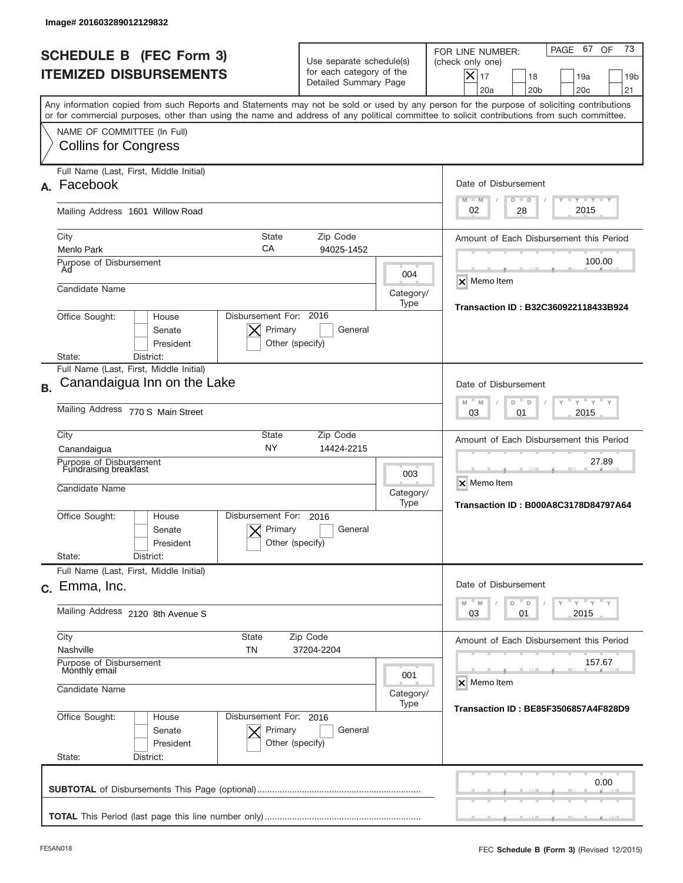|           | Image# 201603289012129832                                                                                                                                                                                                                                                               |                                                                               |                                                                     |                                                                                                                                                                |
|-----------|-----------------------------------------------------------------------------------------------------------------------------------------------------------------------------------------------------------------------------------------------------------------------------------------|-------------------------------------------------------------------------------|---------------------------------------------------------------------|----------------------------------------------------------------------------------------------------------------------------------------------------------------|
|           | <b>SCHEDULE B (FEC Form 3)</b><br><b>ITEMIZED DISBURSEMENTS</b>                                                                                                                                                                                                                         | Use separate schedule(s)<br>for each category of the<br>Detailed Summary Page |                                                                     | 73<br>67<br>OF<br>PAGE<br>FOR LINE NUMBER:<br>(check only one)<br>$X _{17}$<br>18<br>19a<br>19 <sub>b</sub><br>20a<br>20 <sub>b</sub><br>20 <sub>c</sub><br>21 |
|           | Any information copied from such Reports and Statements may not be sold or used by any person for the purpose of soliciting contributions<br>or for commercial purposes, other than using the name and address of any political committee to solicit contributions from such committee. |                                                                               |                                                                     |                                                                                                                                                                |
|           | NAME OF COMMITTEE (In Full)<br><b>Collins for Congress</b>                                                                                                                                                                                                                              |                                                                               |                                                                     |                                                                                                                                                                |
| А.        | Full Name (Last, First, Middle Initial)<br>Facebook                                                                                                                                                                                                                                     |                                                                               |                                                                     | Date of Disbursement                                                                                                                                           |
|           | Mailing Address 1601 Willow Road                                                                                                                                                                                                                                                        |                                                                               |                                                                     | $I - Y - I - Y - I - Y$<br>$M - M$<br>$D$ $D$<br>2015<br>02<br>28                                                                                              |
|           | State<br>City<br>СA<br>Menlo Park                                                                                                                                                                                                                                                       | Zip Code<br>94025-1452                                                        |                                                                     | Amount of Each Disbursement this Period<br>100.00                                                                                                              |
|           | Purpose of Disbursement<br>Ad<br>Candidate Name                                                                                                                                                                                                                                         |                                                                               | 004<br>Category/                                                    | X Memo Item                                                                                                                                                    |
|           | Disbursement For: 2016<br>Office Sought:<br>House<br>Senate<br>President                                                                                                                                                                                                                | Primary<br>General<br>Other (specify)                                         | Type                                                                | Transaction ID: B32C360922118433B924                                                                                                                           |
|           | District:<br>State:<br>Full Name (Last, First, Middle Initial)                                                                                                                                                                                                                          |                                                                               |                                                                     |                                                                                                                                                                |
| <b>B.</b> | Canandaigua Inn on the Lake                                                                                                                                                                                                                                                             |                                                                               |                                                                     | Date of Disbursement<br>$M - M$<br>$Y = Y$<br>D<br>D                                                                                                           |
|           | Mailing Address 770 S Main Street                                                                                                                                                                                                                                                       | 2015<br>03<br>01                                                              |                                                                     |                                                                                                                                                                |
|           | City<br><b>State</b><br><b>NY</b><br>Canandaigua                                                                                                                                                                                                                                        | Zip Code<br>14424-2215                                                        |                                                                     | Amount of Each Disbursement this Period                                                                                                                        |
|           | Purpose of Disbursement<br>Fundraising breakfast<br>Candidate Name                                                                                                                                                                                                                      | 003<br>Category/<br>Type                                                      | 27.89<br>X Memo Item<br><b>Transaction ID: B000A8C3178D84797A64</b> |                                                                                                                                                                |
|           | Disbursement For:<br>Office Sought:<br>House<br>Senate<br>President<br>State:<br>District:                                                                                                                                                                                              | 2016<br>Primary<br>General<br>Other (specify)                                 |                                                                     |                                                                                                                                                                |
|           | Full Name (Last, First, Middle Initial)                                                                                                                                                                                                                                                 |                                                                               |                                                                     |                                                                                                                                                                |
|           | c. Emma, Inc.                                                                                                                                                                                                                                                                           |                                                                               |                                                                     | Date of Disbursement<br>≡ γ ≡ γ ≡ γ<br>$-M$<br>M<br>D<br>D                                                                                                     |
|           | Mailing Address 2120 8th Avenue S                                                                                                                                                                                                                                                       | 03<br>2015<br>01                                                              |                                                                     |                                                                                                                                                                |
|           | City<br>State<br>Nashville<br>TN                                                                                                                                                                                                                                                        | Amount of Each Disbursement this Period                                       |                                                                     |                                                                                                                                                                |
|           | Purpose of Disbursement<br>Monthly email<br>Candidate Name                                                                                                                                                                                                                              | 157.67<br>X Memo Item                                                         |                                                                     |                                                                                                                                                                |
|           | Office Sought:<br>Disbursement For: 2016<br>House<br>Senate<br>President                                                                                                                                                                                                                | Primary<br>General<br>Other (specify)                                         | Category/<br>Type                                                   | Transaction ID: BE85F3506857A4F828D9                                                                                                                           |
|           | State:<br>District:                                                                                                                                                                                                                                                                     |                                                                               |                                                                     |                                                                                                                                                                |
|           |                                                                                                                                                                                                                                                                                         |                                                                               |                                                                     | 0.00                                                                                                                                                           |
|           |                                                                                                                                                                                                                                                                                         |                                                                               |                                                                     |                                                                                                                                                                |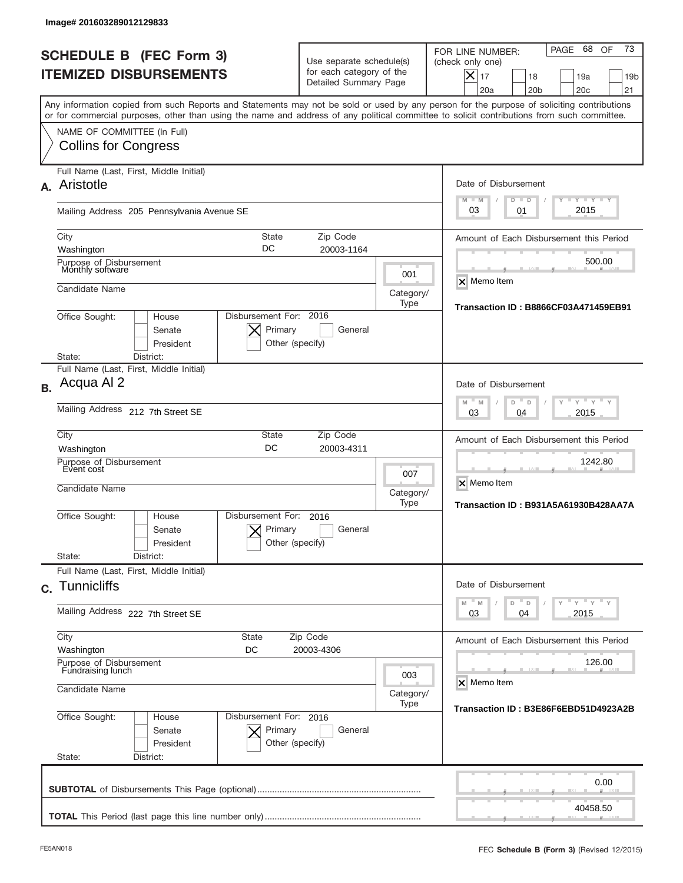| Image# 201603289012129833                                                                                                                                                                                                                                                               |                                                                               |                          |                                                                                                                                                                |
|-----------------------------------------------------------------------------------------------------------------------------------------------------------------------------------------------------------------------------------------------------------------------------------------|-------------------------------------------------------------------------------|--------------------------|----------------------------------------------------------------------------------------------------------------------------------------------------------------|
| <b>SCHEDULE B (FEC Form 3)</b><br><b>ITEMIZED DISBURSEMENTS</b>                                                                                                                                                                                                                         | Use separate schedule(s)<br>for each category of the<br>Detailed Summary Page |                          | 73<br>68<br>OF<br>PAGE<br>FOR LINE NUMBER:<br>(check only one)<br>$X _{17}$<br>18<br>19a<br>19 <sub>b</sub><br>20a<br>20 <sub>b</sub><br>20 <sub>c</sub><br>21 |
| Any information copied from such Reports and Statements may not be sold or used by any person for the purpose of soliciting contributions<br>or for commercial purposes, other than using the name and address of any political committee to solicit contributions from such committee. |                                                                               |                          |                                                                                                                                                                |
| NAME OF COMMITTEE (In Full)<br><b>Collins for Congress</b>                                                                                                                                                                                                                              |                                                                               |                          |                                                                                                                                                                |
| Full Name (Last, First, Middle Initial)<br>Aristotle<br>А.                                                                                                                                                                                                                              |                                                                               |                          | Date of Disbursement<br>$I - Y - I - Y - I - Y$<br>$M - M$<br>$D$ $D$                                                                                          |
| Mailing Address 205 Pennsylvania Avenue SE                                                                                                                                                                                                                                              |                                                                               |                          | 2015<br>03<br>01                                                                                                                                               |
| State<br>City<br>DC<br>Washington                                                                                                                                                                                                                                                       | Zip Code<br>20003-1164                                                        |                          | Amount of Each Disbursement this Period                                                                                                                        |
| Purpose of Disbursement<br>Monthly software<br>Candidate Name                                                                                                                                                                                                                           |                                                                               | 001                      | 500.00<br>X Memo Item                                                                                                                                          |
| Office Sought:<br>House<br>Senate                                                                                                                                                                                                                                                       | Disbursement For: 2016<br>Primary<br>General                                  | Category/<br>Type        | <b>Transaction ID: B8866CF03A471459EB91</b>                                                                                                                    |
| President<br>State:<br>District:<br>Full Name (Last, First, Middle Initial)                                                                                                                                                                                                             | Other (specify)                                                               |                          |                                                                                                                                                                |
| Acqua Al 2<br><b>B.</b>                                                                                                                                                                                                                                                                 |                                                                               |                          | Date of Disbursement                                                                                                                                           |
| Mailing Address 212 7th Street SE                                                                                                                                                                                                                                                       | $-M$<br>$Y = Y$<br>M<br>D<br>D<br>2015<br>03<br>04                            |                          |                                                                                                                                                                |
| City<br><b>State</b><br>DC<br>Washington                                                                                                                                                                                                                                                | Zip Code<br>20003-4311                                                        |                          | Amount of Each Disbursement this Period                                                                                                                        |
| Purpose of Disbursement<br>Event cost<br>Candidate Name                                                                                                                                                                                                                                 |                                                                               | 007<br>Category/<br>Type | 1242.80<br>X Memo Item<br>Transaction ID: B931A5A61930B428AA7A                                                                                                 |
| Disbursement For:<br>Office Sought:<br>House<br>Senate<br>President                                                                                                                                                                                                                     | 2016<br>Primary<br>General<br>Other (specify)                                 |                          |                                                                                                                                                                |
| State:<br>District:<br>Full Name (Last, First, Middle Initial)                                                                                                                                                                                                                          |                                                                               |                          |                                                                                                                                                                |
| c. Tunnicliffs                                                                                                                                                                                                                                                                          |                                                                               |                          | Date of Disbursement<br>≡ γ ≡ γ ≡ γ<br>M<br>M<br>D<br>D                                                                                                        |
| Mailing Address 222 7th Street SE<br>City<br>State                                                                                                                                                                                                                                      | 03<br>2015<br>04                                                              |                          |                                                                                                                                                                |
| Washington<br>DC                                                                                                                                                                                                                                                                        | Zip Code<br>20003-4306                                                        |                          | Amount of Each Disbursement this Period                                                                                                                        |
| Purpose of Disbursement<br>Fundraising lunch<br>Candidate Name                                                                                                                                                                                                                          | 126.00<br>X Memo Item<br>Category/                                            |                          |                                                                                                                                                                |
| Office Sought:<br>Disbursement For: 2016<br>House<br>Senate<br>President<br>State:<br>District:                                                                                                                                                                                         | Primary<br>General<br>Other (specify)                                         | Type                     | Transaction ID: B3E86F6EBD51D4923A2B                                                                                                                           |
|                                                                                                                                                                                                                                                                                         |                                                                               |                          | 0.00                                                                                                                                                           |
|                                                                                                                                                                                                                                                                                         |                                                                               |                          | 40458.50                                                                                                                                                       |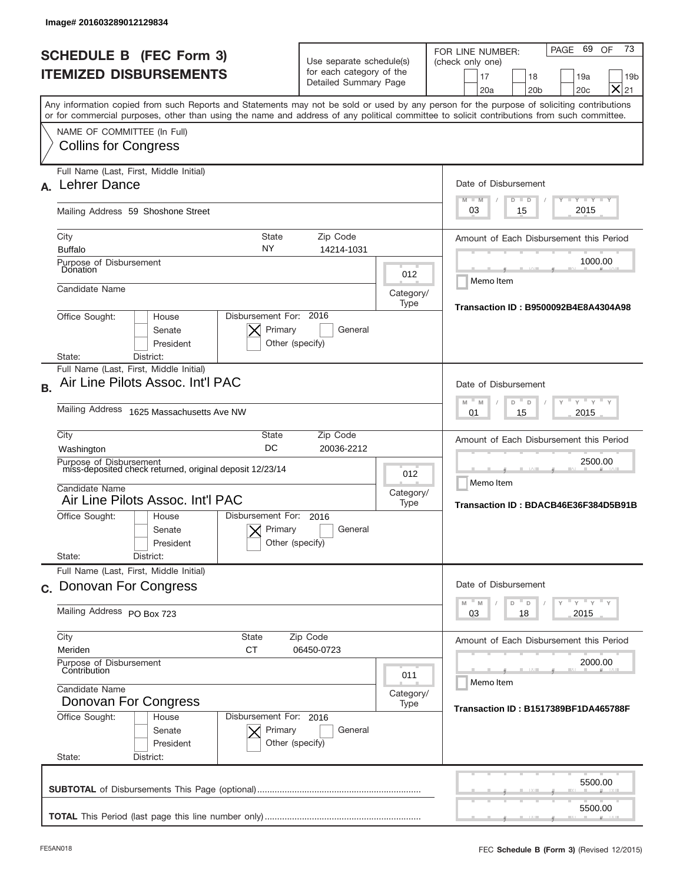| lmage#201603289012129834                                                                                                                   |                                                                                                                                   |                                                                                                                                                         |  |  |  |  |
|--------------------------------------------------------------------------------------------------------------------------------------------|-----------------------------------------------------------------------------------------------------------------------------------|---------------------------------------------------------------------------------------------------------------------------------------------------------|--|--|--|--|
| <b>SCHEDULE B (FEC Form 3)</b><br><b>ITEMIZED DISBURSEMENTS</b>                                                                            | Use separate schedule(s)<br>for each category of the<br>Detailed Summary Page                                                     | 73<br>69<br>PAGE<br>OF<br>FOR LINE NUMBER:<br>(check only one)<br>17<br>18<br>19a<br>19 <sub>b</sub><br>$\times$<br>20a<br>20 <sub>b</sub><br>20c<br>21 |  |  |  |  |
| or for commercial purposes, other than using the name and address of any political committee to solicit contributions from such committee. |                                                                                                                                   | Any information copied from such Reports and Statements may not be sold or used by any person for the purpose of soliciting contributions               |  |  |  |  |
| NAME OF COMMITTEE (In Full)<br><b>Collins for Congress</b>                                                                                 |                                                                                                                                   |                                                                                                                                                         |  |  |  |  |
| Full Name (Last, First, Middle Initial)<br><b>Lehrer Dance</b>                                                                             |                                                                                                                                   | Date of Disbursement<br>$T - Y$ $T - Y$ $T - Y$<br>$M - M$<br>$D$ $D$                                                                                   |  |  |  |  |
| Mailing Address 59 Shoshone Street                                                                                                         |                                                                                                                                   | 2015<br>03<br>15                                                                                                                                        |  |  |  |  |
| City<br>NY<br><b>Buffalo</b>                                                                                                               | State<br>Zip Code<br>14214-1031                                                                                                   | Amount of Each Disbursement this Period                                                                                                                 |  |  |  |  |
| Purpose of Disbursement<br>Donation                                                                                                        |                                                                                                                                   | 1000.00<br>012<br>Memo Item                                                                                                                             |  |  |  |  |
| Candidate Name                                                                                                                             | Category/<br>Type<br>Disbursement For: 2016<br>Office Sought:<br>House                                                            |                                                                                                                                                         |  |  |  |  |
| Senate<br>President<br>District:<br>State:                                                                                                 | Primary<br>General<br>Other (specify)                                                                                             |                                                                                                                                                         |  |  |  |  |
| Full Name (Last, First, Middle Initial)<br>Air Line Pilots Assoc. Int'l PAC<br><b>B.</b>                                                   |                                                                                                                                   | Date of Disbursement                                                                                                                                    |  |  |  |  |
| Mailing Address 1625 Massachusetts Ave NW                                                                                                  | $-M$<br>$Y = Y$<br>M<br>D<br>D<br>2015<br>01<br>15                                                                                |                                                                                                                                                         |  |  |  |  |
| City<br>Washington                                                                                                                         | Zip Code<br>State<br>DC<br>20036-2212                                                                                             | Amount of Each Disbursement this Period                                                                                                                 |  |  |  |  |
| Purpose of Disbursement<br>miss-deposited check returned, original deposit 12/23/14<br>Candidate Name<br>Air Line Pilots Assoc. Int'l PAC  |                                                                                                                                   | 2500.00<br>012<br>Memo Item<br>Category/<br>Type<br>Transaction ID: BDACB46E36F384D5B91B                                                                |  |  |  |  |
| Disbursement For:<br>Office Sought:<br>House<br>Senate<br>President<br>State:<br>District:                                                 | 2016<br>Primary<br>General<br>Other (specify)                                                                                     |                                                                                                                                                         |  |  |  |  |
| Full Name (Last, First, Middle Initial)<br>c. Donovan For Congress                                                                         |                                                                                                                                   | Date of Disbursement                                                                                                                                    |  |  |  |  |
| Mailing Address PO Box 723                                                                                                                 | $=\frac{1}{\gamma}$ $\frac{1}{\gamma}$ $\frac{1}{\gamma}$ $\frac{1}{\gamma}$<br>$-M$<br>$\mathbb M$<br>D<br>D<br>03<br>18<br>2015 |                                                                                                                                                         |  |  |  |  |
| City<br>State<br><b>CT</b><br>Meriden                                                                                                      | Zip Code<br>06450-0723                                                                                                            |                                                                                                                                                         |  |  |  |  |
| Purpose of Disbursement<br>Contribution                                                                                                    | 011                                                                                                                               |                                                                                                                                                         |  |  |  |  |
| Candidate Name<br>Donovan For Congress<br>Office Sought:<br>House<br>Senate<br>President<br>State:<br>District:                            | Disbursement For: 2016<br>Primary<br>General<br>Other (specify)                                                                   | Category/<br>Type<br><b>Transaction ID: B1517389BF1DA465788F</b>                                                                                        |  |  |  |  |
|                                                                                                                                            |                                                                                                                                   | 5500.00                                                                                                                                                 |  |  |  |  |
|                                                                                                                                            |                                                                                                                                   | 5500.00                                                                                                                                                 |  |  |  |  |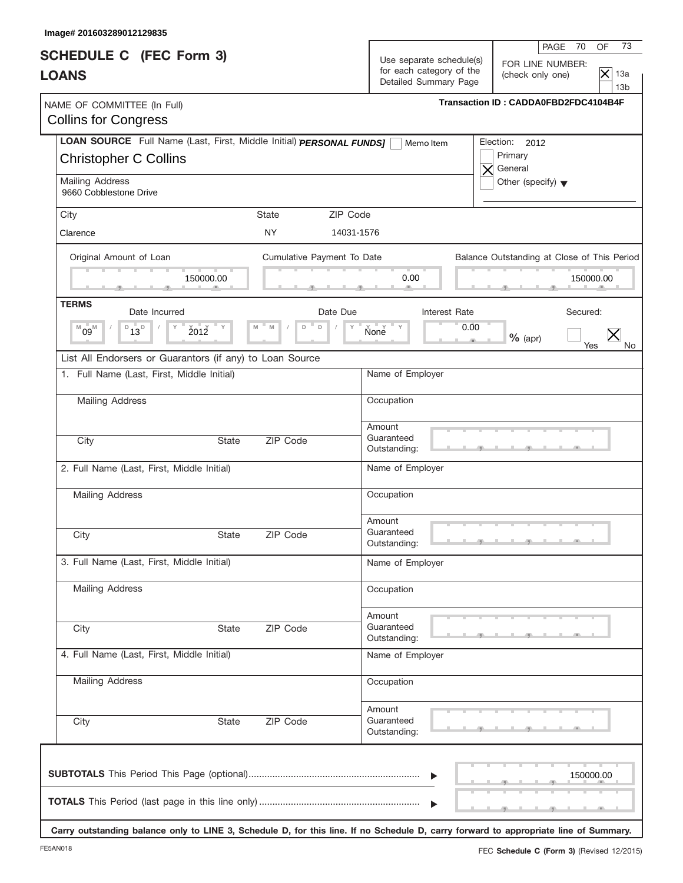| LOAN SOURCE Full Name (Last, First, Middle Initial) PERSONAL FUNDS]<br>State<br><b>NY</b><br>Cumulative Payment To Date<br>Date Due<br>D<br>M<br>D | 73<br>PAGE 70<br>OF<br>Use separate schedule(s)<br>FOR LINE NUMBER:<br>for each category of the<br>$\overline{\times}$<br>13a<br>(check only one)<br>Detailed Summary Page<br>13 <sub>b</sub><br>Transaction ID: CADDA0FBD2FDC4104B4F<br>Election:<br>2012<br>Memo Item<br>Primary<br>$\times$ General<br>Other (specify) $\blacktriangledown$<br>ZIP Code<br>14031-1576<br>Balance Outstanding at Close of This Period<br>0.00<br>150000.00<br>Interest Rate<br>Secured: |
|----------------------------------------------------------------------------------------------------------------------------------------------------|---------------------------------------------------------------------------------------------------------------------------------------------------------------------------------------------------------------------------------------------------------------------------------------------------------------------------------------------------------------------------------------------------------------------------------------------------------------------------|
|                                                                                                                                                    |                                                                                                                                                                                                                                                                                                                                                                                                                                                                           |
|                                                                                                                                                    |                                                                                                                                                                                                                                                                                                                                                                                                                                                                           |
|                                                                                                                                                    |                                                                                                                                                                                                                                                                                                                                                                                                                                                                           |
|                                                                                                                                                    |                                                                                                                                                                                                                                                                                                                                                                                                                                                                           |
|                                                                                                                                                    |                                                                                                                                                                                                                                                                                                                                                                                                                                                                           |
|                                                                                                                                                    |                                                                                                                                                                                                                                                                                                                                                                                                                                                                           |
|                                                                                                                                                    |                                                                                                                                                                                                                                                                                                                                                                                                                                                                           |
|                                                                                                                                                    | $N$ one $N$<br>0.00<br>$%$ (apr)                                                                                                                                                                                                                                                                                                                                                                                                                                          |
| List All Endorsers or Guarantors (if any) to Loan Source                                                                                           | Yes                                                                                                                                                                                                                                                                                                                                                                                                                                                                       |
|                                                                                                                                                    | Name of Employer                                                                                                                                                                                                                                                                                                                                                                                                                                                          |
|                                                                                                                                                    | Occupation                                                                                                                                                                                                                                                                                                                                                                                                                                                                |
| ZIP Code                                                                                                                                           | Amount<br>Guaranteed<br>Outstanding:                                                                                                                                                                                                                                                                                                                                                                                                                                      |
|                                                                                                                                                    | Name of Employer                                                                                                                                                                                                                                                                                                                                                                                                                                                          |
|                                                                                                                                                    | Occupation                                                                                                                                                                                                                                                                                                                                                                                                                                                                |
| ZIP Code                                                                                                                                           | Amount<br>Guaranteed<br>Outstanding:                                                                                                                                                                                                                                                                                                                                                                                                                                      |
|                                                                                                                                                    | Name of Employer                                                                                                                                                                                                                                                                                                                                                                                                                                                          |
|                                                                                                                                                    | Occupation                                                                                                                                                                                                                                                                                                                                                                                                                                                                |
| ZIP Code                                                                                                                                           | Amount<br>Guaranteed<br>Outstanding:                                                                                                                                                                                                                                                                                                                                                                                                                                      |
|                                                                                                                                                    | Name of Employer                                                                                                                                                                                                                                                                                                                                                                                                                                                          |
|                                                                                                                                                    | Occupation                                                                                                                                                                                                                                                                                                                                                                                                                                                                |
| ZIP Code                                                                                                                                           | Amount<br>Guaranteed<br>Outstanding:                                                                                                                                                                                                                                                                                                                                                                                                                                      |
|                                                                                                                                                    | 150000.00                                                                                                                                                                                                                                                                                                                                                                                                                                                                 |
|                                                                                                                                                    |                                                                                                                                                                                                                                                                                                                                                                                                                                                                           |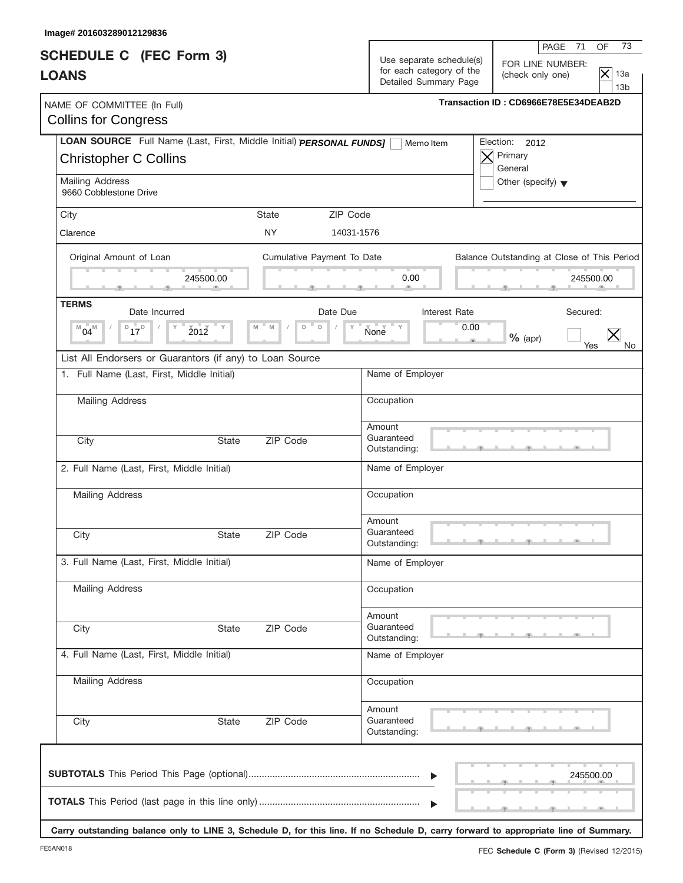| Image# 201603289012129836                                                                           |                                        |                                                                               |                                                                                                              |
|-----------------------------------------------------------------------------------------------------|----------------------------------------|-------------------------------------------------------------------------------|--------------------------------------------------------------------------------------------------------------|
| <b>SCHEDULE C</b> (FEC Form 3)<br><b>LOANS</b>                                                      |                                        | Use separate schedule(s)<br>for each category of the<br>Detailed Summary Page | 73<br>PAGE 71<br>OF<br>FOR LINE NUMBER:<br>$\overline{\times}$<br>13a<br>(check only one)<br>13 <sub>b</sub> |
| NAME OF COMMITTEE (In Full)<br><b>Collins for Congress</b>                                          |                                        |                                                                               | Transaction ID: CD6966E78E5E34DEAB2D                                                                         |
| LOAN SOURCE Full Name (Last, First, Middle Initial) PERSONAL FUNDS]<br><b>Christopher C Collins</b> |                                        | Memo Item                                                                     | Election: 2012<br>Primary<br>X<br>General                                                                    |
| Mailing Address<br>9660 Cobblestone Drive                                                           |                                        |                                                                               | Other (specify) $\blacktriangledown$                                                                         |
| City                                                                                                | State                                  | ZIP Code                                                                      |                                                                                                              |
| Clarence                                                                                            | <b>NY</b>                              | 14031-1576                                                                    |                                                                                                              |
| Original Amount of Loan<br>245500.00                                                                | Cumulative Payment To Date             | 0.00                                                                          | Balance Outstanding at Close of This Period<br>245500.00                                                     |
| <b>TERMS</b>                                                                                        |                                        |                                                                               |                                                                                                              |
| Date Incurred<br>$D_{17}D$<br>2012<br>$^{M}04^{M}$                                                  | Date Due<br>$\mathsf D$<br>M<br>M<br>D | Interest Rate<br>$N$ one $N$                                                  | Secured:<br>0.00<br>$%$ (apr)<br>Yes<br>No.                                                                  |
| List All Endorsers or Guarantors (if any) to Loan Source                                            |                                        |                                                                               |                                                                                                              |
| 1. Full Name (Last, First, Middle Initial)                                                          |                                        | Name of Employer                                                              |                                                                                                              |
| Mailing Address                                                                                     |                                        | Occupation                                                                    |                                                                                                              |
| City<br><b>State</b>                                                                                | ZIP Code                               | Amount<br>Guaranteed<br>Outstanding:                                          |                                                                                                              |
| 2. Full Name (Last, First, Middle Initial)                                                          |                                        | Name of Employer                                                              |                                                                                                              |
| <b>Mailing Address</b>                                                                              |                                        | Occupation                                                                    |                                                                                                              |
| City<br>State                                                                                       | ZIP Code                               | Amount<br>Guaranteed<br>Outstanding:                                          |                                                                                                              |
| 3. Full Name (Last, First, Middle Initial)                                                          |                                        | Name of Employer                                                              |                                                                                                              |
| Mailing Address                                                                                     |                                        | Occupation                                                                    |                                                                                                              |
| City<br>State                                                                                       | ZIP Code                               | Amount<br>Guaranteed<br>Outstanding:                                          |                                                                                                              |
| 4. Full Name (Last, First, Middle Initial)                                                          |                                        | Name of Employer                                                              |                                                                                                              |
| Mailing Address                                                                                     |                                        | Occupation                                                                    |                                                                                                              |
| City<br>State                                                                                       | ZIP Code                               | Amount<br>Guaranteed<br>Outstanding:                                          |                                                                                                              |
|                                                                                                     |                                        |                                                                               | 245500.00                                                                                                    |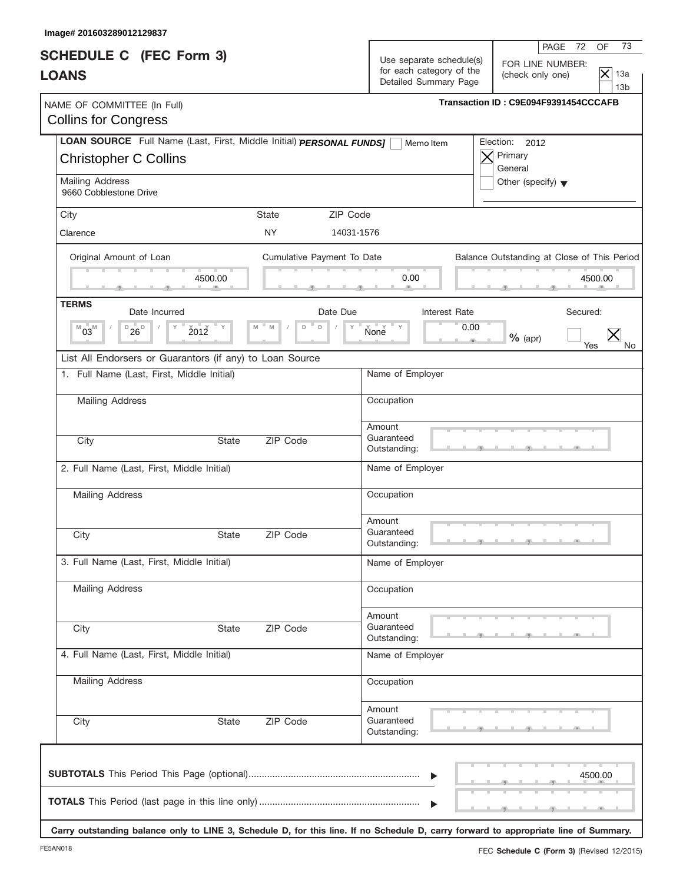| Image# 201603289012129837                                                                           |                            | 73                                                                                                                                                                                    |  |  |  |  |
|-----------------------------------------------------------------------------------------------------|----------------------------|---------------------------------------------------------------------------------------------------------------------------------------------------------------------------------------|--|--|--|--|
| <b>SCHEDULE C</b> (FEC Form 3)<br><b>LOANS</b>                                                      |                            | PAGE 72<br>OF<br>Use separate schedule(s)<br>FOR LINE NUMBER:<br>for each category of the<br>$\mathsf{\times}$<br>13a<br>(check only one)<br>Detailed Summary Page<br>13 <sub>b</sub> |  |  |  |  |
| NAME OF COMMITTEE (In Full)<br><b>Collins for Congress</b>                                          |                            | Transaction ID: C9E094F9391454CCCAFB                                                                                                                                                  |  |  |  |  |
| LOAN SOURCE Full Name (Last, First, Middle Initial) PERSONAL FUNDS]<br><b>Christopher C Collins</b> |                            | Election:<br>2012<br>Memo Item<br>Primary<br>X<br>General                                                                                                                             |  |  |  |  |
| Mailing Address<br>9660 Cobblestone Drive                                                           |                            | Other (specify) $\blacktriangledown$                                                                                                                                                  |  |  |  |  |
| City                                                                                                | ZIP Code<br>State          |                                                                                                                                                                                       |  |  |  |  |
| Clarence                                                                                            | NY.                        | 14031-1576                                                                                                                                                                            |  |  |  |  |
| Original Amount of Loan<br>4500.00                                                                  | Cumulative Payment To Date | Balance Outstanding at Close of This Period<br>0.00<br>4500.00                                                                                                                        |  |  |  |  |
| <b>TERMS</b>                                                                                        |                            |                                                                                                                                                                                       |  |  |  |  |
| Date Incurred<br>$D_{26}$<br>2012<br>$^{M}03^{M}$                                                   | Date Due<br>D<br>M<br>D    | Interest Rate<br>Secured:<br>$N$ one $N$<br>0.00<br>$%$ (apr)<br>Yes<br>No.                                                                                                           |  |  |  |  |
| List All Endorsers or Guarantors (if any) to Loan Source                                            |                            |                                                                                                                                                                                       |  |  |  |  |
| 1. Full Name (Last, First, Middle Initial)                                                          |                            | Name of Employer                                                                                                                                                                      |  |  |  |  |
| Mailing Address                                                                                     |                            | Occupation                                                                                                                                                                            |  |  |  |  |
| City<br><b>State</b>                                                                                | ZIP Code                   | Amount<br>Guaranteed<br>Outstanding:                                                                                                                                                  |  |  |  |  |
| 2. Full Name (Last, First, Middle Initial)                                                          |                            | Name of Employer                                                                                                                                                                      |  |  |  |  |
| Mailing Address                                                                                     |                            | Occupation                                                                                                                                                                            |  |  |  |  |
| City<br>State                                                                                       | ZIP Code                   | Amount<br>Guaranteed<br><u> 1   g   J   g   J   J</u><br>Outstanding:                                                                                                                 |  |  |  |  |
| 3. Full Name (Last, First, Middle Initial)                                                          |                            | Name of Employer                                                                                                                                                                      |  |  |  |  |
| Mailing Address                                                                                     |                            | Occupation                                                                                                                                                                            |  |  |  |  |
| City<br>State                                                                                       | ZIP Code                   | Amount<br>Guaranteed<br>Outstanding:                                                                                                                                                  |  |  |  |  |
| 4. Full Name (Last, First, Middle Initial)                                                          |                            | Name of Employer                                                                                                                                                                      |  |  |  |  |
| Mailing Address                                                                                     |                            | Occupation                                                                                                                                                                            |  |  |  |  |
| City<br>State                                                                                       | ZIP Code                   | Amount<br>Guaranteed<br>Outstanding:                                                                                                                                                  |  |  |  |  |
|                                                                                                     |                            | 4500.00                                                                                                                                                                               |  |  |  |  |

**Carry outstanding balance only to LINE 3, Schedule D, for this line. If no Schedule D, carry forward to appropriate line of Summary.**